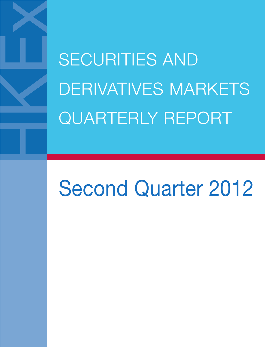SECURITIES AND DERIVATIVES MARKETS QUARTERLY REPORT

# Second Quarter 2012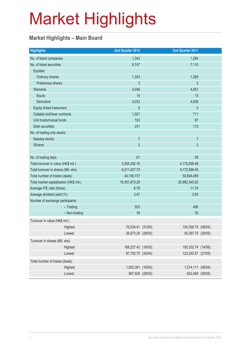### **Market Highlights – Main Board**

| No. of listed companies<br>1,342<br>1,284<br>No. of listed securities<br>7,110<br>6,747<br><b>Equities</b><br>Ordinary shares<br>1,343<br>1,285<br>Preference shares<br>3<br>3<br>4,046<br>Warrants<br>4,851<br>14<br>15<br>Equity<br>Derivative<br>4,032<br>4,836<br>$\mathbf{0}$<br>$\theta$<br>Equity linked instrument<br>Callable bull/bear contracts<br>1,021<br>711<br>Unit trusts/mutual funds<br>103<br>87<br>231<br>Debt securities<br>173<br>No. of trading only stocks<br>$\overline{7}$<br>Nasdaq stocks<br>$\overline{7}$<br>$\overline{2}$<br>$\overline{2}$<br><b>iShares</b><br>61<br>No. of trading days<br>59<br>Total turnover in value (HK\$ mil.)<br>3,054,292.16<br>4,175,836.48<br>Total turnover in shares (Mil. shs)<br>8,211,427.70<br>9,172,596.45<br>Total number of trades (deals)<br>44,746,737<br>50,846,489<br>18,351,873.28<br>20,992,345.92<br>Total market capitalisation (HK\$ mil.)<br>Average P/E ratio (times)<br>8.78<br>11.74<br>Average dividend yield (%)<br>3.47<br>2.65<br>Number of exchange participants<br>503<br>490<br>$-$ Trading<br>- Non-trading<br>39<br>35<br>Turnover in value (HK\$ mil.)<br>76,534.41 (31/05)<br>104,358.75 (06/04)<br>Highest<br>36,673.28 (28/05)<br>Lowest<br>50,397.75 (30/05)<br>Turnover in shares (Mil. shs)<br>168,227.42 (16/05)<br>192,332.74 (14/06)<br>Highest<br>Lowest<br>87,792.75 (30/04)<br>123,245.57 (27/05)<br>Total number of trades (deals)<br>1,002,391 (16/05)<br>1,214,111 (06/04)<br>Highest<br>Lowest<br>567,529 (28/05)<br>622,494 (30/05) | <b>Highlights</b> | 2nd Quarter 2012 |  | 2nd Quarter 2011 |  |
|---------------------------------------------------------------------------------------------------------------------------------------------------------------------------------------------------------------------------------------------------------------------------------------------------------------------------------------------------------------------------------------------------------------------------------------------------------------------------------------------------------------------------------------------------------------------------------------------------------------------------------------------------------------------------------------------------------------------------------------------------------------------------------------------------------------------------------------------------------------------------------------------------------------------------------------------------------------------------------------------------------------------------------------------------------------------------------------------------------------------------------------------------------------------------------------------------------------------------------------------------------------------------------------------------------------------------------------------------------------------------------------------------------------------------------------------------------------------------------------------------------------------------------------------------|-------------------|------------------|--|------------------|--|
|                                                                                                                                                                                                                                                                                                                                                                                                                                                                                                                                                                                                                                                                                                                                                                                                                                                                                                                                                                                                                                                                                                                                                                                                                                                                                                                                                                                                                                                                                                                                                   |                   |                  |  |                  |  |
|                                                                                                                                                                                                                                                                                                                                                                                                                                                                                                                                                                                                                                                                                                                                                                                                                                                                                                                                                                                                                                                                                                                                                                                                                                                                                                                                                                                                                                                                                                                                                   |                   |                  |  |                  |  |
|                                                                                                                                                                                                                                                                                                                                                                                                                                                                                                                                                                                                                                                                                                                                                                                                                                                                                                                                                                                                                                                                                                                                                                                                                                                                                                                                                                                                                                                                                                                                                   |                   |                  |  |                  |  |
|                                                                                                                                                                                                                                                                                                                                                                                                                                                                                                                                                                                                                                                                                                                                                                                                                                                                                                                                                                                                                                                                                                                                                                                                                                                                                                                                                                                                                                                                                                                                                   |                   |                  |  |                  |  |
|                                                                                                                                                                                                                                                                                                                                                                                                                                                                                                                                                                                                                                                                                                                                                                                                                                                                                                                                                                                                                                                                                                                                                                                                                                                                                                                                                                                                                                                                                                                                                   |                   |                  |  |                  |  |
|                                                                                                                                                                                                                                                                                                                                                                                                                                                                                                                                                                                                                                                                                                                                                                                                                                                                                                                                                                                                                                                                                                                                                                                                                                                                                                                                                                                                                                                                                                                                                   |                   |                  |  |                  |  |
|                                                                                                                                                                                                                                                                                                                                                                                                                                                                                                                                                                                                                                                                                                                                                                                                                                                                                                                                                                                                                                                                                                                                                                                                                                                                                                                                                                                                                                                                                                                                                   |                   |                  |  |                  |  |
|                                                                                                                                                                                                                                                                                                                                                                                                                                                                                                                                                                                                                                                                                                                                                                                                                                                                                                                                                                                                                                                                                                                                                                                                                                                                                                                                                                                                                                                                                                                                                   |                   |                  |  |                  |  |
|                                                                                                                                                                                                                                                                                                                                                                                                                                                                                                                                                                                                                                                                                                                                                                                                                                                                                                                                                                                                                                                                                                                                                                                                                                                                                                                                                                                                                                                                                                                                                   |                   |                  |  |                  |  |
|                                                                                                                                                                                                                                                                                                                                                                                                                                                                                                                                                                                                                                                                                                                                                                                                                                                                                                                                                                                                                                                                                                                                                                                                                                                                                                                                                                                                                                                                                                                                                   |                   |                  |  |                  |  |
|                                                                                                                                                                                                                                                                                                                                                                                                                                                                                                                                                                                                                                                                                                                                                                                                                                                                                                                                                                                                                                                                                                                                                                                                                                                                                                                                                                                                                                                                                                                                                   |                   |                  |  |                  |  |
|                                                                                                                                                                                                                                                                                                                                                                                                                                                                                                                                                                                                                                                                                                                                                                                                                                                                                                                                                                                                                                                                                                                                                                                                                                                                                                                                                                                                                                                                                                                                                   |                   |                  |  |                  |  |
|                                                                                                                                                                                                                                                                                                                                                                                                                                                                                                                                                                                                                                                                                                                                                                                                                                                                                                                                                                                                                                                                                                                                                                                                                                                                                                                                                                                                                                                                                                                                                   |                   |                  |  |                  |  |
|                                                                                                                                                                                                                                                                                                                                                                                                                                                                                                                                                                                                                                                                                                                                                                                                                                                                                                                                                                                                                                                                                                                                                                                                                                                                                                                                                                                                                                                                                                                                                   |                   |                  |  |                  |  |
|                                                                                                                                                                                                                                                                                                                                                                                                                                                                                                                                                                                                                                                                                                                                                                                                                                                                                                                                                                                                                                                                                                                                                                                                                                                                                                                                                                                                                                                                                                                                                   |                   |                  |  |                  |  |
|                                                                                                                                                                                                                                                                                                                                                                                                                                                                                                                                                                                                                                                                                                                                                                                                                                                                                                                                                                                                                                                                                                                                                                                                                                                                                                                                                                                                                                                                                                                                                   |                   |                  |  |                  |  |
|                                                                                                                                                                                                                                                                                                                                                                                                                                                                                                                                                                                                                                                                                                                                                                                                                                                                                                                                                                                                                                                                                                                                                                                                                                                                                                                                                                                                                                                                                                                                                   |                   |                  |  |                  |  |
|                                                                                                                                                                                                                                                                                                                                                                                                                                                                                                                                                                                                                                                                                                                                                                                                                                                                                                                                                                                                                                                                                                                                                                                                                                                                                                                                                                                                                                                                                                                                                   |                   |                  |  |                  |  |
|                                                                                                                                                                                                                                                                                                                                                                                                                                                                                                                                                                                                                                                                                                                                                                                                                                                                                                                                                                                                                                                                                                                                                                                                                                                                                                                                                                                                                                                                                                                                                   |                   |                  |  |                  |  |
|                                                                                                                                                                                                                                                                                                                                                                                                                                                                                                                                                                                                                                                                                                                                                                                                                                                                                                                                                                                                                                                                                                                                                                                                                                                                                                                                                                                                                                                                                                                                                   |                   |                  |  |                  |  |
|                                                                                                                                                                                                                                                                                                                                                                                                                                                                                                                                                                                                                                                                                                                                                                                                                                                                                                                                                                                                                                                                                                                                                                                                                                                                                                                                                                                                                                                                                                                                                   |                   |                  |  |                  |  |
|                                                                                                                                                                                                                                                                                                                                                                                                                                                                                                                                                                                                                                                                                                                                                                                                                                                                                                                                                                                                                                                                                                                                                                                                                                                                                                                                                                                                                                                                                                                                                   |                   |                  |  |                  |  |
|                                                                                                                                                                                                                                                                                                                                                                                                                                                                                                                                                                                                                                                                                                                                                                                                                                                                                                                                                                                                                                                                                                                                                                                                                                                                                                                                                                                                                                                                                                                                                   |                   |                  |  |                  |  |
|                                                                                                                                                                                                                                                                                                                                                                                                                                                                                                                                                                                                                                                                                                                                                                                                                                                                                                                                                                                                                                                                                                                                                                                                                                                                                                                                                                                                                                                                                                                                                   |                   |                  |  |                  |  |
|                                                                                                                                                                                                                                                                                                                                                                                                                                                                                                                                                                                                                                                                                                                                                                                                                                                                                                                                                                                                                                                                                                                                                                                                                                                                                                                                                                                                                                                                                                                                                   |                   |                  |  |                  |  |
|                                                                                                                                                                                                                                                                                                                                                                                                                                                                                                                                                                                                                                                                                                                                                                                                                                                                                                                                                                                                                                                                                                                                                                                                                                                                                                                                                                                                                                                                                                                                                   |                   |                  |  |                  |  |
|                                                                                                                                                                                                                                                                                                                                                                                                                                                                                                                                                                                                                                                                                                                                                                                                                                                                                                                                                                                                                                                                                                                                                                                                                                                                                                                                                                                                                                                                                                                                                   |                   |                  |  |                  |  |
|                                                                                                                                                                                                                                                                                                                                                                                                                                                                                                                                                                                                                                                                                                                                                                                                                                                                                                                                                                                                                                                                                                                                                                                                                                                                                                                                                                                                                                                                                                                                                   |                   |                  |  |                  |  |
|                                                                                                                                                                                                                                                                                                                                                                                                                                                                                                                                                                                                                                                                                                                                                                                                                                                                                                                                                                                                                                                                                                                                                                                                                                                                                                                                                                                                                                                                                                                                                   |                   |                  |  |                  |  |
|                                                                                                                                                                                                                                                                                                                                                                                                                                                                                                                                                                                                                                                                                                                                                                                                                                                                                                                                                                                                                                                                                                                                                                                                                                                                                                                                                                                                                                                                                                                                                   |                   |                  |  |                  |  |
|                                                                                                                                                                                                                                                                                                                                                                                                                                                                                                                                                                                                                                                                                                                                                                                                                                                                                                                                                                                                                                                                                                                                                                                                                                                                                                                                                                                                                                                                                                                                                   |                   |                  |  |                  |  |
|                                                                                                                                                                                                                                                                                                                                                                                                                                                                                                                                                                                                                                                                                                                                                                                                                                                                                                                                                                                                                                                                                                                                                                                                                                                                                                                                                                                                                                                                                                                                                   |                   |                  |  |                  |  |
|                                                                                                                                                                                                                                                                                                                                                                                                                                                                                                                                                                                                                                                                                                                                                                                                                                                                                                                                                                                                                                                                                                                                                                                                                                                                                                                                                                                                                                                                                                                                                   |                   |                  |  |                  |  |
|                                                                                                                                                                                                                                                                                                                                                                                                                                                                                                                                                                                                                                                                                                                                                                                                                                                                                                                                                                                                                                                                                                                                                                                                                                                                                                                                                                                                                                                                                                                                                   |                   |                  |  |                  |  |
|                                                                                                                                                                                                                                                                                                                                                                                                                                                                                                                                                                                                                                                                                                                                                                                                                                                                                                                                                                                                                                                                                                                                                                                                                                                                                                                                                                                                                                                                                                                                                   |                   |                  |  |                  |  |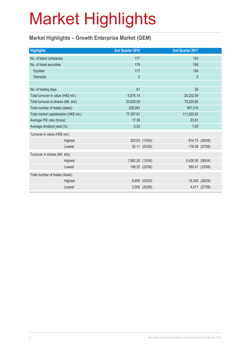### **Market Highlights – Growth Enterprise Market (GEM)**

| <b>Highlights</b>                       |         | 2nd Quarter 2012 |                | 2nd Quarter 2011 |                |
|-----------------------------------------|---------|------------------|----------------|------------------|----------------|
| No. of listed companies                 |         | 177              |                | 164              |                |
| No. of listed securities                |         | 179              |                | 166              |                |
| Equities                                |         | 177              |                | 164              |                |
| Warrants                                |         | $\overline{2}$   |                | $\overline{2}$   |                |
|                                         |         |                  |                |                  |                |
| No. of trading days                     |         | 61               |                | 59               |                |
| Total turnover in value (HK\$ mil.)     |         | 6,875.14         |                | 20,232.99        |                |
| Total turnover in shares (Mil. shs)     |         | 33,829.05        |                | 79,225.80        |                |
| Total number of trades (deals)          |         | 228,063          |                | 507,216          |                |
| Total market capitalisation (HK\$ mil.) |         | 77,357.91        |                | 111,535.83       |                |
| Average P/E ratio (times)               |         | 17.36            |                | 23.61            |                |
| Average dividend yield (%)              |         | 0.53             |                | 1.00             |                |
| Turnover in value (HK\$ mil.)           |         |                  |                |                  |                |
|                                         | Highest |                  | 353.03 (13/04) |                  | 614.73 (26/05) |
|                                         | Lowest  |                  | 52.11 (25/06)  |                  | 178.08 (27/06) |
| Turnover in shares (Mil. shs)           |         |                  |                |                  |                |
|                                         | Highest | 1,562.26 (13/04) |                | 5,426.00 (06/04) |                |
|                                         | Lowest  |                  | 198.35 (22/06) |                  | 560.41 (23/06) |
| Total number of trades (deals)          |         |                  |                |                  |                |
|                                         | Highest |                  | 6,459 (02/04)  |                  | 15,305 (26/04) |
|                                         | Lowest  |                  | 2,009 (25/06)  |                  | 4,411 (27/06)  |
|                                         |         |                  |                |                  |                |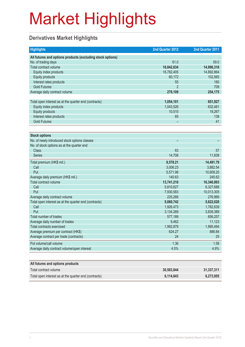### **Derivatives Market Highlights**

| <b>Highlights</b>                                          | 2nd Quarter 2012 | 2nd Quarter 2011 |
|------------------------------------------------------------|------------------|------------------|
| All futures and options products (excluding stock options) |                  |                  |
| No. of trading days                                        | 61.0             | 59.0             |
| Total contract volume                                      | 16,842,634       | 14,996,318       |
| Equity index products                                      | 16,782,405       | 14,892,864       |
| <b>Equity products</b>                                     | 60,172           | 102,565          |
| Interest rates products                                    | 55               | 180              |
| <b>Gold Futures</b>                                        | $\overline{2}$   | 709              |
| Average daily contract volume                              | 276,109          | 254,175          |
|                                                            |                  |                  |
| Total open interest as at the quarter end (contracts)      | 1,054,101        | 651,927          |
| Equity index products                                      | 1,043,526        | 632,481          |
| <b>Equity products</b>                                     | 10,510           | 19,267           |
| Interest rates products                                    | 65               | 138              |
| <b>Gold Futures</b>                                        |                  | 41               |
|                                                            |                  |                  |
| <b>Stock options</b>                                       |                  |                  |
| No. of newly introduced stock options classes              |                  |                  |
| No. of stock options as at the quarter end                 |                  |                  |
| <b>Class</b>                                               | 63               | 57               |
| <b>Series</b>                                              | 14,708           | 11,838           |
| Total premium (HK\$ mil.)                                  | 8,578.21         | 14,491.79        |
| Call                                                       | 3,006.23         | 3,882.54         |
| Put                                                        | 5,571.98         | 10,609.25        |
| Average daily premium (HK\$ mil.)                          | 140.63           | 245.62           |
| Total contract volume                                      | 13,741,210       | 16,340,993       |
| Call                                                       | 5,810,627        | 6,327,688        |
| Put                                                        | 7,930,583        | 10,013,305       |
| Average daily contract volume                              | 225.266          | 276,966          |
| Total open interest as at the quarter end (contracts)      | 5,060,742        | 5,622,028        |
| Call                                                       | 1,926,473        | 1,782,639        |
| Put                                                        | 3,134,269        | 3,839,389        |
| Total number of trades                                     | 577,189          | 656,257          |
| Average daily number of trades                             | 9,462            | 11,123           |
| <b>Total contracts exercised</b>                           | 1,992,879        | 1,895,494        |
| Average premium per contract (HK\$)                        | 624.27           | 886.84           |
| Average contract per trade (contracts)                     | 24               | 25               |
| Put volume/call volume                                     | 1.36             | 1.58             |
| Average daily contract volume/open interest                | 4.5%             | 4.9%             |
|                                                            |                  |                  |

| All futures and options products                      |            |            |
|-------------------------------------------------------|------------|------------|
| Total contract volume                                 | 30,583,844 | 31,337,311 |
| Total open interest as at the quarter end (contracts) | 6.114.843  | 6,273,955  |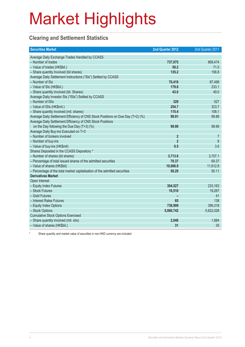### **Clearing and Settlement Statistics**

| <b>Securities Market</b>                                                        | 2nd Quarter 2012 | 2nd Quarter 2011 |
|---------------------------------------------------------------------------------|------------------|------------------|
| Average Daily Exchange Trades Handled by CCASS                                  |                  |                  |
| - Number of trades                                                              | 737,075          | 869,474          |
| - Value of trades (HK\$bil.)                                                    | 50.2             | 71.0             |
| - Share quantity Involved (bil shares)                                          | 135.2            | 156.8            |
| Average Daily Settlement Instructions ("SIs") Settled by CCASS                  |                  |                  |
| - Number of SIs                                                                 | 70,419           | 87,498           |
| - Value of SIs (HK\$bil.)                                                       | 179.8            | 233.1            |
| - Share quantity involved (bil. Shares)                                         | 43.0             | 49.0             |
| Average Daily Investor SIs ("ISIs") Settled by CCASS                            |                  |                  |
| - Number of ISIs                                                                | 329              | 527              |
| - Value of ISIs (HK\$mil.)                                                      | 254.7            | 323.7            |
| - Share quantity involved (mil. shares)                                         | 115.4            | 108.1            |
| Average Daily Settlement Efficiency of CNS Stock Positions on Due Day (T+2) (%) | 99.91            | 99.88            |
| Average Daily Settlement Efficiency of CNS Stock Positions                      |                  |                  |
| on the Day following the Due Day (T+3) (%)                                      | 99.99            | 99.99            |
| Average Daily Buy-ins Executed on T+3                                           |                  |                  |
| - Number of brokers involved                                                    | $\overline{2}$   | 7                |
| - Number of buy-ins                                                             | $\overline{2}$   | $\boldsymbol{8}$ |
| - Value of buy-ins (HK\$mil)                                                    | 0.5              | 3.6              |
| Shares Deposited in the CCASS Depository *                                      |                  |                  |
| - Number of shares (bil shares)                                                 | 3,713.6          | 3,707.1          |
| - Percentage of total issued shares of the admitted securities                  | 70.37            | 69.37            |
| - Value of shares (HK\$bil)                                                     | 10,006.9         | 11,612.9         |
| - Percentage of the total market capitalisation of the admitted securities      | 50.29            | 50.11            |
| <b>Derivatives Market</b>                                                       |                  |                  |
| Open Interest                                                                   |                  |                  |
| - Equity Index Futures                                                          | 304,527          | 233,163          |
| - Stock Futures                                                                 | 10,510           | 19,267           |
| - Gold Futures                                                                  |                  | 41               |
| - Interest Rates Futures                                                        | 65               | 138              |
| - Equity Index Options                                                          | 738,999          | 399,318          |
| - Stock Options                                                                 | 5,060,742        | 5,622,028        |
| <b>Cumulative Stock Options Exercised</b>                                       |                  |                  |
| - Share quantity involved (mil. shs)                                            | 2,048            | 1,884            |
| - Value of shares (HK\$bil.)                                                    | 31               | 35               |

\* Share quantity and market value of securities in non-HKD currency are included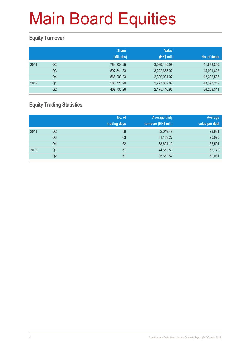### **Equity Turnover**

|      |                | <b>Share</b><br>(Mil. shs) | <b>Value</b><br>(HK\$ mil.) | No. of deals |
|------|----------------|----------------------------|-----------------------------|--------------|
| 2011 | Q <sub>2</sub> | 754,334.25                 | 3,069,149.98                | 41,652,899   |
|      | Q <sub>3</sub> | 597,541.33                 | 3,222,655.92                | 45,991,628   |
|      | Q4             | 568,209.23                 | 2,399,034.07                | 42,392,538   |
| 2012 | Q1             | 586,720.90                 | 2,723,802.82                | 43,393,219   |
|      | Q2             | 409,732.26                 | 2,175,416.95                | 36,208,311   |

### **Equity Trading Statistics**

|      |                | No. of<br>trading days | <b>Average daily</b><br>turnover (HK\$ mil.) | Average<br>value per deal |
|------|----------------|------------------------|----------------------------------------------|---------------------------|
| 2011 | Q2             | 59                     | 52,019.49                                    | 73,684                    |
|      | Q3             | 63                     | 51,153.27                                    | 70,070                    |
|      | Q4             | 62                     | 38,694.10                                    | 56,591                    |
| 2012 | Q <sub>1</sub> | 61                     | 44,652.51                                    | 62,770                    |
|      | Q2             | 61                     | 35,662.57                                    | 60,081                    |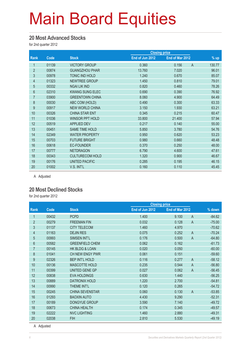#### **20 Most Advanced Stocks**

for 2nd quarter 2012

|                |       |                        | <b>Closing price</b> |                 |                        |
|----------------|-------|------------------------|----------------------|-----------------|------------------------|
| Rank           | Code  | <b>Stock</b>           | End of Jun 2012      | End of Mar 2012 | $%$ up                 |
| 1              | 01139 | <b>VICTORY GROUP</b>   | 0.360                | 0.156           | $\mathsf{A}$<br>130.77 |
| $\overline{2}$ | 00874 | <b>GUANGZHOU PHAR</b>  | 13.760               | 7.020           | 96.01                  |
| 3              | 00978 | TONIC IND HOLD         | 1.240                | 0.670           | 85.07                  |
| 4              | 01323 | <b>NEWTREE GROUP</b>   | 1.450                | 0.810           | 79.01                  |
| 5              | 00332 | <b>NGAI LIK IND</b>    | 0.820                | 0.460           | 78.26                  |
| $6\phantom{.}$ | 02310 | <b>KWANG SUNG ELEC</b> | 0.690                | 0.390           | 76.92                  |
| $\overline{7}$ | 03900 | <b>GREENTOWN CHINA</b> | 8.060                | 4.900           | 64.49                  |
| 8              | 00030 | ABC COM (HOLD)         | 0.490                | 0.300           | 63.33                  |
| 9              | 00917 | <b>NEW WORLD CHINA</b> | 3.150                | 1.930           | 63.21                  |
| 10             | 00326 | <b>CHINA STAR ENT</b>  | 0.345                | 0.215           | 60.47                  |
| 11             | 01036 | <b>WINSOR PPT HOLD</b> | 33.800               | 21.400          | 57.94                  |
| 12             | 00519 | <b>APPLIED DEV</b>     | 0.217                | 0.140           | 55.00                  |
| 13             | 00451 | <b>SAME TIME HOLD</b>  | 5.850                | 3.780           | 54.76                  |
| 14             | 02349 | <b>WATER PROPERTY</b>  | 0.950                | 0.620           | 53.23                  |
| 15             | 00703 | <b>FUTURE BRIGHT</b>   | 0.980                | 0.660           | 48.48                  |
| 16             | 00618 | <b>EC-FOUNDER</b>      | 0.370                | 0.250           | 48.00                  |
| 17             | 00777 | <b>NETDRAGON</b>       | 6.790                | 4.600           | 47.61                  |
| 18             | 00343 | <b>CULTURECOM HOLD</b> | 1.320                | 0.900           | 46.67                  |
| 19             | 00176 | <b>UNITED PACIFIC</b>  | 0.285                | 0.195           | 46.15                  |
| 20             | 01002 | V.S. INT'L             | 0.160                | 0.110           | 45.45                  |

A Adjusted

#### **20 Most Declined Stocks**

for 2nd quarter 2012

|                |       |                        | <b>Closing price</b> |                         |          |
|----------------|-------|------------------------|----------------------|-------------------------|----------|
| Rank           | Code  | <b>Stock</b>           | End of Jun 2012      | End of Mar 2012         | % down   |
| 1              | 00432 | <b>PCPD</b>            | 1.400                | 9.100<br>$\overline{A}$ | $-84.62$ |
| $\overline{2}$ | 00279 | <b>FREEMAN FIN</b>     | 0.032                | $\overline{A}$<br>0.128 | $-75.00$ |
| 3              | 01137 | <b>CITY TELECOM</b>    | 1.460                | 4.970                   | $-70.62$ |
| 4              | 01163 | <b>DEJIN RES</b>       | 0.075                | $\mathsf{A}$<br>0.252   | $-70.24$ |
| 5              | 00993 | <b>SIMSEN INT'L</b>    | 0.176                | $\overline{A}$<br>0.500 | $-64.80$ |
| $6\phantom{.}$ | 00582 | <b>GREENFIELD CHEM</b> | 0.062                | 0.162                   | $-61.73$ |
| $\overline{7}$ | 00145 | HK BLDG & LOAN         | 0.020                | 0.050                   | $-60.00$ |
| 8              | 01041 | CH NEW ENGY PWR        | 0.061                | 0.151                   | $-59.60$ |
| 9              | 02326 | <b>BEP INT'L HOLD</b>  | 0.116                | $\overline{A}$<br>0.277 | $-58.12$ |
| 10             | 00136 | <b>MASCOTTE HOLD</b>   | 0.235                | 0.544<br>$\overline{A}$ | $-56.80$ |
| 11             | 00399 | UNITED GENE GP         | 0.027                | 0.062<br>$\overline{A}$ | $-56.45$ |
| 12             | 00838 | <b>EVA HOLDINGS</b>    | 0.630                | 1.440                   | $-56.25$ |
| 13             | 00889 | <b>DATRONIX HOLD</b>   | 1.220                | 2.700                   | $-54.81$ |
| 14             | 00990 | THEME INT'L            | 0.120                | 0.265                   | $-54.72$ |
| 15             | 00245 | <b>CHINA SEVENSTAR</b> | 0.060                | 0.130<br>$\overline{A}$ | $-53.85$ |
| 16             | 01293 | <b>BAOXIN AUTO</b>     | 4.430                | 9.290                   | $-52.31$ |
| 17             | 00189 | <b>DONGYUE GROUP</b>   | 3.590                | 7.140                   | $-49.72$ |
| 18             | 00673 | <b>CHINA HEALTH</b>    | 0.174                | 0.345                   | $-49.57$ |
| 19             | 02222 | <b>NVC LIGHTING</b>    | 1.460                | 2.880                   | $-49.31$ |
| 20             | 02038 | <b>FIH</b>             | 2.810                | 5.530                   | $-49.19$ |

A Adjusted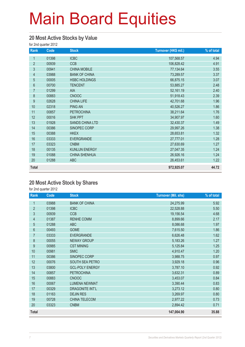#### **20 Most Active Stocks by Value**

for 2nd quarter 2012

| Rank           | Code  | <b>Stock</b>           | Turnover (HK\$ mil.) | % of total |
|----------------|-------|------------------------|----------------------|------------|
| 1              | 01398 | <b>ICBC</b>            | 107,568.57           | 4.94       |
| $\overline{2}$ | 00939 | <b>CCB</b>             | 106,828.42           | 4.91       |
| $\mathfrak{S}$ | 00941 | <b>CHINA MOBILE</b>    | 77,134.64            | 3.55       |
| $\overline{4}$ | 03988 | <b>BANK OF CHINA</b>   | 73,289.57            | 3.37       |
| 5              | 00005 | <b>HSBC HOLDINGS</b>   | 66,875.15            | 3.07       |
| $6\,$          | 00700 | <b>TENCENT</b>         | 53,885.27            | 2.48       |
| $\overline{7}$ | 01299 | AIA                    | 52,161.19            | 2.40       |
| $\,8\,$        | 00883 | <b>CNOOC</b>           | 51,918.43            | 2.39       |
| 9              | 02628 | <b>CHINA LIFE</b>      | 42,701.68            | 1.96       |
| 10             | 02318 | <b>PING AN</b>         | 40,526.27            | 1.86       |
| 11             | 00857 | <b>PETROCHINA</b>      | 38,211.64            | 1.76       |
| 12             | 00016 | <b>SHK PPT</b>         | 34,907.97            | 1.60       |
| 13             | 01928 | <b>SANDS CHINA LTD</b> | 32,430.37            | 1.49       |
| 14             | 00386 | SINOPEC CORP           | 29,997.26            | 1.38       |
| 15             | 00388 | <b>HKEX</b>            | 28,653.81            | 1.32       |
| 16             | 03333 | <b>EVERGRANDE</b>      | 27,777.01            | 1.28       |
| 17             | 03323 | <b>CNBM</b>            | 27,630.69            | 1.27       |
| 18             | 00135 | <b>KUNLUN ENERGY</b>   | 27,047.35            | 1.24       |
| 19             | 01088 | <b>CHINA SHENHUA</b>   | 26,926.16            | 1.24       |
| 20             | 01288 | <b>ABC</b>             | 26,453.61            | 1.22       |
| <b>Total</b>   |       |                        | 972,925.07           | 44.72      |

#### **20 Most Active Stock by Shares**

for 2nd quarter 2012

| Rank             | Code  | <b>Stock</b>           | <b>Turnover (Mil. shs)</b> | % of total |
|------------------|-------|------------------------|----------------------------|------------|
| $\mathbf{1}$     | 03988 | <b>BANK OF CHINA</b>   | 24,275.99                  | 5.92       |
| $\overline{2}$   | 01398 | <b>ICBC</b>            | 22,528.88                  | 5.50       |
| 3                | 00939 | <b>CCB</b>             | 19,156.54                  | 4.68       |
| $\overline{4}$   | 01387 | <b>RENHE COMM</b>      | 8,899.66                   | 2.17       |
| $\overline{5}$   | 01288 | <b>ABC</b>             | 8,086.68                   | 1.97       |
| $6\phantom{.}$   | 00493 | <b>GOME</b>            | 7,615.50                   | 1.86       |
| 7                | 03333 | <b>EVERGRANDE</b>      | 6,626.48                   | 1.62       |
| 8                | 00055 | <b>NEWAY GROUP</b>     | 5,183.26                   | 1.27       |
| $\boldsymbol{9}$ | 00985 | <b>CST MINING</b>      | 5,125.84                   | 1.25       |
| 10               | 00981 | <b>SMIC</b>            | 4,910.47                   | 1.20       |
| 11               | 00386 | SINOPEC CORP           | 3,988.75                   | 0.97       |
| 12               | 00076 | SOUTH SEA PETRO        | 3,929.18                   | 0.96       |
| 13               | 03800 | <b>GCL-POLY ENERGY</b> | 3,787.10                   | 0.92       |
| 14               | 00857 | <b>PETROCHINA</b>      | 3,632.31                   | 0.89       |
| 15               | 00883 | <b>CNOOC</b>           | 3,453.07                   | 0.84       |
| 16               | 00067 | <b>LUMENA NEWMAT</b>   | 3,390.44                   | 0.83       |
| 17               | 00329 | <b>DRAGONITE INT'L</b> | 3,273.12                   | 0.80       |
| 18               | 01163 | <b>DEJIN RES</b>       | 3,269.97                   | 0.80       |
| 19               | 00728 | CHINA TELECOM          | 2,977.22                   | 0.73       |
| 20               | 03323 | <b>CNBM</b>            | 2,894.42                   | 0.71       |
| <b>Total</b>     |       |                        | 147,004.90                 | 35.88      |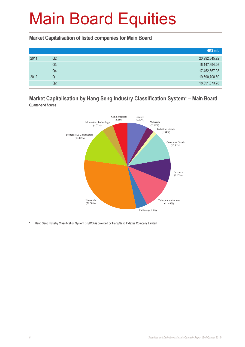**Market Capitalisation of listed companies for Main Board**

|      |    | HK\$ mil.        |
|------|----|------------------|
| 2011 | Q2 | 20,992,345.92    |
|      | Q3 | 16, 147, 694. 26 |
|      | Q4 | 17,452,667.08    |
| 2012 | Q1 | 19,690,708.60    |
|      | Q2 | 18,351,873.28    |

#### **Market Capitalisation by Hang Seng Industry Classification System\* – Main Board** Quarter-end figures



\* Hang Seng Industry Classification System (HSICS) is provided by Hang Seng Indexes Company Limited.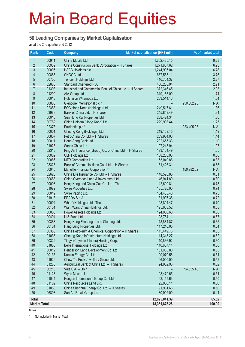#### **50 Leading Companies by Market Capitalisation**

as at the 2nd quarter end 2012

| <b>Rank</b>         | Code           | <b>Company</b>                                              | Market capitalisation (HK\$ mil.) |            | % of market total |
|---------------------|----------------|-------------------------------------------------------------|-----------------------------------|------------|-------------------|
| $\mathbf{1}$        | 00941          | China Mobile Ltd.                                           | 1,702,485.15                      |            | 9.28              |
| $\overline{2}$      | 00939          | China Construction Bank Corporation - H Shares              | 1,271,807.62                      |            | 6.93              |
| $\mathfrak{S}$      | 00005          | <b>HSBC Holdings plc</b>                                    | 1,244,995.04                      |            | 6.78              |
| 4                   | 00883          | CNOOC Ltd.                                                  | 687,553.11                        |            | 3.75              |
| 5                   | 00700          | Tencent Holdings Ltd.                                       | 416,764.37                        |            | 2.27              |
| $6\phantom{a}$      | 02888          | <b>Standard Chartered PLC</b>                               | 406,238.04                        |            | 2.21              |
| $\overline{7}$      | 01398          | Industrial and Commercial Bank of China Ltd. - H Shares     | 372,346.45                        |            | 2.03              |
| 8                   | 01299          | AIA Group Ltd.                                              | 319,166.00                        |            | 1.74              |
| 9                   | 00013          | Hutchison Whampoa Ltd.                                      | 283,514.16                        |            | 1.54              |
| 10                  | 00805          | Glencore International plc *                                |                                   | 250,602.23 | N.A.              |
| 11                  | 02388          | BOC Hong Kong (Holdings) Ltd.                               | 249,517.61                        |            | 1.36              |
| 12                  | 03988          | Bank of China Ltd. - H Shares                               | 245,849.49                        |            | 1.34              |
| 13                  | 00016          | Sun Hung Kai Properties Ltd.                                | 238,424.34                        |            | 1.30              |
| 14                  | 00762          | China Unicom (Hong Kong) Ltd.                               | 229,993.44                        |            | 1.25              |
| 15                  | 02378          | Prudential plc *                                            |                                   | 223,405.03 | N.A.              |
| 16                  | 00001          | Cheung Kong (Holdings) Ltd.                                 | 219,109.15                        |            | 1.19              |
| 17                  | 00857          | PetroChina Co. Ltd. - H Shares                              | 209,934.06                        |            | 1.14              |
| 18                  | 00011          | Hang Seng Bank Ltd.                                         | 202,655.33                        |            | 1.10              |
| 19                  | 01928          | Sands China Ltd.                                            | 197,245.94                        |            | 1.07              |
| 20                  | 02318          | Ping An Insurance (Group) Co. of China Ltd. - H Shares      | 193,104.49                        |            | 1.05              |
| 21                  | 00002          | CLP Holdings Ltd.                                           | 158,203.93                        |            | 0.86              |
| 22                  | 00066          | MTR Corporation Ltd.                                        | 153,049.86                        |            | 0.83              |
| 23                  | 03328          | Bank of Communications Co., Ltd. - H Shares                 | 151,426.31                        |            | 0.83              |
| 24                  | 00945          | Manulife Financial Corporation *                            |                                   | 150,982.62 | N.A.              |
| 25                  | 02628          | China Life Insurance Co. Ltd. - H Shares                    | 148,525.85                        |            | 0.81              |
| 26                  | 00688          | China Overseas Land & Investment Ltd.                       | 146,941.89                        |            | 0.80              |
| 27                  | 00003          | Hong Kong and China Gas Co. Ltd., The                       | 142,699.81                        |            | 0.78              |
| 28                  | 01972          | Swire Properties Ltd.                                       | 135,720.00                        |            | 0.74              |
| 29                  | 00019          | Swire Pacific Ltd.                                          | 134,485.40                        |            | 0.73              |
| 30                  | 01913          | PRADA S.p.A.                                                | 131,907.38                        |            | 0.72              |
| 31<br>32            | 00004<br>00151 | Wharf (Holdings) Ltd., The                                  | 128,894.47                        |            | 0.70              |
| 33                  | 00006          | Want Want China Holdings Ltd.<br>Power Assets Holdings Ltd. | 125,663.52<br>124,000.60          |            | 0.68<br>0.68      |
| 34                  | 00494          | Li & Fung Ltd.                                              | 123,764.11                        |            | 0.67              |
| 35                  | 00388          | Hong Kong Exchanges and Clearing Ltd.                       | 118,884.87                        |            | 0.65              |
| 36                  | 00101          | Hang Lung Properties Ltd.                                   | 117,210.05                        |            | 0.64              |
| 37                  | 00386          | China Petroleum & Chemical Corporation - H Shares           | 115,449.76                        |            | 0.63              |
| 38                  | 01038          | Cheung Kong Infrastructure Holdings Ltd.                    | 114,343.27                        |            | 0.62              |
| 39                  | 00322          | Tingyi (Cayman Islands) Holding Corp.                       | 110,836.92                        |            | 0.60              |
| 40                  | 01880          | Belle International Holdings Ltd.                           | 110,657.14                        |            | 0.60              |
| 41                  | 00012          | Henderson Land Development Co. Ltd.                         | 101,033.80                        |            | 0.55              |
| 42                  | 00135          | Kunlun Energy Co. Ltd.                                      | 99,070.56                         |            | 0.54              |
| 43                  | 01929          | Chow Tai Fook Jewellery Group Ltd.                          | 96,000.00                         |            | 0.52              |
| 44                  | 01288          | Agricultural Bank of China Ltd. - H Shares                  | 94,982.96                         |            | 0.52              |
| 45                  | 06210          | Vale $S.A. - DR *$                                          |                                   | 94,555.48  | N.A.              |
| 46                  | 01128          | Wynn Macau, Ltd.                                            | 93,479.65                         |            | 0.51              |
| 47                  | 01044          | Hengan International Group Co. Ltd.                         | 92,115.63                         |            | 0.50              |
| 48                  | 01109          | China Resources Land Ltd.                                   | 92,066.11                         |            | 0.50              |
| 49                  | 01088          | China Shenhua Energy Co. Ltd. - H Shares                    | 91,931.66                         |            | 0.50              |
| 50                  | 06808          | Sun Art Retail Group Ltd.                                   | 80,992.09                         |            | 0.44              |
| <b>Total</b>        |                |                                                             | 12,025,041.39                     |            | 65.52             |
| <b>Market Total</b> |                |                                                             | 18,351,873.28                     |            | 100.00            |
|                     |                |                                                             |                                   |            |                   |

Notes:

\* Not included in Market Total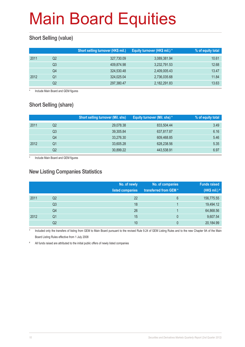### **Short Selling (value)**

|      |    | Short selling turnover (HK\$ mil.) | Equity turnover (HK\$ mil.) * | % of equity total |
|------|----|------------------------------------|-------------------------------|-------------------|
| 2011 | Q2 | 327,730.09                         | 3,089,381.94                  | 10.61             |
|      | Q3 | 409,874.98                         | 3,232,791.53                  | 12.68             |
|      | Q4 | 324,530.48                         | 2,409,005.43                  | 13.47             |
| 2012 | Q1 | 324,025.04                         | 2,736,035.68                  | 11.84             |
|      | Q2 | 297,380.47                         | 2,182,291.83                  | 13.63             |

Include Main Board and GEM figures

### **Short Selling (share)**

|      |    | <b>Short selling turnover (Mil. shs)</b> | Equity turnover (Mil. shs) * | % of equity total |
|------|----|------------------------------------------|------------------------------|-------------------|
| 2011 | Q2 | 29,078.38                                | 833.504.44                   | 3.49              |
|      | Q3 | 39,305.84                                | 637,817.87                   | 6.16              |
|      | Q4 | 33,276.30                                | 609,468.85                   | 5.46              |
| 2012 | Q1 | 33,605.28                                | 628,238.56                   | 5.35              |
|      | Q2 | 30,899.22                                | 443,538.91                   | 6.97              |

\* Include Main Board and GEM figures

#### **New Listing Companies Statistics**

|      |                | No. of newly<br>listed companies | No. of companies<br>transferred from GEM* | <b>Funds raised</b><br>(HK\$ mil.) # |
|------|----------------|----------------------------------|-------------------------------------------|--------------------------------------|
| 2011 | Q <sub>2</sub> | 22                               | 6                                         | 156,775.55                           |
|      | Q3             | 18                               |                                           | 19,494.12                            |
|      | Q4             | 26                               |                                           | 64,868.56                            |
| 2012 | Q1             | 15                               | 0                                         | 9,607.54                             |
|      | Q2             | 10                               | 0                                         | 20,184.99                            |

Included only the transfers of listing from GEM to Main Board pursuant to the revised Rule 9.24 of GEM Listing Rules and to the new Chapter 9A of the Main Board Listing Rules effective from 1 July 2008

# All funds raised are attributed to the initial public offers of newly listed companies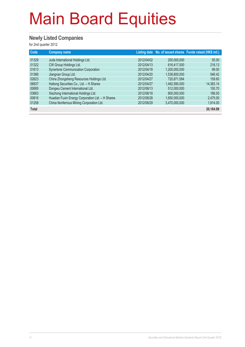### **Newly Listed Companies**

for 2nd quarter 2012

| Code                    | <b>Company name</b>                                                                                      |                                        |                                             | Listing date No. of issued shares Funds raised (HK\$ mil.) |
|-------------------------|----------------------------------------------------------------------------------------------------------|----------------------------------------|---------------------------------------------|------------------------------------------------------------|
| 01329<br>01322<br>01613 | Juda International Holdings Ltd.<br>CW Group Holdings Ltd.<br><b>Synertone Communication Corporation</b> | 2012/04/02<br>2012/04/13<br>2012/04/18 | 200.000.000<br>616.417.000<br>1,200,000,000 | 55,00<br>216.13<br>99.00                                   |
| 01366                   | Jiangnan Group Ltd.                                                                                      | 2012/04/20                             | 1,538,600,000                               | 546.42                                                     |
| 02623<br>06837          | China Zhongsheng Resources Holdings Ltd.<br>Haitong Securities Co., Ltd. - H Shares                      | 2012/04/27<br>2012/04/27               | 720,871,584<br>1,492,590,000                | 159.60<br>14,383.14                                        |
| 00695                   | Dongwu Cement International Ltd.                                                                         | 2012/06/13                             | 512,000,000                                 | 150.70                                                     |
| 03663                   | Xiezhong International Holdings Ltd.                                                                     | 2012/06/18                             | 800.000.000                                 | 186.00                                                     |
| 00816<br>01258          | Huadian Fuxin Energy Corporation Ltd. - H Shares<br>China Nonferrous Mining Corporation Ltd.             | 2012/06/28<br>2012/06/29               | 1.650.000.000<br>3.470.000.000              | 2,475.00<br>1,914.00                                       |
| <b>Total</b>            |                                                                                                          |                                        |                                             | 20,184.99                                                  |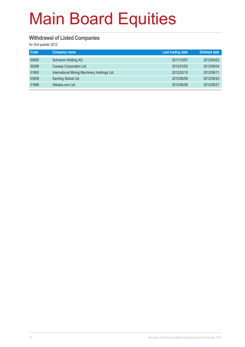#### **Withdrawal of Listed Companies**

for 2nd quarter 2012

| Code  | <b>Company name</b>                          | <b>Last trading date</b> | <b>Delisted date</b> |
|-------|----------------------------------------------|--------------------------|----------------------|
| 00955 | Schramm Holding AG                           | 2011/10/07               | 2012/04/02           |
| 00288 | Cosway Corporation Ltd.                      | 2012/03/02               | 2012/06/04           |
| 01683 | International Mining Machinery Holdings Ltd. | 2012/02/10               | 2012/06/11           |
| 03938 | Samling Global Ltd.                          | 2012/06/08               | 2012/06/20           |
| 01688 | Alibaba.com Ltd.                             | 2012/06/08               | 2012/06/21           |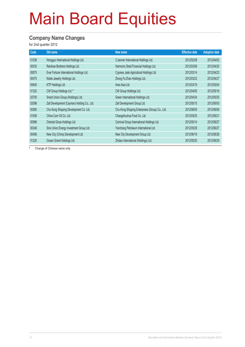#### **Company Name Changes**

for 2nd quarter 2012

| Code  | Old name                                    | New name                                        | <b>Effective date</b> | <b>Adoption date</b> |
|-------|---------------------------------------------|-------------------------------------------------|-----------------------|----------------------|
| 01028 | Hongguo International Holdings Ltd.         | C.banner International Holdings Ltd.            | 2012/02/08            | 2012/04/02           |
| 00033 | Rainbow Brothers Holdings Ltd.              | Harmonic Strait Financial Holdings Ltd.         | 2012/03/06            | 2012/04/20           |
| 00875 | Ever Fortune International Holdings Ltd.    | Cypress Jade Agricultural Holdings Ltd.         | 2012/03/14            | 2012/04/23           |
| 00475 | Noble Jewelry Holdings Ltd.                 | Zhong Fa Zhan Holdings Ltd.                     | 2012/03/23            | 2012/04/27           |
| 00645 | KTP Holdings Ltd.                           | Ares Asia Ltd.                                  | 2012/03/19            | 2012/05/04           |
| 01322 | CW Group Holdings Ltd. #                    | CW Group Holdings Ltd.                          | 2012/04/05            | 2012/05/16           |
| 02700 | Smart Union Group (Holdings) Ltd.           | Green International Holdings Ltd.               | 2012/04/24            | 2012/05/25           |
| 02098 | Zall Development (Cayman) Holding Co., Ltd. | Zall Development Group Ltd.                     | 2012/05/15            | 2012/06/05           |
| 00560 | Chu Kong Shipping Development Co. Ltd.      | Chu Kong Shipping Enterprises (Group) Co., Ltd. | 2012/06/05            | 2012/06/06           |
| 01006 | China Corn Oil Co. Ltd.                     | Changshouhua Food Co. Ltd.                      | 2012/05/25            | 2012/06/21           |
| 00996 | Oriental Ginza Holdings Ltd.                | Carnival Group International Holdings Ltd.      | 2012/05/14            | 2012/06/27           |
| 00346 | Sino Union Energy Investment Group Ltd.     | Yanchang Petroleum International Ltd.           | 2012/05/29            | 2012/06/27           |
| 00456 | New City (China) Development Ltd.           | New City Development Group Ltd.                 | 2012/06/19            | 2012/06/28           |
| 01220 | Ocean Grand Holdings Ltd.                   | Zhidao International (Holdings) Ltd.            | 2012/05/25            | 2012/06/29           |

# Change of Chinese name only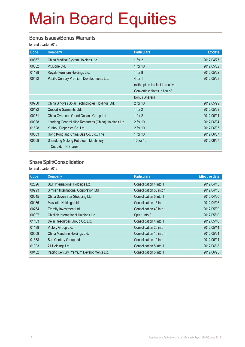#### **Bonus Issues/Bonus Warrants**

for 2nd quarter 2012

| Code  | <b>Company</b>                                       | <b>Particulars</b>               | Ex-date    |
|-------|------------------------------------------------------|----------------------------------|------------|
| 00867 | China Medical System Holdings Ltd.                   | 1 for $2$                        | 2012/04/27 |
| 00082 | VODone Ltd.                                          | 1 for 10                         | 2012/05/02 |
| 01198 | Royale Furniture Holdings Ltd.                       | 1 for $8$                        | 2012/05/22 |
| 00432 | Pacific Century Premium Developments Ltd.            | 4 for 1                          | 2012/05/28 |
|       |                                                      | (with option to elect to receive |            |
|       |                                                      | Convertible Notes in lieu of     |            |
|       |                                                      | <b>Bonus Shares)</b>             |            |
| 00750 | China Singyes Solar Technologies Holdings Ltd.       | 2 for 10                         | 2012/05/29 |
| 00122 | Crocodile Garments Ltd.                              | 1 for $2$                        | 2012/05/29 |
| 00081 | China Overseas Grand Oceans Group Ltd.               | 1 for $2$                        | 2012/06/01 |
| 00988 | Loudong General Nice Resources (China) Holdings Ltd. | 2 for 10                         | 2012/06/04 |
| 01628 | Yuzhou Properties Co. Ltd.                           | 2 for 10                         | 2012/06/05 |
| 00003 | Hong Kong and China Gas Co. Ltd., The                | 1 for 10                         | 2012/06/07 |
| 00568 | Shandong Molong Petroleum Machinery                  | 10 for 10                        | 2012/06/07 |
|       | Co. Ltd. - H Shares                                  |                                  |            |

### **Share Split/Consolidation**

for 2nd quarter 2012

| Code  | Company                                   | <b>Particulars</b>      | <b>Effective date</b> |
|-------|-------------------------------------------|-------------------------|-----------------------|
| 02326 | BEP International Holdings Ltd.           | Consolidation 4 into 1  | 2012/04/13            |
| 00993 | Simsen International Corporation Ltd.     | Consolidation 50 into 1 | 2012/04/13            |
| 00245 | China Seven Star Shopping Ltd.            | Consolidation 5 into 1  | 2012/04/20            |
| 00136 | Mascotte Holdings Ltd.                    | Consolidation 16 into 1 | 2012/04/26            |
| 00764 | Eternity Investment Ltd.                  | Consolidation 40 into 1 | 2012/05/09            |
| 00997 | Chinlink International Holdings Ltd.      | Split 1 into 8          | 2012/05/10            |
| 01163 | Dejin Resources Group Co. Ltd.            | Consolidation 4 into 1  | 2012/05/10            |
| 01139 | Victory Group Ltd.                        | Consolidation 20 into 1 | 2012/05/14            |
| 00009 | China Mandarin Holdings Ltd.              | Consolidation 10 into 1 | 2012/05/24            |
| 01383 | Sun Century Group Ltd.                    | Consolidation 10 into 1 | 2012/06/04            |
| 01003 | 21 Holdings Ltd.                          | Consolidation 5 into 1  | 2012/06/18            |
| 00432 | Pacific Century Premium Developments Ltd. | Consolidation 5 into 1  | 2012/06/25            |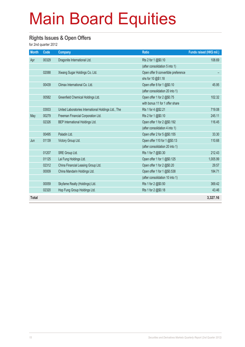#### **Rights Issues & Open Offers**

for 2nd quarter 2012

| <b>Month</b> | Code  | <b>Company</b>                                       | <b>Ratio</b>                        | Funds raised (HK\$ mil.) |
|--------------|-------|------------------------------------------------------|-------------------------------------|--------------------------|
| Apr          | 00329 | Dragonite International Ltd.                         | Rts 2 for 1 @\$0.10                 | 108.69                   |
|              |       |                                                      | (after consolidation 5 into 1)      |                          |
|              | 02088 | Xiwang Sugar Holdings Co. Ltd.                       | Open offer 9 convertible preference |                          |
|              |       |                                                      | shs for 10 @\$1.18                  |                          |
|              | 00439 | Climax International Co. Ltd.                        | Open offer 8 for 1 @\$0.10          | 45.95                    |
|              |       |                                                      | (after consolidation 20 into 1)     |                          |
|              | 00582 | Greenfield Chemical Holdings Ltd.                    | Open offer 1 for 2 @\$0.75          | 102.32                   |
|              |       |                                                      | with bonus 11 for 1 offer share     |                          |
|              | 03933 | United Laboratories International Holdings Ltd., The | Rts 1 for 4 @\$2.21                 | 719.08                   |
| May          | 00279 | Freeman Financial Corporation Ltd.                   | Rts 2 for 1 @\$0.10                 | 245.11                   |
|              | 02326 | BEP International Holdings Ltd.                      | Open offer 1 for 2 @\$0.192         | 116.45                   |
|              |       |                                                      | (after consolidation 4 into 1)      |                          |
|              | 00495 | Paladin Ltd.                                         | Open offer 2 for 5 @\$0.155         | 33.30                    |
| Jun          | 01139 | Victory Group Ltd.                                   | Open offer 110 for 1 @\$0.13        | 110.68                   |
|              |       |                                                      | (after consolidation 20 into 1)     |                          |
|              | 01207 | SRE Group Ltd.                                       | Rts 1 for 7 @\$0.30                 | 212.43                   |
|              | 01125 | Lai Fung Holdings Ltd.                               | Open offer 1 for 1 @\$0.125         | 1,005.99                 |
|              | 02312 | China Financial Leasing Group Ltd.                   | Open offer 1 for 2 @\$0.20          | 29.57                    |
|              | 00009 | China Mandarin Holdings Ltd.                         | Open offer 1 for 1 @\$0.538         | 184.71                   |
|              |       |                                                      | (after consolidation 10 into 1)     |                          |
|              | 00059 | Skyfame Realty (Holdings) Ltd.                       | Rts 1 for 2 @\$0.50                 | 369.42                   |
|              | 02320 | Hop Fung Group Holdings Ltd.                         | Rts 1 for 2 @\$0.18                 | 43.46                    |
| <b>Total</b> |       |                                                      |                                     | 3,327.16                 |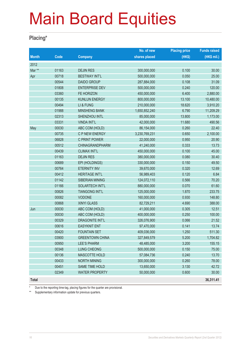#### **Placing\***

|              |       |                        | No. of new    | <b>Placing price</b> | <b>Funds raised</b> |
|--------------|-------|------------------------|---------------|----------------------|---------------------|
| <b>Month</b> | Code  | <b>Company</b>         | shares placed | (HKS)                | (HK\$ mil.)         |
| 2012         |       |                        |               |                      |                     |
| Mar **       | 01163 | <b>DEJIN RES</b>       | 300,000,000   | 0.100                | 30.00               |
| Apr          | 00718 | <b>BESTWAY INT'L</b>   | 500,000,000   | 0.050                | 25.00               |
|              | 00544 | <b>DAIDO GROUP</b>     | 287,884,000   | 0.108                | 31.09               |
|              | 01808 | <b>ENTERPRISE DEV</b>  | 500,000,000   | 0.240                | 120.00              |
|              | 03360 | FE HORIZON             | 450,000,000   | 6.400                | 2,880.00            |
|              | 00135 | <b>KUNLUN ENERGY</b>   | 800,000,000   | 13.100               | 10,480.00           |
|              | 00494 | LI & FUNG              | 210,000,000   | 18.620               | 3,910.20            |
|              | 01988 | <b>MINSHENG BANK</b>   | 1,650,852,240 | 6.790                | 11,209.29           |
|              | 02313 | SHENZHOU INTL          | 85,000,000    | 13.800               | 1,173.00            |
|              | 03331 | <b>VINDA INT'L</b>     | 42,000,000    | 11.680               | 490.56              |
| May          | 00030 | ABC COM (HOLD)         | 86,154,000    | 0.260                | 22.40               |
|              | 00735 | C P NEW ENERGY         | 3,230,769,231 | 0.650                | 2,100.00            |
|              | 06828 | C PRINT POWER          | 22,000,000    | 0.950                | 20.90               |
|              | 00512 | <b>CHINAGRANDPHARM</b> | 41,240,000    | 0.333                | 13.73               |
|              | 00439 | <b>CLIMAX INT'L</b>    | 450,000,000   | 0.100                | 45.00               |
|              | 01163 | <b>DEJIN RES</b>       | 380,000,000   | 0.080                | 30.40               |
|              | 00689 | EPI (HOLDINGS)         | 330,000,000   | 0.150                | 49.50               |
|              | 00764 | <b>ETERNITY INV</b>    | 39,670,000    | 0.320                | 12.69               |
|              | 00412 | <b>HERITAGE INT'L</b>  | 56,989,403    | 0.120                | 6.84                |
|              | 01142 | SIBERIAN MINING        | 124,072,110   | 0.566                | 70.20               |
|              | 01166 | <b>SOLARTECH INT'L</b> | 880,000,000   | 0.070                | 61.60               |
|              | 00826 | <b>TIANGONG INT'L</b>  | 125,000,000   | 1.870                | 233.75              |
|              | 00082 | <b>VODONE</b>          | 160,000,000   | 0.930                | 148.80              |
|              | 00868 | <b>XINYI GLASS</b>     | 82,729,211    | 4.690                | 388.00              |
| Jun          | 00030 | ABC COM (HOLD)         | 41,000,000    | 0.305                | 12.51               |
|              | 00030 | ABC COM (HOLD)         | 400,000,000   | 0.250                | 100.00              |
|              | 00329 | <b>DRAGONITE INT'L</b> | 326,076,900   | 0.066                | 21.52               |
|              | 00616 | <b>EASYKNIT ENT</b>    | 97,470,000    | 0.141                | 13.74               |
|              | 00420 | <b>FOUNTAIN SET</b>    | 409,036,000   | 1.250                | 511.30              |
|              | 03900 | <b>GREENTOWN CHINA</b> | 327,849,579   | 5.200                | 1,704.82            |
|              | 00950 | <b>LEE'S PHARM</b>     | 48,485,000    | 3.200                | 155.15              |
|              | 00348 | <b>LUNG CHEONG</b>     | 500,000,000   | 0.150                | 75.00               |
|              | 00136 | <b>MASCOTTE HOLD</b>   | 57,084,736    | 0.240                | 13.70               |
|              | 00433 | <b>NORTH MINING</b>    | 300,000,000   | 0.260                | 78.00               |
|              | 00451 | SAME TIME HOLD         | 13,650,000    | 3.130                | 42.72               |
|              | 02349 | <b>WATER PROPERTY</b>  | 50,000,000    | 0.600                | 30.00               |
| <b>Total</b> |       |                        |               |                      | 36,311.41           |

\* Due to the reporting time-lag, placing figures for the quarter are provisional.

\*\* Supplementary information update for previous quarters.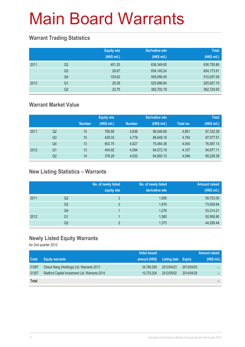### **Warrant Trading Statistics**

|      |                | <b>Equity wts</b><br>(HK\$ mil.) | <b>Derivative wts</b><br>(HK\$ mil.) | <b>Total</b><br>(HK\$ mil.) |
|------|----------------|----------------------------------|--------------------------------------|-----------------------------|
| 2011 | Q <sub>2</sub> | 401.20                           | 636,349.65                           | 636,750.86                  |
|      | Q <sub>3</sub> | 28.67                            | 654,145.24                           | 654,173.91                  |
|      | Q4             | 100.62                           | 509,956.45                           | 510,057.08                  |
| 2012 | Q <sub>1</sub> | 28.26                            | 525,898.84                           | 525,927.10                  |
|      | Q2             | 22.75                            | 382,702.18                           | 382,724.93                  |

### **Warrant Market Value**

|      |                |               | <b>Equity wts</b> |               | <b>Derivative wts</b> |           | <b>Total</b> |
|------|----------------|---------------|-------------------|---------------|-----------------------|-----------|--------------|
|      |                | <b>Number</b> | (HK\$ mil.)       | <b>Number</b> | (HK\$ mil.)           | Total no. | (HK\$ mil.)  |
| 2011 | Q <sub>2</sub> | 15            | 785.68            | 4,836         | 96,546.69             | 4,851     | 97,332.38    |
|      | Q3             | 15            | 429.33            | 4.778         | 86,648.18             | 4,793     | 87,077.51    |
|      | Q4             | 13            | 602.75            | 4.027         | 75.484.38             | 4.040     | 76,087.13    |
| 2012 | Q1             | 13            | 404.92            | 4.094         | 94.572.19             | 4.107     | 94,977.11    |
|      | Q2             | 14            | 378.29            | 4,032         | 64,850.10             | 4,046     | 65,228.38    |

### **New Listing Statistics – Warrants**

|      |                | No. of newly listed<br>equity wts | No. of newly listed<br>derivative wts | <b>Amount raised</b><br>(HK\$ mil.) |
|------|----------------|-----------------------------------|---------------------------------------|-------------------------------------|
| 2011 | Q2             | $\overline{2}$                    | 1,606                                 | 59,723.05                           |
|      | Q <sub>3</sub> | 2                                 | 1,979                                 | 73,939.94                           |
|      | Q4             |                                   | 1,276                                 | 53,214.21                           |
| 2012 | Q1             |                                   | 1,580                                 | 50,958.90                           |
|      | Q <sub>2</sub> | C                                 | 1,373                                 | 44,256.44                           |

#### **Newly Listed Equity Warrants**

for 2nd quarter 2012

|              |                                               | Initial issued |                            |            | <b>Amount raised</b> |
|--------------|-----------------------------------------------|----------------|----------------------------|------------|----------------------|
| Code         | <b>Equity warrants</b>                        | amount (HK\$)  | <b>Listing date Expiry</b> |            | (HK\$ mil.)          |
| 01067        | Cheuk Nang (Holdings) Ltd. Warrants 2013      | 34,780,026     | 2012/04/23                 | 2013/04/20 |                      |
| 01307        | Radford Capital Investment Ltd. Warrants 2014 | 10,733,204     | 2012/05/02                 | 2014/04/29 |                      |
| <b>Total</b> |                                               |                |                            |            |                      |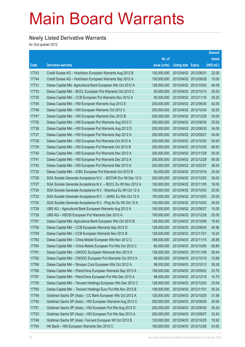### **Newly Listed Derivative Warrants**

for 2nd quarter 2012

|                   |                                                               |               |                       |            | <b>Amount</b> |
|-------------------|---------------------------------------------------------------|---------------|-----------------------|------------|---------------|
|                   |                                                               | No. of        |                       |            | raised        |
| $\overline{Code}$ | <b>Derivative warrants</b>                                    | issue (units) | Listing date Expiry   |            | (HK\$ mil.)   |
| 17743             | Credit Suisse AG - Hutchison European Warrants Aug 2012 B     | 100,000,000   | 2012/04/02 2012/08/31 |            | 22.00         |
| 17744             | Credit Suisse AG - Hutchison European Warrants Sep 2012 A     | 100,000,000   | 2012/04/02 2012/09/28 |            | 15.00         |
| 17731             | Daiwa Capital Mkt -Agricultural Bank European Wts Oct 2012 A  | 128,000,000   | 2012/04/02 2012/10/03 |            | 46.08         |
| 17733             | Daiwa Capital Mkt - BOCL European Put Warrants Oct 2012 C     | 80,000,000    | 2012/04/02 2012/10/15 |            | 20.00         |
| 17730             | Daiwa Capital Mkt - CCB European Put Warrants Nov 2012 A      | 80,000,000    | 2012/04/02 2012/11/16 |            | 35.20         |
| 17745             | Daiwa Capital Mkt - HSI European Warrants Aug 2012 E          | 200,000,000   | 2012/04/02 2012/08/30 |            | 42.00         |
| 17746             | Daiwa Capital Mkt - HSI European Warrants Oct 2012 C          | 200,000,000   | 2012/04/02 2012/10/30 |            | 32.00         |
| 17747             | Daiwa Capital Mkt - HSI European Warrants Dec 2012 B          | 200,000,000   | 2012/04/02 2012/12/28 |            | 34.00         |
| 17735             | Daiwa Capital Mkt - HSI European Put Warrants Aug 2012 C      | 200,000,000   | 2012/04/02 2012/08/30 |            | 30.00         |
| 17736             | Daiwa Capital Mkt - HSI European Put Warrants Aug 2012 D      | 200,000,000   | 2012/04/02 2012/08/30 |            | 34.00         |
| 17737             | Daiwa Capital Mkt - HSI European Put Warrants Sep 2012 A      | 200,000,000   | 2012/04/02 2012/09/27 |            | 34.00         |
| 17738             | Daiwa Capital Mkt - HSI European Put Warrants Oct 2012 A      | 200,000,000   | 2012/04/02 2012/10/30 |            | 50.00         |
| 17739             | Daiwa Capital Mkt - HSI European Put Warrants Oct 2012 B      | 200,000,000   | 2012/04/02 2012/10/30 |            | 66.00         |
| 17740             | Daiwa Capital Mkt - HSI European Put Warrants Nov 2012 A      | 200,000,000   | 2012/04/02 2012/11/29 |            | 50.00         |
| 17741             | Daiwa Capital Mkt - HSI European Put Warrants Dec 2012 A      | 200,000,000   | 2012/04/02 2012/12/28 |            | 58.00         |
| 17742             | Daiwa Capital Mkt - HSI European Put Warrants Mar 2013 A      | 200,000,000   | 2012/04/02 2013/03/27 |            | 36.00         |
| 17732             | Daiwa Capital Mkt - ICBC European Put Warrants Oct 2012 B     | 80,000,000    | 2012/04/02 2012/10/18 |            | 20.00         |
| 17726             | SGA Societe Generale Acceptance N.V. - BOCHK Eur Wt Dec 12 A  | 200,000,000   | 2012/04/02 2012/12/03 |            | 34.00         |
| 17727             | SGA Societe Generale Acceptance N.V. - BOCL Eu Wt Nov 2012 A  | 100,000,000   | 2012/04/02 2012/11/05 |            | 16.00         |
| 17724             | SGA Societe Generale Acceptance N.V. - Shenhua Eu Wt Oct 12 A | 100,000,000   | 2012/04/02 2012/10/03 |            | 25.00         |
| 17723             | SGA Societe Generale Acceptance N.V. - JIANC Eu Wts Oct 12 A  | 100,000,000   | 2012/04/02 2012/10/03 |            | 25.00         |
| 17725             | SGA Societe Generale Acceptance N.V. - Ping An Eu Wt Oct 12 A | 100,000,000   | 2012/04/02 2012/10/03 |            | 45.00         |
| 17729             | UBS AG - Agricultural Bank European Warrants Aug 2012 A       | 100,000,000   | 2012/04/02 2012/08/27 |            | 15.00         |
| 17728             | UBS AG - HSCEI European Put Warrants Dec 2012 A               | 100,000,000   | 2012/04/02 2012/12/28 |            | 25.00         |
| 17757             | Daiwa Capital Mkt -Agricultural Bank European Wts Oct 2012 B  | 128,000,000   | 2012/04/03 2012/10/08 |            | 19.20         |
| 17756             | Daiwa Capital Mkt - CCB European Warrants Sep 2012 D          | 128,000,000   | 2012/04/03 2012/09/24 |            | 40.96         |
| 17759             | Daiwa Capital Mkt - CCB European Warrants Nov 2012 B          | 128,000,000   | 2012/04/03 2012/11/21 |            | 19.20         |
| 17763             | Daiwa Capital Mkt - China Mobile European Wts Nov 2012 C      | 168,000,000   | 2012/04/03 2012/11/15 |            | 26.88         |
| 17764             | Daiwa Capital Mkt - China Mobile European Put Wts Oct 2012 C  | 80,000,000    | 2012/04/03 2012/10/05 |            | 68.80         |
| 17761             | Daiwa Capital Mkt - CNOOC European Warrants Nov 2013 A        | 158,000,000   | 2012/04/03 2013/11/08 |            | 28.44         |
| 17762             | Daiwa Capital Mkt - CNOOC European Put Warrants Oct 2012 A    | 98,000,000    | 2012/04/03 2012/10/15 |            | 15.68         |
| 17766             | Daiwa Capital Mkt - Sinopec Corp European Wts Oct 2012 A      | 98,000,000    | 2012/04/03 2012/10/12 |            | 35.28         |
| 17760             | Daiwa Capital Mkt - PetroChina European Warrants Sep 2013 A   | 158,000,000   | 2012/04/03 2013/09/02 |            | 23.70         |
| 17767             | Daiwa Capital Mkt - PetroChina European Put Wts Dec 2012 A    | 98,000,000    | 2012/04/03 2012/12/18 |            | 14.70         |
| 17755             | Daiwa Capital Mkt - Tencent Holdings European Wts Dec 2012 C  | 128,000,000   | 2012/04/03 2012/12/03 |            | 23.04         |
| 17765             | Daiwa Capital Mkt - Tencent Holdings Euro Put Wts Nov 2012 B  | 108,000,000   | 2012/04/03 2012/11/01 |            | 30.24         |
| 17749             | Goldman Sachs SP (Asia) - CC Bank European Wts Oct 2012 A     | 120,000,000   | 2012/04/03 2012/10/29 |            | 31.56         |
| 17750             | Goldman Sachs SP (Asia) - HSI European Warrants Aug 2012 C    | 200,000,000   | 2012/04/03 2012/08/30 |            | 30.00         |
| 17751             | Goldman Sachs SP (Asia) - HSI European Put Wts Aug 2012 D     | 200,000,000   | 2012/04/03            | 2012/08/30 | 30.20         |
| 17753             | Goldman Sachs SP (Asia) - HSI European Put Wts Sep 2012 A     | 200,000,000   | 2012/04/03 2012/09/27 |            | 33.40         |
| 17748             | Goldman Sachs SP (Asia) - Tencent European Wt Oct 2012 B      | 120,000,000   | 2012/04/03            | 2012/10/25 | 19.92         |
| 17754             | HK Bank - HSI European Warrants Dec 2012 C                    | 160,000,000   | 2012/04/03 2012/12/28 |            | 24.00         |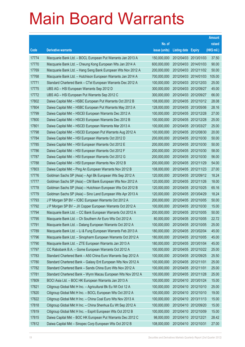|       |                                                              |               |                            | <b>Amount</b> |
|-------|--------------------------------------------------------------|---------------|----------------------------|---------------|
|       |                                                              | No. of        |                            | raised        |
| Code  | <b>Derivative warrants</b>                                   | issue (units) | <b>Listing date Expiry</b> | (HK\$ mil.)   |
| 17774 | Macquarie Bank Ltd. - BOCL European Put Warrants Jan 2013 A  | 150,000,000   | 2012/04/03 2013/01/03      | 37.50         |
| 17770 | Macquarie Bank Ltd. - Cheung Kong European Wts Jan 2014 A    | 600,000,000   | 2012/04/03 2014/01/03      | 90.00         |
| 17769 | Macquarie Bank Ltd. - Hang Seng Bank European Wts Nov 2012 A | 200,000,000   | 2012/04/03 2012/11/02      | 50.00         |
| 17768 | Macquarie Bank Ltd. - Hutchison European Warrants Jan 2014 A | 700,000,000   | 2012/04/03 2014/01/03      | 105.00        |
| 17771 | Standard Chartered Bank - CTel European Warrants Dec 2012 A  | 100,000,000   | 2012/04/03 2012/12/03      | 25.00         |
| 17775 | UBS AG - HSI European Warrants Sep 2012 D                    | 300,000,000   | 2012/04/03 2012/09/27      | 45.00         |
| 17772 | UBS AG - HSI European Put Warrants Sep 2012 C                | 300,000,000   | 2012/04/03 2012/09/27      | 66.00         |
| 17802 | Daiwa Capital Mkt - HSBC European Put Warrants Oct 2012 B    | 108,000,000   | 2012/04/05 2012/10/12      | 28.08         |
| 17804 | Daiwa Capital Mkt - HSBC European Put Warrants May 2013 A    | 128,000,000   | 2012/04/05 2013/05/06      | 28.16         |
| 17799 | Daiwa Capital Mkt - HSCEI European Warrants Dec 2012 A       | 100,000,000   | 2012/04/05 2012/12/28      | 27.00         |
| 17800 | Daiwa Capital Mkt - HSCEI European Warrants Dec 2012 B       | 100,000,000   | 2012/04/05 2012/12/28      | 25.00         |
| 17801 | Daiwa Capital Mkt - HSCEI European Warrants Mar 2013 A       | 100,000,000   | 2012/04/05 2013/03/27      | 25.00         |
| 17798 | Daiwa Capital Mkt - HSCEI European Put Warrants Aug 2012 A   | 100,000,000   | 2012/04/05 2012/08/30      | 20.00         |
| 17784 | Daiwa Capital Mkt - HSI European Warrants Oct 2012 D         | 200,000,000   | 2012/04/05 2012/10/30      | 50.00         |
| 17785 | Daiwa Capital Mkt - HSI European Warrants Oct 2012 E         | 200,000,000   | 2012/04/05 2012/10/30      | 50.00         |
| 17786 | Daiwa Capital Mkt - HSI European Warrants Oct 2012 F         | 200,000,000   | 2012/04/05 2012/10/30      | 58.00         |
| 17787 | Daiwa Capital Mkt - HSI European Warrants Oct 2012 G         | 200,000,000   | 2012/04/05 2012/10/30      | 56.00         |
| 17788 | Daiwa Capital Mkt - HSI European Warrants Nov 2012 B         | 200,000,000   | 2012/04/05 2012/11/29      | 54.00         |
| 17803 | Daiwa Capital Mkt - Ping An European Warrants Nov 2012 B     | 108,000,000   | 2012/04/05 2012/11/23      | 27.00         |
| 17776 | Goldman Sachs SP (Asia) - Agri Bk European Wts Sep 2012 A    | 120,000,000   | 2012/04/05 2012/09/12      | 18.24         |
| 17777 | Goldman Sachs SP (Asia) – CM Bank European Wts Nov 2012 A    | 120,000,000   | 2012/04/05 2012/11/26      | 18.00         |
| 17778 | Goldman Sachs SP (Asia) - Hutchison European Wts Oct 2012 B  | 120,000,000   | 2012/04/05 2012/10/25      | 65.16         |
| 17779 | Goldman Sachs SP (Asia) - Sino Land European Wts Apr 2013 A  | 120,000,000   | 2012/04/05 2013/04/29      | 18.24         |
| 17793 | J P Morgan SP BV - ICBC European Warrants Oct 2012 A         | 200,000,000   | 2012/04/05 2012/10/05      | 50.00         |
| 17792 | J P Morgan SP BV – JX Copper European Warrants Oct 2012 A    | 100,000,000   | 2012/04/05 2012/10/30      | 15.00         |
| 17794 | Macquarie Bank Ltd. - CC Bank European Warrants Oct 2012 A   | 200,000,000   | 2012/04/05 2012/10/05      | 50.00         |
| 17795 | Macquarie Bank Ltd. - Ch Southern Air Euro Wts Oct 2012 A    | 80,000,000    | 2012/04/05 2012/10/05      | 22.72         |
| 17791 | Macquarie Bank Ltd. - Datang European Warrants Oct 2012 A    | 100,000,000   | 2012/04/05 2012/10/05      | 25.00         |
| 17789 | Macquarie Bank Ltd. - Li & Fung European Warrants Feb 2013 A | 180,000,000   | 2012/04/05 2013/02/04      | 45.00         |
| 17796 | Macquarie Bank Ltd. - Sinopharm European Warrants Oct 2012 A | 180,000,000   | 2012/04/05 2012/10/05      | 45.00         |
| 17790 | Macquarie Bank Ltd. - ZTE European Warrants Jan 2013 A       | 180,000,000   | 2012/04/05 2013/01/04      | 45.00         |
| 17797 | CC Rabobank B.A. - Gome European Warrants Oct 2012 A         | 100,000,000   | 2012/04/05 2012/10/22      | 25.00         |
| 17783 | Standard Chartered Bank - A50 China Euro Warrants Sep 2012 A | 100,000,000   | 2012/04/05 2012/09/25      | 25.50         |
| 17780 | Standard Chartered Bank - Galaxy Ent European Wts Nov 2012 A | 100,000,000   | 2012/04/05 2012/11/01      | 25.00         |
| 17782 | Standard Chartered Bank - Sands China Euro Wts Nov 2012 A    | 100,000,000   | 2012/04/05 2012/11/01      | 25.00         |
| 17781 | Standard Chartered Bank - Wynn Macau European Wts Nov 2012 A | 100,000,000   | 2012/04/05 2012/11/28      | 25.00         |
| 17809 | BOCI Asia Ltd. - BOC HK European Warrants Jan 2013 A         | 100,000,000   | 2012/04/10 2013/01/24      | 15.00         |
| 17821 | Citigroup Global Mkt H Inc. - Agricultural Bk Eu Wt Oct 12 A | 100,000,000   | 2012/04/10 2012/10/10      | 25.00         |
| 17820 | Citigroup Global Mkt H Inc. - BOCL European Wts Oct 2012 A   | 100,000,000   | 2012/04/10 2012/10/10      | 19.00         |
| 17822 | Citigroup Global Mkt H Inc. - China Coal Euro Wts Nov 2013 A | 100,000,000   | 2012/04/10 2013/11/13      | 15.00         |
| 17818 | Citigroup Global Mkt H Inc. - China Shenhua Eu Wt Sep 2012 A | 100,000,000   | 2012/04/10 2012/09/20      | 15.00         |
| 17819 | Citigroup Global Mkt H Inc. - Esprit European Wts Oct 2012 B | 100,000,000   | 2012/04/10 2012/10/09      | 15.00         |
| 17815 | Daiwa Capital Mkt - BOC HK European Put Warrants Dec 2012 C  | 98,000,000    | 2012/04/10 2012/12/21      | 28.42         |
| 17812 | Daiwa Capital Mkt - Sinopec Corp European Wts Oct 2012 B     | 108,000,000   | 2012/04/10 2012/10/31      | 27.00         |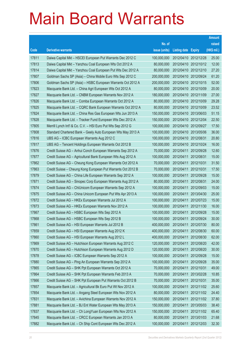|       |                                                              |               |                            |                       | <b>Amount</b> |
|-------|--------------------------------------------------------------|---------------|----------------------------|-----------------------|---------------|
|       |                                                              | No. of        |                            |                       | raised        |
| Code  | <b>Derivative warrants</b>                                   | issue (units) | <b>Listing date Expiry</b> |                       | (HK\$ mil.)   |
| 17811 | Daiwa Capital Mkt - HSCEI European Put Warrants Dec 2012 C   | 100,000,000   |                            | 2012/04/10 2012/12/28 | 25.00         |
| 17813 | Daiwa Capital Mkt - Yanzhou Coal European Wts Oct 2012 A     | 80,000,000    |                            | 2012/04/10 2012/10/12 | 12.00         |
| 17814 | Daiwa Capital Mkt - Yanzhou Coal European Put Wts Dec 2012 A | 80,000,000    |                            | 2012/04/10 2012/12/10 | 27.20         |
| 17807 | Goldman Sachs SP (Asia) - China Mobile Euro Wts Sep 2012 C   | 200,000,000   |                            | 2012/04/10 2012/09/24 | 61.20         |
| 17806 | Goldman Sachs SP (Asia) - HSBC European Warrants Oct 2012 A  | 200,000,000   |                            | 2012/04/10 2012/10/15 | 52.00         |
| 17823 | Macquarie Bank Ltd. - China Agri European Wts Oct 2012 A     | 80,000,000    |                            | 2012/04/10 2012/10/09 | 20.00         |
| 17827 | Macquarie Bank Ltd. - CNBM European Warrants Nov 2012 A      | 180,000,000   |                            | 2012/04/10 2012/11/09 | 27.00         |
| 17826 | Macquarie Bank Ltd. - Comba European Warrants Oct 2012 A     | 80,000,000    |                            | 2012/04/10 2012/10/09 | 29.28         |
| 17825 | Macquarie Bank Ltd. - CQRC Bank European Warrants Oct 2012 A | 80,000,000    |                            | 2012/04/10 2012/10/09 | 23.52         |
| 17824 | Macquarie Bank Ltd. - China Res Gas European Wts Jun 2013 A  | 150,000,000   |                            | 2012/04/10 2013/06/03 | 51.15         |
| 17828 | Macquarie Bank Ltd. - Tracker Fund European Wts Dec 2012 A   | 150,000,000   |                            | 2012/04/10 2012/12/04 | 22.50         |
| 17805 | Merrill Lynch Int'l & Co. C.V. - HSI Euro Put Wts Sep 2012 G | 100,000,000   |                            | 2012/04/10 2012/09/27 | 17.50         |
| 17808 | Standard Chartered Bank - Geely Auto European Wts May 2013 A | 100,000,000   |                            | 2012/04/10 2013/05/06 | 36.00         |
| 17816 | UBS AG - ICBC European Warrants Aug 2012 C                   | 100,000,000   | 2012/04/10 2012/08/31      |                       | 20.80         |
| 17817 | UBS AG - Tencent Holdings European Warrants Oct 2012 B       | 100,000,000   |                            | 2012/04/10 2012/10/24 | 16.00         |
| 17876 | Credit Suisse AG - Anhui Conch European Warrants Sep 2012 A  | 70,000,000    | 2012/04/11                 | 2012/09/28            | 12.60         |
| 17877 | Credit Suisse AG - Agricultural Bank European Wts Aug 2012 A | 100,000,000   | 2012/04/11                 | 2012/08/31            | 15.00         |
| 17862 | Credit Suisse AG - Cheung Kong European Warrants Oct 2012 A  | 70,000,000    | 2012/04/11                 | 2012/10/31            | 31.50         |
| 17863 | Credit Suisse - Cheung Kong European Put Warrants Oct 2012 B | 70,000,000    | 2012/04/11                 | 2012/10/31            | 17.50         |
| 17879 | Credit Suisse AG - China Life European Warrants Sep 2012 A   | 100,000,000   | 2012/04/11                 | 2012/09/28            | 15.00         |
| 17871 | Credit Suisse AG - Sinopec Corp European Warrants Aug 2012 A | 80,000,000    | 2012/04/11                 | 2012/08/31            | 24.00         |
| 17874 | Credit Suisse AG - ChiUnicom European Warrants Sep 2012 A    | 100,000,000   | 2012/04/11                 | 2012/09/03            | 15.00         |
| 17875 | Credit Suisse AG - China Unicom European Put Wts Apr 2013 A  | 100,000,000   | 2012/04/11                 | 2013/04/30            | 25.00         |
| 17872 | Credit Suisse AG - HKEx European Warrants Jul 2012 A         | 100,000,000   | 2012/04/11                 | 2012/07/23            | 15.00         |
| 17873 | Credit Suisse AG - HKEx European Warrants Nov 2012 A         | 100,000,000   | 2012/04/11                 | 2012/11/30            | 16.00         |
| 17867 | Credit Suisse AG - HSBC European Wts Sep 2012 A              | 100,000,000   | 2012/04/11                 | 2012/09/28            | 15.00         |
| 17868 | Credit Suisse AG - HSBC European Wts Sep 2012 B              | 100,000,000   | 2012/04/11                 | 2012/09/24            | 30.00         |
| 17861 | Credit Suisse AG - HSI European Warrants Jul 2012 B          | 400,000,000   | 2012/04/11                 | 2012/07/30            | 80.00         |
| 17859 | Credit Suisse AG - HSI European Warrants Aug 2012 K          | 400,000,000   | 2012/04/11                 | 2012/08/30            | 60.00         |
| 17860 | Credit Suisse AG - HSI European Warrants Aug 2012 L          | 400,000,000   | 2012/04/11                 | 2012/08/30            | 62.00         |
| 17869 | Credit Suisse AG - Hutchison European Warrants Aug 2012 C    | 120,000,000   | 2012/04/11                 | 2012/08/20            | 42.00         |
| 17870 | Credit Suisse AG - Hutchison European Warrants Aug 2012 D    | 120,000,000   | 2012/04/11                 | 2012/08/20            | 30.00         |
| 17878 | Credit Suisse AG - ICBC European Warrants Sep 2012 A         | 100,000,000   | 2012/04/11                 | 2012/09/28            | 15.00         |
| 17880 | Credit Suisse AG - Ping An European Warrants Sep 2012 A      | 100,000,000   | 2012/04/11                 | 2012/09/28            | 35.00         |
| 17865 | Credit Suisse AG - SHK Ppt European Warrants Oct 2012 A      | 70,000,000    | 2012/04/11                 | 2012/10/31            | 49.00         |
| 17864 | Credit Suisse AG - SHK Ppt European Warrants Feb 2013 A      | 70,000,000    | 2012/04/11                 | 2013/02/28            | 10.85         |
| 17866 | Credit Suisse AG - SHK Ppt European Put Warrants Oct 2012 B  | 70,000,000    | 2012/04/11                 | 2012/10/31            | 35.00         |
| 17857 | Macquarie Bank Ltd. - Agricultural Bk Euro Put Wt Nov 2012 A | 100,000,000   | 2012/04/11                 | 2012/11/02            | 25.60         |
| 17854 | Macquarie Bank Ltd. - Angang Steel European Wts Nov 2012 A   | 80,000,000    | 2012/04/11                 | 2012/11/02            | 24.40         |
| 17831 | Macquarie Bank Ltd. - Avichina European Warrants Nov 2012 A  | 150,000,000   | 2012/04/11                 | 2012/11/02            | 37.80         |
| 17881 | Macquarie Bank Ltd. - BJ Ent Water European Wts May 2013 A   | 150,000,000   | 2012/04/11                 | 2013/05/03            | 38.40         |
| 17837 | Macquarie Bank Ltd. - Ch LongYuan European Wts Nov 2012 A    | 150,000,000   | 2012/04/11                 | 2012/11/02            | 65.40         |
| 17845 | Macquarie Bank Ltd. - CRCC European Warrants Jan 2013 A      | 80,000,000    | 2012/04/11                 | 2013/01/03            | 21.68         |
| 17882 | Macquarie Bank Ltd. - Ch Ship Cont European Wts Dec 2012 A   | 100,000,000   | 2012/04/11                 | 2012/12/03            | 32.30         |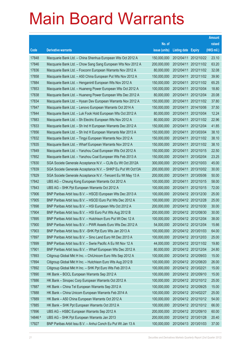|         |                                                               |               |                            |                       | <b>Amount</b> |
|---------|---------------------------------------------------------------|---------------|----------------------------|-----------------------|---------------|
|         |                                                               | No. of        |                            |                       | raised        |
| Code    | <b>Derivative warrants</b>                                    | issue (units) | <b>Listing date Expiry</b> |                       | (HK\$ mil.)   |
| 17848   | Macquarie Bank Ltd. - China Shenhua European Wts Oct 2012 A   | 150,000,000   | 2012/04/11                 | 2012/10/22            | 23.10         |
| 17846   | Macquarie Bank Ltd. - Chow Sang Sang European Wts Nov 2012 A  | 200,000,000   | 2012/04/11                 | 2012/11/02            | 63.20         |
| 17836   | Macquarie Bank Ltd. - Foxconn European Warrants Nov 2012 A    | 80,000,000    | 2012/04/11                 | 2012/11/02            | 32.08         |
| 17858   | Macquarie Bank Ltd. - A50 China European Put Wts Nov 2012 A   | 150,000,000   | 2012/04/11                 | 2012/11/02            | 39.90         |
| 17884   | Macquarie Bank Ltd. - Henganintl European Wts Nov 2012 A      | 150,000,000   | 2012/04/11                 | 2012/11/02            | 65.25         |
| 17853   | Macquarie Bank Ltd. - Huaneng Power European Wts Oct 2012 A   | 100,000,000   | 2012/04/11                 | 2012/10/04            | 18.80         |
| 17838   | Macquarie Bank Ltd. - Huaneng Power European Wts Dec 2012 A   | 80,000,000    | 2012/04/11                 | 2012/12/04            | 20.08         |
| 17834   | Macquarie Bank Ltd. - Hysan Dev European Warrants Nov 2012 A  | 150,000,000   | 2012/04/11                 | 2012/11/02            | 37.80         |
| 17847   | Macquarie Bank Ltd. - Lenovo European Warrants Oct 2014 A     | 150,000,000   | 2012/04/11                 | 2014/10/06            | 37.50         |
| 17844   | Macquarie Bank Ltd. - Luk Fook Hold European Wts Oct 2012 A   | 80,000,000    | 2012/04/11                 | 2012/10/04            | 12.24         |
| 17883   | Macquarie Bank Ltd. - Sh Electric European Wts Nov 2012 A     | 80,000,000    | 2012/04/11                 | 2012/11/02            | 22.96         |
| 17833   | Macquarie Bank Ltd. - Sh Ind H European Warrants Dec 2012 A   | 150,000,000   | 2012/04/11                 | 2012/12/04            | 41.85         |
| 17856   | Macquarie Bank Ltd. - Sh Ind H European Warrants Mar 2013 A   | 150,000,000   | 2012/04/11                 | 2013/03/04            | 38.10         |
| 17832   | Macquarie Bank Ltd. - Tingyi European Warrants Nov 2012 A     | 150,000,000   | 2012/04/11                 | 2012/11/02            | 38.10         |
| 17835   | Macquarie Bank Ltd. - Wharf European Warrants Nov 2012 A      | 150,000,000   | 2012/04/11                 | 2012/11/02            | 38.10         |
| 17849   | Macquarie Bank Ltd. - Yanzhou Coal European Wts Oct 2012 A    | 150,000,000   | 2012/04/11                 | 2012/10/15            | 22.50         |
| 17852   | Macquarie Bank Ltd. - Yanzhou Coal European Wts Feb 2013 A    | 150,000,000   | 2012/04/11                 | 2013/02/04            | 23.25         |
| 17830   | SGA Societe Generale Acceptance N.V. - CLife Eu Wt Oct 2012A  | 300,000,000   | 2012/04/11                 | 2012/10/03            | 45.00         |
| 17839   | SGA Societe Generale Acceptance N.V. - SHKP Eu Put Wt Oct13A  | 200,000,000   | 2012/04/11                 | 2013/10/02            | 30.00         |
| 17829   | SGA Societe Generale Acceptance N.V. - Tencent Eu Wt May 13 A | 200,000,000   | 2012/04/11                 | 2013/05/06            | 50.00         |
| 17842   | UBS AG - Cheung Kong European Warrants Oct 2012 A             | 100,000,000   | 2012/04/11                 | 2012/10/15            | 58.00         |
| 17843   | UBS AG - SHK Ppt European Warrants Oct 2012 A                 | 100,000,000   | 2012/04/11                 | 2012/10/15            | 72.00         |
| 17906   | BNP Paribas Arbit Issu B.V. - HSCEI European Wts Dec 2013 A   | 100,000,000   |                            | 2012/04/12 2013/12/30 | 25.00         |
| 17905   | BNP Paribas Arbit Issu B.V. - HSCEI Euro Put Wts Dec 2012 A   | 100,000,000   |                            | 2012/04/12 2012/12/28 | 25.00         |
| 17898   | BNP Paribas Arbit Issu B.V. - HSI European Wts Oct 2012 A     | 200,000,000   |                            | 2012/04/12 2012/10/30 | 30.00         |
| 17904   | BNP Paribas Arbit Issu B.V. - HSI Euro Put Wts Aug 2012 B     | 200,000,000   |                            | 2012/04/12 2012/08/30 | 30.00         |
| 17895   | BNP Paribas Arbit Issu B.V. - Hutchison Euro Put Wt Dec 12 A  | 100,000,000   |                            | 2012/04/12 2012/12/04 | 38.00         |
| 17900   | BNP Paribas Arbit Issu B.V. - PWR Assets Euro Wts Dec 2012 A  | 54,000,000    | 2012/04/12 2012/12/04      |                       | 15.66         |
| 17903   | BNP Paribas Arbit Issu B.V. - SHK Ppt Euro Wts Jan 2013 A     | 100,000,000   | 2012/04/12 2013/01/03      |                       | 64.00         |
| 17897   | BNP Paribas Arbit Issu B.V. - Sino Land Euro Wt Dec 2013 A    | 100,000,000   |                            | 2012/04/12 2013/12/03 | 25.00         |
| 17899   | BNP Paribas Arbit Issu B.V. - Swrie Pacific A Eu Wt Nov 12 A  | 44,000,000    |                            | 2012/04/12 2012/11/02 | 19.80         |
| 17901   | BNP Paribas Arbit Issu B.V. - Wharf European Wts Dec 2012 A   | 80,000,000    | 2012/04/12 2012/12/04      |                       | 24.80         |
| 17893   | Citigroup Global Mkt H Inc. - ChiUnicom Euro Wts Sep 2012 A   | 100,000,000   | 2012/04/12 2012/09/03      |                       | 15.00         |
| 17894   | Citigroup Global Mkt H Inc. - Hutchison Euro Wts Aug 2012 B   | 100,000,000   |                            | 2012/04/12 2012/08/20 | 26.00         |
| 17892   | Citigroup Global Mkt H Inc. - SHK Ppt Euro Wts Feb 2013 A     | 100,000,000   | 2012/04/12 2013/02/21      |                       | 15.00         |
| 17890   | HK Bank - BOCL European Warrants Sep 2012 A                   | 100,000,000   | 2012/04/12 2012/09/10      |                       | 15.00         |
| 17886   | HK Bank - Sinopec Corp European Warrants Oct 2012 A           | 100,000,000   | 2012/04/12 2012/10/12      |                       | 25.00         |
| 17887   | HK Bank - China Tel European Warrants Sep 2012 A              | 100,000,000   |                            | 2012/04/12 2012/09/25 | 15.00         |
| 17888   | HK Bank - China Unicom European Warrants Feb 2014 A           | 100,000,000   | 2012/04/12 2014/02/27      |                       | 25.00         |
| 17889   | HK Bank - A50 China European Warrants Oct 2012 A              | 100,000,000   |                            | 2012/04/12 2012/10/12 | 54.00         |
| 17885   | HK Bank - SHK Ppt European Warrants Oct 2012 A                | 100,000,000   | 2012/04/12 2012/10/12      |                       | 66.00         |
| 17896   | UBS AG - HSBC European Warrants Sep 2012 A                    | 200,000,000   | 2012/04/12 2012/09/10      |                       | 60.00         |
| 14846 # | UBS AG - SHK Ppt European Warrants Jan 2013                   | 200,000,000   | 2012/04/12 2013/01/28      |                       | 20.40         |
| 17927   | BNP Paribas Arbit Issu B.V. - Anhui Conch Eu Put Wt Jan 13 A  | 100,000,000   | 2012/04/13 2013/01/03      |                       | 37.00         |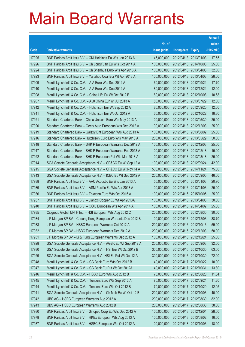|       |                                                               |               |                            | <b>Amount</b> |
|-------|---------------------------------------------------------------|---------------|----------------------------|---------------|
|       |                                                               | No. of        |                            | raised        |
| Code  | <b>Derivative warrants</b>                                    | issue (units) | <b>Listing date Expiry</b> | (HK\$ mil.)   |
| 17925 | BNP Paribas Arbit Issu B.V. - CKI Holdings Eu Wts Jan 2013 A  | 45,000,000    | 2012/04/13 2013/01/03      | 17.55         |
| 17926 | BNP Paribas Arbit Issu B.V. - Ch LongYuan Eu Wts Oct 2014 A   | 100,000,000   | 2012/04/13 2014/10/06      | 25.00         |
| 17924 | BNP Paribas Arbit Issu B.V. - Ch Shenhua Euro Wts Apr 2013 A  | 100,000,000   | 2012/04/13 2013/04/03      | 32.00         |
| 17923 | BNP Paribas Arbit Issu B.V. - Yanzhou Coal Eur Wt Apr 2013 A  | 100,000,000   | 2012/04/13 2013/04/03      | 28.00         |
| 17909 | Merrill Lynch Int'l & Co. C.V. - AIA Euro Wts Sep 2012 A      | 60,000,000    | 2012/04/13 2012/09/24      | 17.70         |
| 17910 | Merrill Lynch Int'l & Co. C.V. - AIA Euro Wts Dec 2012 A      | 80,000,000    | 2012/04/13 2012/12/24      | 12.00         |
| 17908 | Merrill Lynch Int'l & Co. C.V. - China Life Eu Wt Oct 2012 B  | 60,000,000    | 2012/04/13 2012/10/08      | 10.68         |
| 17907 | Merrill Lynch Int'l & Co. C.V. - A50 China Eur Wt Jul 2013 A  | 80,000,000    | 2012/04/13 2013/07/29      | 12.00         |
| 17912 | Merrill Lynch Int'l & Co. C.V. - Hutchison Eur Wt Sep 2012 A  | 80,000,000    | 2012/04/13 2012/09/20      | 12.00         |
| 17911 | Merrill Lynch Int'l & Co. C.V. - Hutchison Eur Wt Oct 2012 A  | 60,000,000    | 2012/04/13 2012/10/22      | 18.30         |
| 17921 | Standard Chartered Bank - China Unicom Euro Wts May 2013 A    | 100,000,000   | 2012/04/13 2013/05/30      | 25.00         |
| 17920 | Standard Chartered Bank - Geely Auto European Wts Dec 2012 A  | 100,000,000   | 2012/04/13 2012/12/03      | 25.00         |
| 17919 | Standard Chartered Bank - Galaxy Ent European Wts Aug 2013 A  | 100,000,000   | 2012/04/13 2013/08/02      | 25.00         |
| 17916 | Standard Chartered Bank - Hutchison Euro Euro Wts May 2013 A  | 200,000,000   | 2012/04/13 2013/05/29      | 50.00         |
| 17918 | Standard Chartered Bank - SHK P European Warrants Dec 2012 A  | 100,000,000   | 2012/04/13 2012/12/03      | 25.00         |
| 17917 | Standard Chartered Bank – SHK P European Warrants Feb 2013 A  | 100,000,000   | 2012/04/13 2013/02/18      | 15.00         |
| 17922 | Standard Chartered Bank – SHK P European Put Wts Mar 2013 A   | 100,000,000   | 2012/04/13 2013/03/18      | 25.00         |
| 17914 | SGA Societe Generale Acceptance N.V. - CP&CC Eu Wt Sep 12 A   | 100,000,000   | 2012/04/13 2012/09/24      | 42.00         |
| 17915 | SGA Societe Generale Acceptance N.V. - CP&CC Eu Wt Nov 14 A   | 500,000,000   | 2012/04/13 2014/11/24      | 75.00         |
| 17913 | SGA Societe Generale Acceptance N.V. - ICBC Eu Wt Sep 2012 A  | 200,000,000   | 2012/04/13 2012/09/05      | 46.00         |
| 17938 | BNP Paribas Arbit Issu B.V. - AAC Acoustic Eu Wts Jan 2013 A  | 55,000,000    | 2012/04/16 2013/01/03      | 20.90         |
| 17939 | BNP Paribas Arbit Issu B.V. - ASM Pacific Eu Wts Apr 2013 A   | 100,000,000   | 2012/04/16 2013/04/03      | 25.00         |
| 17936 | BNP Paribas Arbit Issu B.V. - Foxconn Euro Wts Oct 2015 A     | 100,000,000   | 2012/04/16 2015/10/05      | 25.00         |
| 17937 | BNP Paribas Arbit Issu B.V. - Jiangxi Copper Eu Wt Apr 2013A  | 100,000,000   | 2012/04/16 2013/04/03      | 30.00         |
| 17940 | BNP Paribas Arbit Issu B.V. - OOIL European Wts Apr 2014 A    | 100,000,000   | 2012/04/16 2014/04/02      | 25.00         |
| 17935 | Citigroup Global Mkt H Inc. - HSI European Wts Aug 2012 C     | 200,000,000   | 2012/04/16 2012/08/30      | 30.00         |
| 17934 | J P Morgan SP BV - Cheung Kong European Warrants Dec 2012 B   | 100,000,000   | 2012/04/16 2012/12/03      | 38.70         |
| 17933 | J P Morgan SP BV - HSBC European Warrants Oct 2012 A          | 200,000,000   | 2012/04/16 2012/10/16      | 59.00         |
| 17932 | J P Morgan SP BV - HSBC European Warrants Dec 2012 A          | 200,000,000   | 2012/04/16 2012/12/03      | 50.00         |
| 17931 | J P Morgan SP BV - Li & Fung European Warrants Dec 2012 A     | 100,000,000   | 2012/04/16 2012/12/24      | 25.00         |
| 17928 | SGA Societe Generale Acceptance N.V. - AGBK Eu Wt Sep 2012 A  | 200,000,000   | 2012/04/16 2012/09/03      | 32.00         |
| 17930 | SGA Societe Generale Acceptance N.V. - HSI Eur Wt Oct 2012 B  | 300,000,000   | 2012/04/16 2012/10/30      | 63.00         |
| 17929 | SGA Societe Generale Acceptance N.V. - HSI Eu Put Wt Oct 12 A | 300,000,000   | 2012/04/16 2012/10/30      | 72.00         |
| 17948 | Merrill Lynch Int'l & Co. C.V. - CC Bank Euro Wts Oct 2012 B  | 40,000,000    | 2012/04/17 2012/10/22      | 10.00         |
| 17947 | Merrill Lynch Int'l & Co. C.V. - CC Bank Eu Put Wt Oct 2012A  | 40,000,000    | 2012/04/17 2012/10/31      | 13.80         |
| 17946 | Merrill Lynch Int'l & Co. C.V. - HSBC Euro Wts Aug 2012 B     | 70,000,000    | 2012/04/17 2012/08/20      | 11.34         |
| 17945 | Merrill Lynch Int'l & Co. C.V. - Tencent Euro Wts Sep 2012 A  | 70,000,000    | 2012/04/17 2012/09/24      | 11.20         |
| 17944 | Merrill Lynch Int'l & Co. C.V. - Tencent Euro Wts Oct 2012 B  | 70,000,000    | 2012/04/17 2012/10/29      | 12.95         |
| 17941 | SGA Societe Generale Acceptance N.V. - Ch Mob Eu Wt Oct 12 B  | 200,000,000   | 2012/04/17 2012/10/03      | 40.00         |
| 17942 | UBS AG - HSBC European Warrants Aug 2012 A                    | 200,000,000   | 2012/04/17 2012/08/30      | 82.00         |
| 17943 | UBS AG - HSBC European Warrants Aug 2012 B                    | 200,000,000   | 2012/04/17 2012/08/30      | 38.00         |
| 17980 | BNP Paribas Arbit Issu B.V. - Sinopec Corp Eu Wts Dec 2012 A  | 100,000,000   | 2012/04/18 2012/12/04      | 28.00         |
| 17978 | BNP Paribas Arbit Issu B.V. - HKEx European Wts Aug 2013 A    | 100,000,000   | 2012/04/18 2013/08/02      | 16.00         |
| 17987 | BNP Paribas Arbit Issu B.V. - HSBC European Wts Oct 2012 A    | 100,000,000   | 2012/04/18 2012/10/03      | 18.00         |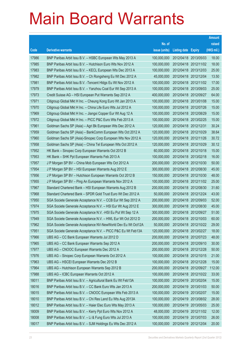|       |                                                               |               |                            |                       | <b>Amount</b> |
|-------|---------------------------------------------------------------|---------------|----------------------------|-----------------------|---------------|
|       |                                                               | No. of        |                            |                       | raised        |
| Code  | <b>Derivative warrants</b>                                    | issue (units) | <b>Listing date Expiry</b> |                       | (HK\$ mil.)   |
| 17986 | BNP Paribas Arbit Issu B.V. - HSBC European Wts May 2013 A    | 100,000,000   |                            | 2012/04/18 2013/05/03 | 18.00         |
| 17985 | BNP Paribas Arbit Issu B.V. - Hutchison Euro Wts Nov 2012 A   | 100,000,000   |                            | 2012/04/18 2012/11/02 | 18.00         |
| 17983 | BNP Paribas Arbit Issu B.V. - KECL European Wts Dec 2013 A    | 100,000,000   | 2012/04/18 2013/12/03      |                       | 25.00         |
| 17982 | BNP Paribas Arbit Issu B.V. – Ch Rongsheng Eu Wt Dec 2012 A   | 45,000,000    | 2012/04/18 2012/12/04      |                       | 13.50         |
| 17981 | BNP Paribas Arbit Issu B.V. - Tencent HIdgs Eu Wt Nov 2012 A  | 100,000,000   |                            | 2012/04/18 2012/11/02 | 17.00         |
| 17979 | BNP Paribas Arbit Issu B.V. - Yanzhou Coal Eur Wt Sep 2013 A  | 100,000,000   | 2012/04/18 2013/09/03      |                       | 25.00         |
| 17973 | Credit Suisse AG - HSI European Put Warrants Sep 2012 A       | 400,000,000   | 2012/04/18 2012/09/27      |                       | 64.00         |
| 17971 | Citigroup Global Mkt H Inc. - Cheung Kong Euro Wt Jan 2013 A  | 100,000,000   | 2012/04/18 2013/01/08      |                       | 15.00         |
| 17970 | Citigroup Global Mkt H Inc. - China Life Euro Wts Jul 2012 A  | 100,000,000   |                            | 2012/04/18 2012/07/26 | 15.00         |
| 17969 | Citigroup Global Mkt H Inc. - Jiangxi Copper Eur Wt Aug 12 A  | 100,000,000   | 2012/04/18 2012/08/29      |                       | 15.00         |
| 17972 | Citigroup Global Mkt H Inc. - PICC P&C Euro Wts Feb 2013 A    | 100,000,000   | 2012/04/18 2013/02/25      |                       | 15.00         |
| 17961 | Goldman Sachs SP (Asia) - Agri Bk European Wts Dec 2012 A     | 120,000,000   | 2012/04/18 2012/12/31      |                       | 30.24         |
| 17959 | Goldman Sachs SP (Asia) – BankComm European Wts Oct 2012 A    | 120,000,000   | 2012/04/18 2012/10/29      |                       | 38.64         |
| 17960 | Goldman Sachs SP (Asia)-Sinopec Corp European Wts Nov 2012 A  | 120,000,000   | 2012/04/18 2012/11/26      |                       | 30.72         |
| 17958 | Goldman Sachs SP (Asia) - China Tel European Wts Oct 2012 A   | 120,000,000   | 2012/04/18 2012/10/29      |                       | 30.12         |
| 17952 | HK Bank – Sinopec Corp European Warrants Oct 2012 B           | 60,000,000    | 2012/04/18 2012/10/18      |                       | 15.00         |
| 17953 | HK Bank - SHK Ppt European Warrants Feb 2013 A                | 100,000,000   |                            | 2012/04/18 2013/02/18 | 16.00         |
| 17957 | J P Morgan SP BV - China Mob European Wts Oct 2012 A          | 200,000,000   | 2012/04/18 2012/10/30      |                       | 50.00         |
| 17954 | J P Morgan SP BV - HSI European Warrants Aug 2012 E           | 300,000,000   | 2012/04/18 2012/08/30      |                       | 45.00         |
| 17956 | J P Morgan SP BV - Hutchison European Warrants Oct 2012 B     | 150,000,000   | 2012/04/18 2012/10/30      |                       | 48.00         |
| 17955 | J P Morgan SP BV - Ping An European Warrants Nov 2012 A       | 100,000,000   |                            | 2012/04/18 2012/11/02 | 25.00         |
| 17967 | Standard Chartered Bank - HSI European Warrants Aug 2012 B    | 200,000,000   | 2012/04/18 2012/08/30      |                       | 31.60         |
| 17968 | Standard Chartered Bank - SPDR Gold Trust Euro Wt Dec 2012 A  | 50,000,000    | 2012/04/18 2012/12/24      |                       | 43.00         |
| 17950 | SGA Societe Generale Acceptance N.V. - CCB Eur Wt Sep 2012 A  | 200,000,000   | 2012/04/18 2012/09/03      |                       | 52.00         |
| 17974 | SGA Societe Generale Acceptance N.V. - HSI Eur Wt Aug 2012 E  | 300,000,000   |                            | 2012/04/18 2012/08/30 | 45.00         |
| 17975 | SGA Societe Generale Acceptance N.V. - HSI Eu Put Wt Sep 12 A | 300,000,000   | 2012/04/18 2012/09/27      |                       | 51.00         |
| 17949 | SGA Societe Generale Acceptance N.V. - HWL Eur Wt Oct 2012 D  | 200,000,000   |                            | 2012/04/18 2012/10/03 | 60.00         |
| 17962 | SGA Societe Generale Acceptance NV-NewWorld Dev Eu Wt Oct12A  | 50,000,000    | 2012/04/18 2012/10/22      |                       | 29.00         |
| 17951 | SGA Societe Generale Acceptance N.V. - PICC P&C Eu Wt Feb13A  | 120,000,000   | 2012/04/18 2013/02/27      |                       | 18.00         |
| 17966 | UBS AG - CC Bank European Warrants Jul 2012 D                 | 200,000,000   | 2012/04/18 2012/07/23      |                       | 48.00         |
| 17965 | UBS AG - CC Bank European Warrants Sep 2012 A                 | 200,000,000   | 2012/04/18 2012/09/10      |                       | 30.00         |
| 17977 | UBS AG - CNOOC European Warrants Dec 2012 A                   | 200,000,000   | 2012/04/18 2012/12/28      |                       | 50.00         |
| 17976 | UBS AG - Sinopec Corp European Warrants Oct 2012 A            | 100,000,000   | 2012/04/18 2012/10/15      |                       | 21.00         |
| 17963 | UBS AG - HSCEI European Warrants Dec 2012 B                   | 100,000,000   | 2012/04/18 2012/12/28      |                       | 15.00         |
| 17964 | UBS AG - Hutchison European Warrants Sep 2012 B               | 200,000,000   |                            | 2012/04/18 2012/09/27 | 112.00        |
| 17988 | UBS AG - ICBC European Warrants Oct 2012 A                    | 100,000,000   | 2012/04/18 2012/10/22      |                       | 33.00         |
| 18011 | BNP Paribas Arbit Issu B.V. - Agricultural Bank Eu Wt Feb13A  | 100,000,000   | 2012/04/19 2013/02/04      |                       | 15.00         |
| 18016 | BNP Paribas Arbit Issu B.V. - CC Bank Euro Wts Jan 2013 A     | 200,000,000   | 2012/04/19 2013/01/03      |                       | 50.00         |
| 18015 | BNP Paribas Arbit Issu B.V. - CNOOC European Wts Feb 2013 A   | 100,000,000   | 2012/04/19 2013/02/07      |                       | 15.00         |
| 18010 | BNP Paribas Arbit Issu B.V. - Chi Res Land Eu Wts Aug 2013A   | 100,000,000   | 2012/04/19 2013/08/02      |                       | 28.00         |
| 18012 | BNP Paribas Arbit Issu B.V. - Haier Elec Euro Wts May 2013 A  | 100,000,000   | 2012/04/19                 | 2013/05/03            | 25.00         |
| 18009 | BNP Paribas Arbit Issu B.V. - Kerry Ppt Euro Wts Nov 2012 A   | 48,000,000    | 2012/04/19 2012/11/02      |                       | 12.00         |
| 18008 | BNP Paribas Arbit Issu B.V. - Li & Fung Euro Wts Jul 2013 A   | 100,000,000   | 2012/04/19 2013/07/03      |                       | 26.00         |
| 18017 | BNP Paribas Arbit Issu B.V. - SJM Holdings Eu Wts Dec 2012 A  | 100,000,000   | 2012/04/19 2012/12/04      |                       | 20.00         |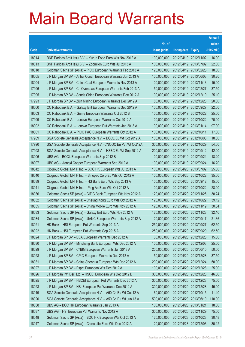|       |                                                               |               |                            |                       | <b>Amount</b> |
|-------|---------------------------------------------------------------|---------------|----------------------------|-----------------------|---------------|
|       |                                                               | No. of        |                            |                       | raised        |
| Code  | <b>Derivative warrants</b>                                    | issue (units) | <b>Listing date Expiry</b> |                       | (HK\$ mil.)   |
| 18014 | BNP Paribas Arbit Issu B.V. - Yurun Food Euro Wts Nov 2012 A  | 100,000,000   |                            | 2012/04/19 2012/11/02 | 16.00         |
| 18013 | BNP Paribas Arbit Issu B.V. - Zoomlion Euro Wts Jul 2013 A    | 100,000,000   |                            | 2012/04/19 2013/07/02 | 22.00         |
| 18018 | Goldman Sachs SP (Asia) - PICC European Warrants Feb 2013 A   | 120,000,000   | 2012/04/19 2013/02/25      |                       | 18.00         |
| 18005 | J P Morgan SP BV - Anhui Conch European Warrants Jun 2013 A   | 100,000,000   | 2012/04/19 2013/06/03      |                       | 30.20         |
| 18004 | J P Morgan SP BV - China Coal European Warrants Nov 2013 A    | 100,000,000   |                            | 2012/04/19 2013/11/13 | 15.00         |
| 17996 | J P Morgan SP BV - Ch Overseas European Warrants Feb 2013 A   | 150,000,000   |                            | 2012/04/19 2013/02/27 | 37.50         |
| 17995 | J P Morgan SP BV - Sands China European Warrants Dec 2012 A   | 100,000,000   | 2012/04/19 2012/12/10      |                       | 25.10         |
| 17993 | J P Morgan SP BV - Zijin Mining European Warrants Dec 2012 A  | 80,000,000    | 2012/04/19 2012/12/28      |                       | 20.00         |
| 18000 | CC Rabobank B.A. - Galaxy Ent European Warrants Sep 2012 A    | 100,000,000   |                            | 2012/04/19 2012/09/27 | 22.00         |
| 18003 | CC Rabobank B.A. - Gome European Warrants Oct 2012 B          | 100,000,000   |                            | 2012/04/19 2012/10/22 | 25.00         |
| 17999 | CC Rabobank B.A. - Lenovo European Warrants Oct 2012 A        | 100,000,000   |                            | 2012/04/19 2012/10/22 | 70.00         |
| 18002 | CC Rabobank B.A. - Lenovo European Put Warrants Jan 2013 A    | 100,000,000   | 2012/04/19 2013/01/14      |                       | 97.00         |
| 18001 | CC Rabobank B.A. - PICC P&C European Warrants Oct 2012 A      | 100,000,000   | 2012/04/19 2012/10/11      |                       | 17.00         |
| 17989 | SGA Societe Generale Acceptance N.V. - BOCL Eu Wt Oct 2012 A  | 100,000,000   |                            | 2012/04/19 2012/10/03 | 18.00         |
| 17990 | SGA Societe Generale Acceptance N.V. - CNOOC Eu Put Wt Oct12A | 300,000,000   | 2012/04/19 2012/10/29      |                       | 54.00         |
| 17998 | SGA Societe Generale Acceptance N.V. - HSBC Eu Wt Sep 2012 A  | 200,000,000   |                            | 2012/04/19 2012/09/12 | 42.00         |
| 18006 | UBS AG - BOCL European Warrants Sep 2012 B                    | 100,000,000   |                            | 2012/04/19 2012/09/24 | 18.20         |
| 18007 | UBS AG - Jiangxi Copper European Warrants Sep 2012 A          | 100,000,000   |                            | 2012/04/19 2012/09/24 | 16.20         |
| 18042 | Citigroup Global Mkt H Inc. - BOC HK European Wts Jul 2013 A  | 100,000,000   |                            | 2012/04/20 2013/07/02 | 25.00         |
| 18040 | Citigroup Global Mkt H Inc. - Sinopec Corp Eu Wts Oct 2012 A  | 100,000,000   |                            | 2012/04/20 2012/10/22 | 35.00         |
| 18039 | Citigroup Global Mkt H Inc. - HS Bank Euro Wts Sep 2013 A     | 100,000,000   |                            | 2012/04/20 2013/09/12 | 15.00         |
| 18041 | Citigroup Global Mkt H Inc. - Ping An Euro Wts Oct 2012 A     | 100,000,000   |                            | 2012/04/20 2012/10/22 | 28.00         |
| 18036 | Goldman Sachs SP (Asia) - CITIC Bank European Wts Nov 2012 A  | 120,000,000   | 2012/04/20 2012/11/26      |                       | 30.24         |
| 18032 | Goldman Sachs SP (Asia) - Cheung Kong Euro Wts Oct 2012 A     | 120,000,000   |                            | 2012/04/20 2012/10/22 | 39.12         |
| 18035 | Goldman Sachs SP (Asia) - China Mobile Euro Wts Nov 2012 A    | 120,000,000   |                            | 2012/04/20 2012/11/19 | 30.84         |
| 18033 | Goldman Sachs SP (Asia) - Galaxy Ent Euro Wts Nov 2012 A      | 120,000,000   | 2012/04/20 2012/11/28      |                       | 32.16         |
| 18034 | Goldman Sachs SP (Asia) – JIANC European Warrants Sep 2012 A  | 120,000,000   | 2012/04/20 2012/09/17      |                       | 21.36         |
| 18021 | HK Bank - HSI European Put Warrants Sep 2013 A                | 250,000,000   | 2012/04/20 2013/09/27      |                       | 62.50         |
| 18022 | HK Bank - HSI European Put Warrants Sep 2015 A                | 250,000,000   | 2012/04/20 2015/09/29      |                       | 62.50         |
| 18024 | J P Morgan SP BV - BEA European Warrants Dec 2012 A           | 60,000,000    | 2012/04/20 2012/12/28      |                       | 15.00         |
| 18030 | J P Morgan SP BV - Minsheng Bank European Wts Dec 2012 A      | 100,000,000   | 2012/04/20 2012/12/03      |                       | 25.00         |
| 18029 | J P Morgan SP BV - CNBM European Warrants Jun 2013 A          | 200,000,000   | 2012/04/20 2013/06/10      |                       | 50.00         |
| 18028 | J P Morgan SP BV - CPIC European Warrants Dec 2012 A          | 150,000,000   | 2012/04/20 2012/12/28      |                       | 37.50         |
| 18031 | J P Morgan SP BV - China Shenhua European Wts Dec 2012 A      | 200,000,000   | 2012/04/20 2012/12/24      |                       | 50.00         |
| 18027 | J P Morgan SP BV - Esprit European Wts Dec 2012 A             | 100,000,000   | 2012/04/20 2012/12/28      |                       | 25.00         |
| 18026 | J P Morgan Int'l Der. Ltd. - HSCEI European Wts Dec 2012 B    | 300,000,000   | 2012/04/20 2012/12/28      |                       | 46.50         |
| 18025 | J P Morgan SP BV - HSCEI European Put Warrants Dec 2012 A     | 300,000,000   | 2012/04/20 2012/12/28      |                       | 75.00         |
| 18023 | J P Morgan SP BV - HSI European Put Warrants Dec 2012 A       | 300,000,000   | 2012/04/20 2012/12/28      |                       | 45.00         |
| 18019 | SGA Societe Generale Acceptance N.V. - A50 Ch Eu Wt Oct 12 A  | 60,000,000    | 2012/04/20 2012/10/15      |                       | 11.40         |
| 18020 | SGA Societe Generale Acceptance N.V. - A50 Ch Eu Wt Jun 13 A  | 500,000,000   |                            | 2012/04/20 2013/06/10 | 110.00        |
| 18038 | UBS AG - BOC HK European Warrants Jan 2013 A                  | 100,000,000   | 2012/04/20 2013/01/21      |                       | 18.00         |
| 18037 | UBS AG - HSI European Put Warrants Nov 2012 A                 | 300,000,000   | 2012/04/20 2012/11/29      |                       | 75.00         |
| 18048 | Goldman Sachs SP (Asia) - BOC HK European Wts Oct 2013 A      | 120,000,000   | 2012/04/23 2013/10/28      |                       | 30.48         |
| 18047 | Goldman Sachs SP (Asia) - China Life Euro Wts Dec 2012 A      | 120,000,000   | 2012/04/23 2012/12/03      |                       | 30.12         |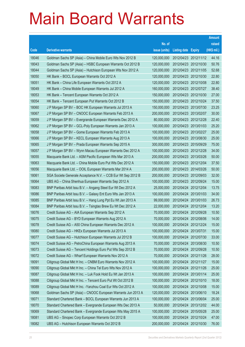|       |                                                               |               |                            |                       | <b>Amount</b> |
|-------|---------------------------------------------------------------|---------------|----------------------------|-----------------------|---------------|
|       |                                                               | No. of        |                            |                       | raised        |
| Code  | <b>Derivative warrants</b>                                    | issue (units) | <b>Listing date Expiry</b> |                       | (HK\$ mil.)   |
| 18046 | Goldman Sachs SP (Asia) - China Mobile Euro Wts Nov 2012 B    | 120,000,000   | 2012/04/23 2012/11/12      |                       | 44.16         |
| 18043 | Goldman Sachs SP (Asia) - HSBC European Warrants Oct 2012 B   | 120,000,000   |                            | 2012/04/23 2012/10/30 | 50.76         |
| 18044 | Goldman Sachs SP (Asia) - Hutchison European Wts Nov 2012 A   | 120,000,000   | 2012/04/23 2012/11/05      |                       | 52.68         |
| 18050 | HK Bank - BOCL European Warrants Oct 2012 A                   | 120,000,000   | 2012/04/23 2012/10/30      |                       | 22.80         |
| 18051 | HK Bank - China Life European Warrants Oct 2012 A             | 120,000,000   |                            | 2012/04/23 2012/10/08 | 22.80         |
| 18049 | HK Bank - China Mobile European Warrants Jul 2012 A           | 160,000,000   | 2012/04/23 2012/07/27      |                       | 38.40         |
| 18053 | HK Bank - Tencent European Warrants Oct 2012 A                | 150,000,000   |                            | 2012/04/23 2012/10/30 | 27.00         |
| 18054 | HK Bank - Tencent European Put Warrants Oct 2012 B            | 150,000,000   | 2012/04/23 2012/10/24      |                       | 37.50         |
| 18060 | J P Morgan SP BV - BOC HK European Warrants Jul 2013 A        | 150,000,000   |                            | 2012/04/23 2013/07/30 | 23.25         |
| 18067 | J P Morgan SP BV - CNOOC European Warrants Feb 2013 A         | 200,000,000   |                            | 2012/04/23 2013/02/07 | 30.00         |
| 18059 | J P Morgan SP BV - Evergrande European Warrants Dec 2012 A    | 80,000,000    | 2012/04/23 2012/12/28      |                       | 22.40         |
| 18062 | J P Morgan SP BV - GCL-Poly European Warrants Jan 2013 A      | 100,000,000   | 2012/04/23 2013/01/03      |                       | 25.20         |
| 18058 | J P Morgan SP BV - Gome European Warrants Feb 2013 A          | 100,000,000   |                            | 2012/04/23 2013/02/27 | 25.00         |
| 18066 | J P Morgan SP BV - KECL European Warrants Aug 2013 A          | 100,000,000   |                            | 2012/04/23 2013/08/30 | 25.00         |
| 18065 | J P Morgan SP BV - Prada European Warrants Sep 2015 A         | 300,000,000   | 2012/04/23 2015/09/29      |                       | 75.00         |
| 18057 | J P Morgan SP BV - Wynn Macau European Warrants Dec 2012 A    | 100,000,000   | 2012/04/23 2012/12/28      |                       | 34.00         |
| 18055 | Macquarie Bank Ltd. - ASM Pacific European Wts Mar 2013 A     | 200,000,000   |                            | 2012/04/23 2013/03/26 | 50.00         |
| 18063 | Macquarie Bank Ltd. - China Mobile Euro Put Wts Dec 2012 A    | 150,000,000   | 2012/04/23 2012/12/04      |                       | 37.50         |
| 18056 | Macquarie Bank Ltd. - OOIL European Warrants Mar 2014 A       | 200,000,000   | 2012/04/23 2014/03/26      |                       | 50.00         |
| 18061 | SGA Societe Generale Acceptance N.V. - CCB Eur Wt Sep 2012 B  | 200,000,000   | 2012/04/23 2012/09/03      |                       | 32.00         |
| 18064 | UBS AG - China Shenhua European Warrants Sep 2012 A           | 100,000,000   |                            | 2012/04/23 2012/09/24 | 15.00         |
| 18083 | BNP Paribas Arbit Issu B.V. - Angang Steel Eur Wt Dec 2012 A  | 25,000,000    |                            | 2012/04/24 2012/12/04 | 13.75         |
| 18086 | BNP Paribas Arbit Issu B.V. - Galaxy Ent Euro Wts Jan 2013 A  | 100,000,000   | 2012/04/24 2013/01/03      |                       | 34.00         |
| 18085 | BNP Paribas Arbit Issu B.V. - Hang Lung Ppt Eu Wt Jan 2013 A  | 99,000,000    | 2012/04/24 2013/01/03      |                       | 26.73         |
| 18084 | BNP Paribas Arbit Issu B.V. - Tsingtao Brew Eu Wt Dec 2012 A  | 22,000,000    |                            | 2012/04/24 2012/12/04 | 13.20         |
| 18076 | Credit Suisse AG - AIA European Warrants Sep 2012 A           | 70,000,000    | 2012/04/24 2012/09/28      |                       | 10.50         |
| 18075 | Credit Suisse AG - BYD European Warrants Aug 2012 A           | 70,000,000    | 2012/04/24 2012/08/06      |                       | 14.00         |
| 18078 | Credit Suisse AG - A50 China European Warrants Dec 2012 A     | 100,000,000   | 2012/04/24 2012/12/24      |                       | 15.00         |
| 18080 | Credit Suisse AG - HKEx European Warrants Jul 2013 A          | 100,000,000   | 2012/04/24 2013/07/31      |                       | 15.00         |
| 18077 | Credit Suisse AG - Hutchison European Warrants Jul 2012 B     | 100,000,000   | 2012/04/24 2012/07/30      |                       | 33.00         |
| 18074 | Credit Suisse AG - PetroChina European Warrants Aug 2013 A    | 70,000,000    | 2012/04/24 2013/08/30      |                       | 10.50         |
| 18073 | Credit Suisse AG - Tencent Holdings Euro Put Wts Sep 2012 B   | 70,000,000    | 2012/04/24 2012/09/28      |                       | 10.50         |
| 18072 | Credit Suisse AG - Wharf European Warrants Nov 2012 A         | 70,000,000    | 2012/04/24 2012/11/26      |                       | 28.00         |
| 18091 | Citigroup Global Mkt H Inc. - CNBM Euro Warrants Nov 2012 A   | 100,000,000   | 2012/04/24 2012/11/27      |                       | 15.00         |
| 18090 | Citigroup Global Mkt H Inc. - China Tel Euro Wts Nov 2012 A   | 100,000,000   | 2012/04/24 2012/11/26      |                       | 25.00         |
| 18087 | Citigroup Global Mkt H Inc. - Luk Fook Hold Eu Wt Jan 2013 A  | 100,000,000   | 2012/04/24 2013/01/14      |                       | 25.00         |
| 18088 | Citigroup Global Mkt H Inc. - Tencent Euro Put Wt Oct 2012 B  | 100,000,000   | 2012/04/24 2012/10/10      |                       | 18.00         |
| 18089 | Citigroup Global Mkt H Inc. - Yanzhou Coal Eur Wts Oct 2012 A | 100,000,000   | 2012/04/24 2012/10/08      |                       | 15.00         |
| 18068 | Goldman Sachs SP (Asia) - CNOOC European Warrants Jun 2013 A  | 120,000,000   | 2012/04/24 2013/06/10      |                       | 18.24         |
| 18071 | Standard Chartered Bank - BOCL European Warrants Jun 2013 A   | 100,000,000   | 2012/04/24 2013/06/04      |                       | 25.00         |
| 18070 | Standard Chartered Bank - Evergrande European Wts Dec 2013 A  | 50,000,000    | 2012/04/24 2013/12/02      |                       | 44.00         |
| 18069 | Standard Chartered Bank - Evergrande European Wts May 2015 A  | 100,000,000   | 2012/04/24 2015/05/28      |                       | 25.00         |
| 18081 | UBS AG - Sinopec Corp European Warrants Oct 2012 B            | 100,000,000   | 2012/04/24 2012/10/24      |                       | 47.00         |
| 18082 | UBS AG - Hutchison European Warrants Oct 2012 B               | 200,000,000   | 2012/04/24 2012/10/30      |                       | 76.00         |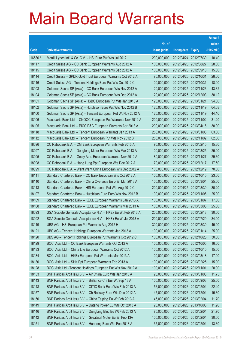|         |                                                               |               |                            | <b>Amount</b> |
|---------|---------------------------------------------------------------|---------------|----------------------------|---------------|
|         |                                                               | No. of        |                            | raised        |
| Code    | <b>Derivative warrants</b>                                    | issue (units) | <b>Listing date Expiry</b> | (HK\$ mil.)   |
| 16580 # | Merrill Lynch Int'l & Co. C.V. - HSI Euro Put Wts Jul 2012    | 200,000,000   | 2012/04/24 2012/07/30      | 10.40         |
| 18117   | Credit Suisse AG – CC Bank European Warrants Aug 2012 A       | 100,000,000   | 2012/04/25 2012/08/27      | 28.00         |
| 18115   | Credit Suisse AG - CC Bank European Warrants Sep 2012 A       | 100,000,000   | 2012/04/25 2012/09/10      | 15.00         |
| 18114   | Credit Suisse - SPDR Gold Trust European Warrants Oct 2012 A  | 70,000,000    | 2012/04/25 2012/10/31      | 28.00         |
| 18116   | Credit Suisse AG - Tencent Holdings Euro Put Wts Oct 2012 C   | 100,000,000   | 2012/04/25 2012/10/31      | 18.00         |
| 18103   | Goldman Sachs SP (Asia) – CC Bank European Wts Nov 2012 A     | 120,000,000   | 2012/04/25 2012/11/26      | 43.32         |
| 18104   | Goldman Sachs SP (Asia) – CC Bank European Wts Dec 2012 A     | 120,000,000   | 2012/04/25 2012/12/03      | 30.12         |
| 18101   | Goldman Sachs SP (Asia) – HSBC European Put Wts Jan 2013 A    | 120,000,000   | 2012/04/25 2013/01/21      | 94.80         |
| 18102   | Goldman Sachs SP (Asia) - Hutchison Euro Put Wts Nov 2012 B   | 120,000,000   | 2012/04/25 2012/11/19      | 64.68         |
| 18100   | Goldman Sachs SP (Asia) - Tencent European Put Wt Nov 2012 A  | 120,000,000   | 2012/04/25 2012/11/19      | 44.16         |
| 18106   | Macquarie Bank Ltd. - CNOOC European Put Warrants Nov 2012 A  | 200,000,000   | 2012/04/25 2012/11/02      | 31.20         |
| 18105   | Macquarie Bank Ltd. - PICC P&C European Warrants Apr 2013 A   | 200,000,000   | 2012/04/25 2013/04/16      | 30.00         |
| 18118   | Macquarie Bank Ltd. - Tencent European Warrants Jan 2013 A    | 250,000,000   | 2012/04/25 2013/01/03      | 63.00         |
| 18112   | Macquarie Bank Ltd. - Tencent European Put Wts Nov 2012 B     | 250,000,000   | 2012/04/25 2012/11/02      | 62.50         |
| 18096   | CC Rabobank B.A. - CM Bank European Warrants Feb 2013 A       | 90,000,000    | 2012/04/25 2013/02/15      | 15.30         |
| 18097   | CC Rabobank B.A. - Dongfeng Motor European Wts Mar 2013 A     | 100,000,000   | 2012/04/25 2013/03/25      | 25.00         |
| 18095   | CC Rabobank B.A. - Geely Auto European Warrants Nov 2012 A    | 80,000,000    | 2012/04/25 2012/11/27      | 29.60         |
| 18098   | CC Rabobank B.A. - Hang Lung Ppt European Wts Dec 2012 A      | 70,000,000    | 2012/04/25 2012/12/17      | 17.50         |
| 18099   | CC Rabobank B.A. – Want Want China European Wts Dec 2012 A    | 100,000,000   | 2012/04/25 2012/12/19      | 70.00         |
| 18111   | Standard Chartered Bank – CC Bank European Wts Oct 2012 A     | 100,000,000   | 2012/04/25 2012/10/15      | 23.00         |
| 18110   | Standard Chartered Bank - China Overseas Euro Wt Mar 2013 A   | 100,000,000   | 2012/04/25 2013/03/04      | 25.00         |
| 18113   | Standard Chartered Bank - HSI European Put Wts Aug 2012 C     | 200,000,000   | 2012/04/25 2012/08/30      | 30.20         |
| 18107   | Standard Chartered Bank - Hutchison Euro Euro Wts Nov 2012 B  | 100,000,000   | 2012/04/25 2012/11/06      | 25.00         |
| 18109   | Standard Chartered Bank - KECL European Warrants Jan 2013 A   | 100,000,000   | 2012/04/25 2013/01/07      | 17.00         |
| 18108   | Standard Chartered Bank - KECL European Warrants Mar 2013 A   | 100,000,000   | 2012/04/25 2013/03/08      | 25.00         |
| 18093   | SGA Societe Generale Acceptance N.V. - HKEx Eu Wt Feb 2013 A  | 200,000,000   | 2012/04/25 2013/02/18      | 30.00         |
| 18092   | SGA Societe Generale Acceptance N.V. - HKEx Eu Wt Jul 2013 A  | 200,000,000   | 2012/04/25 2013/07/29      | 34.00         |
| 18119   | UBS AG - HSI European Put Warrants Aug 2012 H                 | 300,000,000   | 2012/04/25 2012/08/30      | 45.00         |
| 18121   | UBS AG - Tencent Holdings European Warrants Jan 2013 A        | 100,000,000   | 2012/04/25 2013/01/14      | 25.00         |
| 18120   | UBS AG - Tencent Holdings European Put Warrants Oct 2012 C    | 100,000,000   | 2012/04/25 2012/10/25      | 30.00         |
| 18129   | BOCI Asia Ltd. - CC Bank European Warrants Oct 2012 A         | 100,000,000   | 2012/04/26 2012/10/05      | 16.00         |
| 18133   | BOCI Asia Ltd. - China Life European Warrants Oct 2012 A      | 100,000,000   | 2012/04/26 2012/10/10      | 15.00         |
| 18134   | BOCI Asia Ltd. - HKEx European Put Warrants Mar 2013 A        | 100,000,000   | 2012/04/26 2013/03/18      | 17.00         |
| 18130   | BOCI Asia Ltd. - SHK Ppt European Warrants Feb 2013 A         | 100,000,000   | 2012/04/26 2013/02/25      | 15.00         |
| 18128   | BOCI Asia Ltd. - Tencent Holdings European Put Wts Nov 2012 A | 100,000,000   | 2012/04/26 2012/11/01      | 20.00         |
| 18153   | BNP Paribas Arbit Issu B.V. - Air China Euro Wts Jan 2013 A   | 25,000,000    | 2012/04/26 2013/01/03      | 11.75         |
| 18143   | BNP Paribas Arbit Issu B.V. - Brilliance Chi Eur Wt Sep 13 A  | 100,000,000   | 2012/04/26 2013/09/03      | 25.00         |
| 18148   | BNP Paribas Arbit Issu B.V. - CITIC Bank Euro Wts Feb 2013 A  | 56,000,000    | 2012/04/26 2013/02/04      | 22.40         |
| 18157   | BNP Paribas Arbit Issu B.V. - Ch Railway Euro Wts Dec 2012 A  | 45,000,000    | 2012/04/26 2012/12/04      | 15.30         |
| 18150   | BNP Paribas Arbit Issu B.V. - China Taiping Eu Wt Feb 2013 A  | 45,000,000    | 2012/04/26 2013/02/04      | 11.70         |
| 18149   | BNP Paribas Arbit Issu B.V. - Datang Power Eu Wts Oct 2013 A  | 26,000,000    | 2012/04/26 2013/10/03      | 11.96         |
| 18146   | BNP Paribas Arbit Issu B.V. - Dongfang Elec Eu Wt Feb 2013 A  | 70,000,000    | 2012/04/26 2013/02/04      | 21.70         |
| 18142   | BNP Paribas Arbit Issu B.V. - Greatwall Motor Eu Wt Feb 13A   | 100,000,000   | 2012/04/26 2013/02/04      | 30.00         |
| 18151   | BNP Paribas Arbit Issu B.V. - Huaneng Euro Wts Feb 2013 A     | 35,000,000    | 2012/04/26 2013/02/04      | 13.30         |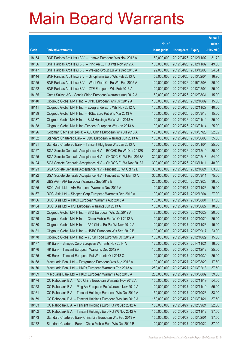|       |                                                               |               |                            | <b>Amount</b> |
|-------|---------------------------------------------------------------|---------------|----------------------------|---------------|
|       |                                                               | No. of        |                            | raised        |
| Code  | <b>Derivative warrants</b>                                    | issue (units) | <b>Listing date Expiry</b> | (HK\$ mil.)   |
| 18154 | BNP Paribas Arbit Issu B.V. - Lenovo European Wts Nov 2012 A  | 52,000,000    | 2012/04/26 2012/11/02      | 31.72         |
| 18156 | BNP Paribas Arbit Issu B.V. - Ping An Eu Put Wts Nov 2012 A   | 100,000,000   | 2012/04/26 2012/11/02      | 49.00         |
| 18147 | BNP Paribas Arbit Issu B.V. - Weigao Group Eu Wts Dec 2013 A  | 92,000,000    | 2012/04/26 2013/12/03      | 24.84         |
| 18144 | BNP Paribas Arbit Issu B.V. - Sinopharm Euro Wts Feb 2013 A   | 53,000,000    | 2012/04/26 2013/02/04      | 16.96         |
| 18155 | BNP Paribas Arbit Issu B.V. - Want Want Ch Eu Wts Feb 2015 A  | 100,000,000   | 2012/04/26 2015/02/03      | 26.00         |
| 18152 | BNP Paribas Arbit Issu B.V. - ZTE European Wts Feb 2013 A     | 100,000,000   | 2012/04/26 2013/02/04      | 25.00         |
| 18135 | Credit Suisse AG - Sands China European Warrants Aug 2012 A   | 50,000,000    | 2012/04/26 2012/08/31      | 15.00         |
| 18140 | Citigroup Global Mkt H Inc. - CPIC European Wts Oct 2012 A    | 100,000,000   | 2012/04/26 2012/10/09      | 15.00         |
| 18141 | Citigroup Global Mkt H Inc. - Evergrande Euro Wts Nov 2012 A  | 100,000,000   | 2012/04/26 2012/11/27      | 40.00         |
| 18139 | Citigroup Global Mkt H Inc. - HKEx Euro Put Wts Mar 2013 A    | 100,000,000   | 2012/04/26 2013/03/18      | 15.00         |
| 18137 | Citigroup Global Mkt H Inc. - SJM Holdings Eu Wt Jan 2013 A   | 100,000,000   | 2012/04/26 2013/01/14      | 25.00         |
| 18138 | Citigroup Global Mkt H Inc.-Tencent European Wts Jan 2013 A   | 100,000,000   | 2012/04/26 2013/01/14      | 25.00         |
| 18126 | Goldman Sachs SP (Asia) - A50 China European Wts Jul 2013 A   | 120,000,000   | 2012/04/26 2013/07/25      | 22.32         |
| 18132 | Standard Chartered Bank - ICBC European Warrants Jun 2013 A   | 100,000,000   | 2012/04/26 2013/06/03      | 35.00         |
| 18131 | Standard Chartered Bank - Tencent Hidg Euro Wts Jan 2013 A    | 100,000,000   | 2012/04/26 2013/01/04      | 25.00         |
| 18127 | SGA Societe Generale Acceptance N.V. - BOCHK Eu Wt Dec 2012B  | 200,000,000   | 2012/04/26 2012/12/10      | 30.00         |
| 18125 | SGA Societe Generale Acceptance N.V. - CNOOC Eu Wt Feb 2013A  | 300,000,000   | 2012/04/26 2013/02/13      | 54.00         |
| 18124 | SGA Societe Generale Acceptance N.V. - CNOOC Eu Wt Nov 2013A  | 300,000,000   | 2012/04/26 2013/11/11      | 48.00         |
| 18123 | SGA Societe Generale Acceptance N.V. - Tencent Eu Wt Oct 12 D | 300,000,000   | 2012/04/26 2012/10/24      | 63.00         |
| 18122 | SGA Societe Generale Acceptance N.V. - Tencent Eu Wt Mar 13 A | 300,000,000   | 2012/04/26 2013/03/11      | 75.00         |
| 18136 | UBS AG - AIA European Warrants Sep 2012 B                     | 200,000,000   | 2012/04/26 2012/09/28      | 36.00         |
| 18165 | BOCI Asia Ltd. - AIA European Warrants Nov 2012 A             | 100,000,000   | 2012/04/27 2012/11/26      | 25.00         |
| 18167 | BOCI Asia Ltd. - Sinopec Corp European Warrants Dec 2012 A    | 100,000,000   | 2012/04/27 2012/12/04      | 27.00         |
| 18166 | BOCI Asia Ltd. - HKEx European Warrants Aug 2013 A            | 100,000,000   | 2012/04/27 2013/08/01      | 17.00         |
| 18164 | BOCI Asia Ltd. - HSI European Warrants Jun 2013 A             | 100,000,000   | 2012/04/27 2013/06/27      | 18.00         |
| 18182 | Citigroup Global Mkt H Inc. - BYD European Wts Oct 2012 A     | 80,000,000    | 2012/04/27 2012/10/29      | 20.00         |
| 18179 | Citigroup Global Mkt H Inc. - China Mobile Eur Wt Oct 2012 A  | 100,000,000   | 2012/04/27 2012/10/29      | 25.00         |
| 18180 | Citigroup Global Mkt H Inc. - A50 China Eu Put Wt Nov 2012 A  | 100,000,000   | 2012/04/27 2012/11/26      | 15.00         |
| 18181 | Citigroup Global Mkt H Inc. - HSBC European Wts Sep 2012 B    | 100,000,000   | 2012/04/27 2012/09/17      | 23.00         |
| 18178 | Citigroup Global Mkt H Inc. - Yurun Food Euro Wts Oct 2012 A  | 100,000,000   | 2012/04/27 2012/10/29      | 15.00         |
| 18177 | HK Bank - Sinopec Corp European Warrants Nov 2014 A           | 120,000,000   | 2012/04/27 2014/11/21      | 18.00         |
| 18176 | HK Bank - Tencent European Warrants Dec 2012 A                | 100,000,000   | 2012/04/27 2012/12/12      | 25.00         |
| 18175 | HK Bank - Tencent European Put Warrants Oct 2012 C            | 100,000,000   | 2012/04/27 2012/10/30      | 25.00         |
| 18168 | Macquarie Bank Ltd. - Evergrande European Wts Aug 2012 A      | 100,000,000   | 2012/04/27 2012/08/20      | 17.60         |
| 18170 | Macquarie Bank Ltd. - HKEx European Warrants Feb 2013 A       | 250,000,000   | 2012/04/27 2013/02/18      | 37.50         |
| 18169 | Macquarie Bank Ltd. - HKEx European Warrants Aug 2013 A       | 250,000,000   | 2012/04/27 2013/08/02      | 39.00         |
| 18174 | CC Rabobank B.A. - A50 China European Warrants Nov 2012 A     | 150,000,000   | 2012/04/27 2012/11/19      | 54.00         |
| 18158 | CC Rabobank B.A. - Ping An European Put Warrants Nov 2012 A   | 100,000,000   | 2012/04/27 2012/11/19      | 55.00         |
| 18161 | CC Rabobank B.A. - Tencent Holdings European Wts Oct 2012 A   | 150,000,000   | 2012/04/27 2012/10/26      | 33.00         |
| 18159 | CC Rabobank B.A. - Tencent Holdings European Wts Jan 2013 A   | 150,000,000   | 2012/04/27 2013/01/21      | 37.50         |
| 18163 | CC Rabobank B.A. - Tencent Holdings Euro Put Wt Sep 2012 A    | 150,000,000   | 2012/04/27 2012/09/24      | 22.50         |
| 18162 | CC Rabobank B.A. - Tencent Holdings Euro Put Wt Nov 2012 A    | 150,000,000   | 2012/04/27 2012/11/12      | 37.50         |
| 18173 | Standard Chartered Bank-China Life European Wts Feb 2013 A    | 150,000,000   | 2012/04/27 2013/02/01      | 37.50         |
| 18172 | Standard Chartered Bank - China Mobile Euro Wts Oct 2012 B    | 100,000,000   | 2012/04/27 2012/10/22      | 37.00         |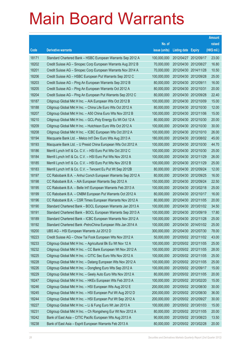|       |                                                              |               |                            | <b>Amount</b> |
|-------|--------------------------------------------------------------|---------------|----------------------------|---------------|
|       |                                                              | No. of        |                            | raised        |
| Code  | <b>Derivative warrants</b>                                   | issue (units) | <b>Listing date Expiry</b> | (HK\$ mil.)   |
| 18171 | Standard Chartered Bank – HSBC European Warrants Sep 2012 A  | 100,000,000   | 2012/04/27 2012/09/17      | 23.00         |
| 18202 | Credit Suisse AG - Sinopec Corp European Warrants Aug 2012 B | 70,000,000    | 2012/04/30 2012/08/27      | 16.80         |
| 18201 | Credit Suisse AG - Sinopec Corp European Warrants Nov 2014 A | 70,000,000    | 2012/04/30 2014/11/28      | 10.50         |
| 18206 | Credit Suisse AG - HSBC European Put Warrants Sep 2012 C     | 100,000,000   | 2012/04/30 2012/09/28      | 25.00         |
| 18203 | Credit Suisse AG - Ping An European Warrants Sep 2012 B      | 80,000,000    | 2012/04/30 2012/09/11      | 16.00         |
| 18205 | Credit Suisse AG - Ping An European Warrants Oct 2012 A      | 80,000,000    | 2012/04/30 2012/10/31      | 20.00         |
| 18204 | Credit Suisse AG - Ping An European Put Warrants Sep 2012 C  | 80,000,000    | 2012/04/30 2012/09/28      | 22.40         |
| 18187 | Citigroup Global Mkt H Inc. - AIA European Wts Oct 2012 B    | 100,000,000   | 2012/04/30 2012/10/09      | 15.00         |
| 18188 | Citigroup Global Mkt H Inc. - China Life Euro Wts Oct 2012 A | 80,000,000    | 2012/04/30 2012/10/30      | 12.00         |
| 18207 | Citigroup Global Mkt H Inc. - A50 China Euro Wts Nov 2012 B  | 100,000,000   | 2012/04/30 2012/11/06      | 15.00         |
| 18210 | Citigroup Global Mkt H Inc. - GCL-Poly Energy Eu Wt Oct 12 A | 80,000,000    | 2012/04/30 2012/10/30      | 20.00         |
| 18209 | Citigroup Global Mkt H Inc. - Hutchison Euro Wts Oct 2012 A  | 100,000,000   | 2012/04/30 2012/10/30      | 30.00         |
| 18208 | Citigroup Global Mkt H Inc. - ICBC European Wts Oct 2012 A   | 100,000,000   | 2012/04/30 2012/10/10      | 26.00         |
| 18194 | Macquarie Bank Ltd. - Melco Int'l Dev Euro Wts Aug 2013 A    | 180,000,000   | 2012/04/30 2013/08/02      | 45.00         |
| 18193 | Macquarie Bank Ltd. - U Presid China European Wts Oct 2012 A | 100,000,000   | 2012/04/30 2012/10/30      | 44.70         |
| 18186 | Merrill Lynch Int'l & Co. C.V. - HSI Euro Put Wts Oct 2012 C | 100,000,000   | 2012/04/30 2012/10/30      | 25.00         |
| 18184 | Merrill Lynch Int'l & Co. C.V. - HSI Euro Put Wts Nov 2012 A | 100,000,000   | 2012/04/30 2012/11/29      | 26.00         |
| 18185 | Merrill Lynch Int'l & Co. C.V. - HSI Euro Put Wts Nov 2012 B | 100,000,000   | 2012/04/30 2012/11/29      | 25.00         |
| 18183 | Merrill Lynch Int'l & Co. C.V. - Tencent Eu Put Wt Sep 2012B | 80,000,000    | 2012/04/30 2012/09/24      | 12.00         |
| 18197 | CC Rabobank B.A. - Anhui Conch European Warrants Sep 2012 A  | 80,000,000    | 2012/04/30 2012/09/25      | 16.00         |
| 18198 | CC Rabobank B.A. - AIA European Warrants Sep 2012 A          | 150,000,000   | 2012/04/30 2012/09/24      | 22.50         |
| 18195 | CC Rabobank B.A. - Belle Int'l European Warrants Feb 2013 A  | 100,000,000   | 2012/04/30 2013/02/18      | 25.00         |
| 18199 | CC Rabobank B.A. - CNBM European Put Warrants Oct 2012 A     | 80,000,000    | 2012/04/30 2012/10/17      | 16.00         |
| 18196 | CC Rabobank B.A. – CSR Times European Warrants Nov 2012 A    | 80,000,000    | 2012/04/30 2012/11/05      | 20.00         |
| 18190 | Standard Chartered Bank - BOCL European Warrants Jan 2013 A  | 100,000,000   | 2012/04/30 2013/01/02      | 34.50         |
| 18191 | Standard Chartered Bank - BOCL European Warrants Sep 2013 A  | 100,000,000   | 2012/04/30 2013/09/19      | 17.80         |
| 18189 | Standard Chartered Bank - ICBC European Warrants Nov 2012 A  | 100,000,000   | 2012/04/30 2012/11/28      | 25.00         |
| 18192 | Standard Chartered Bank - PetroChina European Wts Jan 2014 A | 100,000,000   | 2012/04/30 2014/01/02      | 25.00         |
| 18200 | UBS AG - HSI European Warrants Jul 2012 D                    | 300,000,000   | 2012/04/30 2012/07/30      | 78.00         |
| 18223 | Credit Suisse AG - Chow Tai Fook European Wts Nov 2012 A     | 50,000,000    | 2012/05/02 2012/11/02      | 43.00         |
| 18233 | Citigroup Global Mkt H Inc. - Agricultural Bk Eu Wt Nov 12 A | 100,000,000   | 2012/05/02 2012/11/05      | 25.00         |
| 18232 | Citigroup Global Mkt H Inc. - CC Bank European Wt Nov 2012 A | 100,000,000   | 2012/05/02 2012/11/05      | 28.00         |
| 18225 | Citigroup Global Mkt H Inc. - CITIC Sec Euro Wts Nov 2012 A  | 100,000,000   | 2012/05/02 2012/11/05      | 25.00         |
| 18228 | Citigroup Global Mkt H Inc. - Datang European Wts Nov 2012 A | 100,000,000   | 2012/05/02 2012/11/05      | 25.00         |
| 18226 | Citigroup Global Mkt H Inc. - Dongfeng Euro Wts Sep 2012 A   | 100,000,000   | 2012/05/02 2012/09/17      | 15.00         |
| 18229 | Citigroup Global Mkt H Inc. - Geely Auto Euro Wts Nov 2012 A | 80,000,000    | 2012/05/02 2012/11/05      | 20.00         |
| 18247 | Citigroup Global Mkt H Inc. - HKEx European Wts Feb 2013 A   | 100,000,000   | 2012/05/02 2013/02/20      | 15.00         |
| 18246 | Citigroup Global Mkt H Inc. - HSI European Wts Aug 2012 E    | 200,000,000   | 2012/05/02 2012/08/30      | 30.00         |
| 18245 | Citigroup Global Mkt H Inc. - HSI European Put Wt Aug 2012 D | 200,000,000   | 2012/05/02 2012/08/30      | 36.00         |
| 18244 | Citigroup Global Mkt H Inc. - HSI European Put Wt Sep 2012 A | 200,000,000   | 2012/05/02 2012/09/27      | 30.00         |
| 18227 | Citigroup Global Mkt H Inc. - Li & Fung Euro Wt Jan 2013 A   | 100,000,000   | 2012/05/02 2013/01/03      | 15.00         |
| 18231 | Citigroup Global Mkt H Inc. - Ch Rongsheng Eur Wt Nov 2012 A | 80,000,000    | 2012/05/02 2012/11/05      | 20.00         |
| 18242 | Bank of East Asia - CITIC Pacific European Wts Aug 2013 A    | 90,000,000    | 2012/05/02 2013/08/23      | 13.50         |
| 18238 | Bank of East Asia - Esprit European Warrants Feb 2013 A      | 80,000,000    | 2012/05/02 2013/02/28      | 20.00         |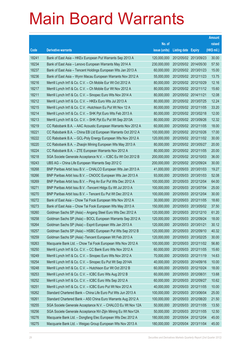|       |                                                               |               |                            | <b>Amount</b> |
|-------|---------------------------------------------------------------|---------------|----------------------------|---------------|
|       |                                                               | No. of        |                            | raised        |
| Code  | <b>Derivative warrants</b>                                    | issue (units) | <b>Listing date Expiry</b> | (HK\$ mil.)   |
| 18241 | Bank of East Asia - HKEx European Put Warrants Sep 2013 A     | 120,000,000   | 2012/05/02 2013/09/23      | 30.00         |
| 18234 | Bank of East Asia - Lenovo European Warrants May 2014 A       | 230,000,000   | 2012/05/02 2014/05/30      | 57.50         |
| 18237 | Bank of East Asia - Tencent Holdings European Wts Jan 2013 A  | 60,000,000    | 2012/05/02 2013/01/23      | 15.00         |
| 18236 | Bank of East Asia - Wynn Macau European Warrants Nov 2012 A   | 55,000,000    | 2012/05/02 2012/11/23      | 13.75         |
| 18216 | Merrill Lynch Int'l & Co. C.V. - Ch Mobile Eur Wt Oct 2012 A  | 80,000,000    | 2012/05/02 2012/10/29      | 12.16         |
| 18217 | Merrill Lynch Int'l & Co. C.V. - Ch Mobile Eur Wt Nov 2012 A  | 80,000,000    | 2012/05/02 2012/11/12      | 15.60         |
| 18211 | Merrill Lynch Int'l & Co. C.V. - Sinopec Euro Wts Nov 2014 A  | 80,000,000    | 2012/05/02 2014/11/21      | 12.08         |
| 18212 | Merrill Lynch Int'l & Co. C.V. - HKEx Euro Wts Jul 2013 A     | 80,000,000    | 2012/05/02 2013/07/25      | 12.24         |
| 18215 | Merrill Lynch Int'l & Co. C.V. - Hutchison Eu Put Wt Nov 12 A | 80,000,000    | 2012/05/02 2012/11/05      | 33.20         |
| 18214 | Merrill Lynch Int'l & Co. C.V. - SHK Ppt Euro Wts Feb 2013 A  | 80,000,000    | 2012/05/02 2013/02/18      | 12.00         |
| 18213 | Merrill Lynch Int'l & Co. C.V. - SHK Ppt Eu Put Wt Sep 2013A  | 80,000,000    | 2012/05/02 2013/09/26      | 12.32         |
| 18219 | CC Rabobank B.A. - AAC Acoustic European Warrants Nov 2012 A  | 60,000,000    | 2012/05/02 2012/11/05      | 18.00         |
| 18221 | CC Rabobank B.A. - China EB Ltd European Warrants Oct 2012 A  | 100,000,000   | 2012/05/02 2012/10/26      | 17.00         |
| 18222 | CC Rabobank B.A. - GCL-Poly Energy European Wts Nov 2012 A    | 120,000,000   | 2012/05/02 2012/11/02      | 30.00         |
| 18220 | CC Rabobank B.A. - Zhaojin Mining European Wts May 2013 A     | 80,000,000    | 2012/05/02 2013/05/27      | 20.00         |
| 18224 | CC Rabobank B.A. - ZTE European Warrants Nov 2012 A           | 80,000,000    | 2012/05/02 2012/11/05      | 20.00         |
| 18218 | SGA Societe Generale Acceptance N.V. - ICBC Eu Wt Oct 2012 B  | 200,000,000   | 2012/05/02 2012/10/03      | 36.00         |
| 18243 | UBS AG - China Life European Warrants Sep 2012 C              | 200,000,000   | 2012/05/02 2012/09/24      | 30.00         |
| 18268 | BNP Paribas Arbit Issu B.V. - CHALCO European Wts Jan 2013 A  | 41,000,000    | 2012/05/03 2013/01/03      | 19.27         |
| 18266 | BNP Paribas Arbit Issu B.V. - CNOOC European Wts Jan 2013 A   | 93,000,000    | 2012/05/03 2013/01/03      | 52.08         |
| 18269 | BNP Paribas Arbit Issu B.V. - Ping An Eur Put Wts Dec 2012 A  | 100,000,000   | 2012/05/03 2012/12/04      | 64.00         |
| 18271 | BNP Paribas Arbit Issu B.V. - Tencent HIdgs Eu Wt Jul 2013 A  | 100,000,000   | 2012/05/03 2013/07/04      | 25.00         |
| 18270 | BNP Paribas Arbit Issu B.V. - Tencent Eu Put Wt Dec 2012 A    | 100,000,000   | 2012/05/03 2012/12/04      | 30.00         |
| 18272 | Bank of East Asia - Chow Tai Fook European Wts Nov 2012 A     | 30,000,000    | 2012/05/03 2012/11/05      | 18.60         |
| 18273 | Bank of East Asia - Chow Tai Fook European Wts May 2013 A     | 150,000,000   | 2012/05/03 2013/05/02      | 37.50         |
| 18260 | Goldman Sachs SP (Asia) - Angang Steel Euro Wts Dec 2012 A    | 120,000,000   | 2012/05/03 2012/12/10      | 61.20         |
| 18258 | Goldman Sachs SP (Asia) – BOCL European Warrants Sep 2012 A   | 120,000,000   | 2012/05/03 2012/09/24      | 18.00         |
| 18264 | Goldman Sachs SP (Asia) - Esprit European Wts Jan 2013 A      | 120,000,000   | 2012/05/03 2013/01/21      | 30.12         |
| 18257 | Goldman Sachs SP (Asia) - HSBC European Put Wts Sep 2012 B    | 120,000,000   | 2012/05/03 2012/09/10      | 40.32         |
| 18259 | Goldman Sachs SP (Asia) - Tencent European Wt Feb 2013 A      | 120,000,000   | 2012/05/03 2013/02/25      | 30.00         |
| 18263 | Macquarie Bank Ltd. - Chow Tai Fook European Wts Nov 2012 A   | 100,000,000   | 2012/05/03 2012/11/02      | 56.80         |
| 18250 | Merrill Lynch Int'l & Co. C.V. - CC Bank Euro Wts Nov 2012 A  | 60,000,000    | 2012/05/03 2012/11/05      | 15.60         |
| 18249 | Merrill Lynch Int'l & Co. C.V. - Sinopec Euro Wts Nov 2012 A  | 70,000,000    | 2012/05/03 2012/11/19      | 14.63         |
| 18254 | Merrill Lynch Int'l & Co. C.V. - Sinopec Eu Put Wt Sep 2014A  | 40,000,000    | 2012/05/03 2014/09/16      | 10.00         |
| 18248 | Merrill Lynch Int'l & Co. C.V. - Hutchison Eur Wt Oct 2012 B  | 60,000,000    | 2012/05/03 2012/10/24      | 18.00         |
| 18253 | Merrill Lynch Int'l & Co. C.V. - ICBC Euro Wts Aug 2012 B     | 60,000,000    | 2012/05/03 2012/08/31      | 13.68         |
| 18252 | Merrill Lynch Int'l & Co. C.V. - ICBC Euro Wts Sep 2012 A     | 60,000,000    | 2012/05/03 2012/09/27      | 10.62         |
| 18251 | Merrill Lynch Int'l & Co. C.V. - ICBC Euro Put Wt Nov 2012 A  | 40,000,000    | 2012/05/03 2012/11/05      | 10.00         |
| 18262 | Standard Chartered Bank - China Life Euro Put Wts Jun 2013 A  | 100,000,000   | 2012/05/03 2013/06/04      | 25.00         |
| 18261 | Standard Chartered Bank - A50 China Euro Warrants Aug 2012 A  | 100,000,000   | 2012/05/03 2012/08/20      | 21.50         |
| 18255 | SGA Societe Generale Acceptance N.V. - CHALCO Eu Wt Nov 12A   | 50,000,000    | 2012/05/03 2012/11/05      | 13.50         |
| 18256 | SGA Societe Generale Acceptance NV-Zijin Mining Eu Wt Nov12A  | 50,000,000    | 2012/05/03 2012/11/05      | 12.50         |
| 18276 | Macquarie Bank Ltd. - Dongfang Elec European Wts Dec 2012 A   | 180,000,000   | 2012/05/04 2012/12/04      | 45.00         |
| 18275 | Macquarie Bank Ltd. - Weigao Group European Wts Nov 2013 A    | 180,000,000   | 2012/05/04 2013/11/04      | 45.00         |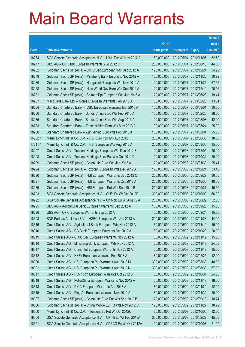|         |                                                              |               |                            |                       | <b>Amount</b> |
|---------|--------------------------------------------------------------|---------------|----------------------------|-----------------------|---------------|
|         |                                                              | No. of        |                            |                       | raised        |
| Code    | <b>Derivative warrants</b>                                   | issue (units) | <b>Listing date Expiry</b> |                       | (HK\$ mil.)   |
| 18274   | SGA Societe Generale Acceptance N.V. - HWL Eur Wt Nov 2012 A | 150,000,000   |                            | 2012/05/04 2012/11/05 | 52.50         |
| 18277   | UBS AG - CC Bank European Warrants Aug 2012 C                | 200,000,000   |                            | 2012/05/04 2012/08/13 | 44.00         |
| 18282   | Goldman Sachs SP (Asia) - CITIC Sec European Wts Dec 2012 A  | 120,000,000   |                            | 2012/05/07 2012/12/24 | 34.92         |
| 18279   | Goldman Sachs SP (Asia) - Minsheng Bank Euro Wts Nov 2012 A  | 120,000,000   |                            | 2012/05/07 2012/11/26 | 30.72         |
| 18280   | Goldman Sachs SP (Asia) - Henganintl European Wts Nov 2012 A | 120,000,000   |                            | 2012/05/07 2012/11/26 | 67.56         |
| 18278   | Goldman Sachs SP (Asia) - New World Dev Euro Wts Dec 2012 A  | 120,000,000   |                            | 2012/05/07 2012/12/10 | 70.56         |
| 18281   | Goldman Sachs SP (Asia) - Shimao Ppt European Wts Jun 2013 A | 120,000,000   |                            | 2012/05/07 2013/06/28 | 19.44         |
| 18287   | Macquarie Bank Ltd. - Gome European Warrants Feb 2013 A      | 80,000,000    |                            | 2012/05/07 2013/02/20 | 13.04         |
| 18284   | Standard Chartered Bank - ICBC European Warrants Mar 2013 A  | 100,000,000   | 2012/05/07 2013/03/01      |                       | 30.50         |
| 18286   | Standard Chartered Bank - Sands China Euro Wts Feb 2013 A    | 100,000,000   |                            | 2012/05/07 2013/02/28 | 38.00         |
| 18285   | Standard Chartered Bank - Sands China Euro Wts Aug 2013 A    | 100,000,000   | 2012/05/07 2013/08/08      |                       | 42.00         |
| 18283   | Standard Chartered Bank - Tencent Hidg Euro Wts May 2013 A   | 100,000,000   |                            | 2012/05/07 2013/05/24 | 25.00         |
| 18288   | Standard Chartered Bank - Zijin Mining Euro Wts Feb 2013 A   | 100,000,000   |                            | 2012/05/07 2013/02/04 | 25.00         |
| 16582 # | Merrill Lynch Int'l & Co. C.V. - HSI Euro Put Wts Aug 2012   | 200,000,000   |                            | 2012/05/07 2012/08/30 | 18.00         |
| 17211 # | Merrill Lynch Int'l & Co. C.V. - HSI European Wts Aug 2012 A | 200,000,000   |                            | 2012/05/07 2012/08/30 | 15.00         |
| 18297   | Credit Suisse AG - Tencent Holdings European Wts Dec 2012 B  | 100,000,000   | 2012/05/08 2012/12/05      |                       | 20.00         |
| 18298   | Credit Suisse AG - Tencent Holdings Euro Put Wts Oct 2012 D  | 100,000,000   | 2012/05/08 2012/10/31      |                       | 20.00         |
| 18299   | Goldman Sachs SP (Asia) - China Life Euro Wts Jan 2013 A     | 120,000,000   |                            | 2012/05/08 2013/01/30 | 25.44         |
| 18294   | Goldman Sachs SP (Asia) - Foxconn European Wts Dec 2012 A    | 120,000,000   |                            | 2012/05/08 2012/12/24 | 33.48         |
| 18290   | Goldman Sachs SP (Asia) - HSI European Warrants Sep 2012 C   | 200,000,000   |                            | 2012/05/08 2012/09/27 | 30.60         |
| 18291   | Goldman Sachs SP (Asia) - HSI European Warrants Oct 2012 A   | 200,000,000   |                            | 2012/05/08 2012/10/30 | 40.00         |
| 18289   | Goldman Sachs SP (Asia) - HSI European Put Wts Sep 2012 B    | 200,000,000   |                            | 2012/05/08 2012/09/27 | 46.60         |
| 18293   | SGA Societe Generale Acceptance N.V. - CLife Eu Wt Oct 2012B | 300,000,000   | 2012/05/08 2012/10/03      |                       | 66.00         |
| 18292   | SGA Societe Generale Acceptance N.V. - Ch Mob Eu Wt Aug 12 A | 200,000,000   |                            | 2012/05/08 2012/08/29 | 52.00         |
| 18295   | UBS AG - Agricultural Bank European Warrants Sep 2012 A      | 100,000,000   |                            | 2012/05/08 2012/09/28 | 15.00         |
| 18296   | UBS AG - CPIC European Warrants Sep 2012 A                   | 100,000,000   |                            | 2012/05/08 2012/09/24 | 15.00         |
| 18303   | BNP Paribas Arbit Issu B.V. - HSBC European Wts Jan 2013 A   | 200,000,000   | 2012/05/09 2013/01/28      |                       | 44.00         |
| 18316   | Credit Suisse AG - Agricultural Bank European Wts Nov 2012 A | 60,000,000    | 2012/05/09 2012/11/19      |                       | 15.00         |
| 18310   | Credit Suisse AG - CC Bank European Warrants Oct 2012 A      | 80,000,000    | 2012/05/09 2012/10/29      |                       | 20.00         |
| 18319   | Credit Suisse AG - CITIC Sec European Warrants Nov 2012 A    | 60,000,000    | 2012/05/09 2012/11/19      |                       | 15.00         |
| 18314   | Credit Suisse AG - Minsheng Bank European Wts Nov 2012 A     | 60,000,000    | 2012/05/09 2012/11/19      |                       | 24.00         |
| 18317   | Credit Suisse AG - China Tel European Warrants Nov 2012 A    | 60,000,000    | 2012/05/09 2012/11/19      |                       | 15.00         |
| 18312   | Credit Suisse AG - HKEx European Warrants Feb 2013 A         | 80,000,000    | 2012/05/09 2013/02/25      |                       | 12.00         |
| 18320   | Credit Suisse AG - HSI European Put Warrants Aug 2012 M      | 300,000,000   |                            | 2012/05/09 2012/08/30 | 48.00         |
| 18321   | Credit Suisse AG - HSI European Put Warrants Aug 2012 N      | 300,000,000   |                            | 2012/05/09 2012/08/30 | 57.00         |
| 18311   | Credit Suisse AG - Hutchison European Warrants Oct 2012 B    | 80,000,000    | 2012/05/09 2012/10/31      |                       | 24.00         |
| 18318   | Credit Suisse AG - PetroChina European Warrants Nov 2012 A   | 60,000,000    | 2012/05/09 2012/11/19      |                       | 18.00         |
| 18313   | Credit Suisse AG - PICC European Warrants Apr 2013 A         | 80,000,000    | 2012/05/09 2013/04/29      |                       | 12.00         |
| 18315   | Credit Suisse AG - Ping An European Warrants Nov 2012 A      | 80,000,000    | 2012/05/09 2012/11/30      |                       | 20.00         |
| 18307   | Goldman Sachs SP (Asia) - China Life Euro Put Wts Sep 2012 B | 120,000,000   | 2012/05/09 2012/09/18      |                       | 18.24         |
| 18306   | Goldman Sachs SP (Asia) - China Mobile Eu Put Wts Nov 2012 C | 120,000,000   | 2012/05/09 2012/11/27      |                       | 18.72         |
| 18300   | Merrill Lynch Int'l & Co. C.V. - Tencent Eu Put Wt Oct 2012C | 80,000,000    | 2012/05/09 2012/10/03      |                       | 12.00         |
| 18304   | SGA Societe Generale Acceptance N.V. - CK(H) Eu Wt Feb 2013A | 300,000,000   | 2012/05/09 2013/02/27      |                       | 45.00         |
| 18301   | SGA Societe Generale Acceptance N.V. - CP&CC Eu Wt Oct 2012A | 100,000,000   | 2012/05/09 2012/10/08      |                       | 21.00         |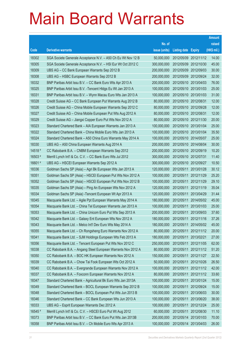|         |                                                              |               |                            |            | <b>Amount</b> |
|---------|--------------------------------------------------------------|---------------|----------------------------|------------|---------------|
|         |                                                              | No. of        |                            |            | raised        |
| Code    | <b>Derivative warrants</b>                                   | issue (units) | <b>Listing date Expiry</b> |            | (HK\$ mil.)   |
| 18302   | SGA Societe Generale Acceptance N.V. - A50 Ch Eu Wt Nov 12 B | 50,000,000    | 2012/05/09 2012/11/12      |            | 14.00         |
| 18305   | SGA Societe Generale Acceptance N.V. - HSI Eur Wt Oct 2012 C | 300,000,000   | 2012/05/09 2012/10/30      |            | 45.00         |
| 18309   | UBS AG - CC Bank European Warrants Sep 2012 B                | 200,000,000   | 2012/05/09 2012/09/03      |            | 30.00         |
| 18308   | UBS AG - HSBC European Warrants Sep 2012 B                   | 200,000,000   | 2012/05/09 2012/09/24      |            | 32.00         |
| 18332   | BNP Paribas Arbit Issu B.V. - CC Bank Euro Wts Apr 2013 A    | 200,000,000   | 2012/05/10 2013/04/03      |            | 76.00         |
| 18325   | BNP Paribas Arbit Issu B.V. - Tencent HIdgs Eu Wt Jan 2013 A | 100,000,000   | 2012/05/10 2013/01/03      |            | 25.00         |
| 18331   | BNP Paribas Arbit Issu B.V. - Wynn Macau Euro Wts Jan 2013 A | 100,000,000   | 2012/05/10 2013/01/03      |            | 31.00         |
| 18328   | Credit Suisse AG - CC Bank European Put Warrants Aug 2012 B  | 80,000,000    | 2012/05/10 2012/08/31      |            | 12.00         |
| 18326   | Credit Suisse AG - China Mobile European Warrants Sep 2012 C | 80,000,000    | 2012/05/10 2012/09/28      |            | 12.00         |
| 18327   | Credit Suisse AG - China Mobile European Put Wts Aug 2012 A  | 80,000,000    | 2012/05/10 2012/08/31      |            | 12.00         |
| 18329   | Credit Suisse AG - Jiangxi Copper Euro Put Wts Nov 2012 A    | 80,000,000    | 2012/05/10 2012/11/30      |            | 20.00         |
| 18323   | Standard Chartered Bank - AIA European Warrants Jan 2013 A   | 100,000,000   | 2012/05/10 2013/01/04      |            | 25.00         |
| 18322   | Standard Chartered Bank - China Mobile Euro Wts Jan 2013 A   | 100,000,000   | 2012/05/10 2013/01/04      |            | 35.50         |
| 18324   | Standard Chartered Bank - A50 China Euro Warrants May 2014 A | 100,000,000   | 2012/05/10 2014/05/07      |            | 25.00         |
| 18330   | UBS AG - A50 China European Warrants Aug 2014 A              | 200,000,000   | 2012/05/10 2014/08/04      |            | 30.00         |
| 14518 # | CC Rabobank B.A. - CNBM European Warrants Sep 2012           | 200,000,000   | 2012/05/10 2012/09/19      |            | 10.20         |
| 16503 # | Merrill Lynch Int'l & Co. C.V. - CC Bank Euro Wts Jul 2012   | 300,000,000   | 2012/05/10 2012/07/31      |            | 11.40         |
| 16601 # | UBS AG - HSCEI European Warrants Sep 2012 A                  | 300,000,000   | 2012/05/10 2012/09/27      |            | 10.50         |
| 18336   | Goldman Sachs SP (Asia) - Agri Bk European Wts Jan 2013 A    | 120,000,000   | 2012/05/11                 | 2013/01/28 | 30.12         |
| 18351   | Goldman Sachs SP (Asia) - HSCEI European Put Wts Nov 2012 A  | 100,000,000   | 2012/05/11 2012/11/29      |            | 25.20         |
| 18352   | Goldman Sachs SP (Asia) - HSCEI European Put Wts Nov 2012 B  | 100,000,000   | 2012/05/11                 | 2012/11/29 | 29.10         |
| 18335   | Goldman Sachs SP (Asia) - Ping An European Wts Nov 2012 A    | 120,000,000   | 2012/05/11                 | 2012/11/19 | 35.04         |
| 18334   | Goldman Sachs SP (Asia) - Tencent European Wt Apr 2013 A     | 120,000,000   | 2012/05/11                 | 2013/04/29 | 31.44         |
| 18345   | Macquarie Bank Ltd. - Agile Ppt European Warrants May 2014 A | 180,000,000   | 2012/05/11 2014/05/02      |            | 45.00         |
| 18354   | Macquarie Bank Ltd. - China Tel European Warrants Jan 2013 A | 100,000,000   | 2012/05/11                 | 2013/01/03 | 25.00         |
| 18353   | Macquarie Bank Ltd. - China Unicom Euro Put Wts Sep 2013 A   | 200,000,000   | 2012/05/11                 | 2013/09/03 | 37.60         |
| 18342   | Macquarie Bank Ltd. - Galaxy Ent European Wts Nov 2012 A     | 180,000,000   | 2012/05/11 2012/11/16      |            | 37.26         |
| 18343   | Macquarie Bank Ltd. - Melco Int'l Dev Euro Wts May 2014 A    | 180,000,000   | 2012/05/11 2014/05/02      |            | 45.00         |
| 18355   | Macquarie Bank Ltd. - Ch Rongsheng Euro Warrants Nov 2012 A  | 80,000,000    | 2012/05/11                 | 2012/11/12 | 20.00         |
| 18341   | Macquarie Bank Ltd. - SJM Holdings European Wts Feb 2013 A   | 180,000,000   | 2012/05/11                 | 2013/02/21 | 27.00         |
| 18356   | Macquarie Bank Ltd. - Tencent European Put Wts Nov 2012 C    | 250,000,000   | 2012/05/11                 | 2012/11/05 | 62.00         |
| 18338   | CC Rabobank B.A. - Angang Steel European Warrants Nov 2012 A | 80,000,000    | 2012/05/11                 | 2012/11/12 | 51.20         |
| 18350   | CC Rabobank B.A. - BOC HK European Warrants Nov 2012 A       | 150,000,000   | 2012/05/11                 | 2012/11/27 | 22.50         |
| 18339   | CC Rabobank B.A. - Chow Tai Fook European Wts Oct 2012 A     | 50,000,000    | 2012/05/11                 | 2012/10/26 | 26.50         |
| 18340   | CC Rabobank B.A. - Evergrande European Warrants Nov 2012 A   | 100,000,000   | 2012/05/11                 | 2012/11/12 | 42.00         |
| 18337   | CC Rabobank B.A. - Foxconn European Warrants Nov 2012 A      | 80,000,000    | 2012/05/11                 | 2012/11/12 | 33.60         |
| 18347   | Standard Chartered Bank - Agricultural Bk Euro Wts Jan 2013A | 100,000,000   | 2012/05/11                 | 2013/01/24 | 15.00         |
| 18349   | Standard Chartered Bank - BOCL European Warrants Sep 2012 B  | 100,000,000   | 2012/05/11                 | 2012/09/24 | 15.00         |
| 18348   | Standard Chartered Bank - BOCL European Put Wts Jun 2013 B   | 100,000,000   | 2012/05/11                 | 2013/06/03 | 30.00         |
| 18346   | Standard Chartered Bank - CC Bank European Wts Jun 2013 A    | 100,000,000   | 2012/05/11                 | 2013/06/20 | 38.00         |
| 18333   | UBS AG - Esprit European Warrants Dec 2012 A                 | 100,000,000   | 2012/05/11                 | 2012/12/24 | 25.00         |
| 16545 # | Merrill Lynch Int'l & Co. C.V. - HSCEI Euro Put Wt Aug 2012  | 60,000,000    | 2012/05/11                 | 2012/08/30 | 11.10         |
| 18373   | BNP Paribas Arbit Issu B.V. - CC Bank Euro Put Wts Jan 2013B | 200,000,000   | 2012/05/14                 | 2013/01/03 | 70.00         |
| 18358   | BNP Paribas Arbit Issu B.V. - Ch Mobile Euro Wts Apr 2013 A  | 100,000,000   | 2012/05/14                 | 2013/04/03 | 26.00         |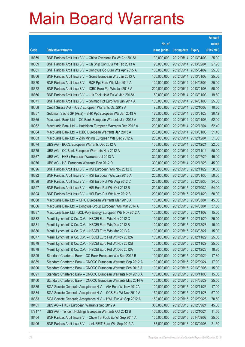|        |                                                               |               |                            |                       | <b>Amount</b> |
|--------|---------------------------------------------------------------|---------------|----------------------------|-----------------------|---------------|
|        |                                                               | No. of        |                            |                       | raised        |
| Code   | <b>Derivative warrants</b>                                    | issue (units) | <b>Listing date Expiry</b> |                       | (HK\$ mil.)   |
| 18359  | BNP Paribas Arbit Issu B.V. - China Overseas Eu Wt Apr 2013A  | 100,000,000   | 2012/05/14                 | 2013/04/03            | 25.00         |
| 18369  | BNP Paribas Arbit Issu B.V. - Ch Ship Cont Eur Wt Feb 2013 A  | 90,000,000    | 2012/05/14 2013/02/04      |                       | 27.90         |
| 18361  | BNP Paribas Arbit Issu B.V. - Dongyue Gp Euro Wts Apr 2015 A  | 100,000,000   | 2012/05/14                 | 2015/04/02            | 25.00         |
| 18366  | BNP Paribas Arbit Issu B.V. - Gome European Wts Jan 2013 A    | 100,000,000   |                            | 2012/05/14 2013/01/03 | 25.00         |
| 18370  | BNP Paribas Arbit Issu B.V. - R&F Ppt Euro Wts Mar 2014 A     | 100,000,000   |                            | 2012/05/14 2014/03/04 | 25.00         |
| 18372  | BNP Paribas Arbit Issu B.V. - ICBC Euro Put Wts Jan 2013 A    | 200,000,000   |                            | 2012/05/14 2013/01/03 | 50.00         |
| 18360  | BNP Paribas Arbit Issu B.V. - Luk Fook Hold Eu Wt Jan 2013A   | 60,000,000    | 2012/05/14                 | 2013/01/03            | 19.80         |
| 18371  | BNP Paribas Arbit Issu B.V. - Shimao Ppt Euro Wts Jan 2014 A  | 100,000,000   | 2012/05/14 2014/01/03      |                       | 25.00         |
| 18368  | Credit Suisse AG - ICBC European Warrants Oct 2012 A          | 70,000,000    |                            | 2012/05/14 2012/10/08 | 10.50         |
| 18357  | Goldman Sachs SP (Asia) - SHK Ppt European Wts Jan 2013 A     | 120,000,000   | 2012/05/14 2013/01/28      |                       | 30.12         |
| 18365  | Macquarie Bank Ltd. - CC Bank European Warrants Jan 2013 A    | 200,000,000   | 2012/05/14                 | 2013/01/03            | 52.00         |
| 18362  | Macquarie Bank Ltd. - Hutchison European Warrants Dec 2012 A  | 200,000,000   | 2012/05/14 2012/12/04      |                       | 52.40         |
| 18364  | Macquarie Bank Ltd. - ICBC European Warrants Jan 2013 A       | 200,000,000   |                            | 2012/05/14 2013/01/03 | 51.40         |
| 18363  | Macquarie Bank Ltd. - Zijin Mining European Wts Dec 2012 A    | 200,000,000   | 2012/05/14 2012/12/04      |                       | 51.80         |
| 18374  | UBS AG - BOCL European Warrants Dec 2012 A                    | 100,000,000   | 2012/05/14 2012/12/21      |                       | 22.00         |
| 18375  | UBS AG – CC Bank European Warrants Nov 2012 A                 | 200,000,000   | 2012/05/14 2012/11/14      |                       | 50.00         |
| 18367  | UBS AG - HKEx European Warrants Jul 2013 A                    | 300,000,000   | 2012/05/14 2013/07/29      |                       | 45.00         |
| 18376  | UBS AG - HSI European Warrants Dec 2012 D                     | 300,000,000   | 2012/05/14 2012/12/28      |                       | 45.00         |
| 18396  | BNP Paribas Arbit Issu B.V. - HSI European Wts Nov 2012 C     | 200,000,000   | 2012/05/15 2012/11/29      |                       | 50.00         |
| 18392  | BNP Paribas Arbit Issu B.V. - HSI European Wts Jan 2013 A     | 200,000,000   | 2012/05/15 2013/01/30      |                       | 50.00         |
| 18398  | BNP Paribas Arbit Issu B.V. - HSI Euro Put Wts Aug 2012 C     | 200,000,000   |                            | 2012/05/15 2012/08/30 | 34.00         |
| 18397  | BNP Paribas Arbit Issu B.V. - HSI Euro Put Wts Oct 2012 B     | 200,000,000   |                            | 2012/05/15 2012/10/30 | 54.00         |
| 18394  | BNP Paribas Arbit Issu B.V. - HSI Euro Put Wts Nov 2012 B     | 200,000,000   | 2012/05/15 2012/11/29      |                       | 50.00         |
| 18388  | Macquarie Bank Ltd. - CPIC European Warrants Mar 2013 A       | 180,000,000   | 2012/05/15 2013/03/04      |                       | 45.00         |
| 18386  | Macquarie Bank Ltd. - Dongyue Group European Wts Mar 2014 A   | 150,000,000   |                            | 2012/05/15 2014/03/04 | 37.50         |
| 18387  | Macquarie Bank Ltd. - GCL-Poly Energy European Wts Nov 2012 A | 100,000,000   | 2012/05/15 2012/11/02      |                       | 15.00         |
| 18382  | Merrill Lynch Int'l & Co. C.V. - HSCEI Euro Wts Nov 2012 C    | 100,000,000   | 2012/05/15 2012/11/29      |                       | 25.00         |
| 18381  | Merrill Lynch Int'l & Co. C.V. - HSCEI Euro Wts Dec 2012 B    | 100,000,000   | 2012/05/15 2012/12/28      |                       | 15.10         |
| 18380  | Merrill Lynch Int'l & Co. C.V. - HSCEI Euro Wts Mar 2013 A    | 100,000,000   | 2012/05/15 2013/03/27      |                       | 15.00         |
| 18377  | Merrill Lynch Int'l & Co. C.V. - HSCEI Euro Put Wt Nov 2012A  | 100,000,000   | 2012/05/15 2012/11/29      |                       | 25.00         |
| 18379  | Merrill Lynch Int'l & Co. C.V. - HSCEI Euro Put Wt Nov 2012B  | 100,000,000   | 2012/05/15 2012/11/29      |                       | 25.00         |
| 18378  | Merrill Lynch Int'l & Co. C.V. - HSCEI Euro Put Wt Dec 2012A  | 100,000,000   | 2012/05/15 2012/12/28      |                       | 18.80         |
| 18399  | Standard Chartered Bank - CC Bank European Wts Sep 2012 B     | 100,000,000   | 2012/05/15 2012/09/24      |                       | 17.60         |
| 18389  | Standard Chartered Bank - CNOOC European Warrants Sep 2012 A  | 100,000,000   | 2012/05/15 2012/09/24      |                       | 17.00         |
| 18390  | Standard Chartered Bank - CNOOC European Warrants Feb 2013 A  | 100,000,000   | 2012/05/15 2013/02/06      |                       | 15.00         |
| 18391  | Standard Chartered Bank - CNOOC European Warrants Nov 2013 A  | 100,000,000   | 2012/05/15 2013/11/08      |                       | 15.00         |
| 18400  | Standard Chartered Bank - CNOOC European Warrants May 2014 A  | 100,000,000   | 2012/05/15 2014/05/29      |                       | 25.00         |
| 18385  | SGA Societe Generale Acceptance N.V. - AIA Euro Wt Nov 2012A  | 100,000,000   | 2012/05/15 2012/11/26      |                       | 17.00         |
| 18384  | SGA Societe Generale Acceptance N.V. - CCB Eur Wt Nov 2012 A  | 150,000,000   | 2012/05/15 2012/11/28      |                       | 57.00         |
| 18383  | SGA Societe Generale Acceptance N.V. - HWL Eur Wt Sep 2012 A  | 150,000,000   | 2012/05/15 2012/09/26      |                       | 70.50         |
| 18401  | UBS AG - HKEx European Warrants Sep 2012 A                    | 300,000,000   | 2012/05/15 2012/09/24      |                       | 45.00         |
| 17817# | UBS AG - Tencent Holdings European Warrants Oct 2012 B        | 100,000,000   | 2012/05/15 2012/10/24      |                       | 11.50         |
| 18404  | BNP Paribas Arbit Issu B.V. - Chow Tai Fook Eu Wt Sep 2014 A  | 100,000,000   | 2012/05/16 2014/09/02      |                       | 25.00         |
| 18406  | BNP Paribas Arbit Issu B.V. - Link REIT Euro Wts Sep 2013 A   | 86,000,000    | 2012/05/16 2013/09/03      |                       | 21.50         |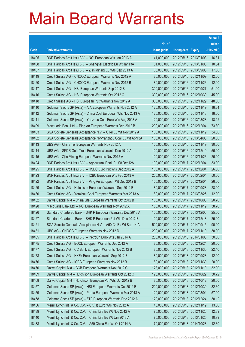|       |                                                              |               |                            | <b>Amount</b> |
|-------|--------------------------------------------------------------|---------------|----------------------------|---------------|
|       |                                                              | No. of        |                            | raised        |
| Code  | <b>Derivative warrants</b>                                   | issue (units) | <b>Listing date Expiry</b> | (HK\$ mil.)   |
| 18405 | BNP Paribas Arbit Issu B.V. - NCI European Wts Jan 2013 A    | 41,000,000    | 2012/05/16 2013/01/03      | 16.81         |
| 18408 | BNP Paribas Arbit Issu B.V. - Shanghai Electric Eu Wt Jan13A | 31,000,000    | 2012/05/16 2013/01/03      | 10.54         |
| 18407 | BNP Paribas Arbit Issu B.V. - Zijin Mining Eu Wts Sep 2013 A | 68,000,000    | 2012/05/16 2013/09/03      | 17.68         |
| 18419 | Credit Suisse AG – CNOOC European Warrants Nov 2012 A        | 80,000,000    | 2012/05/16 2012/11/09      | 12.00         |
| 18420 | Credit Suisse AG - CNOOC European Warrants Nov 2012 B        | 80,000,000    | 2012/05/16 2012/11/26      | 12.00         |
| 18417 | Credit Suisse AG - HSI European Warrants Sep 2012 B          | 300,000,000   | 2012/05/16 2012/09/27      | 51.00         |
| 18416 | Credit Suisse AG - HSI European Warrants Oct 2012 C          | 300,000,000   | 2012/05/16 2012/10/30      | 45.00         |
| 18418 | Credit Suisse AG - HSI European Put Warrants Nov 2012 A      | 300,000,000   | 2012/05/16 2012/11/29      | 48.00         |
| 18410 | Goldman Sachs SP (Asia) – AIA European Warrants Nov 2012 A   | 120,000,000   | 2012/05/16 2012/11/19      | 18.84         |
| 18412 | Goldman Sachs SP (Asia) - China Coal European Wts Nov 2013 A | 120,000,000   | 2012/05/16 2013/11/18      | 18.00         |
| 18411 | Goldman Sachs SP (Asia) - Yanzhou Coal Euro Wts Aug 2013 A   | 120,000,000   | 2012/05/16 2013/08/28      | 18.12         |
| 18409 | Macquarie Bank Ltd. - Ping An European Warrants Dec 2012 B   | 200,000,000   | 2012/05/16 2012/12/04      | 73.80         |
| 18403 | SGA Societe Generale Acceptance N.V. - CTel Eu Wt Nov 2012 A | 100,000,000   | 2012/05/16 2012/11/19      | 34.00         |
| 18402 | SGA Societe Generale Acceptance NV-Yanzhou Coal Eu Wt Apr13A | 100,000,000   | 2012/05/16 2013/04/03      | 20.00         |
| 18413 | UBS AG - China Tel European Warrants Nov 2012 A              | 100,000,000   | 2012/05/16 2012/11/19      | 30.00         |
| 18414 | UBS AG - SPDR Gold Trust European Warrants Dec 2012 A        | 100,000,000   | 2012/05/16 2012/12/10      | 56.00         |
| 18415 | UBS AG - Zijin Mining European Warrants Nov 2012 A           | 100,000,000   | 2012/05/16 2012/11/26      | 26.00         |
| 18424 | BNP Paribas Arbit Issu B.V. - Agricultural Bank Eu Wt Dec12A | 100,000,000   | 2012/05/17 2012/12/04      | 33.00         |
| 18425 | BNP Paribas Arbit Issu B.V. - HSBC Euro Put Wts Dec 2012 A   | 100,000,000   | 2012/05/17 2012/12/04      | 26.00         |
| 18423 | BNP Paribas Arbit Issu B.V. - ICBC European Wts Feb 2013 A   | 200,000,000   | 2012/05/17 2013/02/04      | 50.00         |
| 18422 | BNP Paribas Arbit Issu B.V. - Ping An European Wt Dec 2012 B | 100,000,000   | 2012/05/17 2012/12/04      | 26.00         |
| 18429 | Credit Suisse AG - Hutchison European Warrants Sep 2012 B    | 80,000,000    | 2012/05/17 2012/09/28      | 28.00         |
| 18430 | Credit Suisse AG - Yanzhou Coal European Warrants Mar 2013 A | 80,000,000    | 2012/05/17 2013/03/25      | 12.00         |
| 18432 | Daiwa Capital Mkt - China Life European Warrants Oct 2012 B  | 138,000,000   | 2012/05/17 2012/10/08      | 20.70         |
| 18428 | Macquarie Bank Ltd. - NCI European Warrants Nov 2012 A       | 150,000,000   | 2012/05/17 2012/11/19      | 38.70         |
| 18426 | Standard Chartered Bank - SHK P European Warrants Dec 2013 A | 100,000,000   | 2012/05/17 2013/12/06      | 25.00         |
| 18427 | Standard Chartered Bank - SHK P European Put Wts Dec 2012 B  | 100,000,000   | 2012/05/17 2012/12/18      | 25.00         |
| 18421 | SGA Societe Generale Acceptance N.V. - A50 Ch Eu Wt Sep 14 A | 500,000,000   | 2012/05/17 2014/09/15      | 90.00         |
| 18431 | UBS AG - CNOOC European Warrants Nov 2012 D                  | 200,000,000   | 2012/05/17 2012/11/19      | 30.00         |
| 18465 | BNP Paribas Arbit Issu B.V. - PetroCh Euro Wts Jan 2014 A    | 200,000,000   | 2012/05/18 2014/01/03      | 30.00         |
| 18475 | Credit Suisse AG - BOCL European Warrants Dec 2012 A         | 80,000,000    | 2012/05/18 2012/12/24      | 20.00         |
| 18477 | Credit Suisse AG - CC Bank European Warrants Nov 2012 B      | 80,000,000    | 2012/05/18 2012/11/30      | 22.40         |
| 18478 | Credit Suisse AG - HKEx European Warrants Sep 2012 B         | 80,000,000    | 2012/05/18 2012/09/28      | 12.00         |
| 18476 | Credit Suisse AG - ICBC European Warrants Nov 2012 B         | 80,000,000    | 2012/05/18 2012/11/30      | 20.00         |
| 18470 | Daiwa Capital Mkt - CCB European Warrants Nov 2012 C         | 128,000,000   | 2012/05/18 2012/11/19      | 32.00         |
| 18469 | Daiwa Capital Mkt - Hutchison European Warrants Oct 2012 C   | 128,000,000   | 2012/05/18 2012/10/22      | 30.72         |
| 18468 | Daiwa Capital Mkt - Hutchison European Put Wts Oct 2012 B    | 80,000,000    | 2012/05/18 2012/10/12      | 20.00         |
| 18457 | Goldman Sachs SP (Asia) - HSI European Warrants Oct 2012 B   | 200,000,000   | 2012/05/18 2012/10/30      | 32.60         |
| 18459 | Goldman Sachs SP (Asia) - Prada European Warrants Mar 2013 A | 120,000,000   | 2012/05/18 2013/03/04      | 57.00         |
| 18458 | Goldman Sachs SP (Asia) - ZTE European Warrants Dec 2012 A   | 120,000,000   | 2012/05/18 2012/12/24      | 30.12         |
| 18436 | Merrill Lynch Int'l & Co. C.V. - CK(H) Euro Wts Nov 2012 A   | 40,000,000    | 2012/05/18 2012/11/19      | 13.80         |
| 18439 | Merrill Lynch Int'l & Co. C.V. - China Life Eu Wt Nov 2012 A | 70,000,000    | 2012/05/18 2012/11/26      | 12.39         |
| 18440 | Merrill Lynch Int'l & Co. C.V. - China Life Eu Wt Jan 2013 A | 70,000,000    | 2012/05/18 2013/01/25      | 10.99         |
| 18438 | Merrill Lynch Int'l & Co. C.V. - A50 China Eur Wt Oct 2014 A | 70,000,000    | 2012/05/18 2014/10/28      | 12.39         |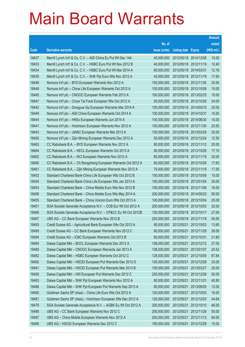|       |                                                              |               |                       |            | <b>Amount</b> |
|-------|--------------------------------------------------------------|---------------|-----------------------|------------|---------------|
|       |                                                              | No. of        |                       |            | raised        |
| Code  | <b>Derivative warrants</b>                                   | issue (units) | Listing date Expiry   |            | (HK\$ mil.)   |
| 18437 | Merrill Lynch Int'l & Co. C.V. - A50 China Eu Put Wt Dec 14A | 40,000,000    | 2012/05/18 2014/12/08 |            | 10.00         |
| 18433 | Merrill Lynch Int'l & Co. C.V. - HSBC Euro Put Wt Nov 2012 B | 40,000,000    | 2012/05/18 2012/11/19 |            | 12.40         |
| 18434 | Merrill Lynch Int'l & Co. C.V. - HSBC Euro Put Wt Mar 2014 A | 80,000,000    | 2012/05/18 2014/03/31 |            | 12.16         |
| 18435 | Merrill Lynch Int'l & Co. C.V. - SHK Ppt Euro Wts Nov 2012 A | 40,000,000    | 2012/05/18 2012/11/19 |            | 17.60         |
| 18446 | Nomura Int'l plc – BYD European Warrants Nov 2012 A          | 100,000,000   | 2012/05/18 2012/11/30 |            | 25.00         |
| 18448 | Nomura Int'l plc - China Life European Warrants Oct 2012 A   | 100,000,000   | 2012/05/18 2012/10/08 |            | 15.00         |
| 18445 | Nomura Int'l plc - CNOOC European Warrants Feb 2013 A        | 100,000,000   | 2012/05/18 2013/02/25 |            | 15.00         |
| 18447 | Nomura Int'l plc - Chow Tai Fook European Wts Oct 2012 A     | 50,000,000    | 2012/05/18 2012/10/26 |            | 24.00         |
| 18442 | Nomura Int'l plc - Dongyue Gp European Warrants Mar 2014 A   | 100,000,000   | 2012/05/18 2014/03/10 |            | 25.00         |
| 18449 | Nomura Int'l plc - A50 China European Warrants Oct 2014 A    | 100,000,000   | 2012/05/18 2014/10/31 |            | 15.50         |
| 18444 | Nomura Int'l plc - HKEx European Warrants Jun 2014 A         | 100,000,000   | 2012/05/18 2014/06/30 |            | 15.00         |
| 18441 | Nomura Int'l plc - Hutchison European Warrants Nov 2012 A    | 100,000,000   | 2012/05/18 2012/11/30 |            | 25.50         |
| 18443 | Nomura Int'l plc - JIANC European Warrants Mar 2013 A        | 100,000,000   | 2012/05/18 2013/03/28 |            | 25.00         |
| 18450 | Nomura Int'l plc - Zijin Mining European Warrants Dec 2012 A | 50,000,000    | 2012/05/18 2012/12/24 |            | 12.50         |
| 18463 | CC Rabobank B.A. - BYD European Warrants Nov 2012 A          | 80,000,000    | 2012/05/18 2012/11/12 |            | 20.00         |
| 18464 | CC Rabobank B.A. - KECL European Warrants Oct 2013 A         | 90,000,000    | 2012/05/18 2013/10/28 |            | 17.10         |
| 18462 | CC Rabobank B.A. - NCI European Warrants Nov 2012 A          | 80,000,000    | 2012/05/18 2012/11/19 |            | 20.00         |
| 18460 | CC Rabobank B.A. - Ch Rongsheng European Warrants Oct 2012 A | 80,000,000    | 2012/05/18 2012/10/29 |            | 17.60         |
| 18461 | CC Rabobank B.A. - Zijin Mining European Warrants Nov 2012 A | 70,000,000    | 2012/05/18 2012/11/19 |            | 17.50         |
| 18452 | Standard Chartered Bank-China Life European Wts Oct 2012 B   | 100,000,000   | 2012/05/18 2012/10/08 |            | 15.00         |
| 18454 | Standard Chartered Bank-China Life European Wts Jan 2013 A   | 100,000,000   | 2012/05/18 2013/01/04 |            | 25.00         |
| 18453 | Standard Chartered Bank – China Mobile Euro Wts Nov 2012 B   | 100,000,000   | 2012/05/18 2012/11/06 |            | 16.00         |
| 18456 | Standard Chartered Bank - China Mobile Euro Wts May 2014 A   | 200,000,000   | 2012/05/18 2014/05/23 |            | 50.00         |
| 18455 | Standard Chartered Bank - China Unicom Euro Wts Oct 2013 A   | 100,000,000   | 2012/05/18 2013/10/04 |            | 25.00         |
| 18451 | SGA Societe Generale Acceptance N.V. - CCB Eur Wt Oct 2012 A | 200,000,000   | 2012/05/18 2012/10/03 |            | 32.00         |
| 18466 | SGA Societe Generale Acceptance N.V. - CP&CC Eu Wt Oct 2012B | 100,000,000   | 2012/05/18 2012/10/17 |            | 27.00         |
| 18467 | UBS AG – CC Bank European Warrants Nov 2012 B                | 200,000,000   | 2012/05/18 2012/11/19 |            | 50.00         |
| 18493 | Credit Suisse AG - Agricultural Bank European Wts Oct 2012 A | 80,000,000    | 2012/05/21 2012/10/03 |            | 13.60         |
| 18495 | Credit Suisse AG - CC Bank European Warrants Nov 2012 C      | 80,000,000    | 2012/05/21            | 2012/11/29 | 28.00         |
| 18494 | Credit Suisse AG - ICBC European Warrants Oct 2012 B         | 80,000,000    | 2012/05/21 2012/10/31 |            | 21.60         |
| 18484 | Daiwa Capital Mkt - BOCL European Warrants Dec 2012 A        | 108,000,000   | 2012/05/21            | 2012/12/12 | 27.00         |
| 18485 | Daiwa Capital Mkt - CNOOC European Warrants Jan 2013 A       | 108,000,000   | 2012/05/21 2013/01/07 |            | 20.52         |
| 18482 | Daiwa Capital Mkt - HSBC European Warrants Oct 2012 C        | 128,000,000   | 2012/05/21            | 2012/10/05 | 67.84         |
| 18492 | Daiwa Capital Mkt - HSCEI European Put Warrants Dec 2012 D   | 100,000,000   | 2012/05/21 2012/12/28 |            | 33.00         |
| 18491 | Daiwa Capital Mkt - HSCEI European Put Warrants Mar 2013 B   | 100,000,000   | 2012/05/21            | 2013/03/27 | 25.00         |
| 18490 | Daiwa Capital Mkt - HSI European Put Warrants Dec 2012 C     | 200,000,000   | 2012/05/21 2012/12/28 |            | 50.00         |
| 18483 | Daiwa Capital Mkt - SHK Ppt European Warrants Nov 2012 A     | 80,000,000    | 2012/05/21            | 2012/11/21 | 40.80         |
| 18486 | Daiwa Capital Mkt - SHK Ppt European Put Warrants Sep 2013 A | 80,000,000    | 2012/05/21 2013/09/25 |            | 12.00         |
| 18480 | Goldman Sachs SP (Asia) - China Life Euro Wts Oct 2012 A     | 120,000,000   | 2012/05/21            | 2012/10/03 | 18.00         |
| 18481 | Goldman Sachs SP (Asia) - Hutchison European Wts Dec 2012 A  | 120,000,000   | 2012/05/21            | 2012/12/03 | 44.64         |
| 18479 | SGA Societe Generale Acceptance N.V. - AGBK Eu Wt Oct 2012 A | 200,000,000   | 2012/05/21            | 2012/10/10 | 46.00         |
| 18488 | UBS AG - CC Bank European Warrants Nov 2012 C                | 200,000,000   | 2012/05/21 2012/11/26 |            | 50.00         |
| 18487 | UBS AG - China Mobile European Warrants Nov 2012 A           | 200,000,000   | 2012/05/21            | 2012/11/12 | 84.00         |
| 18489 | UBS AG - HSCEI European Warrants Dec 2012 C                  | 100,000,000   | 2012/05/21            | 2012/12/28 | 15.00         |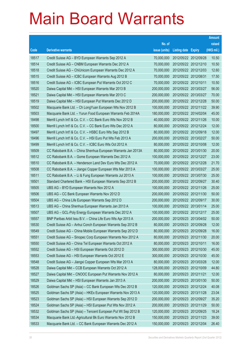|       |                                                              |               |                            | <b>Amount</b> |
|-------|--------------------------------------------------------------|---------------|----------------------------|---------------|
|       |                                                              | No. of        |                            | raised        |
| Code  | <b>Derivative warrants</b>                                   | issue (units) | <b>Listing date Expiry</b> | (HK\$ mil.)   |
| 18517 | Credit Suisse AG - BYD European Warrants Sep 2012 A          | 70,000,000    | 2012/05/22 2012/09/28      | 10.50         |
| 18514 | Credit Suisse AG - CNBM European Warrants Dec 2012 A         | 70,000,000    | 2012/05/22 2012/12/10      | 10.50         |
| 18518 | Credit Suisse AG - ChiUnicom European Warrants Dec 2012 A    | 70,000,000    | 2012/05/22 2012/12/03      | 12.60         |
| 18515 | Credit Suisse AG - ICBC European Warrants Aug 2012 B         | 70,000,000    | 2012/05/22 2012/08/31      | 17.50         |
| 18516 | Credit Suisse AG - ICBC European Put Warrants Oct 2012 C     | 70,000,000    | 2012/05/22 2012/10/11      | 10.50         |
| 18520 | Daiwa Capital Mkt - HSI European Warrants Mar 2013 B         | 200,000,000   | 2012/05/22 2013/03/27      | 56.00         |
| 18521 | Daiwa Capital Mkt - HSI European Warrants Mar 2013 C         | 200,000,000   | 2012/05/22 2013/03/27      | 70.00         |
| 18519 | Daiwa Capital Mkt - HSI European Put Warrants Dec 2012 D     | 200,000,000   | 2012/05/22 2012/12/28      | 50.00         |
| 18502 | Macquarie Bank Ltd. - Ch LongYuan European Wts Nov 2012 B    | 100,000,000   | 2012/05/22 2012/11/22      | 39.90         |
| 18503 | Macquarie Bank Ltd. - Yurun Food European Warrants Feb 2014A | 180,000,000   | 2012/05/22 2014/02/04      | 45.00         |
| 18498 | Merrill Lynch Int'l & Co. C.V. - CC Bank Euro Wts Nov 2012 B | 40,000,000    | 2012/05/22 2012/11/26      | 10.00         |
| 18500 | Merrill Lynch Int'l & Co. C.V. - CC Bank Euro Wts Dec 2012 A | 80,000,000    | 2012/05/22 2012/12/24      | 12.00         |
| 18497 | Merrill Lynch Int'l & Co. C.V. - HSBC Euro Wts Sep 2012 B    | 80,000,000    | 2012/05/22 2012/09/18      | 12.00         |
| 18496 | Merrill Lynch Int'l & Co. C.V. - HSI Euro Put Wts Feb 2013 A | 200,000,000   | 2012/05/22 2013/02/27      | 50.00         |
| 18499 | Merrill Lynch Int'l & Co. C.V. - ICBC Euro Wts Oct 2012 A    | 80,000,000    | 2012/05/22 2012/10/08      | 12.00         |
| 18509 | CC Rabobank B.A. - China Shenhua European Warrants Jan 2013A | 80,000,000    | 2012/05/22 2013/01/30      | 20.00         |
| 18512 | CC Rabobank B.A. - Gome European Warrants Dec 2012 A         | 100,000,000   | 2012/05/22 2012/12/27      | 23.00         |
| 18510 | CC Rabobank B.A. - Henderson Land Dev Euro Wts Dec 2012 A    | 70,000,000    | 2012/05/22 2012/12/28      | 21.70         |
| 18508 | CC Rabobank B.A. - Jiangxi Copper European Wts Mar 2013 A    | 100,000,000   | 2012/05/22 2013/03/27      | 25.00         |
| 18511 | CC Rabobank B.A. - Li & Fung European Warrants Jul 2013 A    | 100,000,000   | 2012/05/22 2013/07/30      | 25.00         |
| 18501 | Standard Chartered Bank - HSI European Warrants Sep 2012 B   | 200,000,000   | 2012/05/22 2012/09/27      | 30.40         |
| 18505 | UBS AG - BYD European Warrants Nov 2012 A                    | 100,000,000   | 2012/05/22 2012/11/26      | 25.00         |
| 18506 | UBS AG - CC Bank European Warrants Nov 2012 D                | 200,000,000   | 2012/05/22 2012/11/30      | 50.00         |
| 18504 | UBS AG - China Life European Warrants Sep 2012 D             | 200,000,000   | 2012/05/22 2012/09/17      | 30.00         |
| 18513 | UBS AG - China Shenhua European Warrants Jan 2013 A          | 100,000,000   | 2012/05/22 2013/01/14      | 25.00         |
| 18507 | UBS AG - GCL-Poly Energy European Warrants Dec 2012 A        | 100,000,000   | 2012/05/22 2012/12/17      | 25.00         |
| 18557 | BNP Paribas Arbit Issu B.V. - China Life Euro Wts Apr 2013 A | 200,000,000   | 2012/05/23 2013/04/02      | 50.00         |
| 18530 | Credit Suisse AG - Anhui Conch European Warrants Sep 2012 B  | 80,000,000    | 2012/05/23 2012/09/28      | 12.00         |
| 18549 | Credit Suisse AG - China Mobile European Warrants Sep 2012 D | 80,000,000    | 2012/05/23 2012/09/28      | 16.00         |
| 18551 | Credit Suisse AG - Sinopec Corp European Warrants Nov 2012 A | 80,000,000    | 2012/05/23 2012/11/30      | 20.00         |
| 18550 | Credit Suisse AG - China Tel European Warrants Oct 2012 A    | 80,000,000    | 2012/05/23 2012/10/11      | 16.00         |
| 18552 | Credit Suisse AG - HSI European Warrants Oct 2012 D          | 300,000,000   | 2012/05/23 2012/10/30      | 45.00         |
| 18553 | Credit Suisse AG - HSI European Warrants Oct 2012 E          | 300,000,000   | 2012/05/23 2012/10/30      | 45.00         |
| 18548 | Credit Suisse AG - Jiangxi Copper European Wts Mar 2013 A    | 80,000,000    | 2012/05/23 2013/03/28      | 12.00         |
| 18528 | Daiwa Capital Mkt - CCB European Warrants Oct 2012 A         | 128,000,000   | 2012/05/23 2012/10/09      | 44.80         |
| 18527 | Daiwa Capital Mkt - CNOOC European Put Warrants Nov 2012 A   | 80,000,000    | 2012/05/23 2012/11/21      | 12.00         |
| 18529 | Daiwa Capital Mkt - HSI European Warrants Jan 2013 A         | 200,000,000   | 2012/05/23 2013/01/30      | 50.00         |
| 18526 | Goldman Sachs SP (Asia) - CC Bank European Wts Dec 2012 B    | 120,000,000   | 2012/05/23 2012/12/24      | 40.08         |
| 18525 | Goldman Sachs SP (Asia) - HKEx European Warrants Nov 2013 A  | 120,000,000   | 2012/05/23 2013/11/28      | 23.04         |
| 18523 | Goldman Sachs SP (Asia) - HSI European Warrants Sep 2012 D   | 200,000,000   | 2012/05/23 2012/09/27      | 35.20         |
| 18524 | Goldman Sachs SP (Asia) - HSI European Put Wts Nov 2012 A    | 200,000,000   | 2012/05/23 2012/11/29      | 50.00         |
| 18532 | Goldman Sachs SP (Asia) - Tencent European Put Wt Sep 2012 B | 120,000,000   | 2012/05/23 2012/09/25      | 18.24         |
| 18534 | Macquarie Bank Ltd.-Agricultural Bk Euro Warrants Nov 2012 B | 150,000,000   | 2012/05/23 2012/11/23      | 39.00         |
| 18533 | Macquarie Bank Ltd. - CC Bank European Warrants Dec 2012 A   | 150,000,000   | 2012/05/23 2012/12/04      | 26.40         |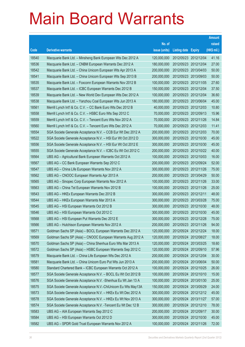|       |                                                               |               |                            | <b>Amount</b> |
|-------|---------------------------------------------------------------|---------------|----------------------------|---------------|
|       |                                                               | No. of        |                            | raised        |
| Code  | <b>Derivative warrants</b>                                    | issue (units) | <b>Listing date Expiry</b> | (HK\$ mil.)   |
| 18540 | Macquarie Bank Ltd. - Minsheng Bank European Wts Dec 2012 A   | 120,000,000   | 2012/05/23 2012/12/04      | 41.16         |
| 18536 | Macquarie Bank Ltd. - CNBM European Warrants Dec 2012 A       | 180,000,000   | 2012/05/23 2012/12/04      | 27.00         |
| 18542 | Macquarie Bank Ltd. - China Unicom European Wts Apr 2013 A    | 200,000,000   | 2012/05/23 2013/04/03      | 50.00         |
| 18541 | Macquarie Bank Ltd. - China Unicom European Wts Sep 2013 B    | 200,000,000   | 2012/05/23 2013/09/03      | 50.00         |
| 18535 | Macquarie Bank Ltd. - Foxconn European Warrants Nov 2012 B    | 100,000,000   | 2012/05/23 2012/11/05      | 27.60         |
| 18537 | Macquarie Bank Ltd. - ICBC European Warrants Dec 2012 B       | 150,000,000   | 2012/05/23 2012/12/04      | 37.50         |
| 18539 | Macquarie Bank Ltd. - New World Dev European Wts Dec 2012 A   | 100,000,000   | 2012/05/23 2012/12/04      | 36.60         |
| 18538 | Macquarie Bank Ltd. - Yanzhou Coal European Wts Jun 2013 A    | 180,000,000   | 2012/05/23 2013/06/04      | 45.00         |
| 18561 | Merrill Lynch Int'l & Co. C.V. - CC Bank Euro Wts Dec 2012 B  | 40,000,000    | 2012/05/23 2012/12/03      | 10.80         |
| 18558 | Merrill Lynch Int'l & Co. C.V. - HSBC Euro Wts Sep 2012 C     | 70,000,000    | 2012/05/23 2012/09/13      | 15.96         |
| 18559 | Merrill Lynch Int'l & Co. C.V. - Tencent Euro Wts Nov 2012 A  | 70,000,000    | 2012/05/23 2012/11/26      | 14.84         |
| 18560 | Merrill Lynch Int'l & Co. C.V. - Tencent Euro Wts Dec 2012 A  | 70,000,000    | 2012/05/23 2012/12/03      | 11.41         |
| 18554 | SGA Societe Generale Acceptance N.V. - CCB Eur Wt Dec 2012 A  | 200,000,000   | 2012/05/23 2012/12/03      | 70.00         |
| 18522 | SGA Societe Generale Acceptance N.V. - HSI Eur Wt Oct 2012 D  | 300,000,000   | 2012/05/23 2012/10/30      | 45.00         |
| 18556 | SGA Societe Generale Acceptance N.V. - HSI Eur Wt Oct 2012 E  | 300,000,000   | 2012/05/23 2012/10/30      | 45.00         |
| 18555 | SGA Societe Generale Acceptance N.V. - ICBC Eu Wt Oct 2012 C  | 200,000,000   | 2012/05/23 2012/10/22      | 40.00         |
| 18564 | UBS AG - Agricultural Bank European Warrants Oct 2012 A       | 100,000,000   | 2012/05/23 2012/10/03      | 16.00         |
| 18567 | UBS AG - CC Bank European Warrants Sep 2012 C                 | 200,000,000   | 2012/05/23 2012/09/24      | 52.00         |
| 18547 | UBS AG - China Life European Warrants Nov 2012 A              | 300,000,000   | 2012/05/23 2012/11/26      | 75.00         |
| 18562 | UBS AG - CNOOC European Warrants Apr 2013 A                   | 200,000,000   | 2012/05/23 2013/04/29      | 50.00         |
| 18565 | UBS AG - Sinopec Corp European Warrants Nov 2012 A            | 100,000,000   | 2012/05/23 2012/11/26      | 33.00         |
| 18563 | UBS AG - China Tel European Warrants Nov 2012 B               | 100,000,000   | 2012/05/23 2012/11/26      | 25.00         |
| 18543 | UBS AG - HKEx European Warrants Dec 2012 B                    | 300,000,000   | 2012/05/23 2012/12/11      | 48.00         |
| 18544 | UBS AG - HKEx European Warrants Mar 2013 A                    | 300,000,000   | 2012/05/23 2013/03/28      | 75.00         |
| 18545 | UBS AG - HSI European Warrants Oct 2012 B                     | 300,000,000   | 2012/05/23 2012/10/30      | 48.00         |
| 18546 | UBS AG - HSI European Warrants Oct 2012 C                     | 300,000,000   | 2012/05/23 2012/10/30      | 45.00         |
| 18568 | UBS AG - HSI European Put Warrants Dec 2012 E                 | 300,000,000   | 2012/05/23 2012/12/28      | 75.00         |
| 18566 | UBS AG - Hutchison European Warrants Nov 2012 A               | 200,000,000   | 2012/05/23 2012/11/26      | 94.00         |
| 18571 | Goldman Sachs SP (Asia) - BOCL European Warrants Dec 2012 A   | 120,000,000   | 2012/05/24 2012/12/24      | 18.00         |
| 18569 | Goldman Sachs SP (Asia) - CNOOC European Warrants Aug 2012 A  | 120,000,000   | 2012/05/24 2012/08/27      | 18.00         |
| 18570 | Goldman Sachs SP (Asia) - China Shenhua Euro Wts Mar 2013 A   | 120,000,000   | 2012/05/24 2013/03/25      | 18.60         |
| 18572 | Goldman Sachs SP (Asia) - HSBC European Warrants Sep 2012 C   | 120,000,000   | 2012/05/24 2012/09/10      | 57.96         |
| 18579 | Macquarie Bank Ltd. - China Life European Wts Dec 2012 A      | 200,000,000   | 2012/05/24 2012/12/04      | 30.00         |
| 18581 | Macquarie Bank Ltd. - China Unicom Euro Put Wts Jun 2013 A    | 200,000,000   | 2012/05/24 2013/06/04      | 50.00         |
| 18580 | Standard Chartered Bank - ICBC European Warrants Oct 2012 A   | 100,000,000   | 2012/05/24 2012/10/25      | 26.00         |
| 18577 | SGA Societe Generale Acceptance N.V. - BOCL Eu Wt Oct 2012 B  | 100,000,000   | 2012/05/24 2012/10/10      | 15.00         |
| 18576 | SGA Societe Generale Acceptance N.V. - Shenhua Eu Wt Jan 13 A | 100,000,000   | 2012/05/24 2013/01/30      | 25.00         |
| 18575 | SGA Societe Generale Acceptance N.V.-ChiUnicom Eu Wts May13A  | 150,000,000   | 2012/05/24 2013/05/29      | 24.00         |
| 18573 | SGA Societe Generale Acceptance N.V. - HKEx Eu Wt Dec 2012 A  | 300,000,000   | 2012/05/24 2012/12/12      | 45.00         |
| 18578 | SGA Societe Generale Acceptance N.V. - HKEx Eu Wt Nov 2013 A  | 300,000,000   | 2012/05/24 2013/11/27      | 57.00         |
| 18574 | SGA Societe Generale Acceptance N.V. - Tencent Eu Wt Dec 12 B | 300,000,000   | 2012/05/24 2012/12/10      | 78.00         |
| 18583 | UBS AG - AIA European Warrants Sep 2012 C                     | 200,000,000   | 2012/05/24 2012/09/17      | 30.00         |
| 18584 | UBS AG - HSI European Warrants Oct 2012 D                     | 300,000,000   | 2012/05/24 2012/10/30      | 45.00         |
| 18582 | UBS AG - SPDR Gold Trust European Warrants Nov 2012 A         | 100,000,000   | 2012/05/24 2012/11/26      | 72.00         |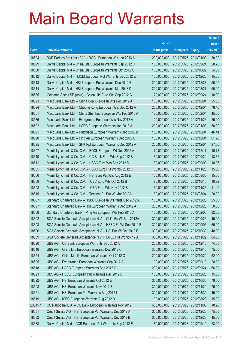|         |                                                               |               |                            | <b>Amount</b> |
|---------|---------------------------------------------------------------|---------------|----------------------------|---------------|
|         |                                                               | No. of        |                            | raised        |
| Code    | <b>Derivative warrants</b>                                    | issue (units) | <b>Listing date Expiry</b> | (HK\$ mil.)   |
| 18604   | BNP Paribas Arbit Issu B.V. - BOCL European Wts Jan 2013 A    | 200,000,000   | 2012/05/25 2013/01/03      | 30.00         |
| 18599   | Daiwa Capital Mkt - China Life European Warrants Sep 2012 C   | 138,000,000   | 2012/05/25 2012/09/24      | 20.70         |
| 18600   | Daiwa Capital Mkt - China Life European Warrants Oct 2012 C   | 138,000,000   | 2012/05/25 2012/10/22      | 34.50         |
| 18612   | Daiwa Capital Mkt - HSCEI European Put Warrants Dec 2012 E    | 100,000,000   | 2012/05/25 2012/12/28      | 15.00         |
| 18613   | Daiwa Capital Mkt - HSI European Put Warrants Dec 2012 E      | 200,000,000   | 2012/05/25 2012/12/28      | 50.00         |
| 18614   | Daiwa Capital Mkt - HSI European Put Warrants Mar 2013 D      | 200,000,000   | 2012/05/25 2013/03/27      | 50.00         |
| 18585   | Goldman Sachs SP (Asia) - China Life Euro Wts Sep 2012 C      | 120,000,000   | 2012/05/25 2012/09/24      | 18.00         |
| 18593   | Macquarie Bank Ltd. - China Coal European Wts Dec 2012 A      | 100,000,000   | 2012/05/25 2012/12/04      | 25.00         |
| 18594   | Macquarie Bank Ltd. - Cheung Kong European Wts Dec 2012 A     | 200,000,000   | 2012/05/25 2012/12/04      | 78.40         |
| 18601   | Macquarie Bank Ltd. - China Shenhua European Wts Feb 2013 A   | 180,000,000   | 2012/05/25 2013/02/04      | 45.00         |
| 18586   | Macquarie Bank Ltd. - Evergrande European Wts Nov 2012 A      | 100,000,000   | 2012/05/25 2012/11/26      | 25.00         |
| 18592   | Macquarie Bank Ltd. - HSBC European Warrants Jan 2013 A       | 200,000,000   | 2012/05/25 2013/01/03      | 50.00         |
| 18591   | Macquarie Bank Ltd. - Hutchison European Warrants Dec 2012 B  | 180,000,000   | 2012/05/25 2012/12/04      | 46.44         |
| 18590   | Macquarie Bank Ltd. - Ping An European Warrants Dec 2012 C    | 180,000,000   | 2012/05/25 2012/12/04      | 61.20         |
| 18595   | Macquarie Bank Ltd. - SHK Ppt European Warrants Dec 2012 A    | 200,000,000   | 2012/05/25 2012/12/04      | 97.00         |
| 18607   | Merrill Lynch Int'l & Co. C.V. - BOCL European Wt Dec 2012 A  | 70,000,000    | 2012/05/25 2012/12/17      | 10.78         |
| 18610   | Merrill Lynch Int'l & Co. C.V. - CC Bank Euro Wts Sep 2012 B  | 60,000,000    | 2012/05/25 2012/09/24      | 13.32         |
| 18611   | Merrill Lynch Int'l & Co. C.V. - HSBC Euro Wts Sep 2012 D     | 80,000,000    | 2012/05/25 2012/09/03      | 18.96         |
| 18605   | Merrill Lynch Int'l & Co. C.V. - HSBC Euro Put Wt Nov 2012 C  | 60,000,000    | 2012/05/25 2012/11/26      | 15.30         |
| 18606   | Merrill Lynch Int'l & Co. C.V. - HSI Euro Put Wts Aug 2012 E  | 100,000,000   | 2012/05/25 2012/08/30      | 15.00         |
| 18609   | Merrill Lynch Int'l & Co. C.V. - ICBC Euro Wts Oct 2012 B     | 70,000,000    | 2012/05/25 2012/10/15      | 10.92         |
| 18608   | Merrill Lynch Int'l & Co. C.V. - ICBC Euro Wts Nov 2012 B     | 60,000,000    | 2012/05/25 2012/11/26      | 11.40         |
| 18615   | Merrill Lynch Int'l & Co. C.V. - Tencent Eu Put Wt Mar 2013A  | 80,000,000    | 2012/05/25 2013/03/04      | 20.00         |
| 18587   | Standard Chartered Bank - HSBC European Warrants Dec 2012 A   | 100,000,000   | 2012/05/25 2012/12/28      | 25.00         |
| 18597   | Standard Chartered Bank - HSI European Warrants Dec 2012 A    | 200,000,000   | 2012/05/25 2012/12/28      | 50.00         |
| 18588   | Standard Chartered Bank - Ping An European Wts Feb 2013 A     | 100,000,000   | 2012/05/25 2013/02/06      | 32.00         |
| 18602   | SGA Societe Generale Acceptance N.V. - CLife Eu Wt Sep 2012A  | 300,000,000   | 2012/05/25 2012/09/26      | 45.00         |
| 18603   | SGA Societe Generale Acceptance N.V. - HSBC Eu Wt Sep 2012 B  | 300,000,000   | 2012/05/25 2012/09/05      | 66.00         |
| 18596   | SGA Societe Generale Acceptance N.V. - HSI Eur Wt Oct 2012 F  | 300,000,000   | 2012/05/25 2012/10/30      | 48.00         |
| 18589   | SGA Societe Generale Acceptance N.V. - HSI Eu Put Wt Nov 12 A | 300,000,000   | 2012/05/25 2012/11/29      | 84.00         |
| 18620   | UBS AG - CC Bank European Warrants Dec 2012 A                 | 200,000,000   | 2012/05/25 2012/12/10      | 74.00         |
| 18616   | UBS AG - China Life European Warrants Dec 2012 C              | 300,000,000   | 2012/05/25 2012/12/10      | 75.00         |
| 18624   | UBS AG - China Mobile European Warrants Oct 2012 C            | 200,000,000   | 2012/05/25 2012/10/22      | 52.00         |
| 18625   | UBS AG - Evergrande European Warrants Sep 2012 A              | 100,000,000   | 2012/05/25 2012/09/10      | 28.00         |
| 18618   | UBS AG - HSBC European Warrants Sep 2012 C                    | 200,000,000   | 2012/05/25 2012/09/24      | 66.00         |
| 18623   | UBS AG - HSCEI European Put Warrants Dec 2012 D               | 100,000,000   | 2012/05/25 2012/12/28      | 15.00         |
| 18622   | UBS AG - HSI European Warrants Oct 2012 E                     | 300,000,000   | 2012/05/25 2012/10/30      | 79.50         |
| 18598   | UBS AG - HSI European Warrants Nov 2012 B                     | 300,000,000   | 2012/05/25 2012/11/29      | 75.00         |
| 18621   | UBS AG - HSI European Put Warrants Aug 2012 I                 | 300,000,000   | 2012/05/25 2012/08/30      | 45.00         |
| 18619   | UBS AG - ICBC European Warrants Aug 2012 D                    | 100,000,000   | 2012/05/25 2012/08/28      | 15.00         |
| 23045 # | CC Rabobank B.A. - CC Bank European Warrants Nov 2012         | 600,000,000   | 2012/05/25 2012/11/05      | 10.20         |
| 18631   | Credit Suisse AG - HSI European Put Warrants Dec 2012 A       | 300,000,000   | 2012/05/28 2012/12/28      | 75.00         |
| 18632   | Credit Suisse AG - HSI European Put Warrants Dec 2012 B       | 300,000,000   | 2012/05/28 2012/12/28      | 45.00         |
| 18633   | Daiwa Capital Mkt - CCB European Put Warrants Sep 2012 E      | 80,000,000    | 2012/05/28 2012/09/10      | 28.00         |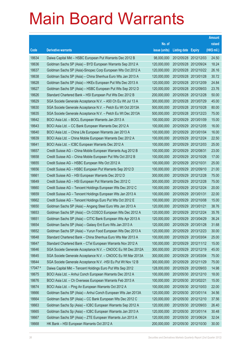|         |                                                               |               |                            |            | <b>Amount</b> |
|---------|---------------------------------------------------------------|---------------|----------------------------|------------|---------------|
|         |                                                               | No. of        |                            |            | raised        |
| Code    | <b>Derivative warrants</b>                                    | issue (units) | <b>Listing date Expiry</b> |            | (HK\$ mil.)   |
| 18634   | Daiwa Capital Mkt - HSBC European Put Warrants Dec 2012 B     | 98,000,000    | 2012/05/28 2012/12/03      |            | 24.50         |
| 18636   | Goldman Sachs SP (Asia) - BYD European Warrants Sep 2012 A    | 120,000,000   | 2012/05/28 2012/09/24      |            | 18.24         |
| 18637   | Goldman Sachs SP (Asia)-Sinopec Corp European Wts Oct 2012 A  | 120,000,000   | 2012/05/28 2012/10/22      |            | 26.16         |
| 18638   | Goldman Sachs SP (Asia) - China Shenhua Euro Wts Jan 2013 A   | 120,000,000   | 2012/05/28 2013/01/28      |            | 30.72         |
| 18628   | Goldman Sachs SP (Asia) - HKEx European Put Wts Dec 2013 A    | 120,000,000   | 2012/05/28 2013/12/09      |            | 24.84         |
| 18627   | Goldman Sachs SP (Asia) - HSBC European Put Wts Sep 2012 D    | 120,000,000   | 2012/05/28 2012/09/03      |            | 23.76         |
| 18626   | Standard Chartered Bank - HSI European Put Wts Dec 2012 B     | 200,000,000   | 2012/05/28 2012/12/28      |            | 50.00         |
| 18629   | SGA Societe Generale Acceptance N.V. - A50 Ch Eu Wt Jul 13 A  | 300,000,000   | 2012/05/28 2013/07/29      |            | 45.00         |
| 18630   | SGA Societe Generale Acceptance N.V. - Petch Eu Wt Oct 2013A  | 500,000,000   | 2012/05/28 2013/10/28      |            | 80.00         |
| 18635   | SGA Societe Generale Acceptance N.V. - Petch Eu Wt Dec 2013A  | 500,000,000   | 2012/05/28 2013/12/23      |            | 75.00         |
| 18642   | BOCI Asia Ltd. - BOCL European Warrants Jan 2013 A            | 100,000,000   | 2012/05/29 2013/01/09      |            | 15.00         |
| 18643   | BOCI Asia Ltd. - CC Bank European Warrants Dec 2012 A         | 100,000,000   | 2012/05/29 2012/12/05      |            | 16.00         |
| 18640   | BOCI Asia Ltd. - China Life European Warrants Jan 2013 A      | 100,000,000   | 2012/05/29 2013/01/04      |            | 16.00         |
| 18639   | BOCI Asia Ltd. - China Mobile European Warrants Dec 2012 A    | 100,000,000   | 2012/05/29 2012/12/24      |            | 22.50         |
| 18641   | BOCI Asia Ltd. - ICBC European Warrants Dec 2012 A            | 100,000,000   | 2012/05/29 2012/12/03      |            | 25.00         |
| 18657   | Credit Suisse AG - China Mobile European Warrants Aug 2012 B  | 100,000,000   | 2012/05/29 2012/08/31      |            | 23.00         |
| 18658   | Credit Suisse AG - China Mobile European Put Wts Oct 2012 B   | 100,000,000   | 2012/05/29 2012/10/26      |            | 17.00         |
| 18655   | Credit Suisse AG - HSBC European Wts Oct 2012 A               | 100,000,000   | 2012/05/29 2012/10/31      |            | 25.00         |
| 18656   | Credit Suisse AG - HSBC European Put Warrants Sep 2012 D      | 100,000,000   | 2012/05/29                 | 2012/09/10 | 21.00         |
| 18661   | Credit Suisse AG - HSI European Warrants Dec 2012 D           | 300,000,000   | 2012/05/29 2012/12/28      |            | 75.00         |
| 18649   | Credit Suisse AG - HSI European Put Warrants Dec 2012 C       | 300,000,000   | 2012/05/29 2012/12/28      |            | 75.00         |
| 18660   | Credit Suisse AG - Tencent Holdings European Wts Dec 2012 C   | 100,000,000   | 2012/05/29 2012/12/24      |            | 20.00         |
| 18659   | Credit Suisse AG - Tencent Holdings European Wts Jan 2013 A   | 100,000,000   | 2012/05/29                 | 2013/01/31 | 22.00         |
| 18662   | Credit Suisse AG - Tencent Holdings Euro Put Wts Oct 2012 E   | 100,000,000   | 2012/05/29 2012/10/08      |            | 15.00         |
| 18650   | Goldman Sachs SP (Asia) - Angang Steel Euro Wts Jan 2013 A    | 120,000,000   | 2012/05/29 2013/01/21      |            | 38.76         |
| 18653   | Goldman Sachs SP (Asia) - Ch COSCO European Wts Dec 2012 A    | 120,000,000   | 2012/05/29 2012/12/24      |            | 35.76         |
| 18651   | Goldman Sachs SP (Asia) - CITIC Bank European Wts Apr 2013 A  | 120,000,000   | 2012/05/29                 | 2013/04/29 | 36.24         |
| 18654   | Goldman Sachs SP (Asia) - Galaxy Ent Euro Wts Jan 2013 A      | 120,000,000   | 2012/05/29 2013/01/28      |            | 31.68         |
| 18652   | Goldman Sachs SP (Asia) - Yurun Food European Wts Dec 2013 A  | 120,000,000   | 2012/05/29 2013/12/23      |            | 30.00         |
| 18648   | Standard Chartered Bank - China Shenhua Euro Wts Mar 2013 A   | 100,000,000   | 2012/05/29 2013/03/04      |            | 25.00         |
| 18647   | Standard Chartered Bank - CTel European Warrants Nov 2012 A   | 100,000,000   | 2012/05/29 2012/11/12      |            | 15.00         |
| 18646   | SGA Societe Generale Acceptance N.V. - CNOOC Eu Wt Dec 2012A  | 300,000,000   | 2012/05/29 2012/12/19      |            | 45.00         |
| 18645   | SGA Societe Generale Acceptance N.V. - CNOOC Eu Wt Mar 2013A  | 300,000,000   | 2012/05/29 2013/03/04      |            | 75.00         |
| 18644   | SGA Societe Generale Acceptance N.V. - HSI Eu Put Wt Nov 12 B | 300,000,000   | 2012/05/29 2012/11/29      |            | 75.00         |
| 17047 # | Daiwa Capital Mkt - Tencent Holdings Euro Put Wts Sep 2012    | 128,000,000   | 2012/05/29 2012/09/03      |            | 14.98         |
| 18675   | BOCI Asia Ltd. - Anhui Conch European Warrants Dec 2012 A     | 100,000,000   | 2012/05/30 2012/12/10      |            | 18.00         |
| 18676   | BOCI Asia Ltd. - Ch Overseas European Warrants Feb 2013 A     | 100,000,000   | 2012/05/30 2013/02/21      |            | 15.00         |
| 18674   | BOCI Asia Ltd. - Ping An European Warrants Oct 2012 A         | 100,000,000   | 2012/05/30 2012/10/03      |            | 22.00         |
| 18666   | Goldman Sachs SP (Asia) - Anhui Conch European Wts Jan 2013A  | 120,000,000   | 2012/05/30 2013/01/14      |            | 34.56         |
| 18664   | Goldman Sachs SP (Asia) - CC Bank European Wts Dec 2012 C     | 120,000,000   | 2012/05/30 2012/12/10      |            | 37.56         |
| 18663   | Goldman Sachs Sp (Asia) - ICBC European Warrants Sep 2012 A   | 120,000,000   | 2012/05/30 2012/09/03      |            | 26.40         |
| 18665   | Goldman Sachs Sp (Asia) - ICBC European Warrants Jan 2013 A   | 120,000,000   | 2012/05/30 2013/01/14      |            | 30.48         |
| 18667   | Goldman Sachs SP (Asia) - ZTE European Warrants Jun 2013 A    | 120,000,000   | 2012/05/30 2013/06/24      |            | 32.04         |
| 18668   | HK Bank - HSI European Warrants Oct 2012 A                    | 200,000,000   | 2012/05/30 2012/10/30      |            | 30.00         |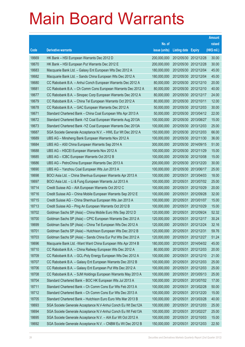|       |                                                               |               |                            |            | <b>Amount</b> |
|-------|---------------------------------------------------------------|---------------|----------------------------|------------|---------------|
|       |                                                               | No. of        |                            |            | raised        |
| Code  | <b>Derivative warrants</b>                                    | issue (units) | <b>Listing date Expiry</b> |            | (HK\$ mil.)   |
| 18669 | HK Bank - HSI European Warrants Dec 2012 D                    | 200,000,000   | 2012/05/30 2012/12/28      |            | 30.00         |
| 18670 | HK Bank - HSI European Put Warrants Dec 2012 E                | 200,000,000   | 2012/05/30 2012/12/28      |            | 30.00         |
| 18683 | Macquarie Bank Ltd. - Galaxy Ent European Wts Dec 2012 A      | 180,000,000   | 2012/05/30 2012/12/04      |            | 45.00         |
| 18682 | Macquarie Bank Ltd. - Sands China European Wts Dec 2012 A     | 180,000,000   | 2012/05/30 2012/12/04      |            | 45.00         |
| 18680 | CC Rabobank B.A. - Anhui Conch European Warrants Dec 2012 A   | 80,000,000    | 2012/05/30 2012/12/10      |            | 20.00         |
| 18681 | CC Rabobank B.A. - Ch Comm Cons European Warrants Dec 2012 A  | 80,000,000    | 2012/05/30 2012/12/10      |            | 40.00         |
| 18677 | CC Rabobank B.A. - Sinopec Corp European Warrants Dec 2012 A  | 80,000,000    | 2012/05/30 2012/12/17      |            | 24.00         |
| 18679 | CC Rabobank B.A. - China Tel European Warrants Oct 2012 A     | 80,000,000    | 2012/05/30 2012/10/11      |            | 12.00         |
| 18678 | CC Rabobank B.A. - GAC European Warrants Dec 2012 A           | 50,000,000    | 2012/05/30 2012/12/03      |            | 30.00         |
| 18671 | Standard Chartered Bank - China Coal European Wts Apr 2013 A  | 50,000,000    | 2012/05/30 2013/04/12      |            | 22.00         |
| 18672 | Standard Chartered Bank - YZ Coal European Warrants Aug 2013A | 100,000,000   | 2012/05/30 2013/08/27      |            | 15.00         |
| 18673 | Standard Chartered Bank - YZ Coal European Warrants Dec 2013A | 100,000,000   | 2012/05/30 2013/12/03      |            | 25.00         |
| 18687 | SGA Societe Generale Acceptance N.V. - HWL Eur Wt Dec 2012 A  | 150,000,000   | 2012/05/30 2012/12/03      |            | 66.00         |
| 18689 | UBS AG - Minsheng Bank European Warrants Nov 2012 A           | 100,000,000   | 2012/05/30 2012/11/30      |            | 36.00         |
| 18684 | UBS AG - A50 China European Warrants Sep 2014 A               | 300,000,000   | 2012/05/30 2014/09/15      |            | 51.00         |
| 18688 | UBS AG - HSCEI European Warrants Nov 2012 A                   | 100,000,000   | 2012/05/30 2012/11/29      |            | 15.00         |
| 18685 | UBS AG - ICBC European Warrants Oct 2012 B                    | 100,000,000   | 2012/05/30 2012/10/08      |            | 15.00         |
| 18686 | UBS AG - PetroChina European Warrants Dec 2013 A              | 200,000,000   | 2012/05/30 2013/12/20      |            | 30.00         |
| 18690 | UBS AG - Yanzhou Coal European Wts Jun 2013 A                 | 100,000,000   | 2012/05/30 2013/06/17      |            | 25.00         |
| 18698 | BOCI Asia Ltd. - China Shenhua European Warrants Apr 2013 A   | 100,000,000   | 2012/05/31 2013/04/03      |            | 18.00         |
| 18697 | BOCI Asia Ltd. - Li & Fung European Warrants Jul 2013 A       | 100,000,000   | 2012/05/31                 | 2013/07/02 | 25.00         |
| 18714 | Credit Suisse AG - AIA European Warrants Oct 2012 C           | 100,000,000   | 2012/05/31 2012/10/29      |            | 20.00         |
| 18716 | Credit Suisse AG - China Mobile European Warrants Sep 2012 E  | 100,000,000   | 2012/05/31                 | 2012/09/28 | 32.00         |
| 18715 | Credit Suisse AG - China Shenhua European Wts Jan 2013 A      | 100,000,000   | 2012/05/31 2013/01/07      |            | 15.00         |
| 18713 | Credit Suisse AG - Ping An European Warrants Oct 2012 B       | 100,000,000   | 2012/05/31                 | 2012/10/29 | 15.00         |
| 18702 | Goldman Sachs SP (Asia) - China Mobile Euro Wts Sep 2012 D    | 120,000,000   | 2012/05/31 2012/09/24      |            | 52.32         |
| 18700 | Goldman Sachs SP (Asia) – CPIC European Warrants Dec 2012 A   | 120,000,000   | 2012/05/31 2012/12/17      |            | 30.24         |
| 18699 | Goldman Sachs SP (Asia) - China Tel European Wts Dec 2012 A   | 120,000,000   | 2012/05/31 2012/12/24      |            | 32.16         |
| 18701 | Goldman Sachs SP (Asia) - Hutchison European Wts Dec 2012 B   | 120,000,000   | 2012/05/31                 | 2012/12/31 | 59.76         |
| 18703 | Goldman Sachs SP (Asia) - Sands China Eur Put Wts Dec 2012 A  | 120,000,000   | 2012/05/31 2012/12/27      |            | 51.24         |
| 18696 | Macquarie Bank Ltd. - Want Want China European Wts Apr 2014 B | 180,000,000   | 2012/05/31                 | 2014/04/02 | 45.00         |
| 18710 | CC Rabobank B.A. - China Railway European Wts Dec 2012 A      | 80,000,000    | 2012/05/31 2012/12/03      |            | 20.00         |
| 18709 | CC Rabobank B.A. - GCL-Poly Energy European Wts Dec 2012 A    | 100,000,000   | 2012/05/31                 | 2012/12/10 | 21.00         |
| 18707 | CC Rabobank B.A. - Galaxy Ent European Warrants Dec 2012 B    | 100,000,000   | 2012/05/31 2012/12/03      |            | 25.00         |
| 18706 | CC Rabobank B.A. - Galaxy Ent European Put Wts Dec 2012 A     | 100,000,000   | 2012/05/31                 | 2012/12/03 | 25.00         |
| 18708 | CC Rabobank B.A. - SJM Holdings European Warrants May 2013 A  | 100,000,000   | 2012/05/31                 | 2013/05/13 | 25.00         |
| 18704 | Standard Chartered Bank - BOC HK European Wts Jul 2013 A      | 100,000,000   | 2012/05/31                 | 2013/07/02 | 17.00         |
| 18711 | Standard Chartered Bank - Ch Comm Cons Eur Wts Feb 2013 A     | 100,000,000   | 2012/05/31 2013/02/28      |            | 50.00         |
| 18712 | Standard Chartered Bank - Ch Comm Cons Eur Wts Dec 2013 A     | 100,000,000   | 2012/05/31                 | 2013/12/20 | 15.00         |
| 18705 | Standard Chartered Bank - Hutchison Euro Euro Wts Mar 2013 B  | 100,000,000   | 2012/05/31                 | 2013/03/28 | 40.00         |
| 18693 | SGA Societe Generale Acceptance N.V-Anhui Conch Eu Wt Dec12A  | 100,000,000   | 2012/05/31                 | 2012/12/03 | 25.00         |
| 18694 | SGA Societe Generale Acceptance N.V-Anhui Conch Eu Wt Feb13A  | 100,000,000   | 2012/05/31                 | 2013/02/27 | 25.00         |
| 18695 | SGA Societe Generale Acceptance N.V. - AIA Eur Wt Oct 2012 A  | 100,000,000   | 2012/05/31                 | 2012/10/03 | 15.00         |
| 18692 | SGA Societe Generale Acceptance N.V. - CNBM Eu Wt Dec 2012 B  | 150,000,000   | 2012/05/31 2012/12/03      |            | 22.50         |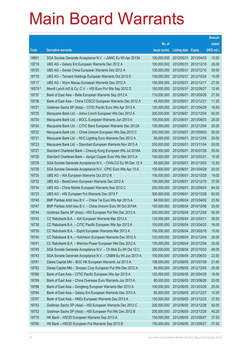|         |                                                               |               |                            |                       | <b>Amount</b> |
|---------|---------------------------------------------------------------|---------------|----------------------------|-----------------------|---------------|
|         |                                                               | No. of        |                            |                       | raised        |
| Code    | <b>Derivative warrants</b>                                    | issue (units) | <b>Listing date Expiry</b> |                       | (HK\$ mil.)   |
| 18691   | SGA Societe Generale Acceptance N.V. - JIANC Eu Wt Apr 2013A  | 100,000,000   | 2012/05/31                 | 2013/04/03            | 15.00         |
| 18719   | UBS AG - Galaxy Ent European Warrants Dec 2012 A              | 100,000,000   |                            | 2012/05/31 2012/12/10 | 26.00         |
| 18720   | UBS AG - Sands China European Warrants Dec 2012 A             | 100,000,000   | 2012/05/31                 | 2012/12/10            | 30.00         |
| 18718   | UBS AG - Tencent Holdings European Warrants Oct 2012 D        | 100,000,000   |                            | 2012/05/31 2012/10/24 | 15.00         |
| 18717   | UBS AG - Wynn Macau European Warrants Dec 2012 A              | 100,000,000   | 2012/05/31                 | 2012/12/17            | 27.00         |
| 16579 # | Merrill Lynch Int'l & Co. C.V. - HSI Euro Put Wts Sep 2012 D  | 150,000,000   |                            | 2012/05/31 2012/09/27 | 12.45         |
| 18737   | Bank of East Asia - Belle European Warrants Sep 2013 A        | 110,000,000   | 2012/06/01                 | 2013/09/26            | 27.50         |
| 18736   | Bank of East Asia - China COSCO European Warrants Dec 2012 A  | 45,000,000    |                            | 2012/06/01 2012/12/21 | 11.25         |
| 18721   | Goldman Sachs SP (Asia) - CITIC Pacific Euro Wts Apr 2013 A   | 120,000,000   | 2012/06/01                 | 2013/04/29            | 18.60         |
| 18725   | Macquarie Bank Ltd. - Anhui Conch European Wts Dec 2012 A     | 200,000,000   | 2012/06/01                 | 2012/12/04            | 50.00         |
| 18730   | Macquarie Bank Ltd. - BOCL European Warrants Jun 2013 A       | 100,000,000   | 2012/06/01                 | 2013/06/03            | 25.00         |
| 18724   | Macquarie Bank Ltd. - CITIC Bank European Warrants Dec 2012A  | 100,000,000   |                            | 2012/06/01 2012/12/04 | 25.00         |
| 18722   | Macquarie Bank Ltd. - China Unicom European Wts Sep 2013 C    | 200,000,000   | 2012/06/01                 | 2013/09/03            | 50.00         |
| 18731   | Macquarie Bank Ltd. - NVC Lighting Euro Warrants Dec 2012 A   | 80,000,000    | 2012/06/01                 | 2012/12/04            | 20.00         |
| 18723   | Macquarie Bank Ltd. - Stanchart European Warrants Nov 2013 A  | 200,000,000   | 2012/06/01                 | 2013/11/04            | 50.00         |
| 18727   | Standard Chartered Bank - Cheung Kong European Wts Jul 2016A  | 200,000,000   | 2012/06/01                 | 2016/07/28            | 50.00         |
| 18726   | Standard Chartered Bank - Jiangxi Copper Euro Wts Mar 2013 A  | 100,000,000   | 2012/06/01                 | 2013/03/21            | 15.00         |
| 18729   | SGA Societe Generale Acceptance N.V. - CHALCO Eu Wt Dec 12 A  | 50,000,000    | 2012/06/01                 | 2012/12/03            | 12.50         |
| 18728   | SGA Societe Generale Acceptance N.V. - CPIC Euro Wts Apr 13 A | 100,000,000   | 2012/06/01                 | 2013/04/29            | 25.00         |
| 18735   | UBS AG - AIA European Warrants Oct 2012 B                     | 100,000,000   |                            | 2012/06/01 2012/10/29 | 19.00         |
| 18732   | UBS AG - BankComm European Warrants Dec 2012 A                | 100,000,000   | 2012/06/01                 | 2012/12/10            | 37.00         |
| 18734   | UBS AG - China Mobile European Warrants Sep 2012 C            | 200,000,000   | 2012/06/01                 | 2012/09/24            | 64.00         |
| 18733   | UBS AG - HSI European Put Warrants Dec 2012 F                 | 300,000,000   | 2012/06/01                 | 2012/12/28            | 63.00         |
| 18746   | BNP Paribas Arbit Issu B.V. - China Tel Euro Wts Apr 2013 A   | 94,000,000    |                            | 2012/06/04 2013/04/02 | 23.50         |
| 18747   | BNP Paribas Arbit Issu B.V. - China Unicom Euro Wt Oct 2014A  | 100,000,000   |                            | 2012/06/04 2014/10/06 | 25.00         |
| 18744   | Goldman Sachs SP (Asia) - HSI European Put Wts Dec 2012 A     | 200,000,000   |                            | 2012/06/04 2012/12/28 | 50.20         |
| 18742   | CC Rabobank B.A. - AIA European Warrants Mar 2013 A           | 120,000,000   |                            | 2012/06/04 2013/03/11 | 30.00         |
| 18738   | CC Rabobank B.A. - CITIC Pacific European Wts Apr 2013 A      | 100,000,000   |                            | 2012/06/04 2013/04/25 | 16.00         |
| 18739   | CC Rabobank B.A. - Esprit European Warrants Mar 2013 A        | 100,000,000   |                            | 2012/06/04 2013/03/18 | 15.00         |
| 18740   | CC Rabobank B.A. - Hutchison European Warrants Dec 2012 A     | 120,000,000   |                            | 2012/06/04 2012/12/04 | 30.00         |
| 18741   | CC Rabobank B.A. - Weichai Power European Wts Dec 2012 A      | 100,000,000   |                            | 2012/06/04 2012/12/04 | 25.00         |
| 18745   | SGA Societe Generale Acceptance N.V. - Ch Mob Eu Wt Oct 12 C  | 200,000,000   |                            | 2012/06/04 2012/10/03 | 48.00         |
| 18743   | SGA Societe Generale Acceptance N.V. - CNBM Eu Wt Jun 2013 A  | 150,000,000   | 2012/06/04                 | 2013/06/03            | 22.50         |
| 18781   | Daiwa Capital Mkt - BOC HK European Warrants Jul 2013 A       | 108,000,000   |                            | 2012/06/05 2013/07/09 | 21.60         |
| 18782   | Daiwa Capital Mkt - Sinopec Corp European Put Wts Dec 2012 A  | 80,000,000    |                            | 2012/06/05 2012/12/05 | 20.00         |
| 18786   | Bank of East Asia - CITIC Pacific European Wts Apr 2013 A     | 120,000,000   |                            | 2012/06/05 2013/04/26 | 18.00         |
| 18789   | Bank of East Asia - China Overseas Euro Warrants Jun 2013 A   | 80,000,000    |                            | 2012/06/05 2013/06/26 | 20.00         |
| 18788   | Bank of East Asia - Dongfeng European Warrants Mar 2013 A     | 100,000,000   |                            | 2012/06/05 2013/03/26 | 25.00         |
| 18784   | Bank of East Asia - Galaxy Ent European Warrants Dec 2012 A   | 80,000,000    |                            | 2012/06/05 2012/12/27 | 12.00         |
| 18787   | Bank of East Asia - HKEx European Warrants Dec 2013 A         | 150,000,000   |                            | 2012/06/05 2013/12/23 | 37.50         |
| 18753   | Goldman Sachs SP (Asia) - HSI European Warrants Dec 2012 C    | 200,000,000   |                            | 2012/06/05 2012/12/28 | 50.00         |
| 18752   | Goldman Sachs SP (Asia) - HSI European Put Wts Dec 2012 B     | 200,000,000   |                            | 2012/06/05 2012/12/28 | 40.20         |
| 18779   | HK Bank - HSCEI European Warrants Sep 2013 A                  | 150,000,000   |                            | 2012/06/05 2013/09/27 | 37.50         |
| 18780   | HK Bank - HSCEI European Put Warrants Sep 2013 B              | 150,000,000   |                            | 2012/06/05 2013/09/27 | 37.50         |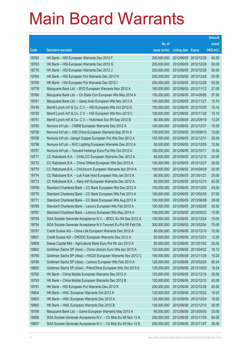|       |                                                              |               |                            | <b>Amount</b> |
|-------|--------------------------------------------------------------|---------------|----------------------------|---------------|
|       |                                                              | No. of        |                            | raised        |
| Code  | <b>Derivative warrants</b>                                   | issue (units) | <b>Listing date Expiry</b> | (HK\$ mil.)   |
| 18762 | HK Bank - HSI European Warrants Dec 2012 F                   | 200,000,000   | 2012/06/05 2012/12/28      | 42.00         |
| 18763 | HK Bank - HSI European Warrants Dec 2012 G                   | 200,000,000   | 2012/06/05 2012/12/28      | 50.00         |
| 18776 | HK Bank - HSI European Warrants Dec 2012 J                   | 200,000,000   | 2012/06/05 2012/12/28      | 50.00         |
| 18764 | HK Bank - HSI European Put Warrants Dec 2012 H               | 200,000,000   | 2012/06/05 2012/12/28      | 50.00         |
| 18765 | HK Bank - HSI European Put Warrants Dec 2012 I               | 200,000,000   | 2012/06/05 2012/12/28      | 50.00         |
| 18778 | Macquarie Bank Ltd. - BYD European Warrants Nov 2012 A       | 180,000,000   | 2012/06/05 2012/11/12      | 27.00         |
| 18766 | Macquarie Bank Ltd. - Ch State Con European Wts May 2014 A   | 150,000,000   | 2012/06/05 2014/05/05      | 37.50         |
| 18761 | Macquarie Bank Ltd. - Geely Auto European Wts Nov 2012 A     | 100,000,000   | 2012/06/05 2012/11/27      | 15.70         |
| 18749 | Merrill Lynch Int'l & Co. C.V. - HSI European Wts Oct 2012 D | 100,000,000   | 2012/06/05 2012/10/30      | 15.10         |
| 18750 | Merrill Lynch Int'l & Co. C.V. - HSI European Wts Nov 2012 C | 100,000,000   | 2012/06/05 2012/11/29      | 15.10         |
| 18751 | Merrill Lynch Int'l & Co. C.V. - Hutchison Eur Wt Sep 2012 B | 80,000,000    | 2012/06/05 2012/09/19      | 12.24         |
| 18760 | Nomura Int'l plc - CNBM European Warrants Dec 2012 A         | 100,000,000   | 2012/06/05 2012/12/31      | 15.00         |
| 18759 | Nomura Int'l plc - A50 China European Warrants Sep 2014 A    | 100,000,000   | 2012/06/05 2014/09/15      | 15.00         |
| 18756 | Nomura Int'l plc -Jiangxi Copper European Put Wts Dec 2012 A | 100,000,000   | 2012/06/05 2012/12/31      | 25.00         |
| 18758 | Nomura Int'l plc - NVC Lighting European Warrants Dec 2012 A | 50,000,000    | 2012/06/05 2012/12/05      | 12.50         |
| 18757 | Nomura Int'l plc - Tencent Holdings Euro Put Wts Oct 2012 A  | 100,000,000   | 2012/06/05 2012/10/11      | 15.00         |
| 18777 | CC Rabobank B.A. - CHALCO European Warrants Dec 2012 A       | 80,000,000    | 2012/06/05 2012/12/10      | 20.00         |
| 18772 | CC Rabobank B.A. - China Oilfield European Wts Dec 2013 A    | 100,000,000   | 2012/06/05 2013/12/27      | 25.00         |
| 18775 | CC Rabobank B.A. - ChiUnicom European Warrants Apr 2014 A    | 100,000,000   | 2012/06/05 2014/04/29      | 25.00         |
| 18774 | CC Rabobank B.A. - Luk Fook Hold European Wts Jan 2013 A     | 80,000,000    | 2012/06/05 2013/01/21      | 20.00         |
| 18773 | CC Rabobank B.A. - Sany Int'l European Warrants Dec 2012 A   | 80,000,000    | 2012/06/05 2012/12/10      | 40.00         |
| 18769 | Standard Chartered Bank - CC Bank European Wts Dec 2012 A    | 100,000,000   | 2012/06/05 2012/12/05      | 43.00         |
| 18770 | Standard Chartered Bank - CC Bank European Wts Feb 2013 A    | 100,000,000   | 2012/06/05 2013/02/05      | 27.00         |
| 18771 | Standard Chartered Bank - CC Bank European Wts Aug 2013 A    | 100,000,000   | 2012/06/05 2013/08/08      | 29.00         |
| 18768 | Standard Chartered Bank - Lenovo European Wts Feb 2013 A     | 100,000,000   | 2012/06/05 2013/02/05      | 35.50         |
| 18767 | Standard Chartered Bank - Lenovo European Wts May 2014 A     | 100,000,000   | 2012/06/05 2014/05/23      | 15.90         |
| 18755 | SGA Societe Generale Acceptance N.V. - BOCL Eu Wt Dec 2012 A | 100,000,000   | 2012/06/05 2012/12/24      | 15.00         |
| 18754 | SGA Societe Generale Acceptance N.V-Tencent Eu Put Wt Feb13A | 300,000,000   | 2012/06/05 2013/02/04      | 75.00         |
| 18797 | Credit Suisse AG - China Life European Warrants Dec 2012 A   | 80,000,000    | 2012/06/06 2012/12/10      | 12.00         |
| 18801 | Credit Suisse AG - CNOOC European Warrants Dec 2012 A        | 80,000,000    | 2012/06/06 2012/12/21      | 12.00         |
| 18809 | Daiwa Capital Mkt - Agricultural Bank Euro Put Wt Jan 2013 A | 80,000,000    | 2012/06/06 2013/01/02      | 20.00         |
| 18802 | Goldman Sachs SP (Asia) - China Unicom Euro Wts Apr 2013 A   | 120,000,000   | 2012/06/06 2013/04/02      | 18.12         |
| 18790 | Goldman Sachs SP (Asia) - HSCEI European Warrants Nov 2012 C | 100,000,000   | 2012/06/06 2012/11/29      | 15.20         |
| 18799 | Goldman Sachs SP (Asia) - Lenovo European Wts Feb 2013 A     | 120,000,000   | 2012/06/06 2013/02/25      | 90.24         |
| 18800 | Goldman Sachs SP (Asia) - PetroChina European Wts Oct 2013 A | 120,000,000   | 2012/06/06 2013/10/25      | 18.24         |
| 18792 | HK Bank - China Mobile European Warrants Dec 2012 A          | 120,000,000   | 2012/06/06 2012/12/10      | 30.00         |
| 18793 | HK Bank - China Mobile European Warrants Dec 2012 B          | 120,000,000   | 2012/06/06 2012/12/10      | 42.00         |
| 18791 | HK Bank - HSI European Put Warrants Dec 2012 K               | 200,000,000   | 2012/06/06 2012/12/28      | 50.00         |
| 18804 | HK Bank - HWL European Warrants Oct 2012 A                   | 120,000,000   | 2012/06/06 2012/10/22      | 19.20         |
| 18803 | HK Bank - HWL European Warrants Dec 2012 A                   | 120,000,000   | 2012/06/06 2012/12/03      | 18.00         |
| 18805 | HK Bank - HWL European Warrants Dec 2012 B                   | 120,000,000   | 2012/06/06 2012/12/10      | 30.00         |
| 18798 | Macquarie Bank Ltd. - Gome European Warrants May 2013 A      | 80,000,000    | 2012/06/06 2013/05/03      | 20.00         |
| 18806 | SGA Societe Generale Acceptance N.V. - Ch Mob Eu Wt Nov 12 A | 200,000,000   | 2012/06/06 2012/11/05      | 84.00         |
| 18807 | SGA Societe Generale Acceptance N.V. - Ch Mob Eu Wt Nov 12 B | 200,000,000   | 2012/06/06 2012/11/07      | 38.00         |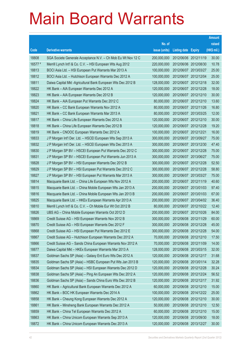|         |                                                              |               |                            |                       | <b>Amount</b> |
|---------|--------------------------------------------------------------|---------------|----------------------------|-----------------------|---------------|
|         |                                                              | No. of        |                            |                       | raised        |
| Code    | <b>Derivative warrants</b>                                   | issue (units) | <b>Listing date Expiry</b> |                       | (HK\$ mil.)   |
| 18808   | SGA Societe Generale Acceptance N.V. - Ch Mob Eu Wt Nov 12 C | 200,000,000   | 2012/06/06 2012/11/19      |                       | 30.00         |
| 16577 # | Merrill Lynch Int'l & Co. C.V. - HSI European Wts Aug 2012   | 220,000,000   |                            | 2012/06/06 2012/08/30 | 10.78         |
| 18813   | BOCI Asia Ltd. - HSI European Put Warrants Mar 2013 A        | 100,000,000   | 2012/06/07 2013/03/27      |                       | 25.00         |
| 18812   | BOCI Asia Ltd. - Hutchison European Warrants Dec 2012 A      | 100,000,000   | 2012/06/07 2012/12/04      |                       | 25.00         |
| 18811   | Daiwa Capital Mkt -Agricultural Bank European Wts Dec 2012 B | 128,000,000   | 2012/06/07 2012/12/18      |                       | 32.00         |
| 18822   | HK Bank - AIA European Warrants Dec 2012 A                   | 120,000,000   | 2012/06/07 2012/12/28      |                       | 18.00         |
| 18823   | HK Bank - AIA European Warrants Dec 2012 B                   | 120,000,000   |                            | 2012/06/07 2012/12/10 | 30.00         |
| 18824   | HK Bank - AIA European Put Warrants Dec 2012 C               | 80,000,000    | 2012/06/07 2012/12/10      |                       | 13.60         |
| 18820   | HK Bank - CC Bank European Warrants Nov 2012 A               | 80,000,000    |                            | 2012/06/07 2012/11/26 | 16.80         |
| 18821   | HK Bank - CC Bank European Warrants Mar 2013 A               | 80,000,000    | 2012/06/07 2013/03/25      |                       | 12.00         |
| 18817   | HK Bank - China Life European Warrants Dec 2012 A            | 120,000,000   | 2012/06/07 2012/12/10      |                       | 30.00         |
| 18818   | HK Bank - China Life European Warrants Dec 2012 B            | 120,000,000   | 2012/06/07 2012/12/28      |                       | 19.20         |
| 18819   | HK Bank - CNOOC European Warrants Dec 2012 A                 | 100,000,000   | 2012/06/07 2012/12/21      |                       | 16.00         |
| 18833   | J P Morgan Int'l Der. Ltd. - HSCEI European Wts Sep 2013 A   | 300,000,000   |                            | 2012/06/07 2013/09/27 | 75.00         |
| 18832   | J P Morgan Int'l Der. Ltd. - HSCEI European Wts Dec 2013 A   | 300,000,000   |                            | 2012/06/07 2013/12/30 | 47.40         |
| 18830   | J P Morgan SP BV - HSCEI European Put Warrants Dec 2012 C    | 300,000,000   | 2012/06/07 2012/12/28      |                       | 75.00         |
| 18831   | J P Morgan SP BV - HSCEI European Put Warrants Jun 2013 A    | 300,000,000   |                            | 2012/06/07 2013/06/27 | 75.00         |
| 18828   | J P Morgan SP BV - HSI European Warrants Dec 2012 B          | 300,000,000   |                            | 2012/06/07 2012/12/28 | 52.50         |
| 18829   | J P Morgan SP BV - HSI European Put Warrants Dec 2012 C      | 300,000,000   | 2012/06/07 2012/12/28      |                       | 58.80         |
| 18827   | J P Morgan SP BV - HSI European Put Warrants Mar 2013 A      | 300,000,000   | 2012/06/07 2013/03/27      |                       | 75.00         |
| 18814   | Macquarie Bank Ltd. - China Life European Wts Nov 2012 A     | 200,000,000   | 2012/06/07 2012/11/19      |                       | 40.60         |
| 18815   | Macquarie Bank Ltd. - China Mobile European Wts Jan 2013 A   | 200,000,000   | 2012/06/07 2013/01/03      |                       | 97.40         |
| 18816   | Macquarie Bank Ltd. - China Mobile European Wts Jan 2013 B   | 200,000,000   | 2012/06/07 2013/01/03      |                       | 67.00         |
| 18825   | Macquarie Bank Ltd. - HKEx European Warrants Apr 2013 A      | 200,000,000   |                            | 2012/06/07 2013/04/02 | 36.40         |
| 18810   | Merrill Lynch Int'l & Co. C.V. - Ch Mobile Eur Wt Oct 2012 B | 80,000,000    |                            | 2012/06/07 2012/10/22 | 12.40         |
| 18826   | UBS AG - China Mobile European Warrants Oct 2012 D           | 200,000,000   | 2012/06/07 2012/10/26      |                       | 84.00         |
| 18869   | Credit Suisse AG - HSI European Warrants Nov 2012 B          | 300,000,000   | 2012/06/08 2012/11/29      |                       | 60.00         |
| 18870   | Credit Suisse AG - HSI European Warrants Dec 2012 F          | 300,000,000   | 2012/06/08 2012/12/28      |                       | 45.00         |
| 18868   | Credit Suisse AG - HSI European Put Warrants Dec 2012 E      | 300,000,000   | 2012/06/08 2012/12/28      |                       | 54.00         |
| 18867   | Credit Suisse AG - Hutchison European Warrants Dec 2012 A    | 70,000,000    | 2012/06/08 2012/12/10      |                       | 17.50         |
| 18866   | Credit Suisse AG - Sands China European Warrants Nov 2012 A  | 70,000,000    | 2012/06/08 2012/11/09      |                       | 14.00         |
| 18877   | Daiwa Capital Mkt - HKEx European Warrants Mar 2013 A        | 128,000,000   | 2012/06/08 2013/03/15      |                       | 32.00         |
| 18837   | Goldman Sachs SP (Asia) - Galaxy Ent Euro Wts Dec 2012 A     | 120,000,000   | 2012/06/08 2012/12/17      |                       | 31.68         |
| 18835   | Goldman Sachs SP (Asia) - HSBC European Put Wts Jan 2013 B   | 120,000,000   | 2012/06/08 2013/01/14      |                       | 32.28         |
| 18834   | Goldman Sachs SP (Asia) - HSI European Warrants Dec 2012 D   | 120,000,000   | 2012/06/08 2012/12/28      |                       | 30.24         |
| 18838   | Goldman Sachs SP (Asia) - Ping An European Wts Dec 2012 A    | 120,000,000   |                            | 2012/06/08 2012/12/24 | 56.52         |
| 18836   | Goldman Sachs SP (Asia) - Sands China Euro Wts Dec 2012 B    | 120,000,000   | 2012/06/08 2012/12/17      |                       | 31.92         |
| 18860   | HK Bank - Agricultural Bank European Warrants Dec 2012 A     | 60,000,000    | 2012/06/08 2012/12/10      |                       | 15.00         |
| 18862   | HK Bank - BOC HK European Warrants Dec 2014 A                | 100,000,000   |                            | 2012/06/08 2014/12/22 | 25.00         |
| 18858   | HK Bank - Cheung Kong European Warrants Dec 2012 A           | 120,000,000   | 2012/06/08 2012/12/10      |                       | 30.00         |
| 18861   | HK Bank - Minsheng Bank European Warrants Dec 2012 A         | 50,000,000    | 2012/06/08 2012/12/10      |                       | 12.50         |
| 18859   | HK Bank - China Tel European Warrants Dec 2012 A             | 60,000,000    | 2012/06/08 2012/12/10      |                       | 15.00         |
| 18863   | HK Bank - China Unicom European Warrants Sep 2013 A          | 120,000,000   | 2012/06/08 2013/09/30      |                       | 18.00         |
| 18872   | HK Bank - China Unicom European Warrants Dec 2013 A          | 120,000,000   | 2012/06/08 2013/12/27      |                       | 30.00         |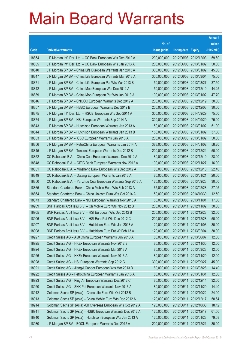|       |                                                               |               |                            |            | <b>Amount</b> |
|-------|---------------------------------------------------------------|---------------|----------------------------|------------|---------------|
|       |                                                               | No. of        |                            |            | raised        |
| Code  | <b>Derivative warrants</b>                                    | issue (units) | <b>Listing date Expiry</b> |            | (HK\$ mil.)   |
| 18854 | J P Morgan Int'l Der. Ltd. – CC Bank European Wts Dec 2012 A  | 200,000,000   | 2012/06/08 2012/12/03      |            | 59.60         |
| 18855 | J P Morgan Int'l Der. Ltd. - CC Bank European Wts Jan 2013 A  | 200,000,000   | 2012/06/08 2013/01/02      |            | 50.00         |
| 18840 | J P Morgan SP BV - China Life European Warrants Jan 2013 A    | 300,000,000   | 2012/06/08 2013/01/02      |            | 45.00         |
| 18847 | J P Morgan SP BV – China Life European Warrants Mar 2013 A    | 300,000,000   | 2012/06/08 2013/03/04      |            | 75.00         |
| 18871 | J P Morgan SP BV - China Life European Put Wts Mar 2013 B     | 150,000,000   | 2012/06/08 2013/03/27      |            | 37.50         |
| 18842 | J P Morgan SP BV - China Mob European Wts Dec 2012 A          | 150,000,000   | 2012/06/08 2012/12/10      |            | 44.25         |
| 18839 | J P Morgan SP BV - China Mob European Put Wts Jan 2013 A      | 100,000,000   | 2012/06/08 2013/01/02      |            | 47.70         |
| 18846 | J P Morgan SP BV - CNOOC European Warrants Dec 2012 A         | 200,000,000   | 2012/06/08 2012/12/19      |            | 30.00         |
| 18857 | J P Morgan SP BV - HSBC European Warrants Dec 2012 B          | 200,000,000   | 2012/06/08 2012/12/03      |            | 30.00         |
| 18875 | J P Morgan Int'l Der. Ltd. - HSCEI European Wts Sep 2014 A    | 300,000,000   | 2012/06/08 2014/09/29      |            | 75.00         |
| 18874 | J P Morgan SP BV - HSI European Warrants Sep 2014 A           | 300,000,000   | 2012/06/08 2014/09/29      |            | 75.00         |
| 18843 | J P Morgan SP BV - Hutchison European Warrants Jan 2013 A     | 150,000,000   | 2012/06/08 2013/01/02      |            | 51.00         |
| 18844 | J P Morgan SP BV - Hutchison European Warrants Jan 2013 B     | 150,000,000   | 2012/06/08 2013/01/02      |            | 37.50         |
| 18853 | J P Morgan SP BV - ICBC European Warrants Jan 2013 A          | 200,000,000   | 2012/06/08 2013/01/02      |            | 50.00         |
| 18856 | J P Morgan SP BV - PetroChina European Warrants Jan 2014 A    | 388,000,000   | 2012/06/08 2014/01/02      |            | 58.20         |
| 18845 | J P Morgan SP BV - Tencent European Warrants Dec 2012 B       | 200,000,000   | 2012/06/08 2012/12/24      |            | 50.00         |
| 18852 | CC Rabobank B.A. - China Coal European Warrants Dec 2012 A    | 80,000,000    | 2012/06/08 2012/12/10      |            | 28.00         |
| 18848 | CC Rabobank B.A. - CITIC Bank European Warrants Nov 2012 A    | 100,000,000   | 2012/06/08 2012/11/27      |            | 16.00         |
| 18851 | CC Rabobank B.A. - Minsheng Bank European Wts Dec 2012 A      | 80,000,000    | 2012/06/08 2012/12/10      |            | 22.40         |
| 18849 | CC Rabobank B.A. - Datang European Warrants Jan 2013 A        | 80,000,000    | 2012/06/08 2013/01/21      |            | 20.00         |
| 18850 | CC Rabobank B.A. - Yanzhou Coal European Warrants Sep 2013 A  | 120,000,000   | 2012/06/08 2013/09/23      |            | 30.00         |
| 18865 | Standard Chartered Bank - China Mobile Euro Wts Feb 2013 A    | 65,000,000    | 2012/06/08 2013/02/28      |            | 27.95         |
| 18864 | Standard Chartered Bank - China Unicom Euro Wts Oct 2014 A    | 50,000,000    | 2012/06/08 2014/10/30      |            | 12.50         |
| 18873 | Standard Chartered Bank - NCI European Warrants Nov 2013 A    | 50,000,000    | 2012/06/08 2013/11/01      |            | 17.50         |
| 18909 | BNP Paribas Arbit Issu B.V. - Ch Mobile Euro Wts Nov 2012 B   | 200,000,000   | 2012/06/11 2012/11/02      |            | 30.00         |
| 18905 | BNP Paribas Arbit Issu B.V. - HSI European Wts Dec 2012 B     | 200,000,000   | 2012/06/11 2012/12/28      |            | 32.00         |
| 18906 | BNP Paribas Arbit Issu B.V. – HSI Euro Put Wts Dec 2012 C     | 200,000,000   | 2012/06/11 2012/12/28      |            | 50.00         |
| 18907 | BNP Paribas Arbit Issu B.V. - Hutchison Euro Wts Jan 2013 A   | 120,000,000   | 2012/06/11 2013/01/03      |            | 30.00         |
| 18908 | BNP Paribas Arbit Issu B.V. - Hutchison Euro Put Wt Feb 13 A  | 120,000,000   | 2012/06/11                 | 2013/02/04 | 30.00         |
| 18927 | Credit Suisse AG - A50 China European Warrants Jun 2013 A     | 80,000,000    | 2012/06/11                 | 2013/06/07 | 12.00         |
| 18925 | Credit Suisse AG - HKEx European Warrants Nov 2012 B          | 80,000,000    | 2012/06/11                 | 2012/11/30 | 12.00         |
| 18924 | Credit Suisse AG - HKEx European Warrants Mar 2013 A          | 80,000,000    | 2012/06/11                 | 2013/03/28 | 12.00         |
| 18926 | Credit Suisse AG - HKEx European Warrants Nov 2013 A          | 80,000,000    | 2012/06/11                 | 2013/11/29 | 12.00         |
| 18928 | Credit Suisse AG - HSI European Warrants Sep 2012 C           | 300,000,000   | 2012/06/11                 | 2012/09/27 | 45.00         |
| 18921 | Credit Suisse AG - Jiangxi Copper European Wts Mar 2013 B     | 80,000,000    | 2012/06/11                 | 2013/03/28 | 14.40         |
| 18922 | Credit Suisse AG - PetroChina European Warrants Jan 2013 A    | 80,000,000    | 2012/06/11                 | 2013/01/31 | 12.00         |
| 18923 | Credit Suisse AG - Ping An European Warrants Dec 2012 C       | 80,000,000    | 2012/06/11                 | 2012/12/14 | 32.00         |
| 18920 | Credit Suisse AG - SHK Ppt European Warrants Nov 2013 A       | 80,000,000    | 2012/06/11                 | 2013/11/29 | 14.40         |
| 18912 | Goldman Sachs SP (Asia) - China Life Euro Wts Oct 2012 B      | 120,000,000   | 2012/06/11                 | 2012/10/22 | 24.00         |
| 18913 | Goldman Sachs SP (Asia) - China Mobile Euro Wts Dec 2012 A    | 120,000,000   | 2012/06/11                 | 2012/12/17 | 50.64         |
| 18914 | Goldman Sachs SP (Asia) - Ch Overseas European Wts Oct 2012 A | 120,000,000   | 2012/06/11                 | 2012/10/30 | 18.12         |
| 18911 | Goldman Sachs SP (Asia) - HSBC European Warrants Dec 2012 A   | 120,000,000   | 2012/06/11                 | 2012/12/17 | 61.56         |
| 18910 | Goldman Sachs SP (Asia) - Hutchison European Wts Jan 2013 A   | 120,000,000   | 2012/06/11                 | 2013/01/28 | 79.08         |
| 18930 | J P Morgan SP BV - BOCL European Warrants Dec 2012 A          | 200,000,000   | 2012/06/11                 | 2012/12/21 | 30.00         |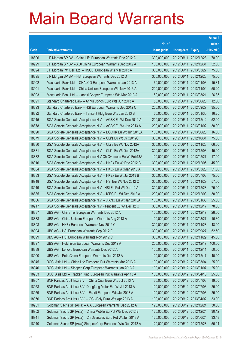|       |                                                               |               |                            |            | <b>Amount</b> |
|-------|---------------------------------------------------------------|---------------|----------------------------|------------|---------------|
|       |                                                               | No. of        |                            |            | raised        |
| Code  | <b>Derivative warrants</b>                                    | issue (units) | <b>Listing date Expiry</b> |            | (HK\$ mil.)   |
| 18896 | J P Morgan SP BV - China Life European Warrants Dec 2012 A    | 300,000,000   | 2012/06/11                 | 2012/12/28 | 78.00         |
| 18929 | J P Morgan SP BV - A50 China European Warrants Dec 2012 A     | 100,000,000   | 2012/06/11                 | 2012/12/31 | 52.00         |
| 18894 | J P Morgan Int'l Der. Ltd. - HSCEI European Wts Mar 2013 A    | 300,000,000   | 2012/06/11                 | 2013/03/27 | 75.00         |
| 18895 | J P Morgan SP BV - HSI European Warrants Dec 2012 D           | 300,000,000   | 2012/06/11                 | 2012/12/28 | 75.00         |
| 18902 | Macquarie Bank Ltd. - CHALCO European Warrants Jan 2013 A     | 60,000,000    | 2012/06/11                 | 2013/01/03 | 15.84         |
| 18901 | Macquarie Bank Ltd. - China Unicom European Wts Nov 2013 A    | 200,000,000   | 2012/06/11                 | 2013/11/04 | 50.20         |
| 18903 | Macquarie Bank Ltd. - Jiangxi Copper European Wts Mar 2013 A  | 150,000,000   | 2012/06/11                 | 2013/03/21 | 26.85         |
| 18891 | Standard Chartered Bank - Anhui Conch Euro Wts Jun 2013 A     | 50,000,000    | 2012/06/11                 | 2013/06/26 | 12.50         |
| 18893 | Standard Chartered Bank - HSI European Warrants Sep 2012 C    | 200,000,000   | 2012/06/11                 | 2012/09/27 | 35.00         |
| 18892 | Standard Chartered Bank - Tencent Hidg Euro Wts Jan 2013 B    | 65,000,000    | 2012/06/11                 | 2013/01/30 | 16.25         |
| 18915 | SGA Societe Generale Acceptance N.V. - AGBK Eu Wt Dec 2012 A  | 200,000,000   | 2012/06/11                 | 2012/12/12 | 52.00         |
| 18878 | SGA Societe Generale Acceptance N.V. - AGBK Eu Wt Jan 2013 A  | 200,000,000   | 2012/06/11                 | 2013/01/02 | 30.00         |
| 18890 | SGA Societe Generale Acceptance N.V. - BOCHK Eu Wt Jun 2013A  | 100,000,000   | 2012/06/11                 | 2013/06/26 | 16.00         |
| 18879 | SGA Societe Generale Acceptance N.V. - CLife Eu Wt Oct 2012C  | 300,000,000   | 2012/06/11                 | 2012/10/31 | 75.00         |
| 18880 | SGA Societe Generale Acceptance N.V. - CLife Eu Wt Nov 2012A  | 300,000,000   | 2012/06/11                 | 2012/11/28 | 66.00         |
| 18881 | SGA Societe Generale Acceptance N.V. - CLife Eu Wt Dec 2012A  | 300,000,000   | 2012/06/11                 | 2012/12/03 | 45.00         |
| 18882 | SGA Societe Generale Acceptance N.V-Ch Overseas Eu Wt Feb13A  | 100,000,000   | 2012/06/11                 | 2013/02/27 | 17.00         |
| 18916 | SGA Societe Generale Acceptance N.V. - HKEx Eu Wt Dec 2012 B  | 300,000,000   | 2012/06/11                 | 2012/12/05 | 45.00         |
| 18884 | SGA Societe Generale Acceptance N.V. - HKEx Eu Wt Mar 2013 A  | 300,000,000   | 2012/06/11                 | 2013/03/25 | 51.00         |
| 18883 | SGA Societe Generale Acceptance N.V. - HKEx Eu Wt Jul 2013 B  | 300,000,000   | 2012/06/11                 | 2013/07/08 | 75.00         |
| 18918 | SGA Societe Generale Acceptance N.V. - HSI Eur Wt Nov 2012 C  | 300,000,000   | 2012/06/11                 | 2012/11/29 | 57.00         |
| 18919 | SGA Societe Generale Acceptance N.V. - HSI Eu Put Wt Dec 12 A | 300,000,000   | 2012/06/11                 | 2012/12/28 | 75.00         |
| 18885 | SGA Societe Generale Acceptance N.V. - ICBC Eu Wt Dec 2012 A  | 200,000,000   | 2012/06/11                 | 2012/12/03 | 30.00         |
| 18886 | SGA Societe Generale Acceptance N.V. - JIANC Eu Wt Jan 2013A  | 100,000,000   | 2012/06/11                 | 2013/01/30 | 25.00         |
| 18917 | SGA Societe Generale Acceptance N.V. - Tencent Eu Wt Dec 12 C | 300,000,000   | 2012/06/11                 | 2012/12/17 | 78.00         |
| 18887 | UBS AG - China Tel European Warrants Dec 2012 A               | 100,000,000   | 2012/06/11                 | 2012/12/17 | 28.00         |
| 18888 | UBS AG – China Unicom European Warrants Aug 2013 A            | 100,000,000   | 2012/06/11 2013/08/27      |            | 16.30         |
| 18898 | UBS AG - HKEx European Warrants Nov 2012 C                    | 300,000,000   | 2012/06/11 2012/11/28      |            | 48.00         |
| 18904 | UBS AG - HSI European Warrants Sep 2012 E                     | 300,000,000   | 2012/06/11                 | 2012/09/27 | 52.50         |
| 18899 | UBS AG - HSI European Warrants Nov 2012 C                     | 300,000,000   | 2012/06/11 2012/11/29      |            | 45.00         |
| 18897 | UBS AG - Hutchison European Warrants Dec 2012 A               | 200,000,000   | 2012/06/11                 | 2012/12/17 | 100.00        |
| 18889 | UBS AG - Lenovo European Warrants Dec 2012 A                  | 100,000,000   | 2012/06/11 2012/12/11      |            | 50.00         |
| 18900 | UBS AG - PetroChina European Warrants Dec 2012 A              | 100,000,000   | 2012/06/11                 | 2012/12/17 | 40.00         |
| 18945 | BOCI Asia Ltd. - China Life European Put Warrants Mar 2013 A  | 100,000,000   | 2012/06/12 2013/03/04      |            | 25.00         |
| 18946 | BOCI Asia Ltd. - Sinopec Corp European Warrants Jan 2013 A    | 100,000,000   | 2012/06/12 2013/01/07      |            | 25.00         |
| 18953 | BOCI Asia Ltd. - Tracker Fund European Put Warrants Apr 13 A  | 100,000,000   | 2012/06/12 2013/04/15      |            | 25.00         |
| 18957 | BNP Paribas Arbit Issu B.V. - China Coal Euro Wts Jul 2013 A  | 35,000,000    | 2012/06/12 2013/07/03      |            | 19.60         |
| 18958 | BNP Paribas Arbit Issu B.V.-Dongfeng Motor Eur Wt Jul 2013 A  | 100,000,000   | 2012/06/12 2013/07/03      |            | 25.00         |
| 18959 | BNP Paribas Arbit Issu B.V. - Esprit European Wts Jul 2013 A  | 100,000,000   | 2012/06/12 2013/07/03      |            | 25.00         |
| 18956 | BNP Paribas Arbit Issu B.V. - GCL-Poly Euro Wts Apr 2013 A    | 100,000,000   | 2012/06/12 2013/04/02      |            | 33.00         |
| 18951 | Goldman Sachs SP (Asia) - AIA European Warrants Dec 2012 A    | 120,000,000   | 2012/06/12 2012/12/24      |            | 30.00         |
| 18952 | Goldman Sachs SP (Asia) - China Mobile Eu Put Wts Dec 2012 B  | 120,000,000   | 2012/06/12 2012/12/24      |            | 30.12         |
| 18941 | Goldman Sachs SP (Asia) - Ch Overseas Euro Put Wt Jun 2013 A  | 120,000,000   | 2012/06/12 2013/06/24      |            | 33.48         |
| 18940 | Goldman Sachs SP (Asia)-Sinopec Corp European Wts Dec 2012 A  | 120,000,000   | 2012/06/12 2012/12/28      |            | 56.04         |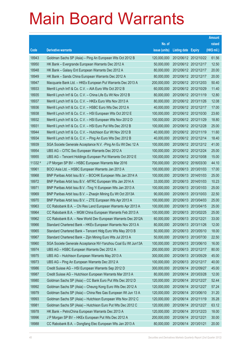|         |                                                               |               |                            |                       | <b>Amount</b> |
|---------|---------------------------------------------------------------|---------------|----------------------------|-----------------------|---------------|
|         |                                                               | No. of        |                            |                       | raised        |
| Code    | <b>Derivative warrants</b>                                    | issue (units) | <b>Listing date Expiry</b> |                       | (HK\$ mil.)   |
| 18943   | Goldman Sachs SP (Asia) - Ping An European Wts Oct 2012 B     | 120,000,000   |                            | 2012/06/12 2012/10/22 | 61.56         |
| 18950   | HK Bank - Evergrande European Warrants Dec 2012 A             | 50,000,000    |                            | 2012/06/12 2012/12/17 | 12.50         |
| 18948   | HK Bank - Galaxy Ent European Warrants Dec 2012 A             | 80,000,000    |                            | 2012/06/12 2012/12/17 | 20.00         |
| 18949   | HK Bank - Sands China European Warrants Dec 2012 A            | 80,000,000    |                            | 2012/06/12 2012/12/17 | 20.00         |
| 18947   | Macquarie Bank Ltd. - HKEx European Put Warrants Dec 2013 A   | 200,000,000   |                            | 2012/06/12 2013/12/03 | 50.40         |
| 18933   | Merrill Lynch Int'l & Co. C.V. - AIA Euro Wts Oct 2012 B      | 60,000,000    |                            | 2012/06/12 2012/10/29 | 11.40         |
| 18935   | Merrill Lynch Int'l & Co. C.V. - China Life Eu Wt Nov 2012 B  | 80,000,000    |                            | 2012/06/12 2012/11/19 | 12.80         |
| 18937   | Merrill Lynch Int'l & Co. C.V. - HKEx Euro Wts Nov 2013 A     | 80,000,000    |                            | 2012/06/12 2013/11/26 | 12.08         |
| 18936   | Merrill Lynch Int'l & Co. C.V. - HSBC Euro Wts Dec 2012 A     | 40,000,000    |                            | 2012/06/12 2012/12/17 | 17.00         |
| 18938   | Merrill Lynch Int'l & Co. C.V. - HSI European Wts Oct 2012 E  | 100,000,000   |                            | 2012/06/12 2012/10/30 | 23.60         |
| 18932   | Merrill Lynch Int'l & Co. C.V. - HSI European Wts Nov 2012 D  | 100,000,000   |                            | 2012/06/12 2012/11/29 | 18.80         |
| 18931   | Merrill Lynch Int'l & Co. C.V. - HSI Euro Put Wts Dec 2012 B  | 100,000,000   |                            | 2012/06/12 2012/12/28 | 25.00         |
| 18944   | Merrill Lynch Int'l & Co. C.V. - Hutchison Eur Wt Nov 2012 B  | 40,000,000    |                            | 2012/06/12 2012/11/19 | 11.60         |
| 18934   | Merrill Lynch Int'l & Co. C.V. - Ping An Euro Wts Dec 2012 B  | 40,000,000    |                            | 2012/06/12 2012/12/14 | 18.40         |
| 18939   | SGA Societe Generale Acceptance N.V. - Ping An Eu Wt Dec 12 A | 100,000,000   |                            | 2012/06/12 2012/12/12 | 41.00         |
| 18954   | UBS AG - CITIC Sec European Warrants Dec 2012 A               | 100,000,000   |                            | 2012/06/12 2012/12/24 | 25.00         |
| 18955   | UBS AG - Tencent Holdings European Put Warrants Oct 2012 E    | 100,000,000   |                            | 2012/06/12 2012/10/08 | 15.00         |
| 11332 # | J P Morgan SP BV - HSBC European Warrants Mar 2016            | 700,000,000   |                            | 2012/06/12 2016/03/30 | 44.10         |
| 18961   | BOCI Asia Ltd. - HSBC European Warrants Jan 2013 A            | 100,000,000   |                            | 2012/06/13 2013/01/03 | 17.00         |
| 18968   | BNP Paribas Arbit Issu B.V. - BOCHK European Wts Jan 2014 A   | 100,000,000   |                            | 2012/06/13 2014/01/03 | 25.00         |
| 18972   | BNP Paribas Arbit Issu B.V. - MTRC European Wts Jan 2014 A    | 33,000,000    |                            | 2012/06/13 2014/01/03 | 10.23         |
| 18971   | BNP Paribas Arbit Issu B.V. - Ting Yi European Wts Jan 2013 A | 100,000,000   |                            | 2012/06/13 2013/01/03 | 25.00         |
| 18969   | BNP Paribas Arbit Issu B.V. - Zhaojin Mining Eu Wt Oct 2013A  | 90,000,000    |                            | 2012/06/13 2013/10/03 | 22.50         |
| 18970   | BNP Paribas Arbit Issu B.V. - ZTE European Wts Apr 2013 A     | 100,000,000   |                            | 2012/06/13 2013/04/03 | 25.00         |
| 18963   | CC Rabobank B.A. - Chi Res Land European Warrants Apr 2013 A  | 100,000,000   |                            | 2012/06/13 2013/04/15 | 25.00         |
| 18964   | CC Rabobank B.A. - MGM China European Warrants Feb 2013 A     | 100,000,000   |                            | 2012/06/13 2013/02/25 | 25.00         |
| 18962   | CC Rabobank B.A. - New World Dev European Warrants Dec 2012A  | 60,000,000    | 2012/06/13 2012/12/21      |                       | 33.00         |
| 18966   | Standard Chartered Bank - HKEx European Warrants Nov 2013 A   | 80,000,000    |                            | 2012/06/13 2013/11/26 | 12.00         |
| 18965   | Standard Chartered Bank - Tencent Hidg Euro Wts May 2013 B    | 50,000,000    |                            | 2012/06/13 2013/05/10 | 18.00         |
| 18967   | Standard Chartered Bank - Zijin Mining Euro Wts Jul 2013 A    | 50,000,000    |                            | 2012/06/13 2013/07/30 | 22.50         |
| 18960   | SGA Societe Generale Acceptance NV-Yanzhou Coal Eu Wt Jun13A  | 100,000,000   |                            | 2012/06/13 2013/06/10 | 16.00         |
| 18974   | UBS AG - HSBC European Warrants Dec 2012 A                    | 200,000,000   |                            | 2012/06/13 2012/12/17 | 80.00         |
| 18975   | UBS AG - Hutchison European Warrants May 2013 A               | 300,000,000   |                            | 2012/06/13 2013/05/29 | 45.00         |
| 18973   | UBS AG - Ping An European Warrants Dec 2012 A                 | 100,000,000   |                            | 2012/06/13 2012/12/17 | 40.00         |
| 18986   | Credit Suisse AG - HSI European Warrants Sep 2012 D           | 300,000,000   |                            | 2012/06/14 2012/09/27 | 45.00         |
| 18987   | Credit Suisse AG - Hutchison European Warrants Mar 2013 A     | 80,000,000    |                            | 2012/06/14 2013/03/28 | 12.00         |
| 18980   | Goldman Sachs SP (Asia) - CC Bank Euro Put Wts Dec 2012 D     | 120,000,000   |                            | 2012/06/14 2012/12/27 | 52.44         |
| 18992   | Goldman Sachs SP (Asia) - Cheung Kong Euro Wts Dec 2012 A     | 120,000,000   |                            | 2012/06/14 2012/12/27 | 57.24         |
| 18979   | Goldman Sachs SP (Asia) - China Res Gas European Wt Jun 13 A  | 120,000,000   |                            | 2012/06/14 2013/06/10 | 31.20         |
| 18993   | Goldman Sachs SP (Asia) - Hutchison European Wts Nov 2012 C   | 120,000,000   |                            | 2012/06/14 2012/11/19 | 35.28         |
| 18981   | Goldman Sachs SP (Asia) - Hutchison Euro Put Wts Dec 2012 C   | 120,000,000   |                            | 2012/06/14 2012/12/27 | 63.12         |
| 18978   | HK Bank - PetroChina European Warrants Dec 2013 A             | 120,000,000   |                            | 2012/06/14 2013/12/23 | 18.00         |
| 18996   | J P Morgan SP BV - HKEx European Put Wts Dec 2012 A           | 200,000,000   | 2012/06/14 2012/12/21      |                       | 30.00         |
| 18988   | CC Rabobank B.A. - Dongfang Elec European Wts Jan 2013 A      | 80,000,000    | 2012/06/14 2013/01/21      |                       | 20.00         |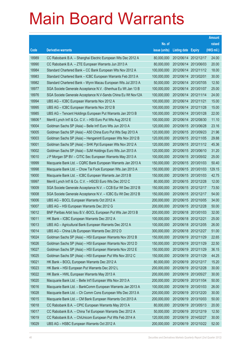|         |                                                               |               |                            | <b>Amount</b> |
|---------|---------------------------------------------------------------|---------------|----------------------------|---------------|
|         |                                                               | No. of        |                            | raised        |
| Code    | <b>Derivative warrants</b>                                    | issue (units) | <b>Listing date Expiry</b> | (HK\$ mil.)   |
| 18989   | CC Rabobank B.A. - Shanghai Electric European Wts Dec 2012 A  | 80,000,000    | 2012/06/14 2012/12/17      | 24.00         |
| 18990   | CC Rabobank B.A. - ZTE European Warrants Jun 2013 A           | 80,000,000    | 2012/06/14 2013/06/03      | 20.00         |
| 18984   | Standard Chartered Bank - CC Bank European Wts Nov 2012 A     | 100,000,000   | 2012/06/14 2012/11/12      | 18.00         |
| 18983   | Standard Chartered Bank - ICBC European Warrants Feb 2013 A   | 100,000,000   | 2012/06/14 2013/02/01      | 30.00         |
| 18982   | Standard Chartered Bank - Wynn Macau European Wts Jul 2013 A  | 50,000,000    | 2012/06/14 2013/07/05      | 12.50         |
| 18977   | SGA Societe Generale Acceptance N.V. - Shenhua Eu Wt Jan 13 B | 100,000,000   | 2012/06/14 2013/01/07      | 25.00         |
| 18976   | SGA Societe Generale Acceptance N.V-Sands China Eu Wt Nov12A  | 100,000,000   | 2012/06/14 2012/11/14      | 24.00         |
| 18994   | UBS AG - ICBC European Warrants Nov 2012 A                    | 100,000,000   | 2012/06/14 2012/11/21      | 15.00         |
| 18995   | UBS AG - ICBC European Warrants Nov 2012 B                    | 100,000,000   | 2012/06/14 2012/11/28      | 15.00         |
| 18985   | UBS AG - Tencent Holdings European Put Warrants Jan 2013 B    | 100,000,000   | 2012/06/14 2013/01/28      | 22.00         |
| 18606 # | Merrill Lynch Int'l & Co. C.V. - HSI Euro Put Wts Aug 2012 E  | 100,000,000   | 2012/06/14 2012/08/30      | 11.10         |
| 19004   | Goldman Sachs SP (Asia) - Belle Int'l Euro Wts Jun 2013 A     | 120,000,000   | 2012/06/15 2013/06/28      | 23.16         |
| 19005   | Goldman Sachs SP (Asia) - A50 China Euro Put Wts Sep 2013 A   | 120,000,000   | 2012/06/15 2013/09/23      | 21.96         |
| 19003   | Goldman Sachs SP (Asia) - Henganintl European Wts Nov 2012 B  | 120,000,000   | 2012/06/15 2012/11/05      | 29.88         |
| 19001   | Goldman Sachs SP (Asia) - SHK Ppt European Wts Nov 2012 A     | 120,000,000   | 2012/06/15 2012/11/12      | 45.36         |
| 19002   | Goldman Sachs SP (Asia) - SJM Holdings Euro Wts Jun 2013 A    | 120,000,000   | 2012/06/15 2013/06/10      | 31.20         |
| 19010   | J P Morgan SP BV - CITIC Sec European Warrants May 2013 A     | 100,000,000   | 2012/06/15 2013/05/02      | 25.00         |
| 18999   | Macquarie Bank Ltd. - CQRC Bank European Warrants Jan 2013 A  | 150,000,000   | 2012/06/15 2013/01/03      | 50.40         |
| 18998   | Macquarie Bank Ltd. - Chow Tai Fook European Wts Jan 2013 A   | 150,000,000   | 2012/06/15 2013/01/03      | 129.15        |
| 19000   | Macquarie Bank Ltd. - ICBC European Warrants Jan 2013 B       | 150,000,000   | 2012/06/15 2013/01/03      | 42.75         |
| 18997   | Merrill Lynch Int'l & Co. C.V. - HSCEI Euro Wts Dec 2012 C    | 80,000,000    | 2012/06/15 2012/12/28      | 12.00         |
| 19009   | SGA Societe Generale Acceptance N.V. - CCB Eur Wt Dec 2012 B  | 150,000,000   | 2012/06/15 2012/12/17      | 73.50         |
| 19008   | SGA Societe Generale Acceptance N.V. - ICBC Eu Wt Dec 2012 B  | 150,000,000   | 2012/06/15 2012/12/17      | 54.00         |
| 19006   | UBS AG - BOCL European Warrants Oct 2012 A                    | 200,000,000   | 2012/06/15 2012/10/05      | 34.00         |
| 19007   | UBS AG - HSI European Warrants Dec 2012 G                     | 200,000,000   | 2012/06/15 2012/12/28      | 50.00         |
| 19012   | BNP Paribas Arbit Issu B.V.-BOCL European Put Wts Jan 2013 B  | 200,000,000   | 2012/06/18 2013/01/03      | 32.00         |
| 19011   | HK Bank - ICBC European Warrants Dec 2012 A                   | 100,000,000   | 2012/06/18 2012/12/21      | 25.00         |
| 19013   | UBS AG - Agricultural Bank European Warrants Dec 2012 A       | 100,000,000   | 2012/06/18 2012/12/05      | 26.00         |
| 19014   | UBS AG - China Life European Warrants Dec 2012 D              | 300,000,000   | 2012/06/18 2012/12/27      | 51.00         |
| 19024   | Goldman Sachs SP (Asia) - HSI European Warrants Nov 2012 B    | 150,000,000   | 2012/06/19 2012/11/29      | 22.65         |
| 19026   | Goldman Sachs SP (Asia) - HSI European Warrants Nov 2012 D    | 150,000,000   | 2012/06/19 2012/11/29      | 22.50         |
| 19027   | Goldman Sachs SP (Asia) - HSI European Warrants Nov 2012 E    | 150,000,000   | 2012/06/19 2012/11/29      | 36.15         |
| 19025   | Goldman Sachs SP (Asia) - HSI European Put Wts Nov 2012 C     | 150,000,000   | 2012/06/19 2012/11/29      | 44.25         |
| 19021   | HK Bank - BOCL European Warrants Dec 2012 A                   | 80,000,000    | 2012/06/19 2012/12/17      | 15.20         |
| 19023   | HK Bank - HSI European Put Warrants Dec 2012 L                | 200,000,000   | 2012/06/19 2012/12/28      | 30.00         |
| 19022   | HK Bank - HWL European Warrants May 2013 A                    | 200,000,000   | 2012/06/19 2013/05/27      | 30.00         |
| 19020   | Macquarie Bank Ltd. - Belle Int'l European Wts Nov 2013 A     | 200,000,000   | 2012/06/19 2013/11/04      | 50.00         |
| 19016   | Macquarie Bank Ltd. - BankComm European Warrants Jan 2013 A   | 100,000,000   | 2012/06/19 2013/01/03      | 26.00         |
| 19028   | Macquarie Bank Ltd. - Ch Comm Cons European Wts Dec 2013 A    | 200,000,000   | 2012/06/19 2013/12/20      | 30.00         |
| 19015   | Macquarie Bank Ltd. - CM Bank European Warrants Oct 2013 A    | 200,000,000   | 2012/06/19 2013/10/03      | 50.00         |
| 19018   | CC Rabobank B.A. - CPIC European Warrants May 2013 A          | 80,000,000    | 2012/06/19 2013/05/13      | 20.00         |
| 19017   | CC Rabobank B.A. - China Tel European Warrants Dec 2012 A     | 50,000,000    | 2012/06/19 2012/12/19      | 12.50         |
| 19019   | CC Rabobank B.A. - ChiUnicom European Put Wts Feb 2014 A      | 120,000,000   | 2012/06/19 2014/02/27      | 30.00         |
| 19029   | UBS AG - HSBC European Warrants Oct 2012 A                    | 200,000,000   | 2012/06/19 2012/10/22      | 52.00         |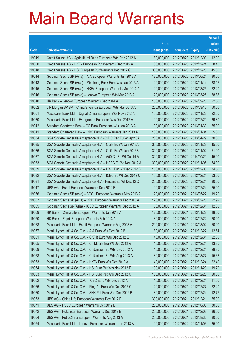|       |                                                               |               |                            |                       | <b>Amount</b> |
|-------|---------------------------------------------------------------|---------------|----------------------------|-----------------------|---------------|
|       |                                                               | No. of        |                            |                       | raised        |
| Code  | <b>Derivative warrants</b>                                    | issue (units) | <b>Listing date Expiry</b> |                       | (HK\$ mil.)   |
| 19049 | Credit Suisse AG - Agricultural Bank European Wts Dec 2012 A  | 80,000,000    |                            | 2012/06/20 2012/12/03 | 12.00         |
| 19050 | Credit Suisse AG - HKEx European Put Warrants Dec 2012 A      | 80,000,000    | 2012/06/20 2012/12/24      |                       | 58.40         |
| 19048 | Credit Suisse AG - HSI European Put Warrants Dec 2012 G       | 300,000,000   | 2012/06/20 2012/12/28      |                       | 45.00         |
| 19044 | Goldman Sachs SP (Asia) - AIA European Warrants Jun 2013 A    | 120,000,000   |                            | 2012/06/20 2013/06/24 | 30.00         |
| 19043 | Goldman Sachs SP (Asia) - Minsheng Bank Euro Wts Jan 2013 A   | 120,000,000   |                            | 2012/06/20 2013/01/14 | 38.16         |
| 19045 | Goldman Sachs SP (Asia) - HKEx European Warrants Mar 2013 A   | 120,000,000   |                            | 2012/06/20 2013/03/25 | 22.20         |
| 19046 | Goldman Sachs SP (Asia) - Lenovo European Wts Mar 2013 A      | 120,000,000   | 2012/06/20 2013/03/25      |                       | 68.88         |
| 19040 | HK Bank - Lenovo European Warrants Sep 2014 A                 | 150,000,000   | 2012/06/20 2014/09/25      |                       | 22.50         |
| 19052 | J P Morgan SP BV - China Shenhua European Wts Mar 2013 A      | 200,000,000   |                            | 2012/06/20 2013/03/12 | 50.00         |
| 19051 | Macquarie Bank Ltd. - Digital China European Wts Nov 2012 A   | 150,000,000   |                            | 2012/06/20 2012/11/23 | 22.50         |
| 19030 | Macquarie Bank Ltd. - Evergrande European Wts Dec 2012 A      | 100,000,000   |                            | 2012/06/20 2012/12/20 | 39.80         |
| 19042 | Standard Chartered Bank - CC Bank European Wts Jan 2013 A     | 100,000,000   | 2012/06/20 2013/01/30      |                       | 75.00         |
| 19041 | Standard Chartered Bank - ICBC European Warrants Jan 2013 A   | 100,000,000   |                            | 2012/06/20 2013/01/04 | 65.00         |
| 19034 | SGA Societe Generale Acceptance N.V. - CITIC Pac Eu Wt Apr13A | 200,000,000   |                            | 2012/06/20 2013/04/29 | 30.00         |
| 19035 | SGA Societe Generale Acceptance N.V. - CLife Eu Wt Jan 2013A  | 300,000,000   | 2012/06/20 2013/01/28      |                       | 45.00         |
| 19036 | SGA Societe Generale Acceptance N.V. - CLife Eu Wt Jan 2013B  | 300,000,000   |                            | 2012/06/20 2013/01/02 | 51.00         |
| 19037 | SGA Societe Generale Acceptance N.V. - A50 Ch Eu Wt Oct 14 A  | 300,000,000   |                            | 2012/06/20 2014/10/29 | 45.00         |
| 19033 | SGA Societe Generale Acceptance N.V. - HSBC Eu Wt Nov 2012 A  | 300,000,000   |                            | 2012/06/20 2012/11/05 | 54.00         |
| 19039 | SGA Societe Generale Acceptance N.V. - HWL Eur Wt Dec 2012 B  | 150,000,000   | 2012/06/20 2012/12/03      |                       | 34.50         |
| 19032 | SGA Societe Generale Acceptance N.V. - ICBC Eu Wt Dec 2012 C  | 150,000,000   |                            | 2012/06/20 2012/12/24 | 63.00         |
| 19031 | SGA Societe Generale Acceptance N.V. - Tencent Eu Wt Dec 12 D | 200,000,000   |                            | 2012/06/20 2012/12/24 | 30.00         |
| 19047 | UBS AG - Esprit European Warrants Dec 2012 B                  | 100,000,000   |                            | 2012/06/20 2012/12/24 | 25.00         |
| 19066 | Goldman Sachs SP (Asia) - BOCL European Warrants May 2013 A   | 120,000,000   | 2012/06/21                 | 2013/05/27            | 19.20         |
| 19067 | Goldman Sachs SP (Asia) - CPIC European Warrants Feb 2013 A   | 120,000,000   |                            | 2012/06/21 2013/02/25 | 22.92         |
| 19065 | Goldman Sachs Sp (Asia) - ICBC European Warrants Dec 2012 A   | 50,000,000    | 2012/06/21                 | 2012/12/31            | 12.85         |
| 19069 | HK Bank - China Life European Warrants Jan 2013 A             | 120,000,000   | 2012/06/21                 | 2013/01/28            | 18.00         |
| 19070 | HK Bank – Esprit European Warrants Feb 2013 A                 | 80,000,000    | 2012/06/21                 | 2013/02/22            | 20.00         |
| 19068 | Macquarie Bank Ltd. - Esprit European Warrants Aug 2013 A     | 200,000,000   | 2012/06/21 2013/08/02      |                       | 50.00         |
| 19057 | Merrill Lynch Int'l & Co. C.V. - AIA Euro Wts Dec 2012 B      | 80,000,000    | 2012/06/21                 | 2012/12/27            | 12.64         |
| 19061 | Merrill Lynch Int'l & Co. C.V. - CK(H) Euro Wts Dec 2012 E    | 40,000,000    | 2012/06/21 2012/12/31      |                       | 22.00         |
| 19055 | Merrill Lynch Int'l & Co. C.V. - Ch Mobile Eur Wt Dec 2012 A  | 40,000,000    | 2012/06/21                 | 2012/12/24            | 13.80         |
| 19059 | Merrill Lynch Int'l & Co. C.V. - ChiUnicom Eu Wts Dec 2012 A  | 40,000,000    | 2012/06/21                 | 2012/12/24            | 28.80         |
| 19058 | Merrill Lynch Int'l & Co. C.V. - ChiUnicom Eu Wts Aug 2013 A  | 80,000,000    | 2012/06/21                 | 2013/08/27            | 15.68         |
| 19063 | Merrill Lynch Int'l & Co. C.V. - HKEx Euro Wts Dec 2012 A     | 40,000,000    | 2012/06/21                 | 2012/12/24            | 22.40         |
| 19054 | Merrill Lynch Int'l & Co. C.V. - HSI Euro Put Wts Nov 2012 E  | 100,000,000   | 2012/06/21                 | 2012/11/29            | 19.70         |
| 19053 | Merrill Lynch Int'l & Co. C.V. - HSI Euro Put Wts Dec 2012 C  | 100,000,000   | 2012/06/21                 | 2012/12/28            | 20.60         |
| 19062 | Merrill Lynch Int'l & Co. C.V. - ICBC Euro Wts Dec 2012 A     | 40,000,000    | 2012/06/21                 | 2012/12/24            | 11.00         |
| 19056 | Merrill Lynch Int'l & Co. C.V. - Ping An Euro Wts Dec 2012 C  | 40,000,000    | 2012/06/21                 | 2012/12/27            | 22.40         |
| 19060 | Merrill Lynch Int'l & Co. C.V. - SHK Ppt Euro Wts Dec 2012 B  | 80,000,000    | 2012/06/21                 | 2012/12/24            | 12.72         |
| 19073 | UBS AG - China Life European Warrants Dec 2012 E              | 300,000,000   | 2012/06/21 2012/12/21      |                       | 75.00         |
| 19071 | UBS AG - HSBC European Warrants Oct 2012 B                    | 200,000,000   | 2012/06/21                 | 2012/10/03            | 30.00         |
| 19072 | UBS AG - Hutchison European Warrants Dec 2012 B               | 200,000,000   | 2012/06/21                 | 2012/12/03            | 36.00         |
| 19064 | UBS AG - PetroChina European Warrants Aug 2013 A              | 200,000,000   | 2012/06/21                 | 2013/08/30            | 30.00         |
| 19074 | Macquarie Bank Ltd. - Lenovo European Warrants Jan 2013 A     | 100,000,000   | 2012/06/22 2013/01/03      |                       | 35.90         |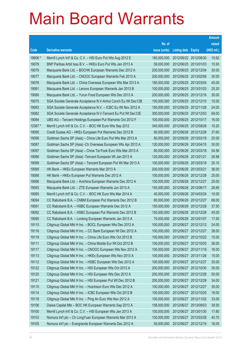|         |                                                               |               |                            |            | <b>Amount</b> |
|---------|---------------------------------------------------------------|---------------|----------------------------|------------|---------------|
|         |                                                               | No. of        |                            |            | raised        |
| Code    | <b>Derivative warrants</b>                                    | issue (units) | <b>Listing date Expiry</b> |            | (HK\$ mil.)   |
| 18606 # | Merrill Lynch Int'l & Co. C.V. - HSI Euro Put Wts Aug 2012 E  | 180,000,000   | 2012/06/22 2012/08/30      |            | 10.62         |
| 19078   | BNP Paribas Arbit Issu B.V. - HKEx Euro Put Wts Jan 2013 A    | 59,000,000    | 2012/06/25 2013/01/03      |            | 15.93         |
| 19079   | Macquarie Bank Ltd. - BOCHK European Warrants Dec 2012 A      | 200,000,000   | 2012/06/25 2012/12/04      |            | 30.00         |
| 19077   | Macquarie Bank Ltd. - CNOOC European Warrants Feb 2013 A      | 200,000,000   | 2012/06/25 2013/02/06      |            | 30.00         |
| 19076   | Macquarie Bank Ltd. - China Overseas European Wts Mar 2013 A  | 180,000,000   | 2012/06/25 2013/03/04      |            | 45.00         |
| 19081   | Macquarie Bank Ltd. - Lenovo European Warrants Jan 2013 B     | 100,000,000   | 2012/06/25 2013/01/03      |            | 25.20         |
| 19080   | Macquarie Bank Ltd. - Yurun Food European Wts Dec 2013 A      | 200,000,000   | 2012/06/25 2013/12/16      |            | 30.00         |
| 19075   | SGA Societe Generale Acceptance N.V-Anhui Conch Eu Wt Dec12B  | 100,000,000   | 2012/06/25 2012/12/10      |            | 15.00         |
| 19083   | SGA Societe Generale Acceptance N.V. - ICBC Eu Wt Nov 2012 A  | 150,000,000   | 2012/06/25 2012/11/28      |            | 24.00         |
| 19082   | SGA Societe Generale Acceptance N.V-Tencent Eu Put Wt Dec12E  | 300,000,000   | 2012/06/25 2012/12/03      |            | 69.00         |
| 19084   | UBS AG - Tencent Holdings European Put Warrants Oct 2012 F    | 100,000,000   | 2012/06/25 2012/10/17      |            | 16.00         |
| 12367 # | Merrill Lynch Int'l & Co. C.V. - BOC HK Euro Wts Sep 2012     | 340,000,000   | 2012/06/25 2012/09/28      |            | 10.20         |
| 19095   | Credit Suisse AG - HKEx European Put Warrants Dec 2012 B      | 80,000,000    | 2012/06/26 2012/12/28      |            | 37.60         |
| 19098   | Goldman Sachs SP (Asia) – China Life Euro Put Wts Mar 2013 A  | 80,000,000    | 2012/06/26 2013/03/18      |            | 20.00         |
| 19087   | Goldman Sachs SP (Asia) - Ch Overseas European Wts Apr 2013 A | 120,000,000   | 2012/06/26 2013/04/15      |            | 30.00         |
| 19097   | Goldman Sachs SP (Asia) - Chow Tai Fook Euro Wts Mar 2013 A   | 80,000,000    | 2012/06/26 2013/03/18      |            | 54.56         |
| 19086   | Goldman Sachs SP (Asia) - Tencent European Wt Jan 2013 A      | 120,000,000   | 2012/06/26 2013/01/21      |            | 26.88         |
| 19099   | Goldman Sachs SP (Asia) – Tencent European Put Wt Mar 2013 A  | 100,000,000   | 2012/06/26 2013/03/18      |            | 25.10         |
| 19089   | HK Bank – HKEx European Warrants Mar 2013 A                   | 200,000,000   | 2012/06/26 2013/03/21      |            | 36.00         |
| 19088   | HK Bank – HKEx European Put Warrants Dec 2012 A               | 100,000,000   | 2012/06/26 2012/12/28      |            | 25.00         |
| 19096   | Macquarie Bank Ltd. - Avichina European Warrants Dec 2012 A   | 100,000,000   | 2012/06/26 2012/12/27      |            | 25.00         |
| 19093   | Macquarie Bank Ltd. - ZTE European Warrants Jun 2013 A        | 150,000,000   | 2012/06/26 2013/06/17      |            | 28.95         |
| 19085   | Merrill Lynch Int'l & Co. C.V. - BOC HK Euro Wts Mar 2014 A   | 40,000,000    | 2012/06/26 2014/03/24      |            | 10.00         |
| 19094   | CC Rabobank B.A. - CNBM European Put Warrants Dec 2012 B      | 80,000,000    | 2012/06/26 2012/12/27      |            | 68.00         |
| 19091   | CC Rabobank B.A. - HSBC European Warrants Dec 2012 A          | 150,000,000   | 2012/06/26 2012/12/28      |            | 37.50         |
| 19092   | CC Rabobank B.A. - HSBC European Put Warrants Dec 2012 B      | 150,000,000   | 2012/06/26 2012/12/28      |            | 45.00         |
| 19090   | CC Rabobank B.A. – Lonking European Warrants Jan 2013 A       | 70,000,000    | 2012/06/26 2013/01/07      |            | 17.50         |
| 19115   | Citigroup Global Mkt H Inc. - BOCL European Wts Dec 2012 A    | 100,000,000   | 2012/06/27 2012/12/12      |            | 24.00         |
| 19116   | Citigroup Global Mkt H Inc. - CC Bank European Wt Dec 2012 A  | 100,000,000   | 2012/06/27 2012/12/27      |            | 38.00         |
| 19119   | Citigroup Global Mkt H Inc. - China Life Euro Wts Oct 2012 B  | 100,000,000   | 2012/06/27 2012/10/22      |            | 15.00         |
| 19111   | Citigroup Global Mkt H Inc. - China Mobile Eur Wt Oct 2012 B  | 100,000,000   | 2012/06/27 2012/10/03      |            | 36.00         |
| 19117   | Citigroup Global Mkt H Inc. - CNOOC European Wts Nov 2012 A   | 100,000,000   | 2012/06/27 2012/11/19      |            | 16.00         |
| 19113   | Citigroup Global Mkt H Inc. - HKEx European Wts Nov 2013 A    | 100,000,000   | 2012/06/27 2013/11/26      |            | 15.00         |
| 19112   | Citigroup Global Mkt H Inc. - HSBC European Wts Dec 2012 A    | 100,000,000   | 2012/06/27 2012/12/27      |            | 35.00         |
| 19122   | Citigroup Global Mkt H Inc. - HSI European Wts Oct 2012 A     | 200,000,000   | 2012/06/27 2012/10/30      |            | 30.00         |
| 19120   | Citigroup Global Mkt H Inc. - HSI European Wts Dec 2012 A     | 200,000,000   | 2012/06/27 2012/12/28      |            | 50.00         |
| 19121   | Citigroup Global Mkt H Inc. - HSI European Put Wt Dec 2012 B  | 200,000,000   | 2012/06/27 2012/12/28      |            | 34.00         |
| 19110   | Citigroup Global Mkt H Inc. - Hutchison Euro Wts Dec 2012 A   | 100,000,000   | 2012/06/27 2012/12/27      |            | 30.00         |
| 19114   | Citigroup Global Mkt H Inc. - ICBC European Wts Oct 2012 B    | 100,000,000   | 2012/06/27 2012/10/25      |            | 18.00         |
| 19118   | Citigroup Global Mkt H Inc. - Ping An Euro Wts Nov 2012 A     | 100,000,000   | 2012/06/27 2012/11/02      |            | 33.00         |
| 19106   | Daiwa Capital Mkt - BOC HK European Warrants Sep 2013 A       | 158,000,000   | 2012/06/27 2013/09/03      |            | 39.50         |
| 19100   | Merrill Lynch Int'l & Co. C.V. - HSI European Wts Jan 2013 A  | 100,000,000   | 2012/06/27 2013/01/30      |            | 17.80         |
| 19103   | Nomura Int'l plc - Ch LongYuan European Warrants Mar 2013 A   | 100,000,000   | 2012/06/27                 | 2013/03/28 | 40.70         |
| 19105   | Nomura Int'l plc - Evergrande European Warrants Dec 2012 A    | 50,000,000    | 2012/06/27 2012/12/19      |            | 18.05         |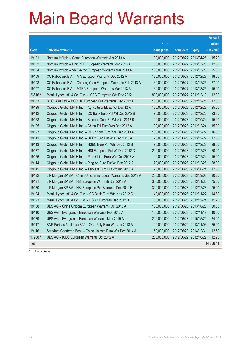|         |                                                              |               |                       |                       | <b>Amount</b> |
|---------|--------------------------------------------------------------|---------------|-----------------------|-----------------------|---------------|
|         |                                                              | No. of        |                       |                       | raised        |
| Code    | <b>Derivative warrants</b>                                   | issue (units) | Listing date Expiry   |                       | (HK\$ mil.)   |
| 19101   | Nomura Int'l plc - Gome European Warrants Apr 2013 A         | 100,000,000   | 2012/06/27            | 2013/04/26            | 15.20         |
| 19102   | Nomura Int'l plc - Link REIT European Warrants Mar 2013 A    | 50,000,000    | 2012/06/27            | 2013/03/28            | 12.55         |
| 19104   | Nomura Int'l plc - Sh Electric European Warrants Mar 2013 A  | 100,000,000   | 2012/06/27            | 2013/03/28            | 25.60         |
| 19109   | CC Rabobank B.A. - AIA European Warrants Dec 2012 A          | 120,000,000   | 2012/06/27            | 2012/12/27            | 18.00         |
| 19108   | CC Rabobank B.A. – Ch LongYuan European Warrants Feb 2013 A  | 60,000,000    |                       | 2012/06/27 2013/02/25 | 27.00         |
| 19107   | CC Rabobank B.A. - MTRC European Warrants Mar 2013 A         | 60,000,000    |                       | 2012/06/27 2013/03/25 | 15.00         |
| 23616 # | Merrill Lynch Int'l & Co. C.V. - ICBC European Wts Dec 2012  | 800,000,000   |                       | 2012/06/27 2012/12/10 | 12.00         |
| 19133   | BOCI Asia Ltd. – BOC HK European Put Warrants Dec 2012 A     | 100,000,000   | 2012/06/28 2012/12/21 |                       | 17.00         |
| 19129   | Citigroup Global Mkt H Inc. - Agricultural Bk Eu Wt Dec 12 A | 100,000,000   |                       | 2012/06/28 2012/12/28 | 25.00         |
| 19142   | Citigroup Global Mkt H Inc. - CC Bank Euro Put Wt Dec 2012 B | 70,000,000    |                       | 2012/06/28 2012/12/20 | 23.80         |
| 19128   | Citigroup Global Mkt H Inc. – Sinopec Corp Eu Wts Oct 2012 B | 100,000,000   |                       | 2012/06/28 2012/10/24 | 15.00         |
| 19125   | Citigroup Global Mkt H Inc. – China Tel Euro Wts Dec 2012 A  | 100,000,000   |                       | 2012/06/28 2012/12/24 | 15.00         |
| 19127   | Citigroup Global Mkt H Inc. - ChiUnicom Euro Wts Dec 2013 A  | 100,000,000   |                       | 2012/06/28 2013/12/27 | 16.00         |
| 19141   | Citigroup Global Mkt H Inc. - HKEx Euro Put Wts Dec 2013 A   | 70,000,000    |                       | 2012/06/28 2013/12/27 | 17.50         |
| 19143   | Citigroup Global Mkt H Inc. - HSBC Euro Put Wts Dec 2012 B   | 70,000,000    |                       | 2012/06/28 2012/12/28 | 28.00         |
| 19137   | Citigroup Global Mkt H Inc. - HSI European Put Wt Dec 2012 C | 200,000,000   |                       | 2012/06/28 2012/12/28 | 50.00         |
| 19126   | Citigroup Global Mkt H Inc. - PetroChina Euro Wts Dec 2013 A | 100,000,000   |                       | 2012/06/28 2013/12/24 | 15.00         |
| 19144   | Citigroup Global Mkt H Inc. - Ping An Euro Put Wt Dec 2012 A | 70,000,000    |                       | 2012/06/28 2012/12/28 | 28.00         |
| 19145   | Citigroup Global Mkt H Inc. - Tencent Euro Put Wt Jun 2013 A | 70,000,000    |                       | 2012/06/28 2013/06/24 | 17.50         |
| 19132   | J P Morgan SP BV - China Unicom European Warrants Sep 2013 A | 200,000,000   |                       | 2012/06/28 2013/09/03 | 30.20         |
| 19131   | J P Morgan SP BV – HSI European Warrants Jan 2013 A          | 300,000,000   |                       | 2012/06/28 2013/01/30 | 75.00         |
| 19130   | J P Morgan SP BV – HSI European Put Warrants Dec 2012 E      | 300,000,000   |                       | 2012/06/28 2012/12/28 | 75.00         |
| 19124   | Merrill Lynch Int'l & Co. C.V. - CC Bank Euro Wts Nov 2012 C | 40,000,000    |                       | 2012/06/28 2012/11/22 | 14.80         |
| 19123   | Merrill Lynch Int'l & Co. C.V. - HSBC Euro Wts Dec 2012 B    | 60,000,000    |                       | 2012/06/28 2012/12/24 | 11.70         |
| 19138   | UBS AG - China Unicom European Warrants Oct 2013 A           | 100,000,000   |                       | 2012/06/28 2013/10/28 | 20.00         |
| 19140   | UBS AG - Evergrande European Warrants Nov 2012 A             | 100,000,000   |                       | 2012/06/28 2012/11/19 | 40.00         |
| 19139   | UBS AG – Evergrande European Warrants May 2015 A             | 200,000,000   | 2012/06/28 2015/05/21 |                       | 34.00         |
| 19147   | BNP Paribas Arbit Issu B.V. - GCL-Poly Euro Wts Jan 2013 A   | 100,000,000   | 2012/06/29 2013/01/03 |                       | 25.00         |
| 19146   | Standard Chartered Bank – China Unicom Euro Wts Dec 2014 A   | 50,000,000    | 2012/06/29 2014/12/31 |                       | 12.50         |
| 17988 # | UBS AG - ICBC European Warrants Oct 2012 A                   | 200,000,000   |                       | 2012/06/29 2012/10/22 | 12.20         |
| Total   |                                                              |               |                       |                       | 44,256.44     |

# Further issue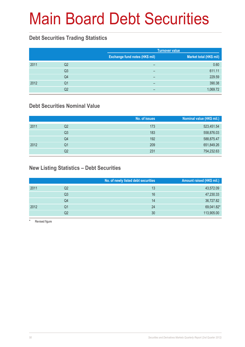# Main Board Debt Securities

#### **Debt Securities Trading Statistics**

|      |                |                                | <b>Turnover value</b>   |
|------|----------------|--------------------------------|-------------------------|
|      |                | Exchange fund notes (HK\$ mil) | Market total (HK\$ mil) |
| 2011 | Q <sub>2</sub> | -                              | 0.60                    |
|      | Q <sub>3</sub> | -                              | 611.11                  |
|      | Q4             | -                              | 229.59                  |
| 2012 | Q1             | -                              | 390.38                  |
|      | Q2             | -                              | 1,069.72                |

### **Debt Securities Nominal Value**

|      |    | No. of issues | Nominal value (HK\$ mil.) |
|------|----|---------------|---------------------------|
| 2011 | Q2 | 173           | 523,451.54                |
|      | Q3 | 183           | 558,876.03                |
|      | Q4 | 192           | 588,875.47                |
| 2012 | Q1 | 209           | 651,849.26                |
|      | Q2 | 231           | 754,232.63                |

### **New Listing Statistics – Debt Securities**

|      |    | No. of newly listed debt securities | Amount raised (HK\$ mil.) |
|------|----|-------------------------------------|---------------------------|
| 2011 | Q2 | 13                                  | 43,572.09                 |
|      | Q3 | 16                                  | 47,230.33                 |
|      | Q4 | 14                                  | 36,727.82                 |
| 2012 | Q1 | 24                                  | 69,041.82*                |
|      | Q2 | 30                                  | 113,905.00                |

Revised figure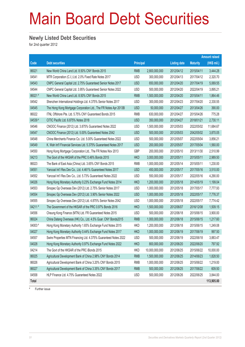# Main Board Debt Securities

#### **Newly Listed Debt Securities**

for 2nd quarter 2012

|           |                                                                   |                  |                |                     |                 | <b>Amount raised</b> |
|-----------|-------------------------------------------------------------------|------------------|----------------|---------------------|-----------------|----------------------|
| Code      | <b>Debt securities</b>                                            | <b>Principal</b> |                | <b>Listing date</b> | <b>Maturity</b> | (HK\$ mil.)          |
| 86021     | New World China Land Ltd. 8.50% CNY Bonds 2015                    | <b>RMB</b>       | 2,800,000,000  | 2012/04/12          | 2015/04/11      | 3,444.28             |
| 04541     | MTR Corporation (C.I.) Ltd. 2.0% Fixed Rate Notes 2017            | <b>USD</b>       | 300,000,000    | 2012/04/13          | 2017/04/12      | 2,320.70             |
| 04543     | CNPC General Capital Ltd. 2.75% Guaranteed Senior Notes 2017      | <b>USD</b>       | 650,000,000    | 2012/04/20          | 2017/04/19      | 5,069.55             |
| 04544     | CNPC General Capital Ltd. 3.95% Guaranteed Senior Notes 2022      | <b>USD</b>       | 500,000,000    | 2012/04/20          | 2022/04/19      | 3,895.21             |
| 86021#    | New World China Land Ltd. 8.50% CNY Bonds 2015                    | <b>RMB</b>       | 1,500,000,000  | 2012/04/20          | 2015/04/11      | 1,864.46             |
| 04542     | Shenzhen International Holdings Ltd. 4.375% Senior Notes 2017     | <b>USD</b>       | 300,000,000    | 2012/04/23          | 2017/04/20      | 2,330.55             |
| 04545     | The Hong Kong Mortgage Corporation Ltd., The FR Notes Apr 2013B   | <b>USD</b>       | 50,000,000     | 2012/04/27          | 2013/04/26      | 390.00               |
| 86022     | ITNL Offshore Pte. Ltd. 5.75% CNY Guaranteed Bonds 2015           | <b>RMB</b>       | 630,000,000    | 2012/04/27          | 2015/04/26      | 775.28               |
| 04539#    | CITIC Pacific Ltd. 6.875% Notes 2018                              | <b>USD</b>       | 350,000,000    | 2012/04/27          | 2018/01/21      | 2,730.11             |
| 04546     | CNOOC Finance (2012) Ltd. 3.875% Guaranteed Notes 2022            | <b>USD</b>       | 1,500,000,000  | 2012/05/03          | 2022/05/02      | 11,684.67            |
| 04547     | CNOOC Finance (2012) Ltd. 5.00% Guaranteed Notes 2042             | <b>USD</b>       | 500,000,000    | 2012/05/03          | 2042/05/02      | 3,870.05             |
| 04548     | China Merchants Finance Co. Ltd. 5.00% Guaranteed Notes 2022      | <b>USD</b>       | 500,000,000    | 2012/05/07          | 2022/05/04      | 3,856.21             |
| 04549     | K. Wah Int'l Financial Services Ltd. 5.375% Guaranteed Notes 2017 | <b>USD</b>       | 200,000,000    | 2012/05/07          | 2017/05/04      | 1,560.00             |
| 04550     | Hong Kong Mortgage Corporation Ltd., The FR Notes Nov 2013        | GBP              | 200,000,000    | 2012/05/10          | 2013/11/30      | 2,510.99             |
| 04213     | The Govt of the HKSAR of the PRC 0.46% Bonds 2015                 | <b>HKD</b>       | 3,000,000,000  | 2012/05/11          | 2015/05/11      | 2,989.50             |
| 86023     | The Bank of East Asia (China) Ltd. 3.65% CNY Bonds 2015           | <b>RMB</b>       | 1,000,000,000  | 2012/05/14          | 2015/05/11      | 1,230.00             |
| 04551     | Yancoal Int'l Res Dev Co., Ltd. 4.461% Guaranteed Notes 2017      | <b>USD</b>       | 450,000,000    | 2012/05/17          | 2017/05/16      | 3,510.00             |
| 04552     | Yancoal Int'l Res Dev Co., Ltd. 5.73% Guaranteed Notes 2022       | <b>USD</b>       | 550,000,000    | 2012/05/17          | 2022/05/16      | 4,290.00             |
| 04026     | Hong Kong Monetary Authority 0.23% Exchange Fund Notes 2014       | <b>HKD</b>       | 1,200,000,000  | 2012/05/18          | 2014/05/19      | 1,199.04             |
| 04553     | Sinopec Gp Overseas Dev (2012) Ltd. 2.75% Senior Notes 2017       | <b>USD</b>       | 1,000,000,000  | 2012/05/18          | 2017/05/17      | 7,777.93             |
| 04554     | Sinopec Gp Overseas Dev (2012) Ltd. 3.90% Senior Notes 2022       | <b>USD</b>       | 1,000,000,000  | 2012/05/18          | 2022/05/17      | 7,776.37             |
| 04555     | Sinopec Gp Overseas Dev (2012) Ltd. 4.875% Senior Notes 2042      | <b>USD</b>       | 1,000,000,000  | 2012/05/18          | 2022/05/17      | 7,774.42             |
| 04211#    | The Government of the HKSAR of the PRC 0.97% Bonds 2016           | <b>HKD</b>       | 1,500,000,000  | 2012/06/07          | 2016/12/08      | 1,509.15             |
| 04556     | Cheung Kong Finance (MTN) Ltd. FR Guaranteed Notes 2015           | <b>USD</b>       | 500,000,000    | 2012/06/18          | 2015/06/15      | 3,900.00             |
| 86024     | China Datang Overseas (HK) Co., Ltd. 4.5% Guar. CNY Bonds2015     | <b>RMB</b>       | 1,000,000,000  | 2012/06/18          | 2015/06/15      | 1,217.60             |
| $04003$ # | Hong Kong Monetary Authority 1.65% Exchange Fund Notes 2015       | <b>HKD</b>       | 1,200,000,000  | 2012/06/18          | 2015/06/15      | 1,249.08             |
| 04027     | Hong Kong Monetary Authority 0.44% Exchange Fund Notes 2017       | <b>HKD</b>       | 1,000,000,000  | 2012/06/19          | 2017/06/19      | 997.50               |
| 04557     | Swire Properties MTN Financing Ltd. 4.375% Guaranteed Notes 2022  | <b>USD</b>       | 500,000,000    | 2012/06/19          | 2022/06/18      | 3,883.47             |
| 04028     | Hong Kong Monetary Authority 0.97% Exchange Fund Notes 2022       | <b>HKD</b>       | 800,000,000    | 2012/06/20          | 2022/06/20      | 797.92               |
| 04214     | The Govt of the HKSAR of the PRC iBonds 2015                      | <b>HKD</b>       | 10,000,000,000 | 2012/06/25          | 2015/06/22      | 10,000.00            |
| 86025     | Agricultural Development Bank of China 2.98% CNY Bonds 2014       | <b>RMB</b>       | 1,500,000,000  | 2012/06/25          | 2014/06/23      | 1,828.50             |
| 86026     | Agricultural Development Bank of China 3.20% CNY Bonds 2015       | <b>RMB</b>       | 1,000,000,000  | 2012/06/25          | 2015/06/22      | 1,219.00             |
| 86027     | Agricultural Development Bank of China 3.35% CNY Bonds 2017       | <b>RMB</b>       | 500,000,000    | 2012/06/25          | 2017/06/22      | 609.50               |
| 04558     | HLP Finance Ltd. 4.75% Guaranteed Notes 2022                      | <b>USD</b>       | 500,000,000    | 2012/06/26          | 2022/06/25      | 3,844.00             |
| Total     |                                                                   |                  |                |                     |                 | 113,905.00           |

# Further issue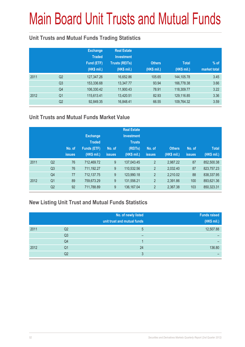# Main Board Unit Trusts and Mutual Funds

### **Unit Trusts and Mutual Funds Trading Statistics**

|      |                | <b>Exchange</b><br><b>Traded</b><br>Fund (ETF)<br>(HK\$ mil.) | <b>Real Estate</b><br><b>Investment</b><br><b>Trusts (REITs)</b><br>(HK\$ mil.) | <b>Others</b><br>(HK\$ mil.) | <b>Total</b><br>(HK\$ mil.) | $%$ of<br>market total |
|------|----------------|---------------------------------------------------------------|---------------------------------------------------------------------------------|------------------------------|-----------------------------|------------------------|
| 2011 | Q <sub>2</sub> | 127,347.26                                                    | 16,652.86                                                                       | 105.65                       | 144,105.78                  | 3.45                   |
|      | Q <sub>3</sub> | 153,336.68                                                    | 13,347.77                                                                       | 93.94                        | 166,778.38                  | 3.66                   |
|      | Q4             | 106,330.42                                                    | 11,900.43                                                                       | 78.91                        | 118,309.77                  | 3.22                   |
| 2012 | Q <sub>1</sub> | 115,613.41                                                    | 13,420.51                                                                       | 82.93                        | 129,116.85                  | 3.36                   |
|      | Q <sub>2</sub> | 92,849.35                                                     | 16,848.41                                                                       | 66.55                        | 109,764.32                  | 3.59                   |

### **Unit Trusts and Mutual Funds Market Value**

|      |                | No. of<br>issues. | <b>Exchange</b><br><b>Traded</b><br><b>Funds (ETF)</b><br>(HK\$ mil.) | No. of<br><b>issues</b> | <b>Real Estate</b><br><b>Investment</b><br><b>Trusts</b><br>(REITs)<br>(HK\$ mil.) | No. of<br><b>issues</b> | <b>Others</b><br>(HK\$ mil.) | No. of<br><b>issues</b> | <b>Total</b><br>(HK\$ mil.) |
|------|----------------|-------------------|-----------------------------------------------------------------------|-------------------------|------------------------------------------------------------------------------------|-------------------------|------------------------------|-------------------------|-----------------------------|
| 2011 | Q <sub>2</sub> | 76                | 712,469.72                                                            | 9                       | 137,043.45                                                                         | $\overline{2}$          | 2,987.22                     | 87                      | 852,500.38                  |
|      | Q <sub>3</sub> | 76                | 711,192.27                                                            | 9                       | 110,532.56                                                                         | $\overline{2}$          | 2,032.40                     | 87                      | 823,757.23                  |
|      | Q4             | 77                | 712,137.75                                                            | 9                       | 123,990.18                                                                         | $\overline{2}$          | 2,210.02                     | 88                      | 838,337.95                  |
| 2012 | Q <sub>1</sub> | 89                | 759.673.29                                                            | 9                       | 131,556.21                                                                         | $\overline{2}$          | 2,391.86                     | 100                     | 893,621.36                  |
|      | Q <sub>2</sub> | 92                | 711,788.89                                                            | 9                       | 136, 167.04                                                                        | $\overline{2}$          | 2,367.38                     | 103                     | 850,323.31                  |

### **New Listing Unit Trust and Mutual Funds Statistics**

|      |                | No. of newly listed<br>unit trust and mutual funds | <b>Funds raised</b><br>(HK\$ mil.) |
|------|----------------|----------------------------------------------------|------------------------------------|
| 2011 | Q2             | b                                                  | 12,507.88                          |
|      | Q <sub>3</sub> | –                                                  |                                    |
|      | Q4             |                                                    |                                    |
| 2012 | Q1             | 24                                                 | 136.80                             |
|      | Q2             | ∩                                                  |                                    |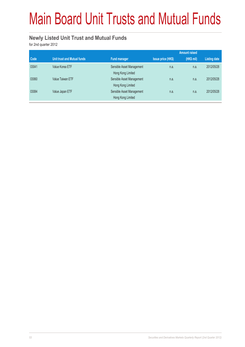# Main Board Unit Trusts and Mutual Funds

#### **Newly Listed Unit Trust and Mutual Funds**

for 2nd quarter 2012

|       |                                    |                                                |                           | <b>Amount raised</b> |              |
|-------|------------------------------------|------------------------------------------------|---------------------------|----------------------|--------------|
| Code  | <b>Unit trust and Mutual funds</b> | <b>Fund manager</b>                            | <b>Issue price (HK\$)</b> | $(HK\$ mil)          | Listing date |
| 03041 | Value Korea ETF                    | Sensible Asset Management<br>Hong Kong Limited | n.a.                      | n.a.                 | 2012/05/28   |
| 03060 | Value Taiwan ETF                   | Sensible Asset Management<br>Hong Kong Limited | n.a.                      | n.a.                 | 2012/05/28   |
| 03084 | Value Japan ETF                    | Sensible Asset Management<br>Hong Kong Limited | n.a.                      | n.a.                 | 2012/05/28   |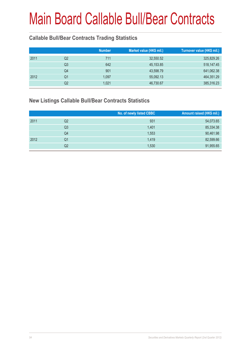### **Callable Bull/Bear Contracts Trading Statistics**

|      |    | <b>Number</b> | Market value (HK\$ mil.) | Turnover value (HK\$ mil.) |
|------|----|---------------|--------------------------|----------------------------|
| 2011 | Q2 | 711           | 32,550.52                | 325,829.26                 |
|      | Q3 | 642           | 45, 153.85               | 518,147.45                 |
|      | Q4 | 901           | 43,598.79                | 641,062.38                 |
| 2012 | Q1 | 1,097         | 55,092.13                | 464,351.29                 |
|      | Q2 | 1.021         | 46,730.67                | 385,316.23                 |

#### **New Listings Callable Bull/Bear Contracts Statistics**

|      |                | No. of newly listed CBBC | Amount raised (HK\$ mil.) |
|------|----------------|--------------------------|---------------------------|
| 2011 | Q2             | 931                      | 54,073.65                 |
|      | Q <sub>3</sub> | 1.401                    | 85,334.38                 |
|      | Q4             | 1,553                    | 90,461.98                 |
| 2012 | Q1             | 1.419                    | 82,599.66                 |
|      | Q2             | 1,530                    | 91,955.65                 |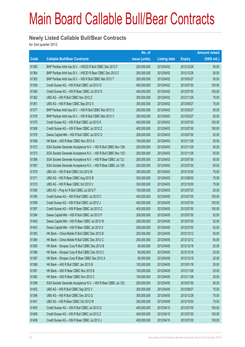#### **Newly Listed Callable Bull/Bear Contracts**

for 2nd quarter 2012

|       |                                                                | No. of        |                     |               | <b>Amount raised</b> |
|-------|----------------------------------------------------------------|---------------|---------------------|---------------|----------------------|
| Code  | <b>Callable Bull/Bear Contracts</b>                            | issue (units) | <b>Listing date</b> | <b>Expiry</b> | $(HK$$ mil.)         |
| 61365 | BNP Paribas Arbit Issu B.V. - HSCEI R Bull CBBC Dec 2012 F     | 200,000,000   | 2012/04/02          | 2012/12/28    | 50.00                |
| 61364 | BNP Paribas Arbit Issu B.V. - HSCEI R Bear CBBC Dec 2012 C     | 200,000,000   | 2012/04/02          | 2012/12/28    | 50.00                |
| 61363 | BNP Paribas Arbit Issu B.V. - HSI R Bull CBBC Mar 2013 T       | 200,000,000   | 2012/04/02          | 2013/03/27    | 50.00                |
| 61359 | Credit Suisse AG - HSI R Bull CBBC Jul 2012 G                  | 400,000,000   | 2012/04/02          | 2012/07/30    | 100.00               |
| 61360 | Credit Suisse AG - HSI R Bear CBBC Jul 2012 K                  | 400,000,000   | 2012/04/02          | 2012/07/30    | 100.00               |
| 61362 | UBS AG - HSI R Bull CBBC Nov 2012 Z                            | 300,000,000   | 2012/04/02          | 2012/11/29    | 75.00                |
| 61361 | UBS AG - HSI R Bear CBBC Sep 2012 X                            | 300,000,000   | 2012/04/02          | 2012/09/27    | 75.00                |
| 61377 | BNP Paribas Arbit Issu B.V. - HSI R Bull CBBC Mar 2013 U       | 200,000,000   | 2012/04/03          | 2013/03/27    | 50.00                |
| 61378 | BNP Paribas Arbit Issu B.V. - HSI R Bull CBBC Mar 2013 V       | 200,000,000   | 2012/04/03          | 2013/03/27    | 50.00                |
| 61375 | Credit Suisse AG - HSI R Bull CBBC Jul 2012 K                  | 400,000,000   | 2012/04/03          | 2012/07/30    | 100.00               |
| 61369 | Credit Suisse AG - HSI R Bear CBBC Jul 2012 Z                  | 400,000,000   | 2012/04/03          | 2012/07/30    | 100.00               |
| 61376 | Daiwa Capital Mkt - HSI R Bull CBBC Jul 2012 O                 | 208,000,000   | 2012/04/03          | 2012/07/30    | 52.00                |
| 61368 | HK Bank - A50 R Bear CBBC Nov 2012 A                           | 100,000,000   | 2012/04/03          | 2012/11/28    | 25.00                |
| 61372 | SGA Societe Generale Acceptance N.V. - HSI R Bull CBBC Nov 12N | 200,000,000   | 2012/04/03          | 2012/11/29    | 50.00                |
| 61373 | SGA Societe Generale Acceptance N.V. - HSI R Bull CBBC Nov 120 | 200,000,000   | 2012/04/03          | 2012/11/29    | 50.00                |
| 61366 | SGA Societe Generale Acceptance N.V. - HSI R Bear CBBC Jul 12J | 200,000,000   | 2012/04/03          | 2012/07/30    | 50.00                |
| 61367 | SGA Societe Generale Acceptance N.V. - HSI R Bear CBBC Jul 12K | 200,000,000   | 2012/04/03          | 2012/07/30    | 50.00                |
| 61379 | UBS AG - HSI R Bull CBBC Oct 2012 M                            | 300,000,000   | 2012/04/03          | 2012/10/30    | 75.00                |
| 61371 | UBS AG - HSI R Bear CBBC Aug 2012 B                            | 300,000,000   | 2012/04/03          | 2012/08/30    | 75.00                |
| 61370 | UBS AG - HSI R Bear CBBC Oct 2012 V                            | 300,000,000   | 2012/04/03          | 2012/10/30    | 75.00                |
| 61380 | UBS AG - Ping An R Bull CBBC Jul 2012 F                        | 100,000,000   | 2012/04/03          | 2012/07/23    | 25.00                |
| 61395 | Credit Suisse AG - HSI R Bull CBBC Jul 2012 C                  | 400,000,000   | 2012/04/05          | 2012/07/30    | 100.00               |
| 61399 | Credit Suisse AG - HSI R Bull CBBC Jul 2012 J                  | 400,000,000   | 2012/04/05          | 2012/07/30    | 100.00               |
| 61397 | Credit Suisse AG - HSI R Bear CBBC Jul 2012 C                  | 400,000,000   | 2012/04/05          | 2012/07/30    | 100.00               |
| 61394 | Daiwa Capital Mkt - HSI R Bull CBBC Jul 2012 P                 | 208,000,000   | 2012/04/05          | 2012/07/30    | 52.00                |
| 61400 | Daiwa Capital Mkt - HSI R Bear CBBC Jul 2012 W                 | 208,000,000   | 2012/04/05          | 2012/07/30    | 52.00                |
| 61403 | Daiwa Capital Mkt - HSI R Bear CBBC Jul 2012 X                 | 208,000,000   | 2012/04/05          | 2012/07/30    | 52.00                |
| 61383 | HK Bank - China Mobile R Bull CBBC Dec 2012 B                  | 200,000,000   | 2012/04/05          | 2012/12/12    | 50.00                |
| 61384 | HK Bank - China Mobile R Bull CBBC Dec 2012 C                  | 200,000,000   | 2012/04/05          | 2012/12/12    | 50.00                |
| 61385 | HK Bank - Sinopec Corp R Bull CBBC Dec 2012 B                  | 80,000,000    | 2012/04/05          | 2012/12/18    | 20.00                |
| 61386 | HK Bank - Sinopec Corp R Bull CBBC Dec 2012 C                  | 80,000,000    | 2012/04/05          | 2012/12/18    | 20.00                |
| 61387 | HK Bank - Sinopec Corp R Bear CBBC Dec 2012 A                  | 80,000,000    | 2012/04/05          | 2012/12/18    | 20.00                |
| 61388 | HK Bank - A50 R Bull CBBC Jan 2013 B                           | 100,000,000   | 2012/04/05          | 2013/01/18    | 25.00                |
| 61381 | HK Bank - A50 R Bear CBBC Nov 2012 B                           | 100,000,000   | 2012/04/05          | 2012/11/28    | 25.00                |
| 61382 | HK Bank - A50 R Bear CBBC Nov 2012 C                           | 100,000,000   | 2012/04/05          | 2012/11/28    | 25.00                |
| 61398 | SGA Societe Generale Acceptance N.V. - HSI R Bear CBBC Jul 12C | 200,000,000   | 2012/04/05          | 2012/07/30    | 50.00                |
| 61402 | UBS AG - HSI R Bull CBBC Sep 2012 V                            | 300,000,000   | 2012/04/05          | 2012/09/27    | 75.00                |
| 61396 | UBS AG - HSI R Bull CBBC Dec 2012 Q                            | 300,000,000   | 2012/04/05          | 2012/12/28    | 75.00                |
| 61401 | UBS AG - HSI R Bear CBBC Oct 2012 W                            | 300,000,000   | 2012/04/05          | 2012/10/30    | 75.00                |
| 61405 | Credit Suisse AG - HSI R Bull CBBC Jul 2012 Q                  | 400,000,000   | 2012/04/10          | 2012/07/30    | 100.00               |
| 61406 | Credit Suisse AG - HSI R Bull CBBC Jul 2012 Z                  | 400,000,000   | 2012/04/10          | 2012/07/30    | 100.00               |
| 61409 | Credit Suisse AG - HSI R Bear CBBC Jul 2012 J                  | 400,000,000   | 2012/04/10          | 2012/07/30    | 100.00               |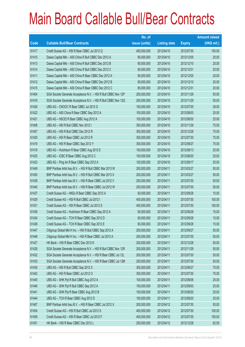|       |                                                                | No. of        |                     |               | <b>Amount raised</b> |
|-------|----------------------------------------------------------------|---------------|---------------------|---------------|----------------------|
| Code  | <b>Callable Bull/Bear Contracts</b>                            | issue (units) | <b>Listing date</b> | <b>Expiry</b> | $(HK$$ mil.)         |
| 61417 | Credit Suisse AG - HSI R Bear CBBC Jul 2012 Q                  | 400,000,000   | 2012/04/10          | 2012/07/30    | 100.00               |
| 61410 | Daiwa Capital Mkt - A50 China R Bull CBBC Dec 2012 A           | 80,000,000    | 2012/04/10          | 2012/12/05    | 20.00                |
| 61413 | Daiwa Capital Mkt - A50 China R Bull CBBC Dec 2012 B           | 80,000,000    | 2012/04/10          | 2012/12/10    | 20.00                |
| 61414 | Daiwa Capital Mkt - A50 China R Bull CBBC Dec 2012 C           | 80,000,000    | 2012/04/10          | 2012/12/31    | 20.00                |
| 61411 | Daiwa Capital Mkt - A50 China R Bear CBBC Dec 2012 A           | 80,000,000    | 2012/04/10          | 2012/12/05    | 20.00                |
| 61412 | Daiwa Capital Mkt - A50 China R Bear CBBC Dec 2012 B           | 80,000,000    | 2012/04/10          | 2012/12/10    | 20.00                |
| 61415 | Daiwa Capital Mkt - A50 China R Bear CBBC Dec 2012 C           | 80,000,000    | 2012/04/10          | 2012/12/31    | 20.00                |
| 61404 | SGA Societe Generale Acceptance N.V. - HSI R Bull CBBC Nov 12P | 200,000,000   | 2012/04/10          | 2012/11/29    | 50.00                |
| 61416 | SGA Societe Generale Acceptance N.V. - HSI R Bull CBBC Nov 12Q | 200,000,000   | 2012/04/10          | 2012/11/29    | 50.00                |
| 61426 | UBS AG - CNOOC R Bear CBBC Jul 2012 G                          | 100,000,000   | 2012/04/10          | 2012/07/30    | 28.00                |
| 61422 | UBS AG - A50 China R Bear CBBC Sep 2012 A                      | 100,000,000   | 2012/04/10          | 2012/09/03    | 25.00                |
| 61421 | UBS AG - HSCEI R Bear CBBC Aug 2012 A                          | 100,000,000   | 2012/04/10          | 2012/08/30    | 25.00                |
| 61408 | UBS AG - HSI R Bull CBBC Nov 2012 I                            | 300,000,000   | 2012/04/10          | 2012/11/29    | 75.00                |
| 61407 | UBS AG - HSI R Bull CBBC Dec 2012 R                            | 300,000,000   | 2012/04/10          | 2012/12/28    | 75.00                |
| 61420 | UBS AG - HSI R Bear CBBC Jul 2012 R                            | 300,000,000   | 2012/04/10          | 2012/07/30    | 75.00                |
| 61419 | UBS AG - HSI R Bear CBBC Sep 2012 Y                            | 300,000,000   | 2012/04/10          | 2012/09/27    | 75.00                |
| 61418 | UBS AG - Hutchison R Bear CBBC Aug 2012 E                      | 100,000,000   | 2012/04/10          | 2012/08/13    | 25.00                |
| 61425 | UBS AG - ICBC R Bear CBBC Aug 2012 C                           | 100,000,000   | 2012/04/10          | 2012/08/20    | 25.00                |
| 61423 | UBS AG - Ping An R Bear CBBC Sep 2012 A                        | 100,000,000   | 2012/04/10          | 2012/09/17    | 25.00                |
| 61449 | BNP Paribas Arbit Issu B.V. - HSI R Bull CBBC Mar 2013 W       | 200,000,000   | 2012/04/11          | 2013/03/27    | 50.00                |
| 61450 | BNP Paribas Arbit Issu B.V. - HSI R Bull CBBC Mar 2013 X       | 200,000,000   | 2012/04/11          | 2013/03/27    | 50.00                |
| 61439 | BNP Paribas Arbit Issu B.V. - HSI R Bear CBBC Jul 2012 V       | 200,000,000   | 2012/04/11          | 2012/07/30    | 50.00                |
| 61440 | BNP Paribas Arbit Issu B.V. - HSI R Bear CBBC Jul 2012 W       | 200,000,000   | 2012/04/11          | 2012/07/30    | 50.00                |
| 61437 | Credit Suisse AG - HKEx R Bear CBBC Sep 2012 A                 | 60,000,000    | 2012/04/11          | 2012/09/28    | 15.00                |
| 61429 | Credit Suisse AG - HSI R Bull CBBC Jul 2012 I                  | 400,000,000   | 2012/04/11          | 2012/07/30    | 100.00               |
| 61431 | Credit Suisse AG - HSI R Bear CBBC Jul 2012 S                  | 400,000,000   | 2012/04/11          | 2012/07/30    | 100.00               |
| 61438 | Credit Suisse AG - Hutchison R Bear CBBC Sep 2012 A            | 60,000,000    | 2012/04/11          | 2012/09/28    | 15.00                |
| 61434 | Credit Suisse AG - TCH R Bear CBBC Sep 2012 D                  | 60,000,000    | 2012/04/11          | 2012/09/28    | 15.00                |
| 61436 | Credit Suisse AG - TCH R Bear CBBC Sep 2012 E                  | 60,000,000    | 2012/04/11          | 2012/09/28    | 15.00                |
| 61447 | Citigroup Global Mkt H Inc. - HSI R Bull CBBC Sep 2012 A       | 200,000,000   | 2012/04/11          | 2012/09/27    | 50.00                |
| 61448 | Citigroup Global Mkt H Inc. - HSI R Bear CBBC Jul 2012 A       | 200,000,000   | 2012/04/11          | 2012/07/30    | 50.00                |
| 61427 | HK Bank - HSI R Bear CBBC Dec 2012 K                           | 200,000,000   | 2012/04/11          | 2012/12/28    | 50.00                |
| 61428 | SGA Societe Generale Acceptance N.V. - HSI R Bull CBBC Nov 12R | 200,000,000   | 2012/04/11          | 2012/11/29    | 50.00                |
| 61432 | SGA Societe Generale Acceptance N.V. - HSI R Bear CBBC Jul 12L | 200,000,000   | 2012/04/11          | 2012/07/30    | 50.00                |
| 61433 | SGA Societe Generale Acceptance N.V. - HSI R Bear CBBC Jul 12M | 200,000,000   | 2012/04/11          | 2012/07/30    | 50.00                |
| 61430 | UBS AG - HSI R Bull CBBC Sep 2012 X                            | 300,000,000   | 2012/04/11          | 2012/09/27    | 75.00                |
| 61442 | UBS AG - HSI R Bear CBBC Jul 2012 O                            | 300,000,000   | 2012/04/11          | 2012/07/30    | 75.00                |
| 61445 | UBS AG - SHK Ppt R Bull CBBC Aug 2012 A                        | 100,000,000   | 2012/04/11          | 2012/08/06    | 25.00                |
| 61446 | UBS AG - SHK Ppt R Bull CBBC Sep 2012 A                        | 100,000,000   | 2012/04/11          | 2012/09/03    | 25.00                |
| 61441 | UBS AG - SHK Ppt R Bear CBBC Aug 2012 B                        | 100,000,000   | 2012/04/11          | 2012/08/20    | 25.00                |
| 61444 | UBS AG - TCH R Bear CBBC Aug 2012 D                            | 100,000,000   | 2012/04/11          | 2012/08/20    | 25.00                |
| 61467 | BNP Paribas Arbit Issu B.V. - HSI R Bear CBBC Jul 2012 X       | 200,000,000   | 2012/04/12          | 2012/07/30    | 50.00                |
| 61454 | Credit Suisse AG - HSI R Bull CBBC Jul 2012 S                  | 400,000,000   | 2012/04/12          | 2012/07/30    | 100.00               |
| 61459 | Credit Suisse AG - HSI R Bear CBBC Jul 2012 F                  | 400,000,000   | 2012/04/12          | 2012/07/30    | 100.00               |
| 61451 | HK Bank - HSI R Bear CBBC Dec 2012 L                           | 250,000,000   | 2012/04/12          | 2012/12/28    | 62.50                |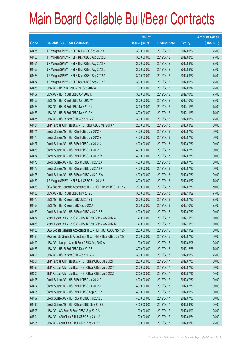|       |                                                                | No. of        |                     |               | <b>Amount raised</b> |
|-------|----------------------------------------------------------------|---------------|---------------------|---------------|----------------------|
| Code  | <b>Callable Bull/Bear Contracts</b>                            | issue (units) | <b>Listing date</b> | <b>Expiry</b> | $(HK$$ mil.)         |
| 61466 | J P Morgan SP BV - HSI R Bull CBBC Sep 2012 A                  | 300,000,000   | 2012/04/12          | 2012/09/27    | 75.00                |
| 61460 | J P Morgan SP BV - HSI R Bear CBBC Aug 2012 Q                  | 300,000,000   | 2012/04/12          | 2012/08/30    | 75.00                |
| 61461 | J P Morgan SP BV - HSI R Bear CBBC Aug 2012 R                  | 300,000,000   | 2012/04/12          | 2012/08/30    | 75.00                |
| 61462 | J P Morgan SP BV - HSI R Bear CBBC Aug 2012 U                  | 300,000,000   | 2012/04/12          | 2012/08/30    | 75.00                |
| 61463 | J P Morgan SP BV - HSI R Bear CBBC Sep 2012 A                  | 300,000,000   | 2012/04/12          | 2012/09/27    | 75.00                |
| 61464 | J P Morgan SP BV - HSI R Bear CBBC Sep 2012 B                  | 300,000,000   | 2012/04/12          | 2012/09/27    | 75.00                |
| 61458 | UBS AG - HKEx R Bear CBBC Sep 2012 A                           | 100,000,000   | 2012/04/12          | 2012/09/17    | 25.00                |
| 61457 | UBS AG - HSI R Bull CBBC Oct 2012 K                            | 300,000,000   | 2012/04/12          | 2012/10/30    | 75.00                |
| 61452 | UBS AG - HSI R Bull CBBC Oct 2012 W                            | 300,000,000   | 2012/04/12          | 2012/10/30    | 75.00                |
| 61453 | UBS AG - HSI R Bull CBBC Nov 2012 J                            | 300,000,000   | 2012/04/12          | 2012/11/29    | 75.00                |
| 61456 | UBS AG - HSI R Bull CBBC Nov 2012 K                            | 300,000,000   | 2012/04/12          | 2012/11/29    | 75.00                |
| 61455 | UBS AG - HSI R Bear CBBC Sep 2012 Z                            | 300,000,000   | 2012/04/12          | 2012/09/27    | 75.00                |
| 61481 | BNP Paribas Arbit Issu B.V. - HSI R Bull CBBC Mar 2013 Y       | 200,000,000   | 2012/04/13          | 2013/03/27    | 50.00                |
| 61471 | Credit Suisse AG - HSI R Bull CBBC Jul 2012 F                  | 400,000,000   | 2012/04/13          | 2012/07/30    | 100.00               |
| 61475 | Credit Suisse AG - HSI R Bull CBBC Jul 2012 G                  | 400,000,000   | 2012/04/13          | 2012/07/30    | 100.00               |
| 61477 | Credit Suisse AG - HSI R Bull CBBC Jul 2012 K                  | 400,000,000   | 2012/04/13          | 2012/07/30    | 100.00               |
| 61478 | Credit Suisse AG - HSI R Bull CBBC Jul 2012 P                  | 400,000,000   | 2012/04/13          | 2012/07/30    | 100.00               |
| 61474 | Credit Suisse AG - HSI R Bull CBBC Jul 2012 W                  | 400,000,000   | 2012/04/13          | 2012/07/30    | 100.00               |
| 61476 | Credit Suisse AG - HSI R Bear CBBC Jul 2012 A                  | 400,000,000   | 2012/04/13          | 2012/07/30    | 100.00               |
| 61472 | Credit Suisse AG - HSI R Bear CBBC Jul 2012 K                  | 400,000,000   | 2012/04/13          | 2012/07/30    | 100.00               |
| 61473 | Credit Suisse AG - HSI R Bear CBBC Jul 2012 W                  | 400,000,000   | 2012/04/13          | 2012/07/30    | 100.00               |
| 61482 | J P Morgan SP BV - HSI R Bull CBBC Sep 2012 B                  | 300,000,000   | 2012/04/13          | 2012/09/27    | 75.00                |
| 61468 | SGA Societe Generale Acceptance N.V. - HSI R Bear CBBC Jul 12G | 200,000,000   | 2012/04/13          | 2012/07/30    | 50.00                |
| 61480 | UBS AG - HSI R Bull CBBC Nov 2012 L                            | 300,000,000   | 2012/04/13          | 2012/11/29    | 75.00                |
| 61470 | UBS AG - HSI R Bear CBBC Jul 2012 J                            | 300,000,000   | 2012/04/13          | 2012/07/30    | 75.00                |
| 61469 | UBS AG - HSI R Bear CBBC Oct 2012 X                            | 300,000,000   | 2012/04/13          | 2012/10/30    | 75.00                |
| 61489 | Credit Suisse AG - HSI R Bear CBBC Jul 2012 B                  | 400,000,000   | 2012/04/16          | 2012/07/30    | 100.00               |
| 61487 | Merrill Lynch Int'l & Co. C.V. - HSI R Bear CBBC Nov 2012 A    | 40,000,000    | 2012/04/16          | 2012/11/29    | 10.00                |
| 61488 | Merrill Lynch Int'l & Co. C.V. - HSI R Bear CBBC Nov 2012 B    | 40,000,000    | 2012/04/16          | 2012/11/29    | 10.00                |
| 61483 | SGA Societe Generale Acceptance N.V. - HSI R Bull CBBC Nov 12S | 200,000,000   | 2012/04/16          | 2012/11/29    | 50.00                |
| 61485 | SGA Societe Generale Acceptance N.V. - HSI R Bear CBBC Jul 12Z | 200,000,000   | 2012/04/16          | 2012/07/30    | 50.00                |
| 61490 | UBS AG - Sinopec Corp R Bear CBBC Aug 2012 A                   | 100,000,000   | 2012/04/16          | 2012/08/06    | 25.00                |
| 61486 | UBS AG - HSI R Bull CBBC Dec 2012 S                            | 300,000,000   | 2012/04/16          | 2012/12/28    | 75.00                |
| 61491 | UBS AG - HSI R Bear CBBC Sep 2012 C                            | 300,000,000   | 2012/04/16          | 2012/09/27    | 75.00                |
| 61501 | BNP Paribas Arbit Issu B.V. - HSI R Bear CBBC Jul 2012 H       | 200,000,000   | 2012/04/17          | 2012/07/30    | 50.00                |
| 61498 | BNP Paribas Arbit Issu B.V. - HSI R Bear CBBC Jul 2012 Y       | 200,000,000   | 2012/04/17          | 2012/07/30    | 50.00                |
| 61500 | BNP Paribas Arbit Issu B.V. - HSI R Bear CBBC Jul 2012 Z       | 200,000,000   | 2012/04/17          | 2012/07/30    | 50.00                |
| 61493 | Credit Suisse AG - HSI R Bull CBBC Jul 2012 C                  | 400,000,000   | 2012/04/17          | 2012/07/30    | 100.00               |
| 61494 | Credit Suisse AG - HSI R Bull CBBC Jul 2012 J                  | 400,000,000   | 2012/04/17          | 2012/07/30    | 100.00               |
| 61495 | Credit Suisse AG - HSI R Bull CBBC Sep 2012 X                  | 400,000,000   | 2012/04/17          | 2012/09/27    | 100.00               |
| 61497 | Credit Suisse AG - HSI R Bear CBBC Jul 2012 D                  | 400,000,000   | 2012/04/17          | 2012/07/30    | 100.00               |
| 61496 | Credit Suisse AG - HSI R Bear CBBC Sep 2012 Z                  | 400,000,000   | 2012/04/17          | 2012/09/27    | 100.00               |
| 61506 | UBS AG - CC Bank R Bear CBBC Sep 2012 A                        | 100,000,000   | 2012/04/17          | 2012/09/03    | 25.00                |
| 61504 | UBS AG - A50 China R Bull CBBC Sep 2012 A                      | 100,000,000   | 2012/04/17          | 2012/09/24    | 25.00                |
| 61505 | UBS AG - A50 China R Bull CBBC Sep 2012 B                      | 100,000,000   | 2012/04/17          | 2012/09/10    | 25.00                |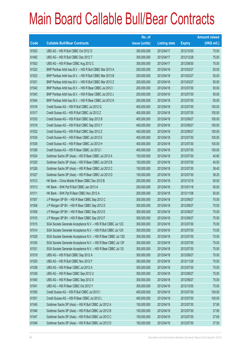|       |                                                                | No. of        |                     |               | <b>Amount raised</b> |
|-------|----------------------------------------------------------------|---------------|---------------------|---------------|----------------------|
| Code  | <b>Callable Bull/Bear Contracts</b>                            | issue (units) | <b>Listing date</b> | <b>Expiry</b> | (HK\$ mil.)          |
| 61503 | UBS AG - HSI R Bull CBBC Oct 2012 O                            | 300,000,000   | 2012/04/17          | 2012/10/30    | 75.00                |
| 61492 | UBS AG - HSI R Bull CBBC Dec 2012 T                            | 300,000,000   | 2012/04/17          | 2012/12/28    | 75.00                |
| 61502 | UBS AG - HSI R Bear CBBC Aug 2012 C                            | 300,000,000   | 2012/04/17          | 2012/08/30    | 75.00                |
| 61522 | BNP Paribas Arbit Issu B.V. - HSI R Bull CBBC Mar 2013 A       | 200,000,000   | 2012/04/18          | 2013/03/27    | 50.00                |
| 61523 | BNP Paribas Arbit Issu B.V. - HSI R Bull CBBC Mar 2013 B       | 200,000,000   | 2012/04/18          | 2013/03/27    | 50.00                |
| 61521 | BNP Paribas Arbit Issu B.V. - HSI R Bull CBBC Mar 2013 Z       | 200,000,000   | 2012/04/18          | 2013/03/27    | 50.00                |
| 61542 | BNP Paribas Arbit Issu B.V. - HSI R Bear CBBC Jul 2012 I       | 200,000,000   | 2012/04/18          | 2012/07/30    | 50.00                |
| 61543 | BNP Paribas Arbit Issu B.V. - HSI R Bear CBBC Jul 2012 J       | 200,000,000   | 2012/04/18          | 2012/07/30    | 50.00                |
| 61544 | BNP Paribas Arbit Issu B.V. - HSI R Bear CBBC Jul 2012 K       | 200,000,000   | 2012/04/18          | 2012/07/30    | 50.00                |
| 61516 | Credit Suisse AG - HSI R Bull CBBC Jul 2012 Q                  | 400,000,000   | 2012/04/18          | 2012/07/30    | 100.00               |
| 61517 | Credit Suisse AG - HSI R Bull CBBC Jul 2012 Z                  | 400,000,000   | 2012/04/18          | 2012/07/30    | 100.00               |
| 61533 | Credit Suisse AG - HSI R Bull CBBC Sep 2012 B                  | 400,000,000   | 2012/04/18          | 2012/09/27    | 100.00               |
| 61518 | Credit Suisse AG - HSI R Bull CBBC Sep 2012 Y                  | 400,000,000   | 2012/04/18          | 2012/09/27    | 100.00               |
| 61532 | Credit Suisse AG - HSI R Bull CBBC Sep 2012 Z                  | 400,000,000   | 2012/04/18          | 2012/09/27    | 100.00               |
| 61534 | Credit Suisse AG - HSI R Bear CBBC Jul 2012 E                  | 400,000,000   | 2012/04/18          | 2012/07/30    | 100.00               |
| 61535 | Credit Suisse AG - HSI R Bear CBBC Jul 2012 H                  | 400,000,000   | 2012/04/18          | 2012/07/30    | 100.00               |
| 61536 | Credit Suisse AG - HSI R Bear CBBC Jul 2012 I                  | 400,000,000   | 2012/04/18          | 2012/07/30    | 100.00               |
| 61524 | Goldman Sachs SP (Asia) - HSI R Bear CBBC Jul 2012 A           | 150,000,000   | 2012/04/18          | 2012/07/30    | 40.80                |
| 61525 | Goldman Sachs SP (Asia) - HSI R Bear CBBC Jul 2012 B           | 150,000,000   | 2012/04/18          | 2012/07/30    | 40.50                |
| 61526 | Goldman Sachs SP (Asia) - HSI R Bear CBBC Jul 2012 C           | 150,000,000   | 2012/04/18          | 2012/07/30    | 38.40                |
| 61527 | Goldman Sachs SP (Asia) - HSI R Bear CBBC Jul 2012 D           | 150,000,000   | 2012/04/18          | 2012/07/30    | 38.25                |
| 61512 | HK Bank - China Mobile R Bear CBBC Dec 2012 B                  | 200,000,000   | 2012/04/18          | 2012/12/18    | 50.00                |
| 61513 | HK Bank - SHK Ppt R Bull CBBC Jan 2013 A                       | 200,000,000   | 2012/04/18          | 2013/01/18    | 50.00                |
| 61511 | HK Bank - SHK Ppt R Bear CBBC Nov 2012 A                       | 200,000,000   | 2012/04/18          | 2012/11/08    | 50.00                |
| 61507 | J P Morgan SP BV - HSI R Bear CBBC Sep 2012 C                  | 300,000,000   | 2012/04/18          | 2012/09/27    | 75.00                |
| 61508 | J P Morgan SP BV - HSI R Bear CBBC Sep 2012 D                  | 300,000,000   | 2012/04/18          | 2012/09/27    | 75.00                |
| 61509 | J P Morgan SP BV - HSI R Bear CBBC Sep 2012 E                  | 300,000,000   | 2012/04/18          | 2012/09/27    | 75.00                |
| 61510 | J P Morgan SP BV - HSI R Bear CBBC Sep 2012 F                  | 300,000,000   | 2012/04/18          | 2012/09/27    | 75.00                |
| 61515 | SGA Societe Generale Acceptance N.V. - HSI R Bull CBBC Jul 12C | 300,000,000   | 2012/04/18          | 2012/07/30    | 75.00                |
| 61514 | SGA Societe Generale Acceptance N.V. - HSI R Bull CBBC Jul 12X | 300,000,000   | 2012/04/18          | 2012/07/30    | 75.00                |
| 61528 | SGA Societe Generale Acceptance N.V. - HSI R Bear CBBC Jul 12D | 300,000,000   | 2012/04/18          | 2012/07/30    | 75.00                |
| 61530 | SGA Societe Generale Acceptance N.V. - HSI R Bear CBBC Jul 12F | 300,000,000   | 2012/04/18          | 2012/07/30    | 75.00                |
| 61531 | SGA Societe Generale Acceptance N.V. - HSI R Bear CBBC Jul 121 | 300,000,000   | 2012/04/18          | 2012/07/30    | 75.00                |
| 61519 | UBS AG - HSI R Bull CBBC Sep 2012 A                            | 300,000,000   | 2012/04/18          | 2012/09/27    | 75.00                |
| 61520 | UBS AG - HSI R Bull CBBC Nov 2012 F                            | 300,000,000   | 2012/04/18          | 2012/11/29    | 75.00                |
| 61538 | UBS AG - HSI R Bear CBBC Jul 2012 A                            | 300,000,000   | 2012/04/18          | 2012/07/30    | 75.00                |
| 61539 | UBS AG - HSI R Bear CBBC Sep 2012 U                            | 300,000,000   | 2012/04/18          | 2012/09/27    | 75.00                |
| 61540 | UBS AG - HSI R Bear CBBC Sep 2012 X                            | 300,000,000   | 2012/04/18          | 2012/09/27    | 75.00                |
| 61541 | UBS AG - HSI R Bear CBBC Oct 2012 Y                            | 300,000,000   | 2012/04/18          | 2012/10/30    | 75.00                |
| 61550 | Credit Suisse AG - HSI R Bull CBBC Jul 2012 I                  | 400,000,000   | 2012/04/19          | 2012/07/30    | 100.00               |
| 61551 | Credit Suisse AG - HSI R Bear CBBC Jul 2012 L                  | 400,000,000   | 2012/04/19          | 2012/07/30    | 100.00               |
| 61545 | Goldman Sachs SP (Asia) - HSI R Bull CBBC Jul 2012 A           | 150,000,000   | 2012/04/19          | 2012/07/30    | 37.95                |
| 61546 | Goldman Sachs SP (Asia) - HSI R Bull CBBC Jul 2012 B           | 150,000,000   | 2012/04/19          | 2012/07/30    | 37.95                |
| 61547 | Goldman Sachs SP (Asia) - HSI R Bull CBBC Jul 2012 C           | 150,000,000   | 2012/04/19          | 2012/07/30    | 37.65                |
| 61548 | Goldman Sachs SP (Asia) - HSI R Bull CBBC Jul 2012 D           | 150,000,000   | 2012/04/19          | 2012/07/30    | 37.50                |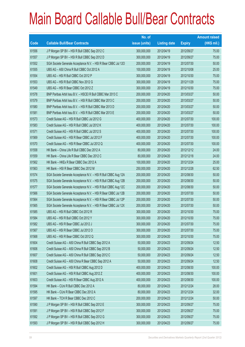|       |                                                                | No. of        |                     |               | <b>Amount raised</b> |
|-------|----------------------------------------------------------------|---------------|---------------------|---------------|----------------------|
| Code  | <b>Callable Bull/Bear Contracts</b>                            | issue (units) | <b>Listing date</b> | <b>Expiry</b> | $(HK$$ mil.)         |
| 61556 | J P Morgan SP BV - HSI R Bull CBBC Sep 2012 C                  | 300,000,000   | 2012/04/19          | 2012/09/27    | 75.00                |
| 61557 | J P Morgan SP BV - HSI R Bull CBBC Sep 2012 D                  | 300,000,000   | 2012/04/19          | 2012/09/27    | 75.00                |
| 61552 | SGA Societe Generale Acceptance N.V. - HSI R Bear CBBC Jul 120 | 200,000,000   | 2012/04/19          | 2012/07/30    | 50.00                |
| 61555 | UBS AG - A50 China R Bull CBBC Oct 2012 A                      | 100,000,000   | 2012/04/19          | 2012/10/08    | 25.00                |
| 61554 | UBS AG - HSI R Bull CBBC Oct 2012 P                            | 300,000,000   | 2012/04/19          | 2012/10/30    | 75.00                |
| 61553 | UBS AG - HSI R Bull CBBC Nov 2012 G                            | 300,000,000   | 2012/04/19          | 2012/11/29    | 75.00                |
| 61549 | UBS AG - HSI R Bear CBBC Oct 2012 Z                            | 300,000,000   | 2012/04/19          | 2012/10/30    | 75.00                |
| 61578 | BNP Paribas Arbit Issu B.V. - HSCEI R Bull CBBC Mar 2013 C     | 200,000,000   | 2012/04/20          | 2013/03/27    | 50.00                |
| 61579 | BNP Paribas Arbit Issu B.V. - HSI R Bull CBBC Mar 2013 C       | 200,000,000   | 2012/04/20          | 2013/03/27    | 50.00                |
| 61580 | BNP Paribas Arbit Issu B.V. - HSI R Bull CBBC Mar 2013 D       | 200,000,000   | 2012/04/20          | 2013/03/27    | 50.00                |
| 61581 | BNP Paribas Arbit Issu B.V. - HSI R Bull CBBC Mar 2013 E       | 200,000,000   | 2012/04/20          | 2013/03/27    | 50.00                |
| 61573 | Credit Suisse AG - HSI R Bull CBBC Jul 2012 G                  | 400,000,000   | 2012/04/20          | 2012/07/30    | 100.00               |
| 61583 | Credit Suisse AG - HSI R Bull CBBC Jul 2012 K                  | 400,000,000   | 2012/04/20          | 2012/07/30    | 100.00               |
| 61571 | Credit Suisse AG - HSI R Bull CBBC Jul 2012 S                  | 400,000,000   | 2012/04/20          | 2012/07/30    | 100.00               |
| 61569 | Credit Suisse AG - HSI R Bear CBBC Jul 2012 F                  | 400,000,000   | 2012/04/20          | 2012/07/30    | 100.00               |
| 61570 | Credit Suisse AG - HSI R Bear CBBC Jul 2012 Q                  | 400,000,000   | 2012/04/20          | 2012/07/30    | 100.00               |
| 61558 | HK Bank - China Life R Bull CBBC Dec 2012 A                    | 80,000,000    | 2012/04/20          | 2012/12/12    | 24.00                |
| 61559 | HK Bank - China Life R Bear CBBC Dec 2012 C                    | 80,000,000    | 2012/04/20          | 2012/12/18    | 24.00                |
| 61562 | HK Bank - HKEx R Bear CBBC Dec 2012 A                          | 100,000,000   | 2012/04/20          | 2012/12/24    | 25.00                |
| 61563 | HK Bank - HSI R Bear CBBC Dec 2012 M                           | 250,000,000   | 2012/04/20          | 2012/12/28    | 62.50                |
| 61574 | SGA Societe Generale Acceptance N.V. - HSI R Bull CBBC Aug 12A | 200,000,000   | 2012/04/20          | 2012/08/30    | 50.00                |
| 61575 | SGA Societe Generale Acceptance N.V. - HSI R Bull CBBC Aug 12B | 200,000,000   | 2012/04/20          | 2012/08/30    | 50.00                |
| 61577 | SGA Societe Generale Acceptance N.V. - HSI R Bull CBBC Aug 12C | 200,000,000   | 2012/04/20          | 2012/08/30    | 50.00                |
| 61566 | SGA Societe Generale Acceptance N.V. - HSI R Bear CBBC Jul 12B | 200,000,000   | 2012/04/20          | 2012/07/30    | 50.00                |
| 61564 | SGA Societe Generale Acceptance N.V. - HSI R Bear CBBC Jul 12P | 200,000,000   | 2012/04/20          | 2012/07/30    | 50.00                |
| 61565 | SGA Societe Generale Acceptance N.V. - HSI R Bear CBBC Jul 12X | 200,000,000   | 2012/04/20          | 2012/07/30    | 50.00                |
| 61585 | UBS AG - HSI R Bull CBBC Oct 2012 R                            | 300,000,000   | 2012/04/20          | 2012/10/30    | 75.00                |
| 61584 | UBS AG - HSI R Bull CBBC Oct 2012 Y                            | 300,000,000   | 2012/04/20          | 2012/10/30    | 75.00                |
| 61582 | UBS AG - HSI R Bear CBBC Jul 2012 J                            | 300,000,000   | 2012/04/20          | 2012/07/30    | 75.00                |
| 61567 | UBS AG - HSI R Bear CBBC Jul 2012 O                            | 300,000,000   | 2012/04/20          | 2012/07/30    | 75.00                |
| 61568 | UBS AG - HSI R Bear CBBC Oct 2012 Q                            | 300,000,000   | 2012/04/20          | 2012/10/30    | 75.00                |
| 61604 | Credit Suisse AG - A50 China R Bull CBBC Sep 2012 A            | 50,000,000    | 2012/04/23          | 2012/09/24    | 12.50                |
| 61606 | Credit Suisse AG - A50 China R Bull CBBC Sep 2012 B            | 50,000,000    | 2012/04/23          | 2012/09/24    | 12.50                |
| 61607 | Credit Suisse AG - A50 China R Bull CBBC Sep 2012 C            | 50,000,000    | 2012/04/23          | 2012/09/24    | 12.50                |
| 61608 | Credit Suisse AG - A50 China R Bear CBBC Sep 2012 A            | 50,000,000    | 2012/04/23          | 2012/09/24    | 12.50                |
| 61602 | Credit Suisse AG - HSI R Bull CBBC Aug 2012 D                  | 400,000,000   | 2012/04/23          | 2012/08/30    | 100.00               |
| 61601 | Credit Suisse AG - HSI R Bull CBBC Aug 2012 Z                  | 400,000,000   | 2012/04/23          | 2012/08/30    | 100.00               |
| 61603 | Credit Suisse AG - HSI R Bear CBBC Aug 2012 A                  | 400,000,000   | 2012/04/23          | 2012/08/30    | 100.00               |
| 61594 | HK Bank - CUni R Bull CBBC Dec 2012 A                          | 80,000,000    | 2012/04/23          | 2012/12/24    | 28.00                |
| 61595 | HK Bank - CUni R Bear CBBC Dec 2012 A                          | 80,000,000    | 2012/04/23          | 2012/12/24    | 32.00                |
| 61597 | HK Bank - TCH R Bear CBBC Dec 2012 C                           | 200,000,000   | 2012/04/23          | 2012/12/24    | 50.00                |
| 61590 | J P Morgan SP BV - HSI R Bull CBBC Sep 2012 E                  | 300,000,000   | 2012/04/23          | 2012/09/27    | 75.00                |
| 61591 | J P Morgan SP BV - HSI R Bull CBBC Sep 2012 F                  | 300,000,000   | 2012/04/23          | 2012/09/27    | 75.00                |
| 61592 | J P Morgan SP BV - HSI R Bull CBBC Sep 2012 G                  | 300,000,000   | 2012/04/23          | 2012/09/27    | 75.00                |
| 61593 | J P Morgan SP BV - HSI R Bull CBBC Sep 2012 H                  | 300,000,000   | 2012/04/23          | 2012/09/27    | 75.00                |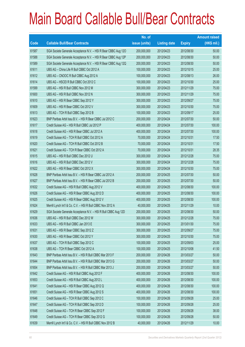|       |                                                                | No. of        |                     |               | <b>Amount raised</b> |
|-------|----------------------------------------------------------------|---------------|---------------------|---------------|----------------------|
| Code  | <b>Callable Bull/Bear Contracts</b>                            | issue (units) | <b>Listing date</b> | <b>Expiry</b> | $(HK$$ mil.)         |
| 61587 | SGA Societe Generale Acceptance N.V. - HSI R Bear CBBC Aug 120 | 200,000,000   | 2012/04/23          | 2012/08/30    | 50.00                |
| 61588 | SGA Societe Generale Acceptance N.V. - HSI R Bear CBBC Aug 12P | 200,000,000   | 2012/04/23          | 2012/08/30    | 50.00                |
| 61589 | SGA Societe Generale Acceptance N.V. - HSI R Bear CBBC Aug 12Q | 200,000,000   | 2012/04/23          | 2012/08/30    | 50.00                |
| 61611 | UBS AG - China Life R Bull CBBC Oct 2012 A                     | 100,000,000   | 2012/04/23          | 2012/10/15    | 25.00                |
| 61612 | UBS AG - CNOOC R Bull CBBC Aug 2012 A                          | 100,000,000   | 2012/04/23          | 2012/08/13    | 26.00                |
| 61614 | UBS AG - HSCEI R Bull CBBC Oct 2012 C                          | 100,000,000   | 2012/04/23          | 2012/10/30    | 25.00                |
| 61599 | UBS AG - HSI R Bull CBBC Nov 2012 M                            | 300,000,000   | 2012/04/23          | 2012/11/29    | 75.00                |
| 61600 | UBS AG - HSI R Bull CBBC Nov 2012 N                            | 300,000,000   | 2012/04/23          | 2012/11/29    | 75.00                |
| 61610 | UBS AG - HSI R Bear CBBC Sep 2012 Y                            | 300,000,000   | 2012/04/23          | 2012/09/27    | 75.00                |
| 61609 | UBS AG - HSI R Bear CBBC Oct 2012 V                            | 300,000,000   | 2012/04/23          | 2012/10/30    | 75.00                |
| 61613 | UBS AG - TCH R Bull CBBC Sep 2012 B                            | 100,000,000   | 2012/04/23          | 2012/09/17    | 25.00                |
| 61623 | BNP Paribas Arbit Issu B.V. - HSI R Bear CBBC Jul 2012 C       | 200,000,000   | 2012/04/24          | 2012/07/30    | 50.00                |
| 61617 | Credit Suisse AG - HSI R Bull CBBC Jul 2012 P                  | 400,000,000   | 2012/04/24          | 2012/07/30    | 100.00               |
| 61618 | Credit Suisse AG - HSI R Bear CBBC Jul 2012 A                  | 400,000,000   | 2012/04/24          | 2012/07/30    | 100.00               |
| 61619 | Credit Suisse AG - TCH R Bull CBBC Oct 2012 A                  | 70,000,000    | 2012/04/24          | 2012/10/31    | 17.50                |
| 61620 | Credit Suisse AG - TCH R Bull CBBC Oct 2012 B                  | 70,000,000    | 2012/04/24          | 2012/10/31    | 17.50                |
| 61621 | Credit Suisse AG - TCH R Bear CBBC Oct 2012 A                  | 70,000,000    | 2012/04/24          | 2012/10/31    | 28.35                |
| 61615 | UBS AG - HSI R Bull CBBC Dec 2012 U                            | 300,000,000   | 2012/04/24          | 2012/12/28    | 75.00                |
| 61616 | UBS AG - HSI R Bull CBBC Dec 2012 V                            | 300,000,000   | 2012/04/24          | 2012/12/28    | 75.00                |
| 61622 | UBS AG - HSI R Bear CBBC Oct 2012 X                            | 300,000,000   | 2012/04/24          | 2012/10/30    | 75.00                |
| 61628 | BNP Paribas Arbit Issu B.V. - HSI R Bear CBBC Jul 2012 A       | 200,000,000   | 2012/04/25          | 2012/07/30    | 50.00                |
| 61627 | BNP Paribas Arbit Issu B.V. - HSI R Bear CBBC Jul 2012 B       | 200,000,000   | 2012/04/25          | 2012/07/30    | 50.00                |
| 61632 | Credit Suisse AG - HSI R Bull CBBC Aug 2012 V                  | 400,000,000   | 2012/04/25          | 2012/08/30    | 100.00               |
| 61626 | Credit Suisse AG - HSI R Bear CBBC Aug 2012 D                  | 400,000,000   | 2012/04/25          | 2012/08/30    | 100.00               |
| 61625 | Credit Suisse AG - HSI R Bear CBBC Aug 2012 V                  | 400,000,000   | 2012/04/25          | 2012/08/30    | 100.00               |
| 61624 | Merrill Lynch Int'l & Co. C.V. - HSI R Bull CBBC Nov 2012 A    | 40,000,000    | 2012/04/25          | 2012/11/29    | 10.00                |
| 61629 | SGA Societe Generale Acceptance N.V. - HSI R Bull CBBC Aug 12D | 200,000,000   | 2012/04/25          | 2012/08/30    | 50.00                |
| 61636 | UBS AG - HSI R Bull CBBC Dec 2012 W                            | 300,000,000   | 2012/04/25          | 2012/12/28    | 75.00                |
| 61633 | UBS AG - HSI R Bull CBBC Jan 2013 E                            | 300,000,000   | 2012/04/25          | 2013/01/30    | 75.00                |
| 61631 | UBS AG - HSI R Bear CBBC Sep 2012 Z                            | 300,000,000   | 2012/04/25          | 2012/09/27    | 75.00                |
| 61630 | UBS AG - HSI R Bear CBBC Oct 2012 Y                            | 300,000,000   | 2012/04/25          | 2012/10/30    | 75.00                |
| 61637 | UBS AG - TCH R Bull CBBC Sep 2012 C                            | 100,000,000   | 2012/04/25          | 2012/09/03    | 25.00                |
| 61638 | UBS AG - TCH R Bear CBBC Oct 2012 A                            | 100,000,000   | 2012/04/25          | 2012/10/08    | 41.50                |
| 61643 | BNP Paribas Arbit Issu B.V. - HSI R Bull CBBC Mar 2013 F       | 200,000,000   | 2012/04/26          | 2013/03/27    | 50.00                |
| 61644 | BNP Paribas Arbit Issu B.V. - HSI R Bull CBBC Mar 2013 G       | 200,000,000   | 2012/04/26          | 2013/03/27    | 50.00                |
| 61654 | BNP Paribas Arbit Issu B.V. - HSI R Bull CBBC Mar 2013 J       | 200,000,000   | 2012/04/26          | 2013/03/27    | 50.00                |
| 61642 | Credit Suisse AG - HSI R Bull CBBC Aug 2012 F                  | 400,000,000   | 2012/04/26          | 2012/08/30    | 100.00               |
| 61653 | Credit Suisse AG - HSI R Bull CBBC Aug 2012 L                  | 400,000,000   | 2012/04/26          | 2012/08/30    | 100.00               |
| 61641 | Credit Suisse AG - HSI R Bear CBBC Aug 2012 Q                  | 400,000,000   | 2012/04/26          | 2012/08/30    | 100.00               |
| 61651 | Credit Suisse AG - HSI R Bear CBBC Aug 2012 S                  | 400,000,000   | 2012/04/26          | 2012/08/30    | 100.00               |
| 61646 | Credit Suisse AG - TCH R Bull CBBC Sep 2012 C                  | 100,000,000   | 2012/04/26          | 2012/09/28    | 25.00                |
| 61647 | Credit Suisse AG - TCH R Bull CBBC Sep 2012 D                  | 100,000,000   | 2012/04/26          | 2012/09/28    | 25.00                |
| 61648 | Credit Suisse AG - TCH R Bear CBBC Sep 2012 F                  | 100,000,000   | 2012/04/26          | 2012/09/28    | 38.00                |
| 61649 | Credit Suisse AG - TCH R Bear CBBC Sep 2012 G                  | 100,000,000   | 2012/04/26          | 2012/09/28    | 50.00                |
| 61639 | Merrill Lynch Int'l & Co. C.V. - HSI R Bull CBBC Nov 2012 B    | 40,000,000    | 2012/04/26          | 2012/11/29    | 10.00                |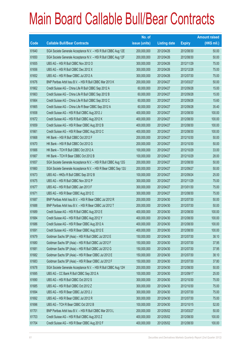|       |                                                                | No. of        |                     |               | <b>Amount raised</b> |
|-------|----------------------------------------------------------------|---------------|---------------------|---------------|----------------------|
| Code  | <b>Callable Bull/Bear Contracts</b>                            | issue (units) | <b>Listing date</b> | <b>Expiry</b> | $(HK$$ mil.)         |
| 61640 | SGA Societe Generale Acceptance N.V. - HSI R Bull CBBC Aug 12E | 200,000,000   | 2012/04/26          | 2012/08/30    | 50.00                |
| 61650 | SGA Societe Generale Acceptance N.V. - HSI R Bull CBBC Aug 12F | 200,000,000   | 2012/04/26          | 2012/08/30    | 50.00                |
| 61655 | UBS AG - HSI R Bull CBBC Nov 2012 O                            | 300,000,000   | 2012/04/26          | 2012/11/29    | 75.00                |
| 61656 | UBS AG - HSI R Bull CBBC Dec 2012 X                            | 300,000,000   | 2012/04/26          | 2012/12/28    | 75.00                |
| 61652 | UBS AG - HSI R Bear CBBC Jul 2012 A                            | 300,000,000   | 2012/04/26          | 2012/07/30    | 75.00                |
| 61676 | BNP Paribas Arbit Issu B.V. - HSI R Bull CBBC Mar 2013 K       | 200,000,000   | 2012/04/27          | 2013/03/27    | 50.00                |
| 61662 | Credit Suisse AG - China Life R Bull CBBC Sep 2012 A           | 60,000,000    | 2012/04/27          | 2012/09/28    | 15.00                |
| 61663 | Credit Suisse AG - China Life R Bull CBBC Sep 2012 B           | 60,000,000    | 2012/04/27          | 2012/09/28    | 15.00                |
| 61664 | Credit Suisse AG - China Life R Bull CBBC Sep 2012 C           | 60,000,000    | 2012/04/27          | 2012/09/28    | 15.60                |
| 61665 | Credit Suisse AG - China Life R Bear CBBC Sep 2012 A           | 60,000,000    | 2012/04/27          | 2012/09/28    | 35.40                |
| 61658 | Credit Suisse AG - HSI R Bull CBBC Aug 2012 J                  | 400,000,000   | 2012/04/27          | 2012/08/30    | 100.00               |
| 61672 | Credit Suisse AG - HSI R Bull CBBC Aug 2012 K                  | 400,000,000   | 2012/04/27          | 2012/08/30    | 100.00               |
| 61659 | Credit Suisse AG - HSI R Bear CBBC Aug 2012 B                  | 400,000,000   | 2012/04/27          | 2012/08/30    | 100.00               |
| 61661 | Credit Suisse AG - HSI R Bear CBBC Aug 2012 C                  | 400,000,000   | 2012/04/27          | 2012/08/30    | 100.00               |
| 61668 | HK Bank - HSI R Bull CBBC Oct 2012 F                           | 200,000,000   | 2012/04/27          | 2012/10/30    | 50.00                |
| 61670 | HK Bank - HSI R Bull CBBC Oct 2012 G                           | 200,000,000   | 2012/04/27          | 2012/10/30    | 50.00                |
| 61666 | HK Bank - TCH R Bull CBBC Oct 2012 A                           | 100,000,000   | 2012/04/27          | 2012/10/29    | 33.00                |
| 61667 | HK Bank - TCH R Bear CBBC Oct 2012 B                           | 100,000,000   | 2012/04/27          | 2012/10/29    | 28.00                |
| 61657 | SGA Societe Generale Acceptance N.V. - HSI R Bull CBBC Aug 12G | 200,000,000   | 2012/04/27          | 2012/08/30    | 50.00                |
| 61660 | SGA Societe Generale Acceptance N.V. - HSI R Bear CBBC Sep 12U | 200,000,000   | 2012/04/27          | 2012/09/27    | 50.00                |
| 61673 | UBS AG - HKEx R Bull CBBC Sep 2012 B                           | 100,000,000   | 2012/04/27          | 2012/09/24    | 25.00                |
| 61675 | UBS AG - HSI R Bull CBBC Nov 2012 P                            | 300,000,000   | 2012/04/27          | 2012/11/29    | 75.00                |
| 61677 | UBS AG - HSI R Bull CBBC Jan 2013 F                            | 300,000,000   | 2012/04/27          | 2013/01/30    | 75.00                |
| 61671 | UBS AG - HSI R Bear CBBC Aug 2012 C                            | 300,000,000   | 2012/04/27          | 2012/08/30    | 75.00                |
| 61687 | BNP Paribas Arbit Issu B.V. - HSI R Bear CBBC Jul 2012 R       | 200,000,000   | 2012/04/30          | 2012/07/30    | 50.00                |
| 61688 | BNP Paribas Arbit Issu B.V. - HSI R Bear CBBC Jul 2012 T       | 200,000,000   | 2012/04/30          | 2012/07/30    | 50.00                |
| 61689 | Credit Suisse AG - HSI R Bull CBBC Aug 2012 E                  | 400,000,000   | 2012/04/30          | 2012/08/30    | 100.00               |
| 61684 | Credit Suisse AG - HSI R Bull CBBC Aug 2012 Y                  | 400,000,000   | 2012/04/30          | 2012/08/30    | 100.00               |
| 61686 | Credit Suisse AG - HSI R Bear CBBC Aug 2012 A                  | 400,000,000   | 2012/04/30          | 2012/08/30    | 100.00               |
| 61691 | Credit Suisse AG - HSI R Bear CBBC Aug 2012 E                  | 400,000,000   | 2012/04/30          | 2012/08/30    | 100.00               |
| 61679 | Goldman Sachs SP (Asia) - HSI R Bull CBBC Jul 2012 E           | 150,000,000   | 2012/04/30          | 2012/07/30    | 38.10                |
| 61680 | Goldman Sachs SP (Asia) - HSI R Bull CBBC Jul 2012 F           | 150,000,000   | 2012/04/30          | 2012/07/30    | 37.95                |
| 61681 | Goldman Sachs SP (Asia) - HSI R Bull CBBC Jul 2012 G           | 150,000,000   | 2012/04/30          | 2012/07/30    | 37.95                |
| 61682 | Goldman Sachs SP (Asia) - HSI R Bear CBBC Jul 2012 E           | 150,000,000   | 2012/04/30          | 2012/07/30    | 38.10                |
| 61683 | Goldman Sachs SP (Asia) - HSI R Bear CBBC Jul 2012 F           | 150,000,000   | 2012/04/30          | 2012/07/30    | 37.80                |
| 61678 | SGA Societe Generale Acceptance N.V. - HSI R Bull CBBC Aug 12H | 200,000,000   | 2012/04/30          | 2012/08/30    | 50.00                |
| 61695 | UBS AG - CC Bank R Bull CBBC Sep 2012 A                        | 100,000,000   | 2012/04/30          | 2012/09/17    | 25.00                |
| 61690 | UBS AG - HSI R Bull CBBC Oct 2012 S                            | 300,000,000   | 2012/04/30          | 2012/10/30    | 75.00                |
| 61685 | UBS AG - HSI R Bull CBBC Oct 2012 Z                            | 300,000,000   | 2012/04/30          | 2012/10/30    | 75.00                |
| 61694 | UBS AG - HSI R Bear CBBC Jul 2012 J                            | 300,000,000   | 2012/04/30          | 2012/07/30    | 75.00                |
| 61692 | UBS AG - HSI R Bear CBBC Jul 2012 R                            | 300,000,000   | 2012/04/30          | 2012/07/30    | 75.00                |
| 61696 | UBS AG - TCH R Bear CBBC Oct 2012 B                            | 100,000,000   | 2012/04/30          | 2012/10/15    | 52.00                |
| 61701 | BNP Paribas Arbit Issu B.V. - HSI R Bull CBBC Mar 2013 L       | 200,000,000   | 2012/05/02          | 2013/03/27    | 50.00                |
| 61703 | Credit Suisse AG - HSI R Bull CBBC Aug 2012 Z                  | 400,000,000   | 2012/05/02          | 2012/08/30    | 100.00               |
| 61704 | Credit Suisse AG - HSI R Bear CBBC Aug 2012 F                  | 400,000,000   | 2012/05/02          | 2012/08/30    | 100.00               |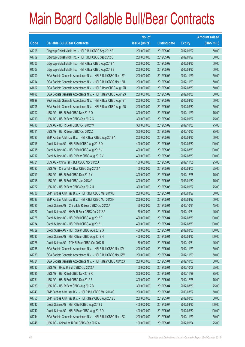|       |                                                                | No. of        |                     |               | <b>Amount raised</b> |
|-------|----------------------------------------------------------------|---------------|---------------------|---------------|----------------------|
| Code  | <b>Callable Bull/Bear Contracts</b>                            | issue (units) | <b>Listing date</b> | <b>Expiry</b> | (HK\$ mil.)          |
| 61708 | Citigroup Global Mkt H Inc. - HSI R Bull CBBC Sep 2012 B       | 200,000,000   | 2012/05/02          | 2012/09/27    | 50.00                |
| 61709 | Citigroup Global Mkt H Inc. - HSI R Bull CBBC Sep 2012 C       | 200,000,000   | 2012/05/02          | 2012/09/27    | 50.00                |
| 61706 | Citigroup Global Mkt H Inc. - HSI R Bear CBBC Aug 2012 A       | 200,000,000   | 2012/05/02          | 2012/08/30    | 50.00                |
| 61707 | Citigroup Global Mkt H Inc. - HSI R Bear CBBC Aug 2012 B       | 200,000,000   | 2012/05/02          | 2012/08/30    | 50.00                |
| 61700 | SGA Societe Generale Acceptance N.V. - HSI R Bull CBBC Nov 12T | 200,000,000   | 2012/05/02          | 2012/11/29    | 50.00                |
| 61714 | SGA Societe Generale Acceptance N.V. - HSI R Bull CBBC Nov 12U | 200,000,000   | 2012/05/02          | 2012/11/29    | 50.00                |
| 61697 | SGA Societe Generale Acceptance N.V. - HSI R Bear CBBC Aug 12R | 200,000,000   | 2012/05/02          | 2012/08/30    | 50.00                |
| 61698 | SGA Societe Generale Acceptance N.V. - HSI R Bear CBBC Aug 12S | 200,000,000   | 2012/05/02          | 2012/08/30    | 50.00                |
| 61699 | SGA Societe Generale Acceptance N.V. - HSI R Bear CBBC Aug 12T | 200,000,000   | 2012/05/02          | 2012/08/30    | 50.00                |
| 61705 | SGA Societe Generale Acceptance N.V. - HSI R Bear CBBC Aug 12U | 200,000,000   | 2012/05/02          | 2012/08/30    | 50.00                |
| 61702 | UBS AG - HSI R Bull CBBC Nov 2012 Q                            | 300,000,000   | 2012/05/02          | 2012/11/29    | 75.00                |
| 61713 | UBS AG - HSI R Bear CBBC Sep 2012 C                            | 300,000,000   | 2012/05/02          | 2012/09/27    | 75.00                |
| 61710 | UBS AG - HSI R Bear CBBC Oct 2012 W                            | 300,000,000   | 2012/05/02          | 2012/10/30    | 75.00                |
| 61711 | UBS AG - HSI R Bear CBBC Oct 2012 Z                            | 300,000,000   | 2012/05/02          | 2012/10/30    | 75.00                |
| 61723 | BNP Paribas Arbit Issu B.V. - HSI R Bear CBBC Aug 2012 A       | 200,000,000   | 2012/05/03          | 2012/08/30    | 50.00                |
| 61716 | Credit Suisse AG - HSI R Bull CBBC Aug 2012 Q                  | 400,000,000   | 2012/05/03          | 2012/08/30    | 100.00               |
| 61715 | Credit Suisse AG - HSI R Bull CBBC Aug 2012 V                  | 400,000,000   | 2012/05/03          | 2012/08/30    | 100.00               |
| 61717 | Credit Suisse AG - HSI R Bear CBBC Aug 2012 V                  | 400,000,000   | 2012/05/03          | 2012/08/30    | 100.00               |
| 61721 | UBS AG - China Tel R Bull CBBC Nov 2012 A                      | 100,000,000   | 2012/05/03          | 2012/11/05    | 25.00                |
| 61720 | UBS AG - China Tel R Bear CBBC Sep 2012 A                      | 100,000,000   | 2012/05/03          | 2012/09/03    | 25.00                |
| 61719 | UBS AG - HSI R Bull CBBC Dec 2012 Y                            | 300,000,000   | 2012/05/03          | 2012/12/28    | 75.00                |
| 61718 | UBS AG - HSI R Bull CBBC Jan 2013 G                            | 300,000,000   | 2012/05/03          | 2013/01/30    | 75.00                |
| 61722 | UBS AG - HSI R Bear CBBC Sep 2012 U                            | 300,000,000   | 2012/05/03          | 2012/09/27    | 75.00                |
| 61736 | BNP Paribas Arbit Issu B.V. - HSI R Bull CBBC Mar 2013 M       | 200,000,000   | 2012/05/04          | 2013/03/27    | 50.00                |
| 61737 | BNP Paribas Arbit Issu B.V. - HSI R Bull CBBC Mar 2013 N       | 200,000,000   | 2012/05/04          | 2013/03/27    | 50.00                |
| 61725 | Credit Suisse AG - China Life R Bear CBBC Oct 2012 A           | 60,000,000    | 2012/05/04          | 2012/10/31    | 15.00                |
| 61727 | Credit Suisse AG - HKEx R Bear CBBC Oct 2012 A                 | 60,000,000    | 2012/05/04          | 2012/10/31    | 15.00                |
| 61728 | Credit Suisse AG - HSI R Bull CBBC Aug 2012 F                  | 400,000,000   | 2012/05/04          | 2012/08/30    | 100.00               |
| 61734 | Credit Suisse AG - HSI R Bull CBBC Aug 2012 L                  | 400,000,000   | 2012/05/04          | 2012/08/30    | 100.00               |
| 61729 | Credit Suisse AG - HSI R Bear CBBC Aug 2012 G                  | 400,000,000   | 2012/05/04          | 2012/08/30    | 100.00               |
| 61730 | Credit Suisse AG - HSI R Bear CBBC Aug 2012 H                  | 400,000,000   | 2012/05/04          | 2012/08/30    | 100.00               |
| 61726 | Credit Suisse AG - TCH R Bear CBBC Oct 2012 B                  | 60,000,000    | 2012/05/04          | 2012/10/31    | 15.00                |
| 61738 | SGA Societe Generale Acceptance N.V. - HSI R Bull CBBC Nov12V  | 200,000,000   | 2012/05/04          | 2012/11/29    | 50.00                |
| 61739 | SGA Societe Generale Acceptance N.V. - HSI R Bull CBBC Nov12W  | 200,000,000   | 2012/05/04          | 2012/11/29    | 50.00                |
| 61724 | SGA Societe Generale Acceptance N.V. - HSI R Bear CBBC Oct12G  | 200,000,000   | 2012/05/04          | 2012/10/30    | 50.00                |
| 61732 | UBS AG - HKEx R Bull CBBC Oct 2012 A                           | 100,000,000   | 2012/05/04          | 2012/10/08    | 25.00                |
| 61735 | UBS AG - HSI R Bull CBBC Nov 2012 R                            | 300,000,000   | 2012/05/04          | 2012/11/29    | 75.00                |
| 61731 | UBS AG - HSI R Bull CBBC Dec 2012 Z                            | 300,000,000   | 2012/05/04          | 2012/12/28    | 75.00                |
| 61733 | UBS AG - HSI R Bear CBBC Aug 2012 B                            | 300,000,000   | 2012/05/04          | 2012/08/30    | 75.00                |
| 61743 | BNP Paribas Arbit Issu B.V. - HSI R Bull CBBC Mar 2013 O       | 200,000,000   | 2012/05/07          | 2013/03/27    | 50.00                |
| 61755 | BNP Paribas Arbit Issu B.V. - HSI R Bear CBBC Aug 2012 B       | 200,000,000   | 2012/05/07          | 2012/08/30    | 50.00                |
| 61742 | Credit Suisse AG - HSI R Bull CBBC Aug 2012 J                  | 400,000,000   | 2012/05/07          | 2012/08/30    | 100.00               |
| 61740 | Credit Suisse AG - HSI R Bear CBBC Aug 2012 D                  | 400,000,000   | 2012/05/07          | 2012/08/30    | 100.00               |
| 61744 | SGA Societe Generale Acceptance N.V. - HSI R Bull CBBC Nov 12X | 200,000,000   | 2012/05/07          | 2012/11/29    | 50.00                |
| 61748 | UBS AG - China Life R Bull CBBC Sep 2012 A                     | 100,000,000   | 2012/05/07          | 2012/09/24    | 25.00                |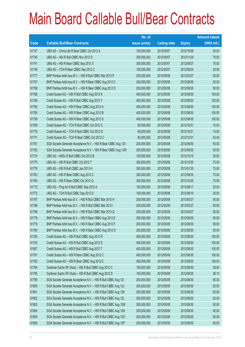|       |                                                                | No. of        |                     |               | <b>Amount raised</b> |
|-------|----------------------------------------------------------------|---------------|---------------------|---------------|----------------------|
| Code  | <b>Callable Bull/Bear Contracts</b>                            | issue (units) | <b>Listing date</b> | <b>Expiry</b> | $(HK$$ mil.)         |
| 61747 | UBS AG - China Life R Bear CBBC Oct 2012 A                     | 100,000,000   | 2012/05/07          | 2012/10/08    | 25.00                |
| 61745 | UBS AG - HSI R Bull CBBC Nov 2012 S                            | 300,000,000   | 2012/05/07          | 2012/11/29    | 75.00                |
| 61741 | UBS AG - HSI R Bear CBBC Sep 2012 X                            | 300,000,000   | 2012/05/07          | 2012/09/27    | 75.00                |
| 61749 | UBS AG - TCH R Bear CBBC Sep 2012 C                            | 100,000,000   | 2012/05/07          | 2012/09/24    | 25.00                |
| 61777 | BNP Paribas Arbit Issu B.V. - HSI R Bull CBBC Mar 2013 P       | 200,000,000   | 2012/05/08          | 2013/03/27    | 50.00                |
| 61757 | BNP Paribas Arbit Issu B.V. - HSI R Bear CBBC Aug 2012 C       | 200,000,000   | 2012/05/08          | 2012/08/30    | 50.00                |
| 61758 | BNP Paribas Arbit Issu B.V. - HSI R Bear CBBC Aug 2012 D       | 200,000,000   | 2012/05/08          | 2012/08/30    | 50.00                |
| 61766 | Credit Suisse AG - HSI R Bull CBBC Aug 2012 K                  | 400,000,000   | 2012/05/08          | 2012/08/30    | 100.00               |
| 61768 | Credit Suisse AG - HSI R Bull CBBC Aug 2012 Y                  | 400,000,000   | 2012/05/08          | 2012/08/30    | 100.00               |
| 61760 | Credit Suisse AG - HSI R Bear CBBC Aug 2012 A                  | 400,000,000   | 2012/05/08          | 2012/08/30    | 100.00               |
| 61765 | Credit Suisse AG - HSI R Bear CBBC Aug 2012 B                  | 400,000,000   | 2012/05/08          | 2012/08/30    | 100.00               |
| 61759 | Credit Suisse AG - HSI R Bear CBBC Aug 2012 S                  | 400,000,000   | 2012/05/08          | 2012/08/30    | 100.00               |
| 61769 | Credit Suisse AG - TCH R Bull CBBC Oct 2012 C                  | 60,000,000    | 2012/05/08          | 2012/10/31    | 15.00                |
| 61770 | Credit Suisse AG - TCH R Bull CBBC Oct 2012 D                  | 60,000,000    | 2012/05/08          | 2012/10/31    | 15.00                |
| 61771 | Credit Suisse AG - TCH R Bear CBBC Oct 2012 C                  | 60,000,000    | 2012/05/08          | 2012/10/31    | 32.40                |
| 61761 | SGA Societe Generale Acceptance N.V. - HSI R Bear CBBC Aug 12V | 200,000,000   | 2012/05/08          | 2012/08/30    | 50.00                |
| 61762 | SGA Societe Generale Acceptance N.V. - HSI R Bear CBBC Aug 12W | 200,000,000   | 2012/05/08          | 2012/08/30    | 50.00                |
| 61774 | UBS AG - HKEx R Bull CBBC Oct 2012 B                           | 100,000,000   | 2012/05/08          | 2012/10/15    | 30.50                |
| 61775 | UBS AG - HSI R Bull CBBC Oct 2012 T                            | 300,000,000   | 2012/05/08          | 2012/10/30    | 75.00                |
| 61776 | UBS AG - HSI R Bull CBBC Jan 2013 H                            | 300,000,000   | 2012/05/08          | 2013/01/30    | 75.00                |
| 61763 | UBS AG - HSI R Bear CBBC Aug 2012 C                            | 300,000,000   | 2012/05/08          | 2012/08/30    | 75.00                |
| 61764 | UBS AG - HSI R Bear CBBC Oct 2012 Q                            | 300,000,000   | 2012/05/08          | 2012/10/30    | 75.00                |
| 61773 | UBS AG - Ping An R Bull CBBC Sep 2012 A                        | 100,000,000   | 2012/05/08          | 2012/09/17    | 25.00                |
| 61772 | UBS AG - TCH R Bull CBBC Sep 2012 D                            | 100,000,000   | 2012/05/08          | 2012/09/10    | 25.00                |
| 61797 | BNP Paribas Arbit Issu B.V. - HSI R Bull CBBC Mar 2013 H       | 200,000,000   | 2012/05/09          | 2013/03/27    | 50.00                |
| 61798 | BNP Paribas Arbit Issu B.V. - HSI R Bull CBBC Mar 2013 I       | 200,000,000   | 2012/05/09          | 2013/03/27    | 50.00                |
| 61796 | BNP Paribas Arbit Issu B.V. - HSI R Bull CBBC Mar 2013 Q       | 200,000,000   | 2012/05/09          | 2013/03/27    | 50.00                |
| 61778 | BNP Paribas Arbit Issu B.V. - HSI R Bear CBBC Aug 2012 E       | 200,000,000   | 2012/05/09          | 2012/08/30    | 50.00                |
| 61779 | BNP Paribas Arbit Issu B.V. - HSI R Bear CBBC Aug 2012 F       | 200,000,000   | 2012/05/09          | 2012/08/30    | 50.00                |
| 61780 | BNP Paribas Arbit Issu B.V. - HSI R Bear CBBC Aug 2012 G       | 200,000,000   | 2012/05/09          | 2012/08/30    | 50.00                |
| 61792 | Credit Suisse AG - HSI R Bull CBBC Aug 2012 R                  | 400,000,000   | 2012/05/09          | 2012/08/30    | 100.00               |
| 61793 | Credit Suisse AG - HSI R Bull CBBC Aug 2012 S                  | 400,000,000   | 2012/05/09          | 2012/08/30    | 100.00               |
| 61807 | Credit Suisse AG - HSI R Bull CBBC Aug 2012 T                  | 400,000,000   | 2012/05/09          | 2012/08/30    | 100.00               |
| 61781 | Credit Suisse AG - HSI R Bear CBBC Aug 2012 C                  | 400,000,000   | 2012/05/09          | 2012/08/30    | 100.00               |
| 61782 | Credit Suisse AG - HSI R Bear CBBC Aug 2012 E                  | 400,000,000   | 2012/05/09          | 2012/08/30    | 100.00               |
| 61794 | Goldman Sachs SP (Asia) - HSI R Bull CBBC Aug 2012 C           | 150,000,000   | 2012/05/09          | 2012/08/30    | 39.90                |
| 61795 | Goldman Sachs SP (Asia) - HSI R Bull CBBC Aug 2012 D           | 150,000,000   | 2012/05/09          | 2012/08/30    | 38.10                |
| 61799 | SGA Societe Generale Acceptance N.V. - HSI R Bull CBBC Aug 121 | 200,000,000   | 2012/05/09          | 2012/08/30    | 50.00                |
| 61800 | SGA Societe Generale Acceptance N.V. - HSI R Bull CBBC Aug 12J | 200,000,000   | 2012/05/09          | 2012/08/30    | 50.00                |
| 61801 | SGA Societe Generale Acceptance N.V. - HSI R Bull CBBC Aug 12K | 200,000,000   | 2012/05/09          | 2012/08/30    | 50.00                |
| 61802 | SGA Societe Generale Acceptance N.V. - HSI R Bull CBBC Aug 12L | 200,000,000   | 2012/05/09          | 2012/08/30    | 50.00                |
| 61803 | SGA Societe Generale Acceptance N.V. - HSI R Bull CBBC Aug 12M | 200,000,000   | 2012/05/09          | 2012/08/30    | 50.00                |
| 61804 | SGA Societe Generale Acceptance N.V. - HSI R Bull CBBC Aug 12N | 200,000,000   | 2012/05/09          | 2012/08/30    | 50.00                |
| 61805 | SGA Societe Generale Acceptance N.V. - HSI R Bull CBBC Aug 120 | 200,000,000   | 2012/05/09          | 2012/08/30    | 50.00                |
| 61806 | SGA Societe Generale Acceptance N.V. - HSI R Bull CBBC Aug 12P | 200,000,000   | 2012/05/09          | 2012/08/30    | 50.00                |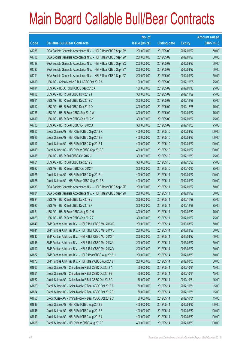|       |                                                                | No. of        |                     |               | <b>Amount raised</b> |
|-------|----------------------------------------------------------------|---------------|---------------------|---------------|----------------------|
| Code  | <b>Callable Bull/Bear Contracts</b>                            | issue (units) | <b>Listing date</b> | <b>Expiry</b> | $(HK$$ mil.)         |
| 61786 | SGA Societe Generale Acceptance N.V. - HSI R Bear CBBC Sep 12V | 200,000,000   | 2012/05/09          | 2012/09/27    | 50.00                |
| 61788 | SGA Societe Generale Acceptance N.V. - HSI R Bear CBBC Sep 12W | 200,000,000   | 2012/05/09          | 2012/09/27    | 50.00                |
| 61789 | SGA Societe Generale Acceptance N.V. - HSI R Bear CBBC Sep 12X | 200,000,000   | 2012/05/09          | 2012/09/27    | 50.00                |
| 61790 | SGA Societe Generale Acceptance N.V. - HSI R Bear CBBC Sep 12Y | 200,000,000   | 2012/05/09          | 2012/09/27    | 50.00                |
| 61791 | SGA Societe Generale Acceptance N.V. - HSI R Bear CBBC Sep 12Z | 200,000,000   | 2012/05/09          | 2012/09/27    | 50.00                |
| 61813 | UBS AG - China Mobile R Bull CBBC Oct 2012 A                   | 100,000,000   | 2012/05/09          | 2012/10/08    | 25.00                |
| 61814 | UBS AG - HSBC R Bull CBBC Sep 2012 A                           | 100,000,000   | 2012/05/09          | 2012/09/10    | 25.00                |
| 61808 | UBS AG - HSI R Bull CBBC Nov 2012 T                            | 300,000,000   | 2012/05/09          | 2012/11/29    | 75.00                |
| 61811 | UBS AG - HSI R Bull CBBC Dec 2012 C                            | 300,000,000   | 2012/05/09          | 2012/12/28    | 75.00                |
| 61812 | UBS AG - HSI R Bull CBBC Dec 2012 D                            | 300,000,000   | 2012/05/09          | 2012/12/28    | 75.00                |
| 61785 | UBS AG - HSI R Bear CBBC Sep 2012 W                            | 300,000,000   | 2012/05/09          | 2012/09/27    | 75.00                |
| 61810 | UBS AG - HSI R Bear CBBC Sep 2012 Y                            | 300,000,000   | 2012/05/09          | 2012/09/27    | 75.00                |
| 61783 | UBS AG - HSI R Bear CBBC Oct 2012 X                            | 300,000,000   | 2012/05/09          | 2012/10/30    | 75.00                |
| 61815 | Credit Suisse AG - HSI R Bull CBBC Sep 2012 R                  | 400,000,000   | 2012/05/10          | 2012/09/27    | 100.00               |
| 61816 | Credit Suisse AG - HSI R Bull CBBC Sep 2012 S                  | 400,000,000   | 2012/05/10          | 2012/09/27    | 100.00               |
| 61817 | Credit Suisse AG - HSI R Bull CBBC Sep 2012 T                  | 400,000,000   | 2012/05/10          | 2012/09/27    | 100.00               |
| 61819 | Credit Suisse AG - HSI R Bear CBBC Sep 2012 E                  | 400,000,000   | 2012/05/10          | 2012/09/27    | 100.00               |
| 61818 | UBS AG - HSI R Bull CBBC Oct 2012 J                            | 300,000,000   | 2012/05/10          | 2012/10/30    | 75.00                |
| 61821 | UBS AG - HSI R Bull CBBC Dec 2012 E                            | 300,000,000   | 2012/05/10          | 2012/12/28    | 75.00                |
| 61822 | UBS AG - HSI R Bear CBBC Oct 2012 Y                            | 300,000,000   | 2012/05/10          | 2012/10/30    | 75.00                |
| 61825 | Credit Suisse AG - HSI R Bull CBBC Sep 2012 U                  | 400,000,000   | 2012/05/11          | 2012/09/27    | 100.00               |
| 61828 | Credit Suisse AG - HSI R Bear CBBC Sep 2012 S                  | 400,000,000   | 2012/05/11          | 2012/09/27    | 100.00               |
| 61833 | SGA Societe Generale Acceptance N.V. - HSI R Bear CBBC Sep 12E | 200,000,000   | 2012/05/11          | 2012/09/27    | 50.00                |
| 61834 | SGA Societe Generale Acceptance N.V. - HSI R Bear CBBC Sep 12U | 200,000,000   | 2012/05/11          | 2012/09/27    | 50.00                |
| 61824 | UBS AG - HSI R Bull CBBC Nov 2012 V                            | 300,000,000   | 2012/05/11          | 2012/11/29    | 75.00                |
| 61823 | UBS AG - HSI R Bull CBBC Dec 2012 F                            | 300,000,000   | 2012/05/11          | 2012/12/28    | 75.00                |
| 61831 | UBS AG - HSI R Bear CBBC Aug 2012 H                            | 300,000,000   | 2012/05/11          | 2012/08/30    | 75.00                |
| 61829 | UBS AG - HSI R Bear CBBC Sep 2012 Z                            | 300,000,000   | 2012/05/11          | 2012/09/27    | 75.00                |
| 61840 | BNP Paribas Arbit Issu B.V. - HSI R Bull CBBC Mar 2013 R       | 200,000,000   | 2012/05/14          | 2013/03/27    | 50.00                |
| 61841 | BNP Paribas Arbit Issu B.V. - HSI R Bull CBBC Mar 2013 S       | 200,000,000   | 2012/05/14          | 2013/03/27    | 50.00                |
| 61842 | BNP Paribas Arbit Issu B.V. - HSI R Bull CBBC Mar 2013 T       | 200,000,000   | 2012/05/14          | 2013/03/27    | 50.00                |
| 61846 | BNP Paribas Arbit Issu B.V. - HSI R Bull CBBC Mar 2013 U       | 200,000,000   | 2012/05/14          | 2013/03/27    | 50.00                |
| 61890 | BNP Paribas Arbit Issu B.V. - HSI R Bull CBBC Mar 2013 V       | 200,000,000   | 2012/05/14          | 2013/03/27    | 50.00                |
| 61872 | BNP Paribas Arbit Issu B.V. - HSI R Bear CBBC Aug 2012 H       | 200,000,000   | 2012/05/14          | 2012/08/30    | 50.00                |
| 61873 | BNP Paribas Arbit Issu B.V. - HSI R Bear CBBC Aug 2012 I       | 200,000,000   | 2012/05/14          | 2012/08/30    | 50.00                |
| 61860 | Credit Suisse AG - China Mobile R Bull CBBC Oct 2012 A         | 60,000,000    | 2012/05/14          | 2012/10/31    | 15.00                |
| 61861 | Credit Suisse AG - China Mobile R Bull CBBC Oct 2012 B         | 60,000,000    | 2012/05/14          | 2012/10/31    | 15.00                |
| 61862 | Credit Suisse AG - China Mobile R Bull CBBC Oct 2012 C         | 60,000,000    | 2012/05/14          | 2012/10/31    | 15.00                |
| 61863 | Credit Suisse AG - China Mobile R Bear CBBC Oct 2012 A         | 60,000,000    | 2012/05/14          | 2012/10/31    | 15.00                |
| 61864 | Credit Suisse AG - China Mobile R Bear CBBC Oct 2012 B         | 60,000,000    | 2012/05/14          | 2012/10/31    | 15.00                |
| 61865 | Credit Suisse AG - China Mobile R Bear CBBC Oct 2012 C         | 60,000,000    | 2012/05/14          | 2012/10/31    | 15.00                |
| 61847 | Credit Suisse AG - HSI R Bull CBBC Aug 2012 E                  | 400,000,000   | 2012/05/14          | 2012/08/30    | 100.00               |
| 61848 | Credit Suisse AG - HSI R Bull CBBC Aug 2012 F                  | 400,000,000   | 2012/05/14          | 2012/08/30    | 100.00               |
| 61849 | Credit Suisse AG - HSI R Bull CBBC Aug 2012 J                  | 400,000,000   | 2012/05/14          | 2012/08/30    | 100.00               |
| 61868 | Credit Suisse AG - HSI R Bear CBBC Aug 2012 F                  | 400,000,000   | 2012/05/14          | 2012/08/30    | 100.00               |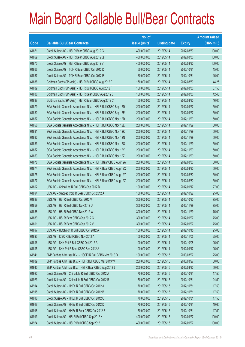|       |                                                                | No. of        |                     |               | <b>Amount raised</b> |
|-------|----------------------------------------------------------------|---------------|---------------------|---------------|----------------------|
| Code  | <b>Callable Bull/Bear Contracts</b>                            | issue (units) | <b>Listing date</b> | <b>Expiry</b> | (HK\$ mil.)          |
| 61871 | Credit Suisse AG - HSI R Bear CBBC Aug 2012 G                  | 400,000,000   | 2012/05/14          | 2012/08/30    | 100.00               |
| 61869 | Credit Suisse AG - HSI R Bear CBBC Aug 2012 Q                  | 400,000,000   | 2012/05/14          | 2012/08/30    | 100.00               |
| 61870 | Credit Suisse AG - HSI R Bear CBBC Aug 2012 V                  | 400,000,000   | 2012/05/14          | 2012/08/30    | 100.00               |
| 61866 | Credit Suisse AG - TCH R Bear CBBC Oct 2012 D                  | 60,000,000    | 2012/05/14          | 2012/10/31    | 15.00                |
| 61867 | Credit Suisse AG - TCH R Bear CBBC Oct 2012 E                  | 60,000,000    | 2012/05/14          | 2012/10/31    | 15.00                |
| 61838 | Goldman Sachs SP (Asia) - HSI R Bull CBBC Aug 2012 E           | 150,000,000   | 2012/05/14          | 2012/08/30    | 44.25                |
| 61839 | Goldman Sachs SP (Asia) - HSI R Bull CBBC Aug 2012 F           | 150,000,000   | 2012/05/14          | 2012/08/30    | 37.50                |
| 61836 | Goldman Sachs SP (Asia) - HSI R Bear CBBC Aug 2012 B           | 150,000,000   | 2012/05/14          | 2012/08/30    | 42.45                |
| 61837 | Goldman Sachs SP (Asia) - HSI R Bear CBBC Aug 2012 C           | 150,000,000   | 2012/05/14          | 2012/08/30    | 46.05                |
| 61879 | SGA Societe Generale Acceptance N.V. - HSI R Bull CBBC Sep 12D | 200,000,000   | 2012/05/14          | 2012/09/27    | 50.00                |
| 61880 | SGA Societe Generale Acceptance N.V. - HSI R Bull CBBC Sep 12E | 200,000,000   | 2012/05/14          | 2012/09/27    | 50.00                |
| 61857 | SGA Societe Generale Acceptance N.V. - HSI R Bull CBBC Nov 12D | 200,000,000   | 2012/05/14          | 2012/11/29    | 50.00                |
| 61856 | SGA Societe Generale Acceptance N.V. - HSI R Bull CBBC Nov 12E | 200,000,000   | 2012/05/14          | 2012/11/29    | 50.00                |
| 61881 | SGA Societe Generale Acceptance N.V. - HSI R Bull CBBC Nov 12K | 200,000,000   | 2012/05/14          | 2012/11/29    | 50.00                |
| 61882 | SGA Societe Generale Acceptance N.V. - HSI R Bull CBBC Nov 12N | 200,000,000   | 2012/05/14          | 2012/11/29    | 50.00                |
| 61883 | SGA Societe Generale Acceptance N.V. - HSI R Bull CBBC Nov 120 | 200,000,000   | 2012/05/14          | 2012/11/29    | 50.00                |
| 61852 | SGA Societe Generale Acceptance N.V. - HSI R Bull CBBC Nov 12Y | 200,000,000   | 2012/05/14          | 2012/11/29    | 50.00                |
| 61853 | SGA Societe Generale Acceptance N.V. - HSI R Bull CBBC Nov 12Z | 200,000,000   | 2012/05/14          | 2012/11/29    | 50.00                |
| 61878 | SGA Societe Generale Acceptance N.V. - HSI R Bear CBBC Aug 12A | 200,000,000   | 2012/05/14          | 2012/08/30    | 50.00                |
| 61874 | SGA Societe Generale Acceptance N.V. - HSI R Bear CBBC Aug 12X | 200,000,000   | 2012/05/14          | 2012/08/30    | 50.00                |
| 61875 | SGA Societe Generale Acceptance N.V. - HSI R Bear CBBC Aug 12Y | 200,000,000   | 2012/05/14          | 2012/08/30    | 50.00                |
| 61877 | SGA Societe Generale Acceptance N.V. - HSI R Bear CBBC Aug 12Z | 200,000,000   | 2012/05/14          | 2012/08/30    | 50.00                |
| 61892 | UBS AG - China Life R Bull CBBC Sep 2012 B                     | 100,000,000   | 2012/05/14          | 2012/09/17    | 27.00                |
| 61894 | UBS AG - Sinopec Corp R Bear CBBC Oct 2012 A                   | 100,000,000   | 2012/05/14          | 2012/10/22    | 25.00                |
| 61887 | UBS AG - HSI R Bull CBBC Oct 2012 V                            | 300,000,000   | 2012/05/14          | 2012/10/30    | 75.00                |
| 61859 | UBS AG - HSI R Bull CBBC Nov 2012 U                            | 300,000,000   | 2012/05/14          | 2012/11/29    | 75.00                |
| 61858 | UBS AG - HSI R Bull CBBC Nov 2012 W                            | 300,000,000   | 2012/05/14          | 2012/11/29    | 75.00                |
| 61889 | UBS AG - HSI R Bear CBBC Sep 2012 C                            | 300,000,000   | 2012/05/14          | 2012/09/27    | 75.00                |
| 61891 | UBS AG - HSI R Bear CBBC Sep 2012 V                            | 300,000,000   | 2012/05/14          | 2012/09/27    | 75.00                |
| 61897 | UBS AG - Hutchison R Bull CBBC Oct 2012 A                      | 100,000,000   | 2012/05/14          | 2012/10/15    | 25.00                |
| 61893 | UBS AG - ICBC R Bull CBBC Nov 2012 A                           | 100,000,000   | 2012/05/14          | 2012/11/05    | 25.00                |
| 61896 | UBS AG - SHK Ppt R Bull CBBC Oct 2012 A                        | 100,000,000   | 2012/05/14          | 2012/10/08    | 25.00                |
| 61895 | UBS AG - SHK Ppt R Bear CBBC Sep 2012 A                        | 100,000,000   | 2012/05/14          | 2012/09/17    | 25.00                |
| 61941 | BNP Paribas Arbit Issu B.V. - HSCEI R Bull CBBC Mar 2013 D     | 100,000,000   | 2012/05/15          | 2013/03/27    | 25.00                |
| 61939 | BNP Paribas Arbit Issu B.V. - HSI R Bull CBBC Mar 2013 W       | 200,000,000   | 2012/05/15          | 2013/03/27    | 50.00                |
| 61940 | BNP Paribas Arbit Issu B.V. - HSI R Bear CBBC Aug 2012 J       | 200,000,000   | 2012/05/15          | 2012/08/30    | 50.00                |
| 61922 | Credit Suisse AG - China Life R Bull CBBC Oct 2012 A           | 70,000,000    | 2012/05/15          | 2012/10/31    | 17.50                |
| 61923 | Credit Suisse AG - China Life R Bull CBBC Oct 2012 B           | 70,000,000    | 2012/05/15          | 2012/10/31    | 24.50                |
| 61914 | Credit Suisse AG - HKEx R Bull CBBC Oct 2012 A                 | 70,000,000    | 2012/05/15          | 2012/10/31    | 17.50                |
| 61915 | Credit Suisse AG - HKEx R Bull CBBC Oct 2012 B                 | 70,000,000    | 2012/05/15          | 2012/10/31    | 17.50                |
| 61916 | Credit Suisse AG - HKEx R Bull CBBC Oct 2012 C                 | 70,000,000    | 2012/05/15          | 2012/10/31    | 17.50                |
| 61917 | Credit Suisse AG - HKEx R Bull CBBC Oct 2012 D                 | 70,000,000    | 2012/05/15          | 2012/10/31    | 19.60                |
| 61918 | Credit Suisse AG - HKEx R Bear CBBC Oct 2012 B                 | 70,000,000    | 2012/05/15          | 2012/10/31    | 17.50                |
| 61913 | Credit Suisse AG - HSI R Bull CBBC Sep 2012 K                  | 400,000,000   | 2012/05/15          | 2012/09/27    | 100.00               |
| 61924 | Credit Suisse AG - HSI R Bull CBBC Sep 2012 L                  | 400,000,000   | 2012/05/15          | 2012/09/27    | 100.00               |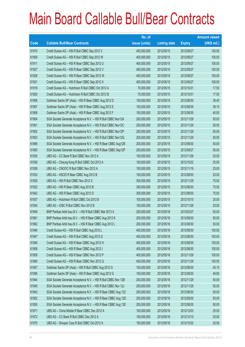|       |                                                                | No. of        |                     |               | <b>Amount raised</b> |
|-------|----------------------------------------------------------------|---------------|---------------------|---------------|----------------------|
| Code  | <b>Callable Bull/Bear Contracts</b>                            | issue (units) | <b>Listing date</b> | <b>Expiry</b> | $(HK$$ mil.)         |
| 61910 | Credit Suisse AG - HSI R Bull CBBC Sep 2012 V                  | 400,000,000   | 2012/05/15          | 2012/09/27    | 100.00               |
| 61909 | Credit Suisse AG - HSI R Bull CBBC Sep 2012 W                  | 400,000,000   | 2012/05/15          | 2012/09/27    | 100.00               |
| 61911 | Credit Suisse AG - HSI R Bear CBBC Sep 2012 U                  | 400,000,000   | 2012/05/15          | 2012/09/27    | 100.00               |
| 61927 | Credit Suisse AG - HSI R Bear CBBC Sep 2012 V                  | 400,000,000   | 2012/05/15          | 2012/09/27    | 100.00               |
| 61928 | Credit Suisse AG - HSI R Bear CBBC Sep 2012 W                  | 400,000,000   | 2012/05/15          | 2012/09/27    | 100.00               |
| 61931 | Credit Suisse AG - HSI R Bear CBBC Sep 2012 X                  | 400,000,000   | 2012/05/15          | 2012/09/27    | 100.00               |
| 61919 | Credit Suisse AG - Hutchison R Bull CBBC Oct 2012 A            | 70,000,000    | 2012/05/15          | 2012/10/31    | 17.50                |
| 61920 | Credit Suisse AG - Hutchison R Bull CBBC Oct 2012 B            | 70,000,000    | 2012/05/15          | 2012/10/31    | 17.50                |
| 61906 | Goldman Sachs SP (Asia) - HSI R Bear CBBC Aug 2012 D           | 150,000,000   | 2012/05/15          | 2012/08/30    | 38.40                |
| 61907 | Goldman Sachs SP (Asia) - HSI R Bear CBBC Aug 2012 E           | 150,000,000   | 2012/05/15          | 2012/08/30    | 39.15                |
| 61908 | Goldman Sachs SP (Asia) - HSI R Bear CBBC Aug 2012 F           | 150,000,000   | 2012/05/15          | 2012/08/30    | 40.05                |
| 61904 | SGA Societe Generale Acceptance N.V. - HSI R Bull CBBC Nov12A  | 200,000,000   | 2012/05/15          | 2012/11/29    | 50.00                |
| 61901 | SGA Societe Generale Acceptance N.V. - HSI R Bull CBBC Nov12C  | 200,000,000   | 2012/05/15          | 2012/11/29    | 50.00                |
| 61902 | SGA Societe Generale Acceptance N.V. - HSI R Bull CBBC Nov12P  | 200,000,000   | 2012/05/15          | 2012/11/29    | 50.00                |
| 61903 | SGA Societe Generale Acceptance N.V. - HSI R Bull CBBC Nov12Q  | 200,000,000   | 2012/05/15          | 2012/11/29    | 50.00                |
| 61899 | SGA Societe Generale Acceptance N.V. - HSI R Bear CBBC Aug12B  | 200,000,000   | 2012/05/15          | 2012/08/30    | 50.00                |
| 61900 | SGA Societe Generale Acceptance N.V. - HSI R Bear CBBC Sep12P  | 200,000,000   | 2012/05/15          | 2012/09/27    | 50.00                |
| 61935 | UBS AG - CC Bank R Bull CBBC Nov 2012 A                        | 100,000,000   | 2012/05/15          | 2012/11/26    | 25.00                |
| 61938 | UBS AG - Cheung Kong R Bull CBBC Oct 2012 A                    | 100,000,000   | 2012/05/15          | 2012/10/22    | 25.00                |
| 61936 | UBS AG - CNOOC R Bull CBBC Nov 2012 A                          | 100,000,000   | 2012/05/15          | 2012/11/19    | 25.00                |
| 61933 | UBS AG - HSCEI R Bear CBBC Aug 2012 B                          | 100,000,000   | 2012/05/15          | 2012/08/30    | 25.00                |
| 61929 | UBS AG - HSI R Bull CBBC Nov 2012 X                            | 300,000,000   | 2012/05/15          | 2012/11/29    | 75.00                |
| 61932 | UBS AG - HSI R Bear CBBC Aug 2012 B                            | 300,000,000   | 2012/05/15          | 2012/08/30    | 75.00                |
| 61942 | UBS AG - HSI R Bear CBBC Aug 2012 D                            | 300,000,000   | 2012/05/15          | 2012/08/30    | 75.00                |
| 61937 | UBS AG - Hutchison R Bull CBBC Oct 2012 B                      | 100,000,000   | 2012/05/15          | 2012/10/15    | 25.00                |
| 61934 | UBS AG - ICBC R Bull CBBC Nov 2012 B                           | 100,000,000   | 2012/05/15          | 2012/11/26    | 25.00                |
| 61949 | BNP Paribas Arbit Issu B.V. - HSI R Bull CBBC Mar 2013 X       | 200,000,000   | 2012/05/16          | 2013/03/27    | 50.00                |
| 61961 | BNP Paribas Arbit Issu B.V. - HSI R Bear CBBC Aug 2012 K       | 200,000,000   | 2012/05/16          | 2012/08/30    | 50.00                |
| 61962 | BNP Paribas Arbit Issu B.V. - HSI R Bear CBBC Aug 2012 L       | 200,000,000   | 2012/05/16          | 2012/08/30    | 50.00                |
| 61946 | Credit Suisse AG - HSI R Bull CBBC Aug 2012 L                  | 400,000,000   | 2012/05/16          | 2012/08/30    | 100.00               |
| 61947 | Credit Suisse AG - HSI R Bull CBBC Aug 2012 Q                  | 400,000,000   | 2012/05/16          | 2012/08/30    | 100.00               |
| 61948 | Credit Suisse AG - HSI R Bear CBBC Aug 2012 H                  | 400,000,000   | 2012/05/16          | 2012/08/30    | 100.00               |
| 61958 | Credit Suisse AG - HSI R Bear CBBC Aug 2012 I                  | 400,000,000   | 2012/05/16          | 2012/08/30    | 100.00               |
| 61959 | Credit Suisse AG - HSI R Bear CBBC Nov 2012 P                  | 400,000,000   | 2012/05/16          | 2012/11/29    | 100.00               |
| 61960 | Credit Suisse AG - HSI R Bear CBBC Nov 2012 Q                  | 400,000,000   | 2012/05/16          | 2012/11/29    | 100.00               |
| 61957 | Goldman Sachs SP (Asia) - HSI R Bull CBBC Aug 2012 G           | 150,000,000   | 2012/05/16          | 2012/08/30    | 45.15                |
| 61956 | Goldman Sachs SP (Asia) - HSI R Bear CBBC Aug 2012 G           | 150,000,000   | 2012/05/16          | 2012/08/30    | 46.80                |
| 61944 | SGA Societe Generale Acceptance N.V. - HSI R Bull CBBC Nov 12B | 200,000,000   | 2012/05/16          | 2012/11/29    | 50.00                |
| 61945 | SGA Societe Generale Acceptance N.V. - HSI R Bull CBBC Nov 12J | 200,000,000   | 2012/05/16          | 2012/11/29    | 50.00                |
| 61943 | SGA Societe Generale Acceptance N.V. - HSI R Bear CBBC Aug 12C | 200,000,000   | 2012/05/16          | 2012/08/30    | 50.00                |
| 61952 | SGA Societe Generale Acceptance N.V. - HSI R Bear CBBC Aug 12D | 200,000,000   | 2012/05/16          | 2012/08/30    | 50.00                |
| 61955 | SGA Societe Generale Acceptance N.V. - HSI R Bear CBBC Aug 12E | 200,000,000   | 2012/05/16          | 2012/08/30    | 50.00                |
| 61971 | UBS AG - China Mobile R Bear CBBC Dec 2012 A                   | 100,000,000   | 2012/05/16          | 2012/12/03    | 25.00                |
| 61972 | UBS AG - CC Bank R Bull CBBC Dec 2012 A                        | 100,000,000   | 2012/05/16          | 2012/12/10    | 25.00                |
| 61975 | UBS AG - Sinopec Corp R Bull CBBC Oct 2012 A                   | 100,000,000   | 2012/05/16          | 2012/10/22    | 25.00                |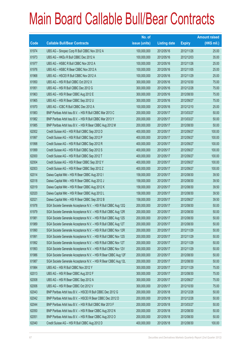|       |                                                                | No. of        |                     |               | <b>Amount raised</b> |
|-------|----------------------------------------------------------------|---------------|---------------------|---------------|----------------------|
| Code  | <b>Callable Bull/Bear Contracts</b>                            | issue (units) | <b>Listing date</b> | <b>Expiry</b> | $(HK$$ mil.)         |
| 61974 | UBS AG - Sinopec Corp R Bull CBBC Nov 2012 A                   | 100,000,000   | 2012/05/16          | 2012/11/26    | 25.00                |
| 61973 | UBS AG - HKEx R Bull CBBC Dec 2012 A                           | 100,000,000   | 2012/05/16          | 2012/12/03    | 35.00                |
| 61977 | UBS AG - HSBC R Bull CBBC Nov 2012 A                           | 100,000,000   | 2012/05/16          | 2012/11/26    | 25.00                |
| 61976 | UBS AG - HSBC R Bear CBBC Nov 2012 A                           | 100,000,000   | 2012/05/16          | 2012/11/05    | 25.00                |
| 61968 | UBS AG - HSCEI R Bull CBBC Nov 2012 A                          | 100,000,000   | 2012/05/16          | 2012/11/29    | 25.00                |
| 61950 | UBS AG - HSI R Bull CBBC Oct 2012 X                            | 300,000,000   | 2012/05/16          | 2012/10/30    | 75.00                |
| 61951 | UBS AG - HSI R Bull CBBC Dec 2012 G                            | 300,000,000   | 2012/05/16          | 2012/12/28    | 75.00                |
| 61963 | UBS AG - HSI R Bear CBBC Aug 2012 E                            | 300,000,000   | 2012/05/16          | 2012/08/30    | 75.00                |
| 61965 | UBS AG - HSI R Bear CBBC Sep 2012 U                            | 300,000,000   | 2012/05/16          | 2012/09/27    | 75.00                |
| 61970 | UBS AG - ICBC R Bull CBBC Dec 2012 A                           | 100,000,000   | 2012/05/16          | 2012/12/10    | 25.00                |
| 61983 | BNP Paribas Arbit Issu B.V. - HSI R Bull CBBC Mar 2013 C       | 200,000,000   | 2012/05/17          | 2013/03/27    | 50.00                |
| 61982 | BNP Paribas Arbit Issu B.V. - HSI R Bull CBBC Mar 2013 Y       | 200,000,000   | 2012/05/17          | 2013/03/27    | 50.00                |
| 61985 | BNP Paribas Arbit Issu B.V. - HSI R Bear CBBC Aug 2012 M       | 200,000,000   | 2012/05/17          | 2012/08/30    | 50.00                |
| 62002 | Credit Suisse AG - HSI R Bull CBBC Sep 2012 D                  | 400,000,000   | 2012/05/17          | 2012/09/27    | 100.00               |
| 61997 | Credit Suisse AG - HSI R Bull CBBC Sep 2012 P                  | 400,000,000   | 2012/05/17          | 2012/09/27    | 100.00               |
| 61998 | Credit Suisse AG - HSI R Bull CBBC Sep 2012 R                  | 400,000,000   | 2012/05/17          | 2012/09/27    | 100.00               |
| 61999 | Credit Suisse AG - HSI R Bull CBBC Sep 2012 S                  | 400,000,000   | 2012/05/17          | 2012/09/27    | 100.00               |
| 62000 | Credit Suisse AG - HSI R Bull CBBC Sep 2012 T                  | 400,000,000   | 2012/05/17          | 2012/09/27    | 100.00               |
| 62004 | Credit Suisse AG - HSI R Bear CBBC Sep 2012 Y                  | 400,000,000   | 2012/05/17          | 2012/09/27    | 100.00               |
| 62003 | Credit Suisse AG - HSI R Bear CBBC Sep 2012 Z                  | 400,000,000   | 2012/05/17          | 2012/09/27    | 100.00               |
| 62014 | Daiwa Capital Mkt - HSI R Bear CBBC Aug 2012 I                 | 158,000,000   | 2012/05/17          | 2012/08/30    | 39.50                |
| 62018 | Daiwa Capital Mkt - HSI R Bear CBBC Aug 2012 J                 | 158,000,000   | 2012/05/17          | 2012/08/30    | 39.50                |
| 62019 | Daiwa Capital Mkt - HSI R Bear CBBC Aug 2012 K                 | 158,000,000   | 2012/05/17          | 2012/08/30    | 39.50                |
| 62020 | Daiwa Capital Mkt - HSI R Bear CBBC Aug 2012 L                 | 158,000,000   | 2012/05/17          | 2012/08/30    | 39.50                |
| 62021 | Daiwa Capital Mkt - HSI R Bear CBBC Sep 2012 B                 | 158,000,000   | 2012/05/17          | 2012/09/27    | 39.50                |
| 61978 | SGA Societe Generale Acceptance N.V. - HSI R Bull CBBC Aug 12Q | 200,000,000   | 2012/05/17          | 2012/08/30    | 50.00                |
| 61979 | SGA Societe Generale Acceptance N.V. - HSI R Bull CBBC Aug 12R | 200,000,000   | 2012/05/17          | 2012/08/30    | 50.00                |
| 61981 | SGA Societe Generale Acceptance N.V. - HSI R Bull CBBC Aug 12S | 200,000,000   | 2012/05/17          | 2012/08/30    | 50.00                |
| 61989 | SGA Societe Generale Acceptance N.V. - HSI R Bull CBBC Aug 12T | 200,000,000   | 2012/05/17          | 2012/08/30    | 50.00                |
| 61990 | SGA Societe Generale Acceptance N.V. - HSI R Bull CBBC Nov 12R | 200,000,000   | 2012/05/17          | 2012/11/29    | 50.00                |
| 61991 | SGA Societe Generale Acceptance N.V. - HSI R Bull CBBC Nov 12S | 200,000,000   | 2012/05/17          | 2012/11/29    | 50.00                |
| 61992 | SGA Societe Generale Acceptance N.V. - HSI R Bull CBBC Nov 12T | 200,000,000   | 2012/05/17          | 2012/11/29    | 50.00                |
| 61993 | SGA Societe Generale Acceptance N.V. - HSI R Bull CBBC Nov 12V | 200,000,000   | 2012/05/17          | 2012/11/29    | 50.00                |
| 61986 | SGA Societe Generale Acceptance N.V. - HSI R Bear CBBC Aug 12F | 200,000,000   | 2012/05/17          | 2012/08/30    | 50.00                |
| 61987 | SGA Societe Generale Acceptance N.V. - HSI R Bear CBBC Aug 12L | 200,000,000   | 2012/05/17          | 2012/08/30    | 50.00                |
| 61984 | UBS AG - HSI R Bull CBBC Nov 2012 Y                            | 300,000,000   | 2012/05/17          | 2012/11/29    | 75.00                |
| 62013 | UBS AG - HSI R Bear CBBC Aug 2012 F                            | 300,000,000   | 2012/05/17          | 2012/08/30    | 75.00                |
| 62008 | UBS AG - HSI R Bear CBBC Sep 2012 A                            | 300,000,000   | 2012/05/17          | 2012/09/27    | 75.00                |
| 62006 | UBS AG - HSI R Bear CBBC Oct 2012 V                            | 300,000,000   | 2012/05/17          | 2012/10/30    | 75.00                |
| 62043 | BNP Paribas Arbit Issu B.V. - HSCEI R Bull CBBC Dec 2012 G     | 200,000,000   | 2012/05/18          | 2012/12/28    | 50.00                |
| 62042 | BNP Paribas Arbit Issu B.V. - HSCEI R Bear CBBC Dec 2012 D     | 200,000,000   | 2012/05/18          | 2012/12/28    | 50.00                |
| 62044 | BNP Paribas Arbit Issu B.V. - HSI R Bull CBBC Mar 2013 F       | 200,000,000   | 2012/05/18          | 2013/03/27    | 50.00                |
| 62050 | BNP Paribas Arbit Issu B.V. - HSI R Bear CBBC Aug 2012 N       | 200,000,000   | 2012/05/18          | 2012/08/30    | 50.00                |
| 62051 | BNP Paribas Arbit Issu B.V. - HSI R Bear CBBC Aug 2012 O       | 200,000,000   | 2012/05/18          | 2012/08/30    | 50.00                |
| 62040 | Credit Suisse AG - HSI R Bull CBBC Aug 2012 D                  | 400,000,000   | 2012/05/18          | 2012/08/30    | 100.00               |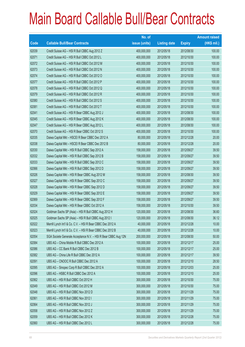|             |                                                                | No. of        |                     |               | <b>Amount raised</b> |
|-------------|----------------------------------------------------------------|---------------|---------------------|---------------|----------------------|
| <b>Code</b> | <b>Callable Bull/Bear Contracts</b>                            | issue (units) | <b>Listing date</b> | <b>Expiry</b> | (HK\$ mil.)          |
| 62039       | Credit Suisse AG - HSI R Bull CBBC Aug 2012 Z                  | 400,000,000   | 2012/05/18          | 2012/08/30    | 100.00               |
| 62071       | Credit Suisse AG - HSI R Bull CBBC Oct 2012 L                  | 400,000,000   | 2012/05/18          | 2012/10/30    | 100.00               |
| 62072       | Credit Suisse AG - HSI R Bull CBBC Oct 2012 M                  | 400,000,000   | 2012/05/18          | 2012/10/30    | 100.00               |
| 62073       | Credit Suisse AG - HSI R Bull CBBC Oct 2012 N                  | 400,000,000   | 2012/05/18          | 2012/10/30    | 100.00               |
| 62074       | Credit Suisse AG - HSI R Bull CBBC Oct 2012 O                  | 400,000,000   | 2012/05/18          | 2012/10/30    | 100.00               |
| 62077       | Credit Suisse AG - HSI R Bull CBBC Oct 2012 P                  | 400,000,000   | 2012/05/18          | 2012/10/30    | 100.00               |
| 62078       | Credit Suisse AG - HSI R Bull CBBC Oct 2012 Q                  | 400,000,000   | 2012/05/18          | 2012/10/30    | 100.00               |
| 62079       | Credit Suisse AG - HSI R Bull CBBC Oct 2012 R                  | 400,000,000   | 2012/05/18          | 2012/10/30    | 100.00               |
| 62080       | Credit Suisse AG - HSI R Bull CBBC Oct 2012 S                  | 400,000,000   | 2012/05/18          | 2012/10/30    | 100.00               |
| 62081       | Credit Suisse AG - HSI R Bull CBBC Oct 2012 T                  | 400,000,000   | 2012/05/18          | 2012/10/30    | 100.00               |
| 62041       | Credit Suisse AG - HSI R Bear CBBC Aug 2012 J                  | 400,000,000   | 2012/05/18          | 2012/08/30    | 100.00               |
| 62045       | Credit Suisse AG - HSI R Bear CBBC Aug 2012 K                  | 400,000,000   | 2012/05/18          | 2012/08/30    | 100.00               |
| 62047       | Credit Suisse AG - HSI R Bear CBBC Aug 2012 L                  | 400,000,000   | 2012/05/18          | 2012/08/30    | 100.00               |
| 62070       | Credit Suisse AG - HSI R Bear CBBC Oct 2012 S                  | 400,000,000   | 2012/05/18          | 2012/10/30    | 100.00               |
| 62035       | Daiwa Capital Mkt - HSCEI R Bear CBBC Dec 2012 A               | 80,000,000    | 2012/05/18          | 2012/12/28    | 20.00                |
| 62038       | Daiwa Capital Mkt - HSCEI R Bear CBBC Dec 2012 B               | 80,000,000    | 2012/05/18          | 2012/12/28    | 20.00                |
| 62030       | Daiwa Capital Mkt - HSI R Bull CBBC Sep 2012 A                 | 158,000,000   | 2012/05/18          | 2012/09/27    | 39.50                |
| 62032       | Daiwa Capital Mkt - HSI R Bull CBBC Sep 2012 B                 | 158,000,000   | 2012/05/18          | 2012/09/27    | 39.50                |
| 62033       | Daiwa Capital Mkt - HSI R Bull CBBC Sep 2012 C                 | 158,000,000   | 2012/05/18          | 2012/09/27    | 39.50                |
| 62066       | Daiwa Capital Mkt - HSI R Bull CBBC Sep 2012 D                 | 158,000,000   | 2012/05/18          | 2012/09/27    | 39.50                |
| 62026       | Daiwa Capital Mkt - HSI R Bear CBBC Aug 2012 M                 | 158,000,000   | 2012/05/18          | 2012/08/30    | 39.50                |
| 62027       | Daiwa Capital Mkt - HSI R Bear CBBC Sep 2012 C                 | 158,000,000   | 2012/05/18          | 2012/09/27    | 39.50                |
| 62028       | Daiwa Capital Mkt - HSI R Bear CBBC Sep 2012 D                 | 158,000,000   | 2012/05/18          | 2012/09/27    | 39.50                |
| 62029       | Daiwa Capital Mkt - HSI R Bear CBBC Sep 2012 E                 | 158,000,000   | 2012/05/18          | 2012/09/27    | 39.50                |
| 62069       | Daiwa Capital Mkt - HSI R Bear CBBC Sep 2012 F                 | 158,000,000   | 2012/05/18          | 2012/09/27    | 39.50                |
| 62034       | Daiwa Capital Mkt - HSI R Bear CBBC Oct 2012 A                 | 158,000,000   | 2012/05/18          | 2012/10/30    | 39.50                |
| 62024       | Goldman Sachs SP (Asia) - HSI R Bull CBBC Aug 2012 H           | 120,000,000   | 2012/05/18          | 2012/08/30    | 36.60                |
| 62025       | Goldman Sachs SP (Asia) - HSI R Bull CBBC Aug 2012 I           | 120,000,000   | 2012/05/18          | 2012/08/30    | 36.12                |
| 62022       | Merrill Lynch Int'l & Co. C.V. - HSI R Bear CBBC Dec 2012 A    | 40,000,000    | 2012/05/18          | 2012/12/28    | 10.00                |
| 62023       | Merrill Lynch Int'l & Co. C.V. - HSI R Bear CBBC Dec 2012 B    | 40,000,000    | 2012/05/18          | 2012/12/28    | 10.00                |
| 62054       | SGA Societe Generale Acceptance N.V. - HSI R Bear CBBC Aug 12N | 200,000,000   | 2012/05/18          | 2012/08/30    | 50.00                |
| 62084       | UBS AG - China Mobile R Bull CBBC Dec 2012 A                   | 100,000,000   | 2012/05/18          | 2012/12/17    | 25.00                |
| 62086       | UBS AG - CC Bank R Bull CBBC Dec 2012 B                        | 100,000,000   | 2012/05/18          | 2012/12/17    | 25.00                |
| 62082       | UBS AG - China Life R Bull CBBC Dec 2012 A                     | 100,000,000   | 2012/05/18          | 2012/12/17    | 39.50                |
| 62091       | UBS AG - CNOOC R Bull CBBC Dec 2012 A                          | 100,000,000   | 2012/05/18          | 2012/12/10    | 28.50                |
| 62095       | UBS AG - Sinopec Corp R Bull CBBC Dec 2012 A                   | 100,000,000   | 2012/05/18          | 2012/12/03    | 25.00                |
| 62096       | UBS AG - HSBC R Bull CBBC Dec 2012 A                           | 100,000,000   | 2012/05/18          | 2012/12/10    | 25.00                |
| 62062       | UBS AG - HSI R Bull CBBC Oct 2012 H                            | 300,000,000   | 2012/05/18          | 2012/10/30    | 75.00                |
| 62049       | UBS AG - HSI R Bull CBBC Oct 2012 M                            | 300,000,000   | 2012/05/18          | 2012/10/30    | 75.00                |
| 62048       | UBS AG - HSI R Bull CBBC Nov 2012 D                            | 300,000,000   | 2012/05/18          | 2012/11/29    | 75.00                |
| 62061       | UBS AG - HSI R Bull CBBC Nov 2012 I                            | 300,000,000   | 2012/05/18          | 2012/11/29    | 75.00                |
| 62064       | UBS AG - HSI R Bull CBBC Nov 2012 J                            | 300,000,000   | 2012/05/18          | 2012/11/29    | 75.00                |
| 62058       | UBS AG - HSI R Bull CBBC Nov 2012 Z                            | 300,000,000   | 2012/05/18          | 2012/11/29    | 75.00                |
| 62059       | UBS AG - HSI R Bull CBBC Dec 2012 K                            | 300,000,000   | 2012/05/18          | 2012/12/28    | 75.00                |
| 62060       | UBS AG - HSI R Bull CBBC Dec 2012 L                            | 300,000,000   | 2012/05/18          | 2012/12/28    | 75.00                |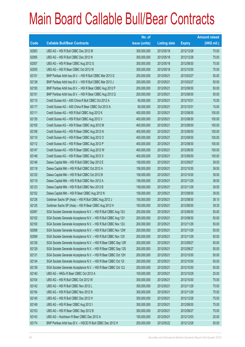|       |                                                                | No. of        |                     |               | <b>Amount raised</b> |
|-------|----------------------------------------------------------------|---------------|---------------------|---------------|----------------------|
| Code  | <b>Callable Bull/Bear Contracts</b>                            | issue (units) | <b>Listing date</b> | <b>Expiry</b> | $(HK$$ mil.)         |
| 62063 | UBS AG - HSI R Bull CBBC Dec 2012 M                            | 300,000,000   | 2012/05/18          | 2012/12/28    | 75.00                |
| 62065 | UBS AG - HSI R Bull CBBC Dec 2012 N                            | 300,000,000   | 2012/05/18          | 2012/12/28    | 75.00                |
| 62057 | UBS AG - HSI R Bear CBBC Aug 2012 G                            | 300,000,000   | 2012/05/18          | 2012/08/30    | 75.00                |
| 62055 | UBS AG - HSI R Bear CBBC Oct 2012 W                            | 300,000,000   | 2012/05/18          | 2012/10/30    | 75.00                |
| 62101 | BNP Paribas Arbit Issu B.V. - HSI R Bull CBBC Mar 2013 G       | 200,000,000   | 2012/05/21          | 2013/03/27    | 50.00                |
| 62138 | BNP Paribas Arbit Issu B.V. - HSI R Bull CBBC Mar 2013 J       | 200,000,000   | 2012/05/21          | 2013/03/27    | 50.00                |
| 62150 | BNP Paribas Arbit Issu B.V. - HSI R Bear CBBC Aug 2012 P       | 200,000,000   | 2012/05/21          | 2012/08/30    | 50.00                |
| 62151 | BNP Paribas Arbit Issu B.V. - HSI R Bear CBBC Aug 2012 Q       | 200,000,000   | 2012/05/21          | 2012/08/30    | 50.00                |
| 62115 | Credit Suisse AG - A50 China R Bull CBBC Oct 2012 A            | 60,000,000    | 2012/05/21          | 2012/10/31    | 15.00                |
| 62117 | Credit Suisse AG - A50 China R Bear CBBC Oct 2012 A            | 60,000,000    | 2012/05/21          | 2012/10/31    | 15.00                |
| 62111 | Credit Suisse AG - HSI R Bull CBBC Aug 2012 K                  | 400,000,000   | 2012/05/21          | 2012/08/30    | 100.00               |
| 62135 | Credit Suisse AG - HSI R Bull CBBC Aug 2012 V                  | 400,000,000   | 2012/05/21          | 2012/08/30    | 100.00               |
| 62105 | Credit Suisse AG - HSI R Bear CBBC Aug 2012 M                  | 400,000,000   | 2012/05/21          | 2012/08/30    | 100.00               |
| 62108 | Credit Suisse AG - HSI R Bear CBBC Aug 2012 N                  | 400,000,000   | 2012/05/21          | 2012/08/30    | 100.00               |
| 62110 | Credit Suisse AG - HSI R Bear CBBC Aug 2012 O                  | 400,000,000   | 2012/05/21          | 2012/08/30    | 100.00               |
| 62112 | Credit Suisse AG - HSI R Bear CBBC Aug 2012 P                  | 400,000,000   | 2012/05/21          | 2012/08/30    | 100.00               |
| 62147 | Credit Suisse AG - HSI R Bear CBBC Aug 2012 W                  | 400,000,000   | 2012/05/21          | 2012/08/30    | 100.00               |
| 62148 | Credit Suisse AG - HSI R Bear CBBC Aug 2012 X                  | 400,000,000   | 2012/05/21          | 2012/08/30    | 100.00               |
| 62146 | Daiwa Capital Mkt - HSI R Bull CBBC Sep 2012 E                 | 158,000,000   | 2012/05/21          | 2012/09/27    | 39.50                |
| 62118 | Daiwa Capital Mkt - HSI R Bull CBBC Oct 2012 A                 | 158,000,000   | 2012/05/21          | 2012/10/30    | 39.50                |
| 62120 | Daiwa Capital Mkt - HSI R Bull CBBC Oct 2012 B                 | 158,000,000   | 2012/05/21          | 2012/10/30    | 39.50                |
| 62119 | Daiwa Capital Mkt - HSI R Bull CBBC Nov 2012 A                 | 158,000,000   | 2012/05/21          | 2012/11/29    | 39.50                |
| 62123 | Daiwa Capital Mkt - HSI R Bull CBBC Nov 2012 B                 | 158,000,000   | 2012/05/21          | 2012/11/29    | 39.50                |
| 62152 | Daiwa Capital Mkt - HSI R Bear CBBC Aug 2012 N                 | 158,000,000   | 2012/05/21          | 2012/08/30    | 39.50                |
| 62126 | Goldman Sachs SP (Asia) - HSI R Bull CBBC Aug 2012 J           | 150,000,000   | 2012/05/21          | 2012/08/30    | 38.10                |
| 62125 | Goldman Sachs SP (Asia) - HSI R Bear CBBC Aug 2012 H           | 150,000,000   | 2012/05/21          | 2012/08/30    | 39.30                |
| 62097 | SGA Societe Generale Acceptance N.V. - HSI R Bull CBBC Aug 12U | 200,000,000   | 2012/05/21          | 2012/08/30    | 50.00                |
| 62102 | SGA Societe Generale Acceptance N.V. - HSI R Bull CBBC Aug 12V | 200,000,000   | 2012/05/21          | 2012/08/30    | 50.00                |
| 62100 | SGA Societe Generale Acceptance N.V. - HSI R Bull CBBC Nov 12U | 200,000,000   | 2012/05/21          | 2012/11/29    | 50.00                |
| 62098 | SGA Societe Generale Acceptance N.V. - HSI R Bull CBBC Nov 12W | 200,000,000   | 2012/05/21          | 2012/11/29    | 50.00                |
| 62099 | SGA Societe Generale Acceptance N.V. - HSI R Bull CBBC Nov 12X | 200,000,000   | 2012/05/21          | 2012/11/29    | 50.00                |
| 62128 | SGA Societe Generale Acceptance N.V. - HSI R Bear CBBC Sep 12R | 200,000,000   | 2012/05/21          | 2012/09/27    | 50.00                |
| 62129 | SGA Societe Generale Acceptance N.V. - HSI R Bear CBBC Sep 12S | 200,000,000   | 2012/05/21          | 2012/09/27    | 50.00                |
| 62131 | SGA Societe Generale Acceptance N.V. - HSI R Bear CBBC Oct 12H | 200,000,000   | 2012/05/21          | 2012/10/30    | 50.00                |
| 62134 | SGA Societe Generale Acceptance N.V. - HSI R Bear CBBC Oct 121 | 200,000,000   | 2012/05/21          | 2012/10/30    | 50.00                |
| 62139 | SGA Societe Generale Acceptance N.V. - HSI R Bear CBBC Oct 12J | 200,000,000   | 2012/05/21          | 2012/10/30    | 50.00                |
| 62140 | UBS AG - HKEx R Bear CBBC Oct 2012 A                           | 100,000,000   | 2012/05/21          | 2012/10/29    | 25.00                |
| 62104 | UBS AG - HSI R Bull CBBC Oct 2012 W                            | 300,000,000   | 2012/05/21          | 2012/10/30    | 75.00                |
| 62142 | UBS AG - HSI R Bull CBBC Nov 2012 L                            | 300,000,000   | 2012/05/21          | 2012/11/29    | 75.00                |
| 62154 | UBS AG - HSI R Bull CBBC Nov 2012 N                            | 300,000,000   | 2012/05/21          | 2012/11/29    | 75.00                |
| 62145 | UBS AG - HSI R Bull CBBC Dec 2012 H                            | 300,000,000   | 2012/05/21          | 2012/12/28    | 75.00                |
| 62149 | UBS AG - HSI R Bear CBBC Aug 2012 I                            | 300,000,000   | 2012/05/21          | 2012/08/30    | 75.00                |
| 62103 | UBS AG - HSI R Bear CBBC Sep 2012 B                            | 300,000,000   | 2012/05/21          | 2012/09/27    | 75.00                |
| 62143 | UBS AG - Hutchison R Bear CBBC Dec 2012 A                      | 100,000,000   | 2012/05/21          | 2012/12/03    | 25.00                |
| 62174 | BNP Paribas Arbit Issu B.V. - HSCEI R Bull CBBC Dec 2012 H     | 200,000,000   | 2012/05/22          | 2012/12/28    | 50.00                |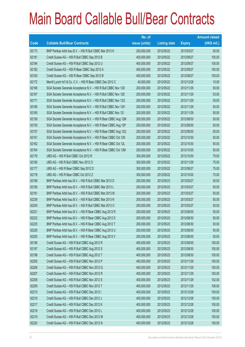|             |                                                                | No. of        |                     |               | <b>Amount raised</b> |
|-------------|----------------------------------------------------------------|---------------|---------------------|---------------|----------------------|
| <b>Code</b> | <b>Callable Bull/Bear Contracts</b>                            | issue (units) | <b>Listing date</b> | <b>Expiry</b> | $(HK$$ mil.)         |
| 62173       | BNP Paribas Arbit Issu B.V. - HSI R Bull CBBC Mar 2013 K       | 200,000,000   | 2012/05/22          | 2013/03/27    | 50.00                |
| 62181       | Credit Suisse AG - HSI R Bull CBBC Sep 2012 B                  | 400,000,000   | 2012/05/22          | 2012/09/27    | 100.00               |
| 62184       | Credit Suisse AG - HSI R Bull CBBC Sep 2012 U                  | 400,000,000   | 2012/05/22          | 2012/09/27    | 100.00               |
| 62182       | Credit Suisse AG - HSI R Bear CBBC Sep 2012 A                  | 400,000,000   | 2012/05/22          | 2012/09/27    | 100.00               |
| 62183       | Credit Suisse AG - HSI R Bear CBBC Sep 2012 B                  | 400,000,000   | 2012/05/22          | 2012/09/27    | 100.00               |
| 62172       | Merrill Lynch Int'l & Co. C.V. - HSI R Bear CBBC Dec 2012 C    | 40,000,000    | 2012/05/22          | 2012/12/28    | 10.00                |
| 62166       | SGA Societe Generale Acceptance N.V. - HSI R Bull CBBC Nov 12D | 200,000,000   | 2012/05/22          | 2012/11/29    | 50.00                |
| 62167       | SGA Societe Generale Acceptance N.V. - HSI R Bull CBBC Nov 12E | 200,000,000   | 2012/05/22          | 2012/11/29    | 53.00                |
| 62171       | SGA Societe Generale Acceptance N.V. - HSI R Bull CBBC Nov 12G | 200,000,000   | 2012/05/22          | 2012/11/29    | 55.00                |
| 62180       | SGA Societe Generale Acceptance N.V. - HSI R Bull CBBC Nov 12H | 200,000,000   | 2012/05/22          | 2012/11/29    | 50.00                |
| 62165       | SGA Societe Generale Acceptance N.V. - HSI R Bull CBBC Nov 121 | 200,000,000   | 2012/05/22          | 2012/11/29    | 50.00                |
| 62159       | SGA Societe Generale Acceptance N.V. - HSI R Bear CBBC Aug 12M | 200,000,000   | 2012/05/22          | 2012/08/30    | 50.00                |
| 62155       | SGA Societe Generale Acceptance N.V. - HSI R Bear CBBC Aug 12P | 200,000,000   | 2012/05/22          | 2012/08/30    | 50.00                |
| 62157       | SGA Societe Generale Acceptance N.V. - HSI R Bear CBBC Aug 12Q | 200,000,000   | 2012/05/22          | 2012/08/30    | 50.00                |
| 62161       | SGA Societe Generale Acceptance N.V. - HSI R Bear CBBC Oct 12K | 200,000,000   | 2012/05/22          | 2012/10/30    | 50.00                |
| 62162       | SGA Societe Generale Acceptance N.V. - HSI R Bear CBBC Oct 12L | 200,000,000   | 2012/05/22          | 2012/10/30    | 50.00                |
| 62164       | SGA Societe Generale Acceptance N.V. - HSI R Bear CBBC Oct 12M | 200,000,000   | 2012/05/22          | 2012/10/30    | 50.00                |
| 62179       | UBS AG - HSI R Bull CBBC Oct 2012 R                            | 300,000,000   | 2012/05/22          | 2012/10/30    | 75.00                |
| 62185       | UBS AG - HSI R Bull CBBC Nov 2012 O                            | 300,000,000   | 2012/05/22          | 2012/11/29    | 75.00                |
| 62177       | UBS AG - HSI R Bear CBBC Sep 2012 D                            | 300,000,000   | 2012/05/22          | 2012/09/27    | 75.00                |
| 62178       | UBS AG - HSI R Bear CBBC Oct 2012 Z                            | 300,000,000   | 2012/05/22          | 2012/10/30    | 75.00                |
| 62189       | BNP Paribas Arbit Issu B.V. - HSI R Bull CBBC Mar 2013 D       | 200,000,000   | 2012/05/23          | 2013/03/27    | 50.00                |
| 62190       | BNP Paribas Arbit Issu B.V. - HSI R Bull CBBC Mar 2013 L       | 200,000,000   | 2012/05/23          | 2013/03/27    | 50.00                |
| 62191       | BNP Paribas Arbit Issu B.V. - HSI R Bull CBBC Mar 2013 M       | 200,000,000   | 2012/05/23          | 2013/03/27    | 50.00                |
| 62239       | BNP Paribas Arbit Issu B.V. - HSI R Bull CBBC Mar 2013 N       | 200,000,000   | 2012/05/23          | 2013/03/27    | 50.00                |
| 62245       | BNP Paribas Arbit Issu B.V. - HSI R Bull CBBC Mar 2013 O       | 200,000,000   | 2012/05/23          | 2013/03/27    | 50.00                |
| 62221       | BNP Paribas Arbit Issu B.V. - HSI R Bear CBBC Aug 2012 R       | 200,000,000   | 2012/05/23          | 2012/08/30    | 50.00                |
| 62222       | BNP Paribas Arbit Issu B.V. - HSI R Bear CBBC Aug 2012 S       | 200,000,000   | 2012/05/23          | 2012/08/30    | 50.00                |
| 62225       | BNP Paribas Arbit Issu B.V. - HSI R Bear CBBC Aug 2012 T       | 200,000,000   | 2012/05/23          | 2012/08/30    | 50.00                |
| 62226       | BNP Paribas Arbit Issu B.V. - HSI R Bear CBBC Aug 2012 U       | 200,000,000   | 2012/05/23          | 2012/08/30    | 50.00                |
| 62255       | BNP Paribas Arbit Issu B.V. - HSI R Bear CBBC Aug 2012 V       | 200,000,000   | 2012/05/23          | 2012/08/30    | 50.00                |
| 62196       | Credit Suisse AG - HSI R Bull CBBC Aug 2012 R                  | 400,000,000   | 2012/05/23          | 2012/08/30    | 100.00               |
| 62197       | Credit Suisse AG - HSI R Bull CBBC Aug 2012 S                  | 400,000,000   | 2012/05/23          | 2012/08/30    | 100.00               |
| 62198       | Credit Suisse AG - HSI R Bull CBBC Aug 2012 T                  | 400,000,000   | 2012/05/23          | 2012/08/30    | 100.00               |
| 62205       | Credit Suisse AG - HSI R Bull CBBC Nov 2012 P                  | 400,000,000   | 2012/05/23          | 2012/11/29    | 100.00               |
| 62206       | Credit Suisse AG - HSI R Bull CBBC Nov 2012 Q                  | 400,000,000   | 2012/05/23          | 2012/11/29    | 100.00               |
| 62207       | Credit Suisse AG - HSI R Bull CBBC Nov 2012 R                  | 400,000,000   | 2012/05/23          | 2012/11/29    | 100.00               |
| 62208       | Credit Suisse AG - HSI R Bull CBBC Nov 2012 S                  | 400,000,000   | 2012/05/23          | 2012/11/29    | 102.00               |
| 62209       | Credit Suisse AG - HSI R Bull CBBC Nov 2012 T                  | 400,000,000   | 2012/05/23          | 2012/11/29    | 106.00               |
| 62215       | Credit Suisse AG - HSI R Bull CBBC Dec 2012 I                  | 400,000,000   | 2012/05/23          | 2012/12/28    | 100.00               |
| 62216       | Credit Suisse AG - HSI R Bull CBBC Dec 2012 J                  | 400,000,000   | 2012/05/23          | 2012/12/28    | 100.00               |
| 62217       | Credit Suisse AG - HSI R Bull CBBC Dec 2012 K                  | 400,000,000   | 2012/05/23          | 2012/12/28    | 100.00               |
| 62218       | Credit Suisse AG - HSI R Bull CBBC Dec 2012 L                  | 400,000,000   | 2012/05/23          | 2012/12/28    | 100.00               |
| 62219       | Credit Suisse AG - HSI R Bull CBBC Dec 2012 M                  | 400,000,000   | 2012/05/23          | 2012/12/28    | 100.00               |
| 62220       | Credit Suisse AG - HSI R Bull CBBC Dec 2012 N                  | 400,000,000   | 2012/05/23          | 2012/12/28    | 100.00               |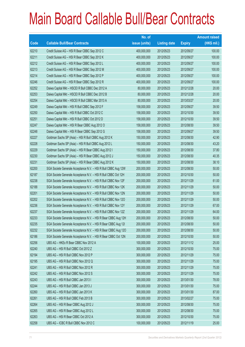|       |                                                                | No. of        |                     |               | <b>Amount raised</b> |
|-------|----------------------------------------------------------------|---------------|---------------------|---------------|----------------------|
| Code  | <b>Callable Bull/Bear Contracts</b>                            | issue (units) | <b>Listing date</b> | <b>Expiry</b> | $(HK$$ mil.)         |
| 62210 | Credit Suisse AG - HSI R Bear CBBC Sep 2012 C                  | 400,000,000   | 2012/05/23          | 2012/09/27    | 100.00               |
| 62211 | Credit Suisse AG - HSI R Bear CBBC Sep 2012 K                  | 400,000,000   | 2012/05/23          | 2012/09/27    | 100.00               |
| 62212 | Credit Suisse AG - HSI R Bear CBBC Sep 2012 L                  | 400,000,000   | 2012/05/23          | 2012/09/27    | 100.00               |
| 62213 | Credit Suisse AG - HSI R Bear CBBC Sep 2012 M                  | 400,000,000   | 2012/05/23          | 2012/09/27    | 100.00               |
| 62214 | Credit Suisse AG - HSI R Bear CBBC Sep 2012 P                  | 400,000,000   | 2012/05/23          | 2012/09/27    | 100.00               |
| 62246 | Credit Suisse AG - HSI R Bear CBBC Sep 2012 R                  | 400,000,000   | 2012/05/23          | 2012/09/27    | 100.00               |
| 62252 | Daiwa Capital Mkt - HSCEI R Bull CBBC Dec 2012 A               | 80,000,000    | 2012/05/23          | 2012/12/28    | 20.00                |
| 62253 | Daiwa Capital Mkt - HSCEI R Bull CBBC Dec 2012 B               | 80,000,000    | 2012/05/23          | 2012/12/28    | 20.00                |
| 62254 | Daiwa Capital Mkt - HSCEI R Bull CBBC Mar 2013 A               | 80,000,000    | 2012/05/23          | 2013/03/27    | 20.00                |
| 62249 | Daiwa Capital Mkt - HSI R Bull CBBC Sep 2012 F                 | 158,000,000   | 2012/05/23          | 2012/09/27    | 39.50                |
| 62250 | Daiwa Capital Mkt - HSI R Bull CBBC Oct 2012 C                 | 158,000,000   | 2012/05/23          | 2012/10/30    | 39.50                |
| 62251 | Daiwa Capital Mkt - HSI R Bull CBBC Oct 2012 D                 | 158,000,000   | 2012/05/23          | 2012/10/30    | 39.50                |
| 62247 | Daiwa Capital Mkt - HSI R Bear CBBC Aug 2012 O                 | 158,000,000   | 2012/05/23          | 2012/08/30    | 39.50                |
| 62248 | Daiwa Capital Mkt - HSI R Bear CBBC Sep 2012 G                 | 158,000,000   | 2012/05/23          | 2012/09/27    | 39.50                |
| 62227 | Goldman Sachs SP (Asia) - HSI R Bull CBBC Aug 2012 K           | 150,000,000   | 2012/05/23          | 2012/08/30    | 42.90                |
| 62228 | Goldman Sachs SP (Asia) - HSI R Bull CBBC Aug 2012 L           | 150,000,000   | 2012/05/23          | 2012/08/30    | 43.20                |
| 62229 | Goldman Sachs SP (Asia) - HSI R Bear CBBC Aug 2012 I           | 150,000,000   | 2012/05/23          | 2012/08/30    | 37.80                |
| 62230 | Goldman Sachs SP (Asia) - HSI R Bear CBBC Aug 2012 J           | 150,000,000   | 2012/05/23          | 2012/08/30    | 40.35                |
| 62231 | Goldman Sachs SP (Asia) - HSI R Bear CBBC Aug 2012 K           | 150,000,000   | 2012/05/23          | 2012/08/30    | 38.10                |
| 62200 | SGA Societe Generale Acceptance N.V. - HSI R Bull CBBC Aug 12W | 200,000,000   | 2012/05/23          | 2012/08/30    | 50.00                |
| 62187 | SGA Societe Generale Acceptance N.V. - HSI R Bull CBBC Oct 12H | 200,000,000   | 2012/05/23          | 2012/10/30    | 50.00                |
| 62238 | SGA Societe Generale Acceptance N.V. - HSI R Bull CBBC Nov 12F | 200,000,000   | 2012/05/23          | 2012/11/29    | 61.00                |
| 62188 | SGA Societe Generale Acceptance N.V. - HSI R Bull CBBC Nov 12K | 200,000,000   | 2012/05/23          | 2012/11/29    | 50.00                |
| 62201 | SGA Societe Generale Acceptance N.V. - HSI R Bull CBBC Nov 12N | 200,000,000   | 2012/05/23          | 2012/11/29    | 50.00                |
| 62202 | SGA Societe Generale Acceptance N.V. - HSI R Bull CBBC Nov 120 | 200,000,000   | 2012/05/23          | 2012/11/29    | 50.00                |
| 62236 | SGA Societe Generale Acceptance N.V. - HSI R Bull CBBC Nov 12Y | 200,000,000   | 2012/05/23          | 2012/11/29    | 67.00                |
| 62237 | SGA Societe Generale Acceptance N.V. - HSI R Bull CBBC Nov 12Z | 200,000,000   | 2012/05/23          | 2012/11/29    | 64.00                |
| 62233 | SGA Societe Generale Acceptance N.V. - HSI R Bear CBBC Aug 12H | 200,000,000   | 2012/05/23          | 2012/08/30    | 50.00                |
| 62235 | SGA Societe Generale Acceptance N.V. - HSI R Bear CBBC Aug 121 | 200,000,000   | 2012/05/23          | 2012/08/30    | 50.00                |
| 62232 | SGA Societe Generale Acceptance N.V. - HSI R Bear CBBC Aug 120 | 200,000,000   | 2012/05/23          | 2012/08/30    | 50.00                |
| 62186 | SGA Societe Generale Acceptance N.V. - HSI R Bear CBBC Oct 12N | 200,000,000   | 2012/05/23          | 2012/10/30    | 50.00                |
| 62256 | UBS AG - HKEx R Bear CBBC Nov 2012 A                           | 100,000,000   | 2012/05/23          | 2012/11/12    | 25.00                |
| 62240 | UBS AG - HSI R Bull CBBC Oct 2012 Z                            | 300,000,000   | 2012/05/23          | 2012/10/30    | 75.00                |
| 62194 | UBS AG - HSI R Bull CBBC Nov 2012 P                            | 300,000,000   | 2012/05/23          | 2012/11/29    | 75.00                |
| 62195 | UBS AG - HSI R Bull CBBC Nov 2012 Q                            | 300,000,000   | 2012/05/23          | 2012/11/29    | 75.00                |
| 62241 | UBS AG - HSI R Bull CBBC Nov 2012 R                            | 300,000,000   | 2012/05/23          | 2012/11/29    | 75.00                |
| 62242 | UBS AG - HSI R Bull CBBC Nov 2012 S                            | 300,000,000   | 2012/05/23          | 2012/11/29    | 75.00                |
| 62243 | UBS AG - HSI R Bull CBBC Jan 2013 I                            | 300,000,000   | 2012/05/23          | 2013/01/30    | 78.00                |
| 62244 | UBS AG - HSI R Bull CBBC Jan 2013 J                            | 300,000,000   | 2012/05/23          | 2013/01/30    | 75.00                |
| 62260 | UBS AG - HSI R Bull CBBC Jan 2013 K                            | 300,000,000   | 2012/05/23          | 2013/01/30    | 87.00                |
| 62261 | UBS AG - HSI R Bull CBBC Feb 2013 B                            | 300,000,000   | 2012/05/23          | 2013/02/27    | 75.00                |
| 62264 | UBS AG - HSI R Bear CBBC Aug 2012 J                            | 300,000,000   | 2012/05/23          | 2012/08/30    | 75.00                |
| 62265 | UBS AG - HSI R Bear CBBC Aug 2012 L                            | 300,000,000   | 2012/05/23          | 2012/08/30    | 75.00                |
| 62263 | UBS AG - HSI R Bear CBBC Oct 2012 A                            | 300,000,000   | 2012/05/23          | 2012/10/30    | 75.00                |
| 62258 | UBS AG - ICBC R Bull CBBC Nov 2012 C                           | 100,000,000   | 2012/05/23          | 2012/11/19    | 25.00                |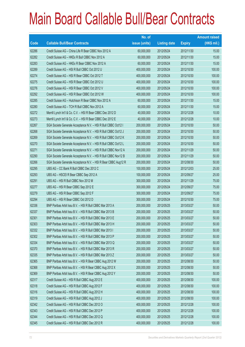|       |                                                                | No. of        |                     |               | <b>Amount raised</b> |
|-------|----------------------------------------------------------------|---------------|---------------------|---------------|----------------------|
| Code  | <b>Callable Bull/Bear Contracts</b>                            | issue (units) | <b>Listing date</b> | <b>Expiry</b> | $(HK$$ mil.)         |
| 62286 | Credit Suisse AG - China Life R Bear CBBC Nov 2012 A           | 60,000,000    | 2012/05/24          | 2012/11/30    | 15.00                |
| 62282 | Credit Suisse AG - HKEx R Bull CBBC Nov 2012 A                 | 60,000,000    | 2012/05/24          | 2012/11/30    | 15.00                |
| 62283 | Credit Suisse AG - HKEx R Bear CBBC Nov 2012 A                 | 60,000,000    | 2012/05/24          | 2012/11/30    | 15.00                |
| 62289 | Credit Suisse AG - HSI R Bull CBBC Oct 2012 U                  | 400,000,000   | 2012/05/24          | 2012/10/30    | 100.00               |
| 62274 | Credit Suisse AG - HSI R Bear CBBC Oct 2012 T                  | 400,000,000   | 2012/05/24          | 2012/10/30    | 100.00               |
| 62275 | Credit Suisse AG - HSI R Bear CBBC Oct 2012 U                  | 400,000,000   | 2012/05/24          | 2012/10/30    | 100.00               |
| 62276 | Credit Suisse AG - HSI R Bear CBBC Oct 2012 V                  | 400,000,000   | 2012/05/24          | 2012/10/30    | 100.00               |
| 62292 | Credit Suisse AG - HSI R Bear CBBC Oct 2012 W                  | 400,000,000   | 2012/05/24          | 2012/10/30    | 100.00               |
| 62285 | Credit Suisse AG - Hutchison R Bear CBBC Nov 2012 A            | 60,000,000    | 2012/05/24          | 2012/11/30    | 15.00                |
| 62280 | Credit Suisse AG - TCH R Bull CBBC Nov 2012 A                  | 60,000,000    | 2012/05/24          | 2012/11/30    | 15.00                |
| 62272 | Merrill Lynch Int'l & Co. C.V. - HSI R Bear CBBC Dec 2012 D    | 40,000,000    | 2012/05/24          | 2012/12/28    | 10.00                |
| 62273 | Merrill Lynch Int'l & Co. C.V. - HSI R Bear CBBC Dec 2012 E    | 40,000,000    | 2012/05/24          | 2012/12/28    | 10.00                |
| 62267 | SGA Societe Generale Acceptance N.V. - HSI R Bull CBBC Oct12 I | 200,000,000   | 2012/05/24          | 2012/10/30    | 50.00                |
| 62268 | SGA Societe Generale Acceptance N.V. - HSI R Bull CBBC Oct12 J | 200,000,000   | 2012/05/24          | 2012/10/30    | 50.00                |
| 62269 | SGA Societe Generale Acceptance N.V. - HSI R Bull CBBC Oct12 K | 200,000,000   | 2012/05/24          | 2012/10/30    | 50.00                |
| 62270 | SGA Societe Generale Acceptance N.V. - HSI R Bull CBBC Oct12 L | 200,000,000   | 2012/05/24          | 2012/10/30    | 50.00                |
| 62271 | SGA Societe Generale Acceptance N.V. - HSI R Bull CBBC Nov12 A | 200,000,000   | 2012/05/24          | 2012/11/29    | 50.00                |
| 62290 | SGA Societe Generale Acceptance N.V. - HSI R Bull CBBC Nov12 B | 200,000,000   | 2012/05/24          | 2012/11/29    | 50.00                |
| 62266 | SGA Societe Generale Acceptance N.V. - HSI R Bear CBBC Aug12 R | 200,000,000   | 2012/05/24          | 2012/08/30    | 50.00                |
| 62295 | UBS AG - CC Bank R Bull CBBC Dec 2012 C                        | 100,000,000   | 2012/05/24          | 2012/12/03    | 25.00                |
| 62293 | UBS AG - HSCEI R Bear CBBC Sep 2012 A                          | 100,000,000   | 2012/05/24          | 2012/09/27    | 25.00                |
| 62291 | UBS AG - HSI R Bull CBBC Nov 2012 M                            | 300,000,000   | 2012/05/24          | 2012/11/29    | 75.00                |
| 62277 | UBS AG - HSI R Bear CBBC Sep 2012 E                            | 300,000,000   | 2012/05/24          | 2012/09/27    | 75.00                |
| 62279 | UBS AG - HSI R Bear CBBC Sep 2012 F                            | 300,000,000   | 2012/05/24          | 2012/09/27    | 75.00                |
| 62294 | UBS AG - HSI R Bear CBBC Oct 2012 D                            | 300,000,000   | 2012/05/24          | 2012/10/30    | 75.00                |
| 62336 | BNP Paribas Arbit Issu B.V. - HSI R Bull CBBC Mar 2013 A       | 200,000,000   | 2012/05/25          | 2013/03/27    | 50.00                |
| 62337 | BNP Paribas Arbit Issu B.V. - HSI R Bull CBBC Mar 2013 B       | 200,000,000   | 2012/05/25          | 2013/03/27    | 50.00                |
| 62301 | BNP Paribas Arbit Issu B.V. - HSI R Bull CBBC Mar 2013 E       | 200,000,000   | 2012/05/25          | 2013/03/27    | 50.00                |
| 62303 | BNP Paribas Arbit Issu B.V. - HSI R Bull CBBC Mar 2013 H       | 200,000,000   | 2012/05/25          | 2013/03/27    | 50.00                |
| 62332 | BNP Paribas Arbit Issu B.V. - HSI R Bull CBBC Mar 2013 I       | 200,000,000   | 2012/05/25          | 2013/03/27    | 50.00                |
| 62302 | BNP Paribas Arbit Issu B.V. - HSI R Bull CBBC Mar 2013 P       | 200,000,000   | 2012/05/25          | 2013/03/27    | 50.00                |
| 62334 | BNP Paribas Arbit Issu B.V. - HSI R Bull CBBC Mar 2013 Q       | 200,000,000   | 2012/05/25          | 2013/03/27    | 50.00                |
| 62370 | BNP Paribas Arbit Issu B.V. - HSI R Bull CBBC Mar 2013 R       | 200,000,000   | 2012/05/25          | 2013/03/27    | 50.00                |
| 62335 | BNP Paribas Arbit Issu B.V. - HSI R Bull CBBC Mar 2013 Z       | 200,000,000   | 2012/05/25          | 2013/03/27    | 50.00                |
| 62365 | BNP Paribas Arbit Issu B.V. - HSI R Bear CBBC Aug 2012 W       | 200,000,000   | 2012/05/25          | 2012/08/30    | 50.00                |
| 62368 | BNP Paribas Arbit Issu B.V. - HSI R Bear CBBC Aug 2012 X       | 200,000,000   | 2012/05/25          | 2012/08/30    | 50.00                |
| 62369 | BNP Paribas Arbit Issu B.V. - HSI R Bear CBBC Aug 2012 Y       | 200,000,000   | 2012/05/25          | 2012/08/30    | 50.00                |
| 62317 | Credit Suisse AG - HSI R Bull CBBC Aug 2012 E                  | 400,000,000   | 2012/05/25          | 2012/08/30    | 100.00               |
| 62318 | Credit Suisse AG - HSI R Bull CBBC Aug 2012 F                  | 400,000,000   | 2012/05/25          | 2012/08/30    | 100.00               |
| 62316 | Credit Suisse AG - HSI R Bull CBBC Aug 2012 H                  | 400,000,000   | 2012/05/25          | 2012/08/30    | 100.00               |
| 62319 | Credit Suisse AG - HSI R Bull CBBC Aug 2012 J                  | 400,000,000   | 2012/05/25          | 2012/08/30    | 100.00               |
| 62342 | Credit Suisse AG - HSI R Bull CBBC Dec 2012 O                  | 400,000,000   | 2012/05/25          | 2012/12/28    | 100.00               |
| 62343 | Credit Suisse AG - HSI R Bull CBBC Dec 2012 P                  | 400,000,000   | 2012/05/25          | 2012/12/28    | 100.00               |
| 62344 | Credit Suisse AG - HSI R Bull CBBC Dec 2012 Q                  | 400,000,000   | 2012/05/25          | 2012/12/28    | 100.00               |
| 62345 | Credit Suisse AG - HSI R Bull CBBC Dec 2012 R                  | 400,000,000   | 2012/05/25          | 2012/12/28    | 100.00               |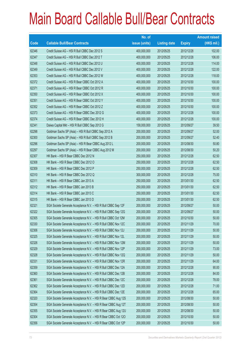|             |                                                                | No. of        |                     |               | <b>Amount raised</b> |
|-------------|----------------------------------------------------------------|---------------|---------------------|---------------|----------------------|
| <b>Code</b> | <b>Callable Bull/Bear Contracts</b>                            | issue (units) | <b>Listing date</b> | <b>Expiry</b> | (HK\$ mil.)          |
| 62346       | Credit Suisse AG - HSI R Bull CBBC Dec 2012 S                  | 400,000,000   | 2012/05/25          | 2012/12/28    | 102.00               |
| 62347       | Credit Suisse AG - HSI R Bull CBBC Dec 2012 T                  | 400,000,000   | 2012/05/25          | 2012/12/28    | 106.00               |
| 62348       | Credit Suisse AG - HSI R Bull CBBC Dec 2012 U                  | 400,000,000   | 2012/05/25          | 2012/12/28    | 114.00               |
| 62349       | Credit Suisse AG - HSI R Bull CBBC Dec 2012 V                  | 400,000,000   | 2012/05/25          | 2012/12/28    | 122.00               |
| 62353       | Credit Suisse AG - HSI R Bull CBBC Dec 2012 W                  | 400,000,000   | 2012/05/25          | 2012/12/28    | 118.00               |
| 62372       | Credit Suisse AG - HSI R Bear CBBC Oct 2012 A                  | 400,000,000   | 2012/05/25          | 2012/10/30    | 100.00               |
| 62371       | Credit Suisse AG - HSI R Bear CBBC Oct 2012 R                  | 400,000,000   | 2012/05/25          | 2012/10/30    | 100.00               |
| 62350       | Credit Suisse AG - HSI R Bear CBBC Oct 2012 X                  | 400,000,000   | 2012/05/25          | 2012/10/30    | 100.00               |
| 62351       | Credit Suisse AG - HSI R Bear CBBC Oct 2012 Y                  | 400,000,000   | 2012/05/25          | 2012/10/30    | 100.00               |
| 62352       | Credit Suisse AG - HSI R Bear CBBC Oct 2012 Z                  | 400,000,000   | 2012/05/25          | 2012/10/30    | 100.00               |
| 62373       | Credit Suisse AG - HSI R Bear CBBC Dec 2012 G                  | 400,000,000   | 2012/05/25          | 2012/12/28    | 100.00               |
| 62374       | Credit Suisse AG - HSI R Bear CBBC Dec 2012 H                  | 400,000,000   | 2012/05/25          | 2012/12/28    | 100.00               |
| 62341       | Daiwa Capital Mkt - HSI R Bull CBBC Sep 2012 G                 | 158,000,000   | 2012/05/25          | 2012/09/27    | 39.50                |
| 62298       | Goldman Sachs SP (Asia) - HSI R Bull CBBC Sep 2012 A           | 200,000,000   | 2012/05/25          | 2012/09/27    | 52.00                |
| 62300       | Goldman Sachs SP (Asia) - HSI R Bull CBBC Sep 2012 B           | 200,000,000   | 2012/05/25          | 2012/09/27    | 52.40                |
| 62296       | Goldman Sachs SP (Asia) - HSI R Bear CBBC Aug 2012 L           | 200,000,000   | 2012/05/25          | 2012/08/30    | 50.80                |
| 62297       | Goldman Sachs SP (Asia) - HSI R Bear CBBC Aug 2012 M           | 200,000,000   | 2012/05/25          | 2012/08/30    | 50.20                |
| 62307       | HK Bank - HSI R Bear CBBC Dec 2012 N                           | 250,000,000   | 2012/05/25          | 2012/12/28    | 62.50                |
| 62308       | HK Bank - HSI R Bear CBBC Dec 2012 O                           | 250,000,000   | 2012/05/25          | 2012/12/28    | 62.50                |
| 62309       | HK Bank - HSI R Bear CBBC Dec 2012 P                           | 250,000,000   | 2012/05/25          | 2012/12/28    | 62.50                |
| 62310       | HK Bank - HSI R Bear CBBC Dec 2012 Q                           | 300,000,000   | 2012/05/25          | 2012/12/28    | 75.00                |
| 62311       | HK Bank - HSI R Bear CBBC Jan 2013 A                           | 250,000,000   | 2012/05/25          | 2013/01/30    | 62.50                |
| 62312       | HK Bank - HSI R Bear CBBC Jan 2013 B                           | 250,000,000   | 2012/05/25          | 2013/01/30    | 62.50                |
| 62314       | HK Bank - HSI R Bear CBBC Jan 2013 C                           | 250,000,000   | 2012/05/25          | 2013/01/30    | 62.50                |
| 62315       | HK Bank - HSI R Bear CBBC Jan 2013 D                           | 250,000,000   | 2012/05/25          | 2013/01/30    | 62.50                |
| 62321       | SGA Societe Generale Acceptance N.V. - HSI R Bull CBBC Sep 12F | 200,000,000   | 2012/05/25          | 2012/09/27    | 50.00                |
| 62322       | SGA Societe Generale Acceptance N.V. - HSI R Bull CBBC Sep 12G | 200,000,000   | 2012/05/25          | 2012/09/27    | 50.00                |
| 62305       | SGA Societe Generale Acceptance N.V. - HSI R Bull CBBC Oct 12M | 200,000,000   | 2012/05/25          | 2012/10/30    | 50.00                |
| 62330       | SGA Societe Generale Acceptance N.V. - HSI R Bull CBBC Nov 12C | 200,000,000   | 2012/05/25          | 2012/11/29    | 70.00                |
| 62306       | SGA Societe Generale Acceptance N.V. - HSI R Bull CBBC Nov 12J | 200,000,000   | 2012/05/25          | 2012/11/29    | 50.00                |
| 62325       | SGA Societe Generale Acceptance N.V. - HSI R Bull CBBC Nov 12L | 200,000,000   | 2012/05/25          | 2012/11/29    | 50.00                |
| 62326       | SGA Societe Generale Acceptance N.V. - HSI R Bull CBBC Nov 12M | 200,000,000   | 2012/05/25          | 2012/11/29    | 50.00                |
| 62329       | SGA Societe Generale Acceptance N.V. - HSI R Bull CBBC Nov 12P | 200,000,000   | 2012/05/25          | 2012/11/29    | 73.00                |
| 62328       | SGA Societe Generale Acceptance N.V. - HSI R Bull CBBC Nov 12Q | 200,000,000   | 2012/05/25          | 2012/11/29    | 50.00                |
| 62331       | SGA Societe Generale Acceptance N.V. - HSI R Bull CBBC Nov 12R | 200,000,000   | 2012/05/25          | 2012/11/29    | 64.00                |
| 62359       | SGA Societe Generale Acceptance N.V. - HSI R Bull CBBC Dec 12A | 200,000,000   | 2012/05/25          | 2012/12/28    | 90.00                |
| 62360       | SGA Societe Generale Acceptance N.V. - HSI R Bull CBBC Dec 12B | 200,000,000   | 2012/05/25          | 2012/12/28    | 84.00                |
| 62361       | SGA Societe Generale Acceptance N.V. - HSI R Bull CBBC Dec 12C | 200,000,000   | 2012/05/25          | 2012/12/28    | 78.00                |
| 62362       | SGA Societe Generale Acceptance N.V. - HSI R Bull CBBC Dec 12D | 200,000,000   | 2012/05/25          | 2012/12/28    | 71.00                |
| 62364       | SGA Societe Generale Acceptance N.V. - HSI R Bull CBBC Dec 12E | 200,000,000   | 2012/05/25          | 2012/12/28    | 65.00                |
| 62320       | SGA Societe Generale Acceptance N.V. - HSI R Bear CBBC Aug 12S | 200,000,000   | 2012/05/25          | 2012/08/30    | 50.00                |
| 62354       | SGA Societe Generale Acceptance N.V. - HSI R Bear CBBC Aug 12T | 200,000,000   | 2012/05/25          | 2012/08/30    | 50.00                |
| 62355       | SGA Societe Generale Acceptance N.V. - HSI R Bear CBBC Aug 12U | 200,000,000   | 2012/05/25          | 2012/08/30    | 50.00                |
| 62304       | SGA Societe Generale Acceptance N.V. - HSI R Bear CBBC Oct 120 | 200,000,000   | 2012/05/25          | 2012/10/30    | 50.00                |
| 62356       | SGA Societe Generale Acceptance N.V. - HSI R Bear CBBC Oct 12P | 200,000,000   | 2012/05/25          | 2012/10/30    | 50.00                |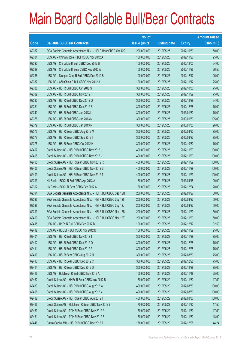|       |                                                                | No. of        |                     |               | <b>Amount raised</b> |
|-------|----------------------------------------------------------------|---------------|---------------------|---------------|----------------------|
| Code  | <b>Callable Bull/Bear Contracts</b>                            | issue (units) | <b>Listing date</b> | <b>Expiry</b> | $(HK$$ mil.)         |
| 62357 | SGA Societe Generale Acceptance N.V. - HSI R Bear CBBC Oct 12Q | 200,000,000   | 2012/05/25          | 2012/10/30    | 50.00                |
| 62384 | UBS AG - China Mobile R Bull CBBC Nov 2012 A                   | 100,000,000   | 2012/05/25          | 2012/11/26    | 25.00                |
| 62390 | UBS AG - China Life R Bull CBBC Dec 2012 B                     | 100,000,000   | 2012/05/25          | 2012/12/03    | 34.00                |
| 62389 | UBS AG - China Life R Bear CBBC Nov 2012 A                     | 100,000,000   | 2012/05/25          | 2012/11/26    | 26.50                |
| 62386 | UBS AG - Sinopec Corp R Bull CBBC Dec 2012 B                   | 100,000,000   | 2012/05/25          | 2012/12/17    | 25.00                |
| 62387 | UBS AG - A50 China R Bull CBBC Nov 2012 A                      | 100,000,000   | 2012/05/25          | 2012/11/12    | 25.00                |
| 62338 | UBS AG - HSI R Bull CBBC Oct 2012 S                            | 300,000,000   | 2012/05/25          | 2012/10/30    | 75.00                |
| 62339 | UBS AG - HSI R Bull CBBC Nov 2012 F                            | 300,000,000   | 2012/05/25          | 2012/11/29    | 75.00                |
| 62380 | UBS AG - HSI R Bull CBBC Dec 2012 Q                            | 300,000,000   | 2012/05/25          | 2012/12/28    | 84.00                |
| 62381 | UBS AG - HSI R Bull CBBC Dec 2012 R                            | 300,000,000   | 2012/05/25          | 2012/12/28    | 75.00                |
| 62340 | UBS AG - HSI R Bull CBBC Jan 2013 L                            | 300,000,000   | 2012/05/25          | 2013/01/30    | 75.00                |
| 62378 | UBS AG - HSI R Bull CBBC Jan 2013 M                            | 300,000,000   | 2012/05/25          | 2013/01/30    | 105.00               |
| 62379 | UBS AG - HSI R Bull CBBC Jan 2013 N                            | 300,000,000   | 2012/05/25          | 2013/01/30    | 96.00                |
| 62376 | UBS AG - HSI R Bear CBBC Aug 2012 M                            | 300,000,000   | 2012/05/25          | 2012/08/30    | 75.00                |
| 62377 | UBS AG - HSI R Bear CBBC Sep 2012 I                            | 300,000,000   | 2012/05/25          | 2012/09/27    | 75.00                |
| 62375 | UBS AG - HSI R Bear CBBC Oct 2012 H                            | 300,000,000   | 2012/05/25          | 2012/10/30    | 75.00                |
| 62407 | Credit Suisse AG - HSI R Bull CBBC Nov 2012 U                  | 400,000,000   | 2012/05/28          | 2012/11/29    | 100.00               |
| 62408 | Credit Suisse AG - HSI R Bull CBBC Nov 2012 V                  | 400,000,000   | 2012/05/28          | 2012/11/29    | 100.00               |
| 62405 | Credit Suisse AG - HSI R Bear CBBC Nov 2012 R                  | 400,000,000   | 2012/05/28          | 2012/11/29    | 100.00               |
| 62406 | Credit Suisse AG - HSI R Bear CBBC Nov 2012 S                  | 400,000,000   | 2012/05/28          | 2012/11/29    | 100.00               |
| 62409 | Credit Suisse AG - HSI R Bear CBBC Nov 2012 T                  | 400,000,000   | 2012/05/28          | 2012/11/29    | 100.00               |
| 62393 | HK Bank - BOCL R Bull CBBC Apr 2013 A                          | 80,000,000    | 2012/05/28          | 2013/04/18    | 20.00                |
| 62392 | HK Bank - BOCL R Bear CBBC Dec 2012 A                          | 80,000,000    | 2012/05/28          | 2012/12/24    | 20.00                |
| 62394 | SGA Societe Generale Acceptance N.V. - HSI R Bull CBBC Sep 12H | 200,000,000   | 2012/05/28          | 2012/09/27    | 50.00                |
| 62396 | SGA Societe Generale Acceptance N.V. - HSI R Bull CBBC Sep 121 | 200,000,000   | 2012/05/28          | 2012/09/27    | 50.00                |
| 62398 | SGA Societe Generale Acceptance N.V. - HSI R Bull CBBC Sep 12J | 200,000,000   | 2012/05/28          | 2012/09/27    | 50.00                |
| 62399 | SGA Societe Generale Acceptance N.V. - HSI R Bull CBBC Nov 12S | 200,000,000   | 2012/05/28          | 2012/11/29    | 50.00                |
| 62400 | SGA Societe Generale Acceptance N.V. - HSI R Bull CBBC Nov 12T | 200,000,000   | 2012/05/28          | 2012/11/29    | 50.00                |
| 62415 | UBS AG - HKEx R Bull CBBC Dec 2012 B                           | 100,000,000   | 2012/05/28          | 2012/12/17    | 32.50                |
| 62412 | UBS AG - HSCEI R Bull CBBC Nov 2012 B                          | 100,000,000   | 2012/05/28          | 2012/11/29    | 25.00                |
| 62401 | UBS AG - HSI R Bull CBBC Nov 2012 T                            | 300,000,000   | 2012/05/28          | 2012/11/29    | 75.00                |
| 62402 | UBS AG - HSI R Bull CBBC Dec 2012 O                            | 300,000,000   | 2012/05/28          | 2012/12/28    | 75.00                |
| 62411 | UBS AG - HSI R Bull CBBC Dec 2012 P                            | 300,000,000   | 2012/05/28          | 2012/12/28    | 75.00                |
| 62410 | UBS AG - HSI R Bear CBBC Aug 2012 N                            | 300,000,000   | 2012/05/28          | 2012/08/30    | 75.00                |
| 62413 | UBS AG - HSI R Bear CBBC Dec 2012 C                            | 300,000,000   | 2012/05/28          | 2012/12/28    | 75.00                |
| 62414 | UBS AG - HSI R Bear CBBC Dec 2012 D                            | 300,000,000   | 2012/05/28          | 2012/12/28    | 75.00                |
| 62416 | UBS AG - Hutchison R Bull CBBC Nov 2012 A                      | 100,000,000   | 2012/05/28          | 2012/11/19    | 25.00                |
| 62462 | Credit Suisse AG - HKEx R Bear CBBC Nov 2012 B                 | 70,000,000    | 2012/05/29          | 2012/11/30    | 17.50                |
| 62433 | Credit Suisse AG - HSI R Bull CBBC Aug 2012 W                  | 400,000,000   | 2012/05/29          | 2012/08/30    | 100.00               |
| 62468 | Credit Suisse AG - HSI R Bull CBBC Aug 2012 Y                  | 400,000,000   | 2012/05/29          | 2012/08/30    | 100.00               |
| 62432 | Credit Suisse AG - HSI R Bear CBBC Aug 2012 Y                  | 400,000,000   | 2012/05/29          | 2012/08/30    | 100.00               |
| 62466 | Credit Suisse AG - Hutchison R Bear CBBC Nov 2012 B            | 70,000,000    | 2012/05/29          | 2012/11/30    | 17.50                |
| 62460 | Credit Suisse AG - TCH R Bear CBBC Nov 2012 A                  | 70,000,000    | 2012/05/29          | 2012/11/30    | 17.50                |
| 62461 | Credit Suisse AG - TCH R Bear CBBC Nov 2012 B                  | 70,000,000    | 2012/05/29          | 2012/11/30    | 18.90                |
| 62446 | Daiwa Capital Mkt - HSI R Bull CBBC Dec 2012 A                 | 158,000,000   | 2012/05/29          | 2012/12/28    | 44.24                |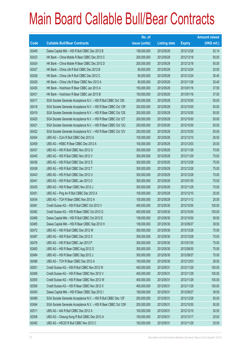|       |                                                                | No. of        |                     |               | <b>Amount raised</b> |
|-------|----------------------------------------------------------------|---------------|---------------------|---------------|----------------------|
| Code  | <b>Callable Bull/Bear Contracts</b>                            | issue (units) | <b>Listing date</b> | <b>Expiry</b> | $(HK$$ mil.)         |
| 62449 | Daiwa Capital Mkt - HSI R Bull CBBC Dec 2012 B                 | 158,000,000   | 2012/05/29          | 2012/12/28    | 52.14                |
| 62423 | HK Bank - China Mobile R Bear CBBC Dec 2012 C                  | 200,000,000   | 2012/05/29          | 2012/12/18    | 50.00                |
| 62424 | HK Bank - China Mobile R Bear CBBC Dec 2012 D                  | 200,000,000   | 2012/05/29          | 2012/12/18    | 50.00                |
| 62427 | HK Bank - China Life R Bull CBBC Dec 2012 B                    | 80,000,000    | 2012/05/29          | 2012/12/24    | 20.00                |
| 62428 | HK Bank - China Life R Bull CBBC Dec 2012 C                    | 80,000,000    | 2012/05/29          | 2012/12/24    | 30.40                |
| 62429 | HK Bank - China Life R Bear CBBC Nov 2012 A                    | 80,000,000    | 2012/05/29          | 2012/11/28    | 30.40                |
| 62430 | HK Bank - Hutchison R Bear CBBC Jan 2013 A                     | 150,000,000   | 2012/05/29          | 2013/01/16    | 37.50                |
| 62431 | HK Bank - Hutchison R Bear CBBC Jan 2013 B                     | 150,000,000   | 2012/05/29          | 2013/01/16    | 37.50                |
| 62417 | SGA Societe Generale Acceptance N.V. - HSI R Bull CBBC Oct 12N | 200,000,000   | 2012/05/29          | 2012/10/30    | 50.00                |
| 62418 | SGA Societe Generale Acceptance N.V. - HSI R Bear CBBC Oct 12R | 200,000,000   | 2012/05/29          | 2012/10/30    | 50.00                |
| 62419 | SGA Societe Generale Acceptance N.V. - HSI R Bear CBBC Oct 12S | 200,000,000   | 2012/05/29          | 2012/10/30    | 50.00                |
| 62420 | SGA Societe Generale Acceptance N.V. - HSI R Bear CBBC Oct 12T | 200,000,000   | 2012/05/29          | 2012/10/30    | 50.00                |
| 62421 | SGA Societe Generale Acceptance N.V. - HSI R Bear CBBC Oct 12U | 200,000,000   | 2012/05/29          | 2012/10/30    | 50.00                |
| 62422 | SGA Societe Generale Acceptance N.V. - HSI R Bear CBBC Oct 12V | 200,000,000   | 2012/05/29          | 2012/10/30    | 50.00                |
| 62454 | UBS AG - CUni R Bull CBBC Dec 2012 A                           | 100,000,000   | 2012/05/29          | 2012/12/10    | 26.50                |
| 62459 | UBS AG - HSBC R Bear CBBC Dec 2012 A                           | 100,000,000   | 2012/05/29          | 2012/12/03    | 25.00                |
| 62437 | UBS AG - HSI R Bull CBBC Nov 2012 G                            | 300,000,000   | 2012/05/29          | 2012/11/29    | 75.00                |
| 62445 | UBS AG - HSI R Bull CBBC Nov 2012 V                            | 300,000,000   | 2012/05/29          | 2012/11/29    | 75.00                |
| 62436 | UBS AG - HSI R Bull CBBC Dec 2012 S                            | 300,000,000   | 2012/05/29          | 2012/12/28    | 75.00                |
| 62438 | UBS AG - HSI R Bull CBBC Dec 2012 T                            | 300,000,000   | 2012/05/29          | 2012/12/28    | 75.00                |
| 62443 | UBS AG - HSI R Bull CBBC Dec 2012 U                            | 300,000,000   | 2012/05/29          | 2012/12/28    | 75.00                |
| 62441 | UBS AG - HSI R Bull CBBC Jan 2013 O                            | 300,000,000   | 2012/05/29          | 2013/01/30    | 75.00                |
| 62435 | UBS AG - HSI R Bear CBBC Nov 2012 J                            | 300,000,000   | 2012/05/29          | 2012/11/29    | 75.00                |
| 62451 | UBS AG - Ping An R Bull CBBC Dec 2012 A                        | 100,000,000   | 2012/05/29          | 2012/12/10    | 25.00                |
| 62434 | UBS AG - TCH R Bear CBBC Nov 2012 A                            | 100,000,000   | 2012/05/29          | 2012/11/12    | 25.00                |
| 62481 | Credit Suisse AG - HSI R Bull CBBC Oct 2012 V                  | 400,000,000   | 2012/05/30          | 2012/10/30    | 100.00               |
| 62482 | Credit Suisse AG - HSI R Bear CBBC Oct 2012 G                  | 400,000,000   | 2012/05/30          | 2012/10/30    | 100.00               |
| 62469 | Daiwa Capital Mkt - HSI R Bull CBBC Oct 2012 E                 | 158,000,000   | 2012/05/30          | 2012/10/30    | 39.50                |
| 62485 | Daiwa Capital Mkt - HSI R Bear CBBC Sep 2012 H                 | 158,000,000   | 2012/05/30          | 2012/09/27    | 39.50                |
| 62472 | UBS AG - HSI R Bull CBBC Dec 2012 W                            | 300,000,000   | 2012/05/30          | 2012/12/28    | 75.00                |
| 62487 | UBS AG - HSI R Bull CBBC Dec 2012 X                            | 300,000,000   | 2012/05/30          | 2012/12/28    | 75.00                |
| 62476 | UBS AG - HSI R Bull CBBC Jan 2013 P                            | 300,000,000   | 2012/05/30          | 2013/01/30    | 75.00                |
| 62483 | UBS AG - HSI R Bear CBBC Aug 2012 O                            | 300,000,000   | 2012/05/30          | 2012/08/30    | 75.00                |
| 62484 | UBS AG - HSI R Bear CBBC Sep 2012 J                            | 300,000,000   | 2012/05/30          | 2012/09/27    | 75.00                |
| 62488 | UBS AG - TCH R Bear CBBC Dec 2012 A                            | 100,000,000   | 2012/05/30          | 2012/12/03    | 28.50                |
| 62501 | Credit Suisse AG - HSI R Bull CBBC Nov 2012 W                  | 400,000,000   | 2012/05/31          | 2012/11/29    | 100.00               |
| 62499 | Credit Suisse AG - HSI R Bear CBBC Nov 2012 V                  | 400,000,000   | 2012/05/31          | 2012/11/29    | 100.00               |
| 62505 | Credit Suisse AG - HSI R Bear CBBC Nov 2012 W                  | 400,000,000   | 2012/05/31          | 2012/11/29    | 100.00               |
| 62506 | Credit Suisse AG - HSI R Bear CBBC Nov 2012 X                  | 400,000,000   | 2012/05/31          | 2012/11/29    | 100.00               |
| 62493 | Daiwa Capital Mkt - HSI R Bear CBBC Sep 2012 I                 | 158,000,000   | 2012/05/31          | 2012/09/27    | 39.50                |
| 62489 | SGA Societe Generale Acceptance N.V. - HSI R Bull CBBC Dec 12F | 200,000,000   | 2012/05/31          | 2012/12/28    | 50.00                |
| 62494 | SGA Societe Generale Acceptance N.V. - HSI R Bear CBBC Oct 12W | 200,000,000   | 2012/05/31          | 2012/10/30    | 50.00                |
| 62511 | UBS AG - AIA R Bull CBBC Dec 2012 A                            | 100,000,000   | 2012/05/31          | 2012/12/10    | 30.50                |
| 62508 | UBS AG - Cheung Kong R Bull CBBC Dec 2012 A                    | 100,000,000   | 2012/05/31          | 2012/12/17    | 25.00                |
| 62492 | UBS AG - HSCEI R Bull CBBC Nov 2012 C                          | 100,000,000   | 2012/05/31          | 2012/11/29    | 25.00                |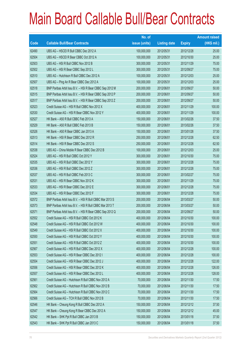|       |                                                          | No. of        |                     |               | <b>Amount raised</b> |
|-------|----------------------------------------------------------|---------------|---------------------|---------------|----------------------|
| Code  | <b>Callable Bull/Bear Contracts</b>                      | issue (units) | <b>Listing date</b> | <b>Expiry</b> | $(HK$$ mil.)         |
| 62490 | UBS AG - HSCEI R Bull CBBC Dec 2012 A                    | 100,000,000   | 2012/05/31          | 2012/12/28    | 25.00                |
| 62504 | UBS AG - HSCEI R Bear CBBC Oct 2012 A                    | 100,000,000   | 2012/05/31          | 2012/10/30    | 25.00                |
| 62503 | UBS AG - HSI R Bull CBBC Nov 2012 B                      | 300,000,000   | 2012/05/31          | 2012/11/29    | 75.00                |
| 62502 | UBS AG - HSI R Bear CBBC Sep 2012 L                      | 300,000,000   | 2012/05/31          | 2012/09/27    | 75.00                |
| 62510 | UBS AG - Hutchison R Bull CBBC Dec 2012 A                | 100,000,000   | 2012/05/31          | 2012/12/03    | 25.00                |
| 62507 | UBS AG - Ping An R Bear CBBC Dec 2012 A                  | 100,000,000   | 2012/05/31          | 2012/12/03    | 25.00                |
| 62518 | BNP Paribas Arbit Issu B.V. - HSI R Bear CBBC Sep 2012 M | 200,000,000   | 2012/06/01          | 2012/09/27    | 50.00                |
| 62515 | BNP Paribas Arbit Issu B.V. - HSI R Bear CBBC Sep 2012 P | 200,000,000   | 2012/06/01          | 2012/09/27    | 50.00                |
| 62517 | BNP Paribas Arbit Issu B.V. - HSI R Bear CBBC Sep 2012 Z | 200,000,000   | 2012/06/01          | 2012/09/27    | 50.00                |
| 62523 | Credit Suisse AG - HSI R Bull CBBC Nov 2012 X            | 400,000,000   | 2012/06/01          | 2012/11/29    | 100.00               |
| 62530 | Credit Suisse AG - HSI R Bear CBBC Nov 2012 Y            | 400,000,000   | 2012/06/01          | 2012/11/29    | 100.00               |
| 62527 | HK Bank - A50 R Bull CBBC Feb 2013 A                     | 150,000,000   | 2012/06/01          | 2013/02/26    | 37.50                |
| 62529 | HK Bank - A50 R Bull CBBC Feb 2013 B                     | 150,000,000   | 2012/06/01          | 2013/02/26    | 37.50                |
| 62526 | HK Bank - A50 R Bear CBBC Jan 2013 A                     | 150,000,000   | 2012/06/01          | 2013/01/28    | 37.50                |
| 62513 | HK Bank - HSI R Bear CBBC Dec 2012 R                     | 250,000,000   | 2012/06/01          | 2012/12/28    | 62.50                |
| 62514 | HK Bank - HSI R Bear CBBC Dec 2012 S                     | 250,000,000   | 2012/06/01          | 2012/12/28    | 62.50                |
| 62538 | UBS AG - China Mobile R Bear CBBC Dec 2012 B             | 100,000,000   | 2012/06/01          | 2012/12/03    | 25.00                |
| 62524 | UBS AG - HSI R Bull CBBC Oct 2012 Y                      | 300,000,000   | 2012/06/01          | 2012/10/30    | 75.00                |
| 62535 | UBS AG - HSI R Bull CBBC Dec 2012 Y                      | 300,000,000   | 2012/06/01          | 2012/12/28    | 75.00                |
| 62536 | UBS AG - HSI R Bull CBBC Dec 2012 Z                      | 300,000,000   | 2012/06/01          | 2012/12/28    | 75.00                |
| 62537 | UBS AG - HSI R Bull CBBC Feb 2013 C                      | 300,000,000   | 2012/06/01          | 2013/02/27    | 75.00                |
| 62531 | UBS AG - HSI R Bear CBBC Nov 2012 K                      | 300,000,000   | 2012/06/01          | 2012/11/29    | 75.00                |
| 62533 | UBS AG - HSI R Bear CBBC Dec 2012 E                      | 300,000,000   | 2012/06/01          | 2012/12/28    | 75.00                |
| 62534 | UBS AG - HSI R Bear CBBC Dec 2012 F                      | 300,000,000   | 2012/06/01          | 2012/12/28    | 75.00                |
| 62572 | BNP Paribas Arbit Issu B.V. - HSI R Bull CBBC Mar 2013 S | 200,000,000   | 2012/06/04          | 2013/03/27    | 50.00                |
| 62573 | BNP Paribas Arbit Issu B.V. - HSI R Bull CBBC Mar 2013 T | 200,000,000   | 2012/06/04          | 2013/03/27    | 50.00                |
| 62571 | BNP Paribas Arbit Issu B.V. - HSI R Bear CBBC Sep 2012 Q | 200,000,000   | 2012/06/04          | 2012/09/27    | 50.00                |
| 62552 | Credit Suisse AG - HSI R Bull CBBC Oct 2012 K            | 400,000,000   | 2012/06/04          | 2012/10/30    | 100.00               |
| 62548 | Credit Suisse AG - HSI R Bull CBBC Oct 2012 W            | 400,000,000   | 2012/06/04          | 2012/10/30    | 100.00               |
| 62549 | Credit Suisse AG - HSI R Bull CBBC Oct 2012 X            | 400,000,000   | 2012/06/04          | 2012/10/30    | 100.00               |
| 62550 | Credit Suisse AG - HSI R Bull CBBC Oct 2012 Y            | 400,000,000   | 2012/06/04          | 2012/10/30    | 100.00               |
| 62551 | Credit Suisse AG - HSI R Bull CBBC Oct 2012 Z            | 400,000,000   | 2012/06/04          | 2012/10/30    | 100.00               |
| 62567 | Credit Suisse AG - HSI R Bull CBBC Dec 2012 X            | 400,000,000   | 2012/06/04          | 2012/12/28    | 100.00               |
| 62553 | Credit Suisse AG - HSI R Bear CBBC Dec 2012 I            | 400,000,000   | 2012/06/04          | 2012/12/28    | 100.00               |
| 62554 | Credit Suisse AG - HSI R Bear CBBC Dec 2012 J            | 400,000,000   | 2012/06/04          | 2012/12/28    | 122.00               |
| 62556 | Credit Suisse AG - HSI R Bear CBBC Dec 2012 K            | 400,000,000   | 2012/06/04          | 2012/12/28    | 126.00               |
| 62557 | Credit Suisse AG - HSI R Bear CBBC Dec 2012 L            | 400,000,000   | 2012/06/04          | 2012/12/28    | 128.00               |
| 62561 | Credit Suisse AG - Hutchison R Bull CBBC Nov 2012 A      | 70,000,000    | 2012/06/04          | 2012/11/30    | 17.50                |
| 62562 | Credit Suisse AG - Hutchison R Bull CBBC Nov 2012 B      | 70,000,000    | 2012/06/04          | 2012/11/30    | 17.50                |
| 62564 | Credit Suisse AG - Hutchison R Bull CBBC Nov 2012 C      | 70,000,000    | 2012/06/04          | 2012/11/30    | 17.50                |
| 62566 | Credit Suisse AG - TCH R Bull CBBC Nov 2012 B            | 70,000,000    | 2012/06/04          | 2012/11/30    | 17.50                |
| 62546 | HK Bank - Cheung Kong R Bull CBBC Dec 2012 A             | 150,000,000   | 2012/06/04          | 2012/12/12    | 37.50                |
| 62547 | HK Bank - Cheung Kong R Bear CBBC Dec 2012 A             | 150,000,000   | 2012/06/04          | 2012/12/12    | 45.00                |
| 62542 | HK Bank - SHK Ppt R Bull CBBC Jan 2013 B                 | 150,000,000   | 2012/06/04          | 2013/01/18    | 37.50                |
| 62543 | HK Bank - SHK Ppt R Bull CBBC Jan 2013 C                 | 150,000,000   | 2012/06/04          | 2013/01/18    | 37.50                |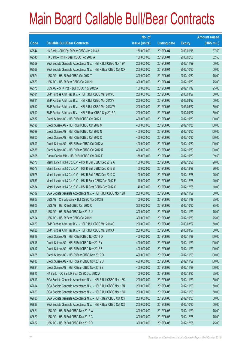|       |                                                                | No. of        |                     |               | <b>Amount raised</b> |
|-------|----------------------------------------------------------------|---------------|---------------------|---------------|----------------------|
| Code  | <b>Callable Bull/Bear Contracts</b>                            | issue (units) | <b>Listing date</b> | <b>Expiry</b> | $(HK$$ mil.)         |
| 62544 | HK Bank - SHK Ppt R Bear CBBC Jan 2013 A                       | 150,000,000   | 2012/06/04          | 2013/01/18    | 37.50                |
| 62545 | HK Bank - TCH R Bear CBBC Feb 2013 A                           | 150,000,000   | 2012/06/04          | 2013/02/06    | 52.50                |
| 62569 | SGA Societe Generale Acceptance N.V. - HSI R Bull CBBC Nov 12V | 200,000,000   | 2012/06/04          | 2012/11/29    | 50.00                |
| 62568 | SGA Societe Generale Acceptance N.V. - HSI R Bear CBBC Oct 12X | 200,000,000   | 2012/06/04          | 2012/10/30    | 50.00                |
| 62574 | UBS AG - HSI R Bull CBBC Oct 2012 T                            | 300,000,000   | 2012/06/04          | 2012/10/30    | 75.00                |
| 62570 | UBS AG - HSI R Bear CBBC Oct 2012 H                            | 300,000,000   | 2012/06/04          | 2012/10/30    | 75.00                |
| 62575 | UBS AG - SHK Ppt R Bull CBBC Nov 2012 A                        | 100,000,000   | 2012/06/04          | 2012/11/12    | 25.00                |
| 62591 | BNP Paribas Arbit Issu B.V. - HSI R Bull CBBC Mar 2013 U       | 200,000,000   | 2012/06/05          | 2013/03/27    | 50.00                |
| 62611 | BNP Paribas Arbit Issu B.V. - HSI R Bull CBBC Mar 2013 V       | 200,000,000   | 2012/06/05          | 2013/03/27    | 50.00                |
| 62612 | BNP Paribas Arbit Issu B.V. - HSI R Bull CBBC Mar 2013 W       | 200,000,000   | 2012/06/05          | 2013/03/27    | 50.00                |
| 62590 | BNP Paribas Arbit Issu B.V. - HSI R Bear CBBC Sep 2012 A       | 200,000,000   | 2012/06/05          | 2012/09/27    | 50.00                |
| 62587 | Credit Suisse AG - HSI R Bull CBBC Oct 2012 L                  | 400,000,000   | 2012/06/05          | 2012/10/30    | 100.00               |
| 62598 | Credit Suisse AG - HSI R Bull CBBC Oct 2012 M                  | 400,000,000   | 2012/06/05          | 2012/10/30    | 100.00               |
| 62599 | Credit Suisse AG - HSI R Bull CBBC Oct 2012 N                  | 400,000,000   | 2012/06/05          | 2012/10/30    | 100.00               |
| 62600 | Credit Suisse AG - HSI R Bull CBBC Oct 2012 O                  | 400,000,000   | 2012/06/05          | 2012/10/30    | 100.00               |
| 62603 | Credit Suisse AG - HSI R Bear CBBC Oct 2012 A                  | 400,000,000   | 2012/06/05          | 2012/10/30    | 100.00               |
| 62586 | Credit Suisse AG - HSI R Bear CBBC Oct 2012 R                  | 400,000,000   | 2012/06/05          | 2012/10/30    | 100.00               |
| 62595 | Daiwa Capital Mkt - HSI R Bull CBBC Oct 2012 F                 | 158,000,000   | 2012/06/05          | 2012/10/30    | 39.50                |
| 62576 | Merrill Lynch Int'l & Co. C.V. - HSI R Bull CBBC Dec 2012 A    | 100,000,000   | 2012/06/05          | 2012/12/28    | 28.00                |
| 62577 | Merrill Lynch Int'l & Co. C.V. - HSI R Bull CBBC Dec 2012 B    | 100,000,000   | 2012/06/05          | 2012/12/28    | 26.00                |
| 62578 | Merrill Lynch Int'l & Co. C.V. - HSI R Bull CBBC Dec 2012 C    | 100,000,000   | 2012/06/05          | 2012/12/28    | 25.00                |
| 62583 | Merrill Lynch Int'l & Co. C.V. - HSI R Bear CBBC Dec 2012 F    | 40,000,000    | 2012/06/05          | 2012/12/28    | 10.00                |
| 62584 | Merrill Lynch Int'l & Co. C.V. - HSI R Bear CBBC Dec 2012 G    | 40,000,000    | 2012/06/05          | 2012/12/28    | 10.00                |
| 62589 | SGA Societe Generale Acceptance N.V. - HSI R Bull CBBC Nov 12H | 200,000,000   | 2012/06/05          | 2012/11/29    | 50.00                |
| 62607 | UBS AG - China Mobile R Bull CBBC Nov 2012 B                   | 100,000,000   | 2012/06/05          | 2012/11/19    | 25.00                |
| 62606 | UBS AG - HSI R Bull CBBC Oct 2012 O                            | 300,000,000   | 2012/06/05          | 2012/10/30    | 75.00                |
| 62593 | UBS AG - HSI R Bull CBBC Nov 2012 U                            | 300,000,000   | 2012/06/05          | 2012/11/29    | 75.00                |
| 62594 | UBS AG - HSI R Bear CBBC Oct 2012 I                            | 300,000,000   | 2012/06/05          | 2012/10/30    | 75.00                |
| 62629 | BNP Paribas Arbit Issu B.V. - HSI R Bull CBBC Mar 2013 C       | 200,000,000   | 2012/06/06          | 2013/03/27    | 50.00                |
| 62628 | BNP Paribas Arbit Issu B.V. - HSI R Bull CBBC Mar 2013 X       | 200,000,000   | 2012/06/06          | 2013/03/27    | 50.00                |
| 62618 | Credit Suisse AG - HSI R Bull CBBC Nov 2012 O                  | 400,000,000   | 2012/06/06          | 2012/11/29    | 100.00               |
| 62616 | Credit Suisse AG - HSI R Bull CBBC Nov 2012 Y                  | 400,000,000   | 2012/06/06          | 2012/11/29    | 100.00               |
| 62617 | Credit Suisse AG - HSI R Bull CBBC Nov 2012 Z                  | 400,000,000   | 2012/06/06          | 2012/11/29    | 100.00               |
| 62625 | Credit Suisse AG - HSI R Bear CBBC Nov 2012 O                  | 400,000,000   | 2012/06/06          | 2012/11/29    | 100.00               |
| 62630 | Credit Suisse AG - HSI R Bear CBBC Nov 2012 U                  | 400,000,000   | 2012/06/06          | 2012/11/29    | 100.00               |
| 62624 | Credit Suisse AG - HSI R Bear CBBC Nov 2012 Z                  | 400,000,000   | 2012/06/06          | 2012/11/29    | 100.00               |
| 62615 | HK Bank - CC Bank R Bear CBBC Dec 2012 A                       | 100,000,000   | 2012/06/06          | 2012/12/20    | 25.00                |
| 62613 | SGA Societe Generale Acceptance N.V. - HSI R Bull CBBC Nov 12K | 200,000,000   | 2012/06/06          | 2012/11/29    | 50.00                |
| 62614 | SGA Societe Generale Acceptance N.V. - HSI R Bull CBBC Nov 12N | 200,000,000   | 2012/06/06          | 2012/11/29    | 50.00                |
| 62623 | SGA Societe Generale Acceptance N.V. - HSI R Bull CBBC Nov 12O | 200,000,000   | 2012/06/06          | 2012/11/29    | 50.00                |
| 62626 | SGA Societe Generale Acceptance N.V. - HSI R Bear CBBC Oct 12Y | 200,000,000   | 2012/06/06          | 2012/10/30    | 50.00                |
| 62627 | SGA Societe Generale Acceptance N.V. - HSI R Bear CBBC Oct 12Z | 200,000,000   | 2012/06/06          | 2012/10/30    | 50.00                |
| 62621 | UBS AG - HSI R Bull CBBC Nov 2012 W                            | 300,000,000   | 2012/06/06          | 2012/11/29    | 75.00                |
| 62620 | UBS AG - HSI R Bull CBBC Dec 2012 C                            | 300,000,000   | 2012/06/06          | 2012/12/28    | 75.00                |
| 62622 | UBS AG - HSI R Bull CBBC Dec 2012 D                            | 300,000,000   | 2012/06/06          | 2012/12/28    | 75.00                |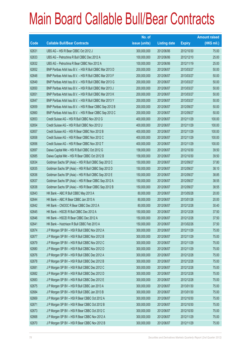|       |                                                          | No. of        |                     |               | <b>Amount raised</b> |
|-------|----------------------------------------------------------|---------------|---------------------|---------------|----------------------|
| Code  | <b>Callable Bull/Bear Contracts</b>                      | issue (units) | <b>Listing date</b> | <b>Expiry</b> | $(HK$$ mil.)         |
| 62631 | UBS AG - HSI R Bear CBBC Oct 2012 J                      | 300,000,000   | 2012/06/06          | 2012/10/30    | 75.00                |
| 62633 | UBS AG - Petrochina R Bull CBBC Dec 2012 A               | 100,000,000   | 2012/06/06          | 2012/12/10    | 25.00                |
| 62632 | UBS AG - Petrochina R Bear CBBC Nov 2012 A               | 100,000,000   | 2012/06/06          | 2012/11/19    | 25.00                |
| 62652 | BNP Paribas Arbit Issu B.V. - HSI R Bull CBBC Mar 2013 D | 200,000,000   | 2012/06/07          | 2013/03/27    | 50.00                |
| 62648 | BNP Paribas Arbit Issu B.V. - HSI R Bull CBBC Mar 2013 F | 200,000,000   | 2012/06/07          | 2013/03/27    | 50.00                |
| 62649 | BNP Paribas Arbit Issu B.V. - HSI R Bull CBBC Mar 2013 G | 200,000,000   | 2012/06/07          | 2013/03/27    | 50.00                |
| 62650 | BNP Paribas Arbit Issu B.V. - HSI R Bull CBBC Mar 2013 J | 200,000,000   | 2012/06/07          | 2013/03/27    | 50.00                |
| 62651 | BNP Paribas Arbit Issu B.V. - HSI R Bull CBBC Mar 2013 K | 200,000,000   | 2012/06/07          | 2013/03/27    | 50.00                |
| 62647 | BNP Paribas Arbit Issu B.V. - HSI R Bull CBBC Mar 2013 Y | 200,000,000   | 2012/06/07          | 2013/03/27    | 50.00                |
| 62659 | BNP Paribas Arbit Issu B.V. - HSI R Bear CBBC Sep 2012 B | 200,000,000   | 2012/06/07          | 2012/09/27    | 50.00                |
| 62660 | BNP Paribas Arbit Issu B.V. - HSI R Bear CBBC Sep 2012 C | 200,000,000   | 2012/06/07          | 2012/09/27    | 50.00                |
| 62653 | Credit Suisse AG - HSI R Bull CBBC Nov 2012 G            | 400,000,000   | 2012/06/07          | 2012/11/29    | 100.00               |
| 62654 | Credit Suisse AG - HSI R Bull CBBC Nov 2012 U            | 400,000,000   | 2012/06/07          | 2012/11/29    | 100.00               |
| 62657 | Credit Suisse AG - HSI R Bear CBBC Nov 2012 B            | 400,000,000   | 2012/06/07          | 2012/11/29    | 100.00               |
| 62658 | Credit Suisse AG - HSI R Bear CBBC Nov 2012 C            | 400,000,000   | 2012/06/07          | 2012/11/29    | 100.00               |
| 62656 | Credit Suisse AG - HSI R Bear CBBC Nov 2012 T            | 400,000,000   | 2012/06/07          | 2012/11/29    | 100.00               |
| 62697 | Daiwa Capital Mkt - HSI R Bull CBBC Oct 2012 G           | 158,000,000   | 2012/06/07          | 2012/10/30    | 39.50                |
| 62685 | Daiwa Capital Mkt - HSI R Bear CBBC Oct 2012 B           | 158,000,000   | 2012/06/07          | 2012/10/30    | 39.50                |
| 62634 | Goldman Sachs SP (Asia) - HSI R Bull CBBC Sep 2012 C     | 150,000,000   | 2012/06/07          | 2012/09/27    | 37.80                |
| 62635 | Goldman Sachs SP (Asia) - HSI R Bull CBBC Sep 2012 D     | 150,000,000   | 2012/06/07          | 2012/09/27    | 38.10                |
| 62636 | Goldman Sachs SP (Asia) - HSI R Bull CBBC Sep 2012 E     | 150,000,000   | 2012/06/07          | 2012/09/27    | 38.85                |
| 62637 | Goldman Sachs SP (Asia) - HSI R Bear CBBC Sep 2012 A     | 150,000,000   | 2012/06/07          | 2012/09/27    | 38.55                |
| 62638 | Goldman Sachs SP (Asia) - HSI R Bear CBBC Sep 2012 B     | 150,000,000   | 2012/06/07          | 2012/09/27    | 38.55                |
| 62643 | HK Bank - ABC R Bull CBBC May 2013 A                     | 80,000,000    | 2012/06/07          | 2013/05/28    | 20.00                |
| 62644 | HK Bank - ABC R Bear CBBC Jan 2013 A                     | 80,000,000    | 2012/06/07          | 2013/01/28    | 20.00                |
| 62642 | HK Bank - CNOOC R Bear CBBC Dec 2012 A                   | 80,000,000    | 2012/06/07          | 2012/12/28    | 30.40                |
| 62645 | HK Bank - HSCEI R Bull CBBC Dec 2012 A                   | 150,000,000   | 2012/06/07          | 2012/12/28    | 37.50                |
| 62646 | HK Bank - HSCEI R Bear CBBC Dec 2012 A                   | 150,000,000   | 2012/06/07          | 2012/12/28    | 37.50                |
| 62641 | HK Bank - Hutchison R Bull CBBC Feb 2013 A               | 150,000,000   | 2012/06/07          | 2013/02/26    | 37.50                |
| 62674 | J P Morgan SP BV - HSI R Bull CBBC Nov 2012 A            | 300,000,000   | 2012/06/07          | 2012/11/29    | 75.00                |
| 62677 | J P Morgan SP BV - HSI R Bull CBBC Nov 2012 B            | 300,000,000   | 2012/06/07          | 2012/11/29    | 75.00                |
| 62679 | J P Morgan SP BV - HSI R Bull CBBC Nov 2012 C            | 300,000,000   | 2012/06/07          | 2012/11/29    | 75.00                |
| 62680 | J P Morgan SP BV - HSI R Bull CBBC Nov 2012 D            | 300,000,000   | 2012/06/07          | 2012/11/29    | 75.00                |
| 62676 | J P Morgan SP BV - HSI R Bull CBBC Dec 2012 A            | 300,000,000   | 2012/06/07          | 2012/12/28    | 75.00                |
| 62678 | J P Morgan SP BV - HSI R Bull CBBC Dec 2012 B            | 300,000,000   | 2012/06/07          | 2012/12/28    | 75.00                |
| 62681 | J P Morgan SP BV - HSI R Bull CBBC Dec 2012 C            | 300,000,000   | 2012/06/07          | 2012/12/28    | 75.00                |
| 62682 | J P Morgan SP BV - HSI R Bull CBBC Dec 2012 D            | 300,000,000   | 2012/06/07          | 2012/12/28    | 75.00                |
| 62683 | J P Morgan SP BV - HSI R Bull CBBC Dec 2012 E            | 300,000,000   | 2012/06/07          | 2012/12/28    | 75.00                |
| 62675 | J P Morgan SP BV - HSI R Bull CBBC Jan 2013 A            | 300,000,000   | 2012/06/07          | 2013/01/30    | 75.00                |
| 62684 | J P Morgan SP BV - HSI R Bull CBBC Jan 2013 B            | 300,000,000   | 2012/06/07          | 2013/01/30    | 75.00                |
| 62669 | J P Morgan SP BV - HSI R Bear CBBC Oct 2012 A            | 300,000,000   | 2012/06/07          | 2012/10/30    | 75.00                |
| 62671 | J P Morgan SP BV - HSI R Bear CBBC Oct 2012 B            | 300,000,000   | 2012/06/07          | 2012/10/30    | 75.00                |
| 62673 | J P Morgan SP BV - HSI R Bear CBBC Oct 2012 C            | 300,000,000   | 2012/06/07          | 2012/10/30    | 75.00                |
| 62668 | J P Morgan SP BV - HSI R Bear CBBC Nov 2012 A            | 300,000,000   | 2012/06/07          | 2012/11/29    | 75.00                |
| 62670 | J P Morgan SP BV - HSI R Bear CBBC Nov 2012 B            | 300,000,000   | 2012/06/07          | 2012/11/29    | 75.00                |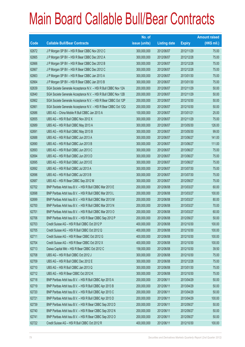|       |                                                                | No. of        |                     |               | <b>Amount raised</b> |
|-------|----------------------------------------------------------------|---------------|---------------------|---------------|----------------------|
| Code  | <b>Callable Bull/Bear Contracts</b>                            | issue (units) | <b>Listing date</b> | <b>Expiry</b> | (HK\$ mil.)          |
| 62672 | J P Morgan SP BV - HSI R Bear CBBC Nov 2012 C                  | 300,000,000   | 2012/06/07          | 2012/11/29    | 75.00                |
| 62665 | J P Morgan SP BV - HSI R Bear CBBC Dec 2012 A                  | 300,000,000   | 2012/06/07          | 2012/12/28    | 75.00                |
| 62666 | J P Morgan SP BV - HSI R Bear CBBC Dec 2012 B                  | 300,000,000   | 2012/06/07          | 2012/12/28    | 75.00                |
| 62667 | J P Morgan SP BV - HSI R Bear CBBC Dec 2012 C                  | 300,000,000   | 2012/06/07          | 2012/12/28    | 75.00                |
| 62663 | J P Morgan SP BV - HSI R Bear CBBC Jan 2013 A                  | 300,000,000   | 2012/06/07          | 2013/01/30    | 75.00                |
| 62664 | J P Morgan SP BV - HSI R Bear CBBC Jan 2013 B                  | 300,000,000   | 2012/06/07          | 2013/01/30    | 75.00                |
| 62639 | SGA Societe Generale Acceptance N.V. - HSI R Bull CBBC Nov 12A | 200,000,000   | 2012/06/07          | 2012/11/29    | 50.00                |
| 62640 | SGA Societe Generale Acceptance N.V. - HSI R Bull CBBC Nov 12B | 200,000,000   | 2012/06/07          | 2012/11/29    | 50.00                |
| 62662 | SGA Societe Generale Acceptance N.V. - HSI R Bear CBBC Oct 12P | 200,000,000   | 2012/06/07          | 2012/10/30    | 50.00                |
| 62661 | SGA Societe Generale Acceptance N.V. - HSI R Bear CBBC Oct 12Q | 200,000,000   | 2012/06/07          | 2012/10/30    | 50.00                |
| 62686 | UBS AG - China Mobile R Bull CBBC Jan 2013 A                   | 100,000,000   | 2012/06/07          | 2013/01/21    | 25.00                |
| 62655 | UBS AG - HSI R Bull CBBC Nov 2012 X                            | 300,000,000   | 2012/06/07          | 2012/11/29    | 75.00                |
| 62689 | UBS AG - HSI R Bull CBBC May 2013 A                            | 300,000,000   | 2012/06/07          | 2013/05/30    | 126.00               |
| 62691 | UBS AG - HSI R Bull CBBC May 2013 B                            | 300,000,000   | 2012/06/07          | 2013/05/30    | 99.00                |
| 62688 | UBS AG - HSI R Bull CBBC Jun 2013 A                            | 300,000,000   | 2012/06/07          | 2013/06/27    | 141.00               |
| 62690 | UBS AG - HSI R Bull CBBC Jun 2013 B                            | 300,000,000   | 2012/06/07          | 2013/06/27    | 111.00               |
| 62693 | UBS AG - HSI R Bull CBBC Jun 2013 C                            | 300,000,000   | 2012/06/07          | 2013/06/27    | 75.00                |
| 62694 | UBS AG - HSI R Bull CBBC Jun 2013 D                            | 300,000,000   | 2012/06/07          | 2013/06/27    | 75.00                |
| 62695 | UBS AG - HSI R Bull CBBC Jun 2013 E                            | 300,000,000   | 2012/06/07          | 2013/06/27    | 75.00                |
| 62692 | UBS AG - HSI R Bull CBBC Jul 2013 A                            | 300,000,000   | 2012/06/07          | 2013/07/30    | 75.00                |
| 62696 | UBS AG - HSI R Bull CBBC Jul 2013 B                            | 300,000,000   | 2012/06/07          | 2013/07/30    | 75.00                |
| 62687 | UBS AG - HSI R Bear CBBC Sep 2012 M                            | 300,000,000   | 2012/06/07          | 2012/09/27    | 75.00                |
| 62702 | BNP Paribas Arbit Issu B.V. - HSI R Bull CBBC Mar 2013 E       | 200,000,000   | 2012/06/08          | 2013/03/27    | 60.00                |
| 62698 | BNP Paribas Arbit Issu B.V. - HSI R Bull CBBC Mar 2013 L       | 200,000,000   | 2012/06/08          | 2013/03/27    | 100.00               |
| 62699 | BNP Paribas Arbit Issu B.V. - HSI R Bull CBBC Mar 2013 M       | 200,000,000   | 2012/06/08          | 2013/03/27    | 80.00                |
| 62700 | BNP Paribas Arbit Issu B.V. - HSI R Bull CBBC Mar 2013 N       | 200,000,000   | 2012/06/08          | 2013/03/27    | 70.00                |
| 62701 | BNP Paribas Arbit Issu B.V. - HSI R Bull CBBC Mar 2013 O       | 200,000,000   | 2012/06/08          | 2013/03/27    | 60.00                |
| 62706 | BNP Paribas Arbit Issu B.V. - HSI R Bear CBBC Sep 2012 P       | 200,000,000   | 2012/06/08          | 2012/09/27    | 50.00                |
| 62703 | Credit Suisse AG - HSI R Bull CBBC Oct 2012 P                  | 400,000,000   | 2012/06/08          | 2012/10/30    | 100.00               |
| 62705 | Credit Suisse AG - HSI R Bull CBBC Oct 2012 Q                  | 400,000,000   | 2012/06/08          | 2012/10/30    | 100.00               |
| 62711 | Credit Suisse AG - HSI R Bear CBBC Oct 2012 G                  | 400,000,000   | 2012/06/08          | 2012/10/30    | 100.00               |
| 62704 | Credit Suisse AG - HSI R Bear CBBC Oct 2012 X                  | 400,000,000   | 2012/06/08          | 2012/10/30    | 100.00               |
| 62713 | Daiwa Capital Mkt - HSI R Bear CBBC Oct 2012 C                 | 158,000,000   | 2012/06/08          | 2012/10/30    | 39.50                |
| 62708 | UBS AG - HSI R Bull CBBC Oct 2012 J                            | 300,000,000   | 2012/06/08          | 2012/10/30    | 75.00                |
| 62709 | UBS AG - HSI R Bull CBBC Dec 2012 E                            | 300,000,000   | 2012/06/08          | 2012/12/28    | 75.00                |
| 62710 | UBS AG - HSI R Bull CBBC Jan 2013 Q                            | 300,000,000   | 2012/06/08          | 2013/01/30    | 75.00                |
| 62712 | UBS AG - HSI R Bear CBBC Oct 2012 K                            | 300,000,000   | 2012/06/08          | 2012/10/30    | 75.00                |
| 62718 | BNP Paribas Arbit Issu B.V. - HSI R Bull CBBC Apr 2013 A       | 200,000,000   | 2012/06/11          | 2013/04/29    | 50.00                |
| 62719 | BNP Paribas Arbit Issu B.V. - HSI R Bull CBBC Apr 2013 B       | 200,000,000   | 2012/06/11          | 2013/04/29    | 50.00                |
| 62720 | BNP Paribas Arbit Issu B.V. - HSI R Bull CBBC Apr 2013 C       | 200,000,000   | 2012/06/11          | 2013/04/29    | 50.00                |
| 62721 | BNP Paribas Arbit Issu B.V. - HSI R Bull CBBC Apr 2013 D       | 200,000,000   | 2012/06/11          | 2013/04/29    | 100.00               |
| 62739 | BNP Paribas Arbit Issu B.V. - HSI R Bear CBBC Sep 2012 D       | 200,000,000   | 2012/06/11          | 2012/09/27    | 50.00                |
| 62740 | BNP Paribas Arbit Issu B.V. - HSI R Bear CBBC Sep 2012 N       | 200,000,000   | 2012/06/11          | 2012/09/27    | 50.00                |
| 62741 | BNP Paribas Arbit Issu B.V. - HSI R Bear CBBC Sep 2012 O       | 200,000,000   | 2012/06/11          | 2012/09/27    | 50.00                |
| 62722 | Credit Suisse AG - HSI R Bull CBBC Oct 2012 R                  | 400,000,000   | 2012/06/11          | 2012/10/30    | 100.00               |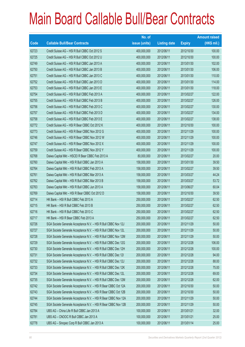|       |                                                                | No. of        |                     |               | <b>Amount raised</b> |
|-------|----------------------------------------------------------------|---------------|---------------------|---------------|----------------------|
| Code  | <b>Callable Bull/Bear Contracts</b>                            | issue (units) | <b>Listing date</b> | <b>Expiry</b> | (HK\$ mil.)          |
| 62723 | Credit Suisse AG - HSI R Bull CBBC Oct 2012 S                  | 400,000,000   | 2012/06/11          | 2012/10/30    | 100.00               |
| 62725 | Credit Suisse AG - HSI R Bull CBBC Oct 2012 U                  | 400,000,000   | 2012/06/11          | 2012/10/30    | 100.00               |
| 62749 | Credit Suisse AG - HSI R Bull CBBC Jan 2013 A                  | 400,000,000   | 2012/06/11          | 2013/01/30    | 102.00               |
| 62750 | Credit Suisse AG - HSI R Bull CBBC Jan 2013 B                  | 400,000,000   | 2012/06/11          | 2013/01/30    | 106.00               |
| 62751 | Credit Suisse AG - HSI R Bull CBBC Jan 2013 C                  | 400,000,000   | 2012/06/11          | 2013/01/30    | 110.00               |
| 62752 | Credit Suisse AG - HSI R Bull CBBC Jan 2013 D                  | 400,000,000   | 2012/06/11          | 2013/01/30    | 114.00               |
| 62753 | Credit Suisse AG - HSI R Bull CBBC Jan 2013 E                  | 400,000,000   | 2012/06/11          | 2013/01/30    | 118.00               |
| 62754 | Credit Suisse AG - HSI R Bull CBBC Feb 2013 A                  | 400,000,000   | 2012/06/11          | 2013/02/27    | 122.00               |
| 62755 | Credit Suisse AG - HSI R Bull CBBC Feb 2013 B                  | 400,000,000   | 2012/06/11          | 2013/02/27    | 126.00               |
| 62756 | Credit Suisse AG - HSI R Bull CBBC Feb 2013 C                  | 400,000,000   | 2012/06/11          | 2013/02/27    | 130.00               |
| 62757 | Credit Suisse AG - HSI R Bull CBBC Feb 2013 D                  | 400,000,000   | 2012/06/11          | 2013/02/27    | 134.00               |
| 62758 | Credit Suisse AG - HSI R Bull CBBC Feb 2013 E                  | 400,000,000   | 2012/06/11          | 2013/02/27    | 138.00               |
| 62772 | Credit Suisse AG - HSI R Bear CBBC Oct 2012 K                  | 400,000,000   | 2012/06/11          | 2012/10/30    | 100.00               |
| 62773 | Credit Suisse AG - HSI R Bear CBBC Nov 2012 G                  | 400,000,000   | 2012/06/11          | 2012/11/29    | 100.00               |
| 62746 | Credit Suisse AG - HSI R Bear CBBC Nov 2012 W                  | 400,000,000   | 2012/06/11          | 2012/11/29    | 100.00               |
| 62747 | Credit Suisse AG - HSI R Bear CBBC Nov 2012 X                  | 400,000,000   | 2012/06/11          | 2012/11/29    | 100.00               |
| 62759 | Credit Suisse AG - HSI R Bear CBBC Nov 2012 Y                  | 400,000,000   | 2012/06/11          | 2012/11/29    | 100.00               |
| 62768 | Daiwa Capital Mkt - HSCEI R Bear CBBC Feb 2013 A               | 80,000,000    | 2012/06/11          | 2013/02/27    | 20.00                |
| 62760 | Daiwa Capital Mkt - HSI R Bull CBBC Jan 2013 A                 | 158,000,000   | 2012/06/11          | 2013/01/30    | 39.50                |
| 62764 | Daiwa Capital Mkt - HSI R Bull CBBC Feb 2013 A                 | 158,000,000   | 2012/06/11          | 2013/02/27    | 39.50                |
| 62761 | Daiwa Capital Mkt - HSI R Bull CBBC Mar 2013 A                 | 158,000,000   | 2012/06/11          | 2013/03/27    | 44.24                |
| 62762 | Daiwa Capital Mkt - HSI R Bull CBBC Mar 2013 B                 | 158,000,000   | 2012/06/11          | 2013/03/27    | 53.72                |
| 62763 | Daiwa Capital Mkt - HSI R Bull CBBC Jun 2013 A                 | 158,000,000   | 2012/06/11          | 2013/06/27    | 60.04                |
| 62769 | Daiwa Capital Mkt - HSI R Bear CBBC Oct 2012 D                 | 158,000,000   | 2012/06/11          | 2012/10/30    | 39.50                |
| 62714 | HK Bank - HSI R Bull CBBC Feb 2013 A                           | 250,000,000   | 2012/06/11          | 2013/02/27    | 62.50                |
| 62715 | HK Bank - HSI R Bull CBBC Feb 2013 B                           | 250,000,000   | 2012/06/11          | 2013/02/27    | 62.50                |
| 62716 | HK Bank - HSI R Bull CBBC Feb 2013 C                           | 250,000,000   | 2012/06/11          | 2013/02/27    | 62.50                |
| 62717 | HK Bank - HSI R Bear CBBC Feb 2013 A                           | 250,000,000   | 2012/06/11          | 2013/02/27    | 62.50                |
| 62726 | SGA Societe Generale Acceptance N.V. - HSI R Bull CBBC Nov 12J | 200,000,000   | 2012/06/11          | 2012/11/29    | 50.00                |
| 62727 | SGA Societe Generale Acceptance N.V. - HSI R Bull CBBC Nov 12L | 200,000,000   | 2012/06/11          | 2012/11/29    | 50.00                |
| 62728 | SGA Societe Generale Acceptance N.V. - HSI R Bull CBBC Nov 12M | 200,000,000   | 2012/06/11          | 2012/11/29    | 50.00                |
| 62729 | SGA Societe Generale Acceptance N.V. - HSI R Bull CBBC Dec 12G | 200,000,000   | 2012/06/11          | 2012/12/28    | 106.00               |
| 62730 | SGA Societe Generale Acceptance N.V. - HSI R Bull CBBC Dec 12H | 200,000,000   | 2012/06/11          | 2012/12/28    | 100.00               |
| 62731 | SGA Societe Generale Acceptance N.V. - HSI R Bull CBBC Dec 121 | 200,000,000   | 2012/06/11          | 2012/12/28    | 94.00                |
| 62732 | SGA Societe Generale Acceptance N.V. - HSI R Bull CBBC Dec 12J | 200,000,000   | 2012/06/11          | 2012/12/28    | 88.00                |
| 62733 | SGA Societe Generale Acceptance N.V. - HSI R Bull CBBC Dec 12K | 200,000,000   | 2012/06/11          | 2012/12/28    | 75.00                |
| 62734 | SGA Societe Generale Acceptance N.V. - HSI R Bull CBBC Dec 12L | 200,000,000   | 2012/06/11          | 2012/12/28    | 69.00                |
| 62735 | SGA Societe Generale Acceptance N.V. - HSI R Bull CBBC Dec 12M | 200,000,000   | 2012/06/11          | 2012/12/28    | 62.00                |
| 62742 | SGA Societe Generale Acceptance N.V. - HSI R Bear CBBC Oct 12A | 200,000,000   | 2012/06/11          | 2012/10/30    | 50.00                |
| 62743 | SGA Societe Generale Acceptance N.V. - HSI R Bear CBBC Oct 12B | 200,000,000   | 2012/06/11          | 2012/10/30    | 50.00                |
| 62744 | SGA Societe Generale Acceptance N.V. - HSI R Bear CBBC Nov 12A | 200,000,000   | 2012/06/11          | 2012/11/29    | 50.00                |
| 62745 | SGA Societe Generale Acceptance N.V. - HSI R Bear CBBC Nov 12B | 200,000,000   | 2012/06/11          | 2012/11/29    | 50.00                |
| 62784 | UBS AG - China Life R Bull CBBC Jan 2013 A                     | 100,000,000   | 2012/06/11          | 2013/01/21    | 32.00                |
| 62781 | UBS AG - CNOOC R Bull CBBC Jan 2013 A                          | 100,000,000   | 2012/06/11          | 2013/01/21    | 25.00                |
| 62778 | UBS AG - Sinopec Corp R Bull CBBC Jan 2013 A                   | 100,000,000   | 2012/06/11          | 2013/01/14    | 25.00                |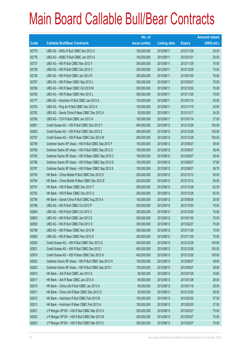|       |                                                      | No. of        |                     |               | <b>Amount raised</b> |
|-------|------------------------------------------------------|---------------|---------------------|---------------|----------------------|
| Code  | <b>Callable Bull/Bear Contracts</b>                  | issue (units) | <b>Listing date</b> | <b>Expiry</b> | (HK\$ mil.)          |
| 62779 | UBS AG - HKEx R Bull CBBC Nov 2012 A                 | 100,000,000   | 2012/06/11          | 2012/11/26    | 25.00                |
| 62776 | UBS AG - HSBC R Bull CBBC Jan 2013 A                 | 100,000,000   | 2012/06/11          | 2013/01/21    | 25.00                |
| 62737 | UBS AG - HSI R Bull CBBC Nov 2012 Y                  | 300,000,000   | 2012/06/11          | 2012/11/29    | 75.00                |
| 62738 | UBS AG - HSI R Bull CBBC Dec 2012 V                  | 300,000,000   | 2012/06/11          | 2012/12/28    | 75.00                |
| 62736 | UBS AG - HSI R Bull CBBC Jan 2013 R                  | 300,000,000   | 2012/06/11          | 2013/01/30    | 75.00                |
| 62767 | UBS AG - HSI R Bear CBBC Sep 2012 L                  | 300,000,000   | 2012/06/11          | 2012/09/27    | 75.00                |
| 62766 | UBS AG - HSI R Bear CBBC Oct 2012 M                  | 300,000,000   | 2012/06/11          | 2012/10/30    | 75.00                |
| 62765 | UBS AG - HSI R Bear CBBC Nov 2012 L                  | 300,000,000   | 2012/06/11          | 2012/11/29    | 75.00                |
| 62777 | UBS AG - Hutchison R Bull CBBC Jan 2013 A            | 100,000,000   | 2012/06/11          | 2013/01/14    | 25.00                |
| 62783 | UBS AG - Ping An R Bull CBBC Nov 2012 A              | 100,000,000   | 2012/06/11          | 2012/11/19    | 25.00                |
| 62782 | UBS AG - Sands China R Bear CBBC Dec 2012 A          | 50,000,000    | 2012/06/11          | 2012/12/17    | 24.25                |
| 62780 | UBS AG - TCH R Bull CBBC Jan 2013 A                  | 100,000,000   | 2012/06/11          | 2013/01/14    | 27.00                |
| 62801 | Credit Suisse AG - HSI R Bull CBBC Dec 2012 Y        | 400,000,000   | 2012/06/12          | 2012/12/28    | 100.00               |
| 62802 | Credit Suisse AG - HSI R Bull CBBC Dec 2012 Z        | 400,000,000   | 2012/06/12          | 2012/12/28    | 100.00               |
| 62797 | Credit Suisse AG - HSI R Bear CBBC Dec 2012 M        | 400,000,000   | 2012/06/12          | 2012/12/28    | 100.00               |
| 62789 | Goldman Sachs SP (Asia) - HSI R Bull CBBC Sep 2012 F | 150,000,000   | 2012/06/12          | 2012/09/27    | 38.40                |
| 62790 | Goldman Sachs SP (Asia) - HSI R Bull CBBC Sep 2012 G | 150,000,000   | 2012/06/12          | 2012/09/27    | 38.40                |
| 62785 | Goldman Sachs SP (Asia) - HSI R Bear CBBC Sep 2012 C | 150,000,000   | 2012/06/12          | 2012/09/27    | 38.40                |
| 62786 | Goldman Sachs SP (Asia) - HSI R Bear CBBC Sep 2012 D | 150,000,000   | 2012/06/12          | 2012/09/27    | 37.80                |
| 62787 | Goldman Sachs SP (Asia) - HSI R Bear CBBC Sep 2012 E | 150,000,000   | 2012/06/12          | 2012/09/27    | 38.70                |
| 62793 | HK Bank - China Mobile R Bull CBBC Dec 2012 D        | 200,000,000   | 2012/06/12          | 2012/12/12    | 50.00                |
| 62794 | HK Bank - China Mobile R Bear CBBC Dec 2012 E        | 200,000,000   | 2012/06/12          | 2012/12/12    | 50.00                |
| 62791 | HK Bank - HSI R Bear CBBC Dec 2012 T                 | 250,000,000   | 2012/06/12          | 2012/12/28    | 62.50                |
| 62792 | HK Bank - HSI R Bear CBBC Dec 2012 U                 | 250,000,000   | 2012/06/12          | 2012/12/28    | 62.50                |
| 62795 | HK Bank - Sands China R Bull CBBC Aug 2013 A         | 100,000,000   | 2012/06/12          | 2013/08/28    | 25.00                |
| 62799 | UBS AG - HSI R Bull CBBC Oct 2012 P                  | 300,000,000   | 2012/06/12          | 2012/10/30    | 75.00                |
| 62804 | UBS AG - HSI R Bull CBBC Oct 2012 V                  | 300,000,000   | 2012/06/12          | 2012/10/30    | 75.00                |
| 62803 | UBS AG - HSI R Bull CBBC Jan 2013 S                  | 300,000,000   | 2012/06/12          | 2013/01/30    | 75.00                |
| 62800 | UBS AG - HSI R Bull CBBC Feb 2013 D                  | 300,000,000   | 2012/06/12          | 2013/02/27    | 75.00                |
| 62798 | UBS AG - HSI R Bear CBBC Nov 2012 M                  | 300,000,000   | 2012/06/12          | 2012/11/29    | 75.00                |
| 62805 | UBS AG - HSI R Bear CBBC Nov 2012 N                  | 300,000,000   | 2012/06/12          | 2012/11/29    | 75.00                |
| 62820 | Credit Suisse AG - HSI R Bull CBBC Dec 2012 G        | 400,000,000   | 2012/06/13          | 2012/12/28    | 100.00               |
| 62821 | Credit Suisse AG - HSI R Bull CBBC Dec 2012 I        | 400,000,000   | 2012/06/13          | 2012/12/28    | 100.00               |
| 62819 | Credit Suisse AG - HSI R Bear CBBC Dec 2012 N        | 400,000,000   | 2012/06/13          | 2012/12/28    | 100.00               |
| 62822 | Goldman Sachs SP (Asia) - HSI R Bull CBBC Sep 2012 H | 150,000,000   | 2012/06/13          | 2012/09/27    | 38.85                |
| 62823 | Goldman Sachs SP (Asia) - HSI R Bull CBBC Sep 2012 I | 150,000,000   | 2012/06/13          | 2012/09/27    | 38.85                |
| 62814 | HK Bank - AIA R Bull CBBC Jan 2013 A                 | 80,000,000    | 2012/06/13          | 2013/01/28    | 33.60                |
| 62817 | HK Bank - AIA R Bear CBBC Jan 2013 A                 | 80,000,000    | 2012/06/13          | 2013/01/28    | 28.00                |
| 62810 | HK Bank - China Life R Bull CBBC Jan 2013 A          | 80,000,000    | 2012/06/13          | 2013/01/18    | 28.00                |
| 62811 | HK Bank - China Life R Bear CBBC Dec 2012 D          | 80,000,000    | 2012/06/13          | 2012/12/20    | 28.00                |
| 62812 | HK Bank - Hutchison R Bull CBBC Feb 2013 B           | 150,000,000   | 2012/06/13          | 2013/02/20    | 37.50                |
| 62813 | HK Bank - Hutchison R Bear CBBC Feb 2013 A           | 150,000,000   | 2012/06/13          | 2013/02/20    | 37.50                |
| 62831 | J P Morgan SP BV - HSI R Bull CBBC Mar 2013 A        | 300,000,000   | 2012/06/13          | 2013/03/27    | 75.00                |
| 62832 | J P Morgan SP BV - HSI R Bull CBBC Mar 2013 B        | 300,000,000   | 2012/06/13          | 2013/03/27    | 75.00                |
| 62833 | J P Morgan SP BV - HSI R Bull CBBC Mar 2013 C        | 300,000,000   | 2012/06/13          | 2013/03/27    | 75.00                |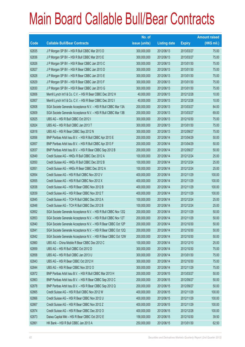|       |                                                                | No. of        |                     |               | <b>Amount raised</b> |
|-------|----------------------------------------------------------------|---------------|---------------------|---------------|----------------------|
| Code  | <b>Callable Bull/Bear Contracts</b>                            | issue (units) | <b>Listing date</b> | <b>Expiry</b> | (HK\$ mil.)          |
| 62835 | J P Morgan SP BV - HSI R Bull CBBC Mar 2013 D                  | 300,000,000   | 2012/06/13          | 2013/03/27    | 75.00                |
| 62836 | J P Morgan SP BV - HSI R Bull CBBC Mar 2013 E                  | 300,000,000   | 2012/06/13          | 2013/03/27    | 75.00                |
| 62826 | J P Morgan SP BV - HSI R Bear CBBC Jan 2013 C                  | 300,000,000   | 2012/06/13          | 2013/01/30    | 75.00                |
| 62827 | J P Morgan SP BV - HSI R Bear CBBC Jan 2013 D                  | 300,000,000   | 2012/06/13          | 2013/01/30    | 75.00                |
| 62828 | J P Morgan SP BV - HSI R Bear CBBC Jan 2013 E                  | 300,000,000   | 2012/06/13          | 2013/01/30    | 75.00                |
| 62829 | J P Morgan SP BV - HSI R Bear CBBC Jan 2013 F                  | 300,000,000   | 2012/06/13          | 2013/01/30    | 75.00                |
| 62830 | J P Morgan SP BV - HSI R Bear CBBC Jan 2013 G                  | 300,000,000   | 2012/06/13          | 2013/01/30    | 75.00                |
| 62806 | Merrill Lynch Int'l & Co. C.V. - HSI R Bear CBBC Dec 2012 H    | 40,000,000    | 2012/06/13          | 2012/12/28    | 10.00                |
| 62807 | Merrill Lynch Int'l & Co. C.V. - HSI R Bear CBBC Dec 2012 I    | 40,000,000    | 2012/06/13          | 2012/12/28    | 10.00                |
| 62808 | SGA Societe Generale Acceptance N.V. - HSI R Bull CBBC Mar 13A | 200,000,000   | 2012/06/13          | 2013/03/27    | 84.00                |
| 62809 | SGA Societe Generale Acceptance N.V. - HSI R Bull CBBC Mar 13B | 200,000,000   | 2012/06/13          | 2013/03/27    | 69.00                |
| 62825 | UBS AG - HSI R Bull CBBC Oct 2012 I                            | 300,000,000   | 2012/06/13          | 2012/10/30    | 75.00                |
| 62824 | UBS AG - HSI R Bull CBBC Jan 2013 T                            | 300,000,000   | 2012/06/13          | 2013/01/30    | 75.00                |
| 62818 | UBS AG - HSI R Bear CBBC Sep 2012 N                            | 300,000,000   | 2012/06/13          | 2012/09/27    | 75.00                |
| 62856 | BNP Paribas Arbit Issu B.V. - HSI R Bull CBBC Apr 2013 E       | 200,000,000   | 2012/06/14          | 2013/04/29    | 50.00                |
| 62857 | BNP Paribas Arbit Issu B.V. - HSI R Bull CBBC Apr 2013 F       | 200,000,000   | 2012/06/14          | 2013/04/29    | 50.00                |
| 62837 | BNP Paribas Arbit Issu B.V. - HSI R Bear CBBC Sep 2012 B       | 200,000,000   | 2012/06/14          | 2012/09/27    | 50.00                |
| 62849 | Credit Suisse AG - HKEx R Bull CBBC Dec 2012 A                 | 100,000,000   | 2012/06/14          | 2012/12/24    | 25.00                |
| 62850 | Credit Suisse AG - HKEx R Bull CBBC Dec 2012 B                 | 100,000,000   | 2012/06/14          | 2012/12/24    | 25.00                |
| 62851 | Credit Suisse AG - HKEx R Bear CBBC Dec 2012 A                 | 100,000,000   | 2012/06/14          | 2012/12/24    | 25.00                |
| 62854 | Credit Suisse AG - HSI R Bull CBBC Nov 2012 V                  | 400,000,000   | 2012/06/14          | 2012/11/29    | 100.00               |
| 62855 | Credit Suisse AG - HSI R Bull CBBC Nov 2012 X                  | 400,000,000   | 2012/06/14          | 2012/11/29    | 100.00               |
| 62838 | Credit Suisse AG - HSI R Bear CBBC Nov 2012 B                  | 400,000,000   | 2012/06/14          | 2012/11/29    | 100.00               |
| 62839 | Credit Suisse AG - HSI R Bear CBBC Nov 2012 T                  | 400,000,000   | 2012/06/14          | 2012/11/29    | 100.00               |
| 62845 | Credit Suisse AG - TCH R Bull CBBC Dec 2012 A                  | 100,000,000   | 2012/06/14          | 2012/12/24    | 25.00                |
| 62848 | Credit Suisse AG - TCH R Bull CBBC Dec 2012 B                  | 100,000,000   | 2012/06/14          | 2012/12/24    | 25.00                |
| 62852 | SGA Societe Generale Acceptance N.V. - HSI R Bull CBBC Nov 12Q | 200,000,000   | 2012/06/14          | 2012/11/29    | 50.00                |
| 62853 | SGA Societe Generale Acceptance N.V. - HSI R Bull CBBC Nov 12T | 200,000,000   | 2012/06/14          | 2012/11/29    | 50.00                |
| 62840 | SGA Societe Generale Acceptance N.V. - HSI R Bear CBBC Oct 12P | 200,000,000   | 2012/06/14          | 2012/10/30    | 50.00                |
| 62841 | SGA Societe Generale Acceptance N.V. - HSI R Bear CBBC Oct 12Q | 200,000,000   | 2012/06/14          | 2012/10/30    | 50.00                |
| 62842 | SGA Societe Generale Acceptance N.V. - HSI R Bear CBBC Oct 12W | 200,000,000   | 2012/06/14          | 2012/10/30    | 50.00                |
| 62860 | UBS AG - China Mobile R Bear CBBC Dec 2012 C                   | 100,000,000   | 2012/06/14          | 2012/12/10    | 25.00                |
| 62859 | UBS AG - HSI R Bull CBBC Oct 2012 D                            | 300,000,000   | 2012/06/14          | 2012/10/30    | 75.00                |
| 62858 | UBS AG - HSI R Bull CBBC Jan 2013 U                            | 300,000,000   | 2012/06/14          | 2013/01/30    | 75.00                |
| 62843 | UBS AG - HSI R Bear CBBC Oct 2012 H                            | 300,000,000   | 2012/06/14          | 2012/10/30    | 75.00                |
| 62844 | UBS AG - HSI R Bear CBBC Nov 2012 O                            | 300,000,000   | 2012/06/14          | 2012/11/29    | 75.00                |
| 62872 | BNP Paribas Arbit Issu B.V. - HSI R Bull CBBC Mar 2013 H       | 200,000,000   | 2012/06/15          | 2013/03/27    | 50.00                |
| 62863 | BNP Paribas Arbit Issu B.V. - HSI R Bear CBBC Sep 2012 C       | 200,000,000   | 2012/06/15          | 2012/09/27    | 50.00                |
| 62878 | BNP Paribas Arbit Issu B.V. - HSI R Bear CBBC Sep 2012 Q       | 200,000,000   | 2012/06/15          | 2012/09/27    | 50.00                |
| 62865 | Credit Suisse AG - HSI R Bull CBBC Nov 2012 W                  | 400,000,000   | 2012/06/15          | 2012/11/29    | 100.00               |
| 62866 | Credit Suisse AG - HSI R Bear CBBC Nov 2012 U                  | 400,000,000   | 2012/06/15          | 2012/11/29    | 100.00               |
| 62867 | Credit Suisse AG - HSI R Bear CBBC Nov 2012 Z                  | 400,000,000   | 2012/06/15          | 2012/11/29    | 100.00               |
| 62874 | Credit Suisse AG - HSI R Bear CBBC Dec 2012 O                  | 400,000,000   | 2012/06/15          | 2012/12/28    | 100.00               |
| 62873 | Daiwa Capital Mkt - HSI R Bear CBBC Oct 2012 E                 | 158,000,000   | 2012/06/15          | 2012/10/30    | 39.50                |
| 62861 | HK Bank - HSI R Bull CBBC Jan 2013 A                           | 250,000,000   | 2012/06/15          | 2013/01/30    | 62.50                |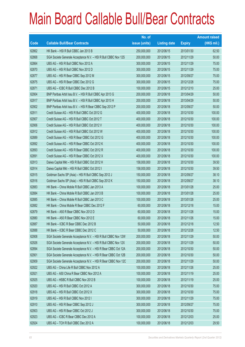|             |                                                                | No. of        |                     |               | <b>Amount raised</b> |
|-------------|----------------------------------------------------------------|---------------|---------------------|---------------|----------------------|
| <b>Code</b> | <b>Callable Bull/Bear Contracts</b>                            | issue (units) | <b>Listing date</b> | <b>Expiry</b> | $(HK$$ mil.)         |
| 62862       | HK Bank - HSI R Bull CBBC Jan 2013 B                           | 250,000,000   | 2012/06/15          | 2013/01/30    | 62.50                |
| 62868       | SGA Societe Generale Acceptance N.V. - HSI R Bull CBBC Nov 12S | 200,000,000   | 2012/06/15          | 2012/11/29    | 50.00                |
| 62864       | UBS AG - HSI R Bull CBBC Nov 2012 A                            | 300,000,000   | 2012/06/15          | 2012/11/29    | 75.00                |
| 62870       | UBS AG - HSI R Bull CBBC Nov 2012 D                            | 300,000,000   | 2012/06/15          | 2012/11/29    | 75.00                |
| 62877       | UBS AG - HSI R Bear CBBC Sep 2012 M                            | 300,000,000   | 2012/06/15          | 2012/09/27    | 75.00                |
| 62875       | UBS AG - HSI R Bear CBBC Dec 2012 G                            | 300,000,000   | 2012/06/15          | 2012/12/28    | 75.00                |
| 62871       | UBS AG - ICBC R Bull CBBC Dec 2012 B                           | 100,000,000   | 2012/06/15          | 2012/12/10    | 25.00                |
| 62904       | BNP Paribas Arbit Issu B.V. - HSI R Bull CBBC Apr 2013 G       | 200,000,000   | 2012/06/18          | 2013/04/29    | 50.00                |
| 62917       | BNP Paribas Arbit Issu B.V. - HSI R Bull CBBC Apr 2013 H       | 200,000,000   | 2012/06/18          | 2013/04/29    | 50.00                |
| 62902       | BNP Paribas Arbit Issu B.V. - HSI R Bear CBBC Sep 2012 P       | 200,000,000   | 2012/06/18          | 2012/09/27    | 50.00                |
| 62911       | Credit Suisse AG - HSI R Bull CBBC Oct 2012 G                  | 400,000,000   | 2012/06/18          | 2012/10/30    | 100.00               |
| 62907       | Credit Suisse AG - HSI R Bull CBBC Oct 2012 T                  | 400,000,000   | 2012/06/18          | 2012/10/30    | 100.00               |
| 62906       | Credit Suisse AG - HSI R Bull CBBC Oct 2012 V                  | 400,000,000   | 2012/06/18          | 2012/10/30    | 100.00               |
| 62912       | Credit Suisse AG - HSI R Bull CBBC Oct 2012 W                  | 400,000,000   | 2012/06/18          | 2012/10/30    | 100.00               |
| 62889       | Credit Suisse AG - HSI R Bear CBBC Oct 2012 G                  | 400,000,000   | 2012/06/18          | 2012/10/30    | 100.00               |
| 62892       | Credit Suisse AG - HSI R Bear CBBC Oct 2012 K                  | 400,000,000   | 2012/06/18          | 2012/10/30    | 100.00               |
| 62893       | Credit Suisse AG - HSI R Bear CBBC Oct 2012 R                  | 400,000,000   | 2012/06/18          | 2012/10/30    | 100.00               |
| 62891       | Credit Suisse AG - HSI R Bear CBBC Oct 2012 X                  | 400,000,000   | 2012/06/18          | 2012/10/30    | 100.00               |
| 62913       | Daiwa Capital Mkt - HSI R Bull CBBC Oct 2012 H                 | 158,000,000   | 2012/06/18          | 2012/10/30    | 39.50                |
| 62914       | Daiwa Capital Mkt - HSI R Bull CBBC Oct 2012 I                 | 158,000,000   | 2012/06/18          | 2012/10/30    | 39.50                |
| 62915       | Goldman Sachs SP (Asia) - HSI R Bull CBBC Sep 2012 J           | 150,000,000   | 2012/06/18          | 2012/09/27    | 38.10                |
| 62916       | Goldman Sachs SP (Asia) - HSI R Bull CBBC Sep 2012 K           | 150,000,000   | 2012/06/18          | 2012/09/27    | 38.10                |
| 62883       | HK Bank - China Mobile R Bull CBBC Jan 2013 A                  | 100,000,000   | 2012/06/18          | 2013/01/28    | 25.00                |
| 62884       | HK Bank - China Mobile R Bull CBBC Jan 2013 B                  | 100,000,000   | 2012/06/18          | 2013/01/28    | 25.00                |
| 62885       | HK Bank - China Mobile R Bull CBBC Jan 2013 C                  | 100,000,000   | 2012/06/18          | 2013/01/28    | 25.00                |
| 62882       | HK Bank - China Mobile R Bear CBBC Dec 2012 F                  | 60,000,000    | 2012/06/18          | 2012/12/18    | 15.00                |
| 62879       | HK Bank - A50 R Bear CBBC Nov 2012 D                           | 60,000,000    | 2012/06/18          | 2012/11/28    | 15.00                |
| 62880       | HK Bank - A50 R Bear CBBC Nov 2012 E                           | 60,000,000    | 2012/06/18          | 2012/11/26    | 15.00                |
| 62887       | HK Bank - ICBC R Bear CBBC Dec 2012 B                          | 50,000,000    | 2012/06/18          | 2012/12/18    | 12.50                |
| 62888       | HK Bank - ICBC R Bear CBBC Dec 2012 C                          | 50,000,000    | 2012/06/18          | 2012/12/28    | 12.50                |
| 62908       | SGA Societe Generale Acceptance N.V. - HSI R Bull CBBC Nov 12W | 200,000,000   | 2012/06/18          | 2012/11/29    | 50.00                |
| 62926       | SGA Societe Generale Acceptance N.V. - HSI R Bull CBBC Nov 12X | 200,000,000   | 2012/06/18          | 2012/11/29    | 50.00                |
| 62894       | SGA Societe Generale Acceptance N.V. - HSI R Bear CBBC Oct 12A | 200,000,000   | 2012/06/18          | 2012/10/30    | 50.00                |
| 62901       | SGA Societe Generale Acceptance N.V. - HSI R Bear CBBC Oct 12B | 200,000,000   | 2012/06/18          | 2012/10/30    | 50.00                |
| 62909       | SGA Societe Generale Acceptance N.V. - HSI R Bear CBBC Nov 12C | 200,000,000   | 2012/06/18          | 2012/11/29    | 50.00                |
| 62922       | UBS AG - China Life R Bull CBBC Nov 2012 A                     | 100,000,000   | 2012/06/18          | 2012/11/26    | 25.00                |
| 62921       | UBS AG - A50 China R Bear CBBC Nov 2012 A                      | 100,000,000   | 2012/06/18          | 2012/11/19    | 25.00                |
| 62925       | UBS AG - HSBC R Bull CBBC Nov 2012 B                           | 100,000,000   | 2012/06/18          | 2012/11/19    | 25.00                |
| 62920       | UBS AG - HSI R Bull CBBC Oct 2012 A                            | 300,000,000   | 2012/06/18          | 2012/10/30    | 75.00                |
| 62918       | UBS AG - HSI R Bull CBBC Oct 2012 X                            | 300,000,000   | 2012/06/18          | 2012/10/30    | 75.00                |
| 62919       | UBS AG - HSI R Bull CBBC Nov 2012 I                            | 300,000,000   | 2012/06/18          | 2012/11/29    | 75.00                |
| 62910       | UBS AG - HSI R Bear CBBC Sep 2012 J                            | 300,000,000   | 2012/06/18          | 2012/09/27    | 75.00                |
| 62903       | UBS AG - HSI R Bear CBBC Oct 2012 J                            | 300,000,000   | 2012/06/18          | 2012/10/30    | 75.00                |
| 62923       | UBS AG - ICBC R Bear CBBC Dec 2012 A                           | 100,000,000   | 2012/06/18          | 2012/12/03    | 25.00                |
| 62924       | UBS AG - TCH R Bull CBBC Dec 2012 A                            | 100,000,000   | 2012/06/18          | 2012/12/03    | 29.50                |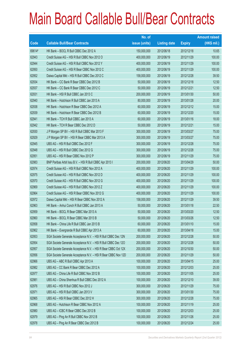|        |                                                                | No. of        |                     |               | <b>Amount raised</b> |
|--------|----------------------------------------------------------------|---------------|---------------------|---------------|----------------------|
| Code   | <b>Callable Bull/Bear Contracts</b>                            | issue (units) | <b>Listing date</b> | <b>Expiry</b> | $(HK$$ mil.)         |
| 69614# | HK Bank - BOCL R Bull CBBC Dec 2012 A                          | 150,000,000   | 2012/06/18          | 2012/12/18    | 10.65                |
| 62943  | Credit Suisse AG - HSI R Bull CBBC Nov 2012 O                  | 400,000,000   | 2012/06/19          | 2012/11/29    | 100.00               |
| 62944  | Credit Suisse AG - HSI R Bull CBBC Nov 2012 Y                  | 400,000,000   | 2012/06/19          | 2012/11/29    | 100.00               |
| 62950  | Credit Suisse AG - HSI R Bear CBBC Nov 2012 C                  | 400,000,000   | 2012/06/19          | 2012/11/29    | 100.00               |
| 62952  | Daiwa Capital Mkt - HSI R Bull CBBC Dec 2012 C                 | 158,000,000   | 2012/06/19          | 2012/12/28    | 39.50                |
| 62934  | HK Bank - CC Bank R Bear CBBC Dec 2012 B                       | 50,000,000    | 2012/06/19          | 2012/12/18    | 12.50                |
| 62937  | HK Bank – CC Bank R Bear CBBC Dec 2012 C                       | 50,000,000    | 2012/06/19          | 2012/12/21    | 12.50                |
| 62931  | HK Bank - HSI R Bull CBBC Jan 2013 C                           | 200,000,000   | 2012/06/19          | 2013/01/30    | 50.00                |
| 62940  | HK Bank - Hutchison R Bull CBBC Jan 2013 A                     | 80,000,000    | 2012/06/19          | 2013/01/28    | 20.00                |
| 62938  | HK Bank - Hutchison R Bear CBBC Dec 2012 A                     | 60,000,000    | 2012/06/19          | 2012/12/12    | 15.00                |
| 62939  | HK Bank - Hutchison R Bear CBBC Dec 2012 B                     | 60,000,000    | 2012/06/19          | 2012/12/20    | 15.00                |
| 62941  | HK Bank - TCH R Bull CBBC Jan 2013 A                           | 60,000,000    | 2012/06/19          | 2013/01/16    | 18.00                |
| 62942  | HK Bank - TCH R Bear CBBC Dec 2012 D                           | 50,000,000    | 2012/06/19          | 2012/12/21    | 15.00                |
| 62930  | J P Morgan SP BV - HSI R Bull CBBC Mar 2013 F                  | 300,000,000   | 2012/06/19          | 2013/03/27    | 75.00                |
| 62929  | J P Morgan SP BV - HSI R Bear CBBC Mar 2013 A                  | 300,000,000   | 2012/06/19          | 2013/03/27    | 75.00                |
| 62945  | UBS AG - HSI R Bull CBBC Dec 2012 F                            | 300,000,000   | 2012/06/19          | 2012/12/28    | 75.00                |
| 62948  | UBS AG - HSI R Bull CBBC Dec 2012 G                            | 300,000,000   | 2012/06/19          | 2012/12/28    | 75.00                |
| 62951  | UBS AG - HSI R Bear CBBC Nov 2012 P                            | 300,000,000   | 2012/06/19          | 2012/11/29    | 75.00                |
| 62983  | BNP Paribas Arbit Issu B.V. - HSI R Bull CBBC Apr 2013 I       | 200,000,000   | 2012/06/20          | 2013/04/29    | 50.00                |
| 62974  | Credit Suisse AG - HSI R Bull CBBC Nov 2012 A                  | 400,000,000   | 2012/06/20          | 2012/11/29    | 100.00               |
| 62975  | Credit Suisse AG - HSI R Bull CBBC Nov 2012 D                  | 400,000,000   | 2012/06/20          | 2012/11/29    | 100.00               |
| 62970  | Credit Suisse AG - HSI R Bull CBBC Nov 2012 G                  | 400,000,000   | 2012/06/20          | 2012/11/29    | 100.00               |
| 62969  | Credit Suisse AG - HSI R Bull CBBC Nov 2012 Z                  | 400,000,000   | 2012/06/20          | 2012/11/29    | 100.00               |
| 62964  | Credit Suisse AG - HSI R Bear CBBC Nov 2012 G                  | 400,000,000   | 2012/06/20          | 2012/11/29    | 100.00               |
| 62972  | Daiwa Capital Mkt - HSI R Bear CBBC Nov 2012 A                 | 158,000,000   | 2012/06/20          | 2012/11/29    | 39.50                |
| 62963  | HK Bank - Anhui Conch R Bull CBBC Jan 2013 A                   | 50,000,000    | 2012/06/20          | 2013/01/18    | 22.50                |
| 62959  | HK Bank - BOCL R Bear CBBC Mar 2013 A                          | 50,000,000    | 2012/06/20          | 2013/03/20    | 12.50                |
| 62960  | HK Bank - BOCL R Bear CBBC Mar 2013 B                          | 50,000,000    | 2012/06/20          | 2013/03/26    | 12.50                |
| 62958  | HK Bank - China Life R Bull CBBC Jan 2013 B                    | 60,000,000    | 2012/06/20          | 2013/01/10    | 15.00                |
| 62962  | HK Bank - Evergrande R Bull CBBC Apr 2013 A                    | 60,000,000    | 2012/06/20          | 2013/04/18    | 15.00                |
| 62953  | SGA Societe Generale Acceptance N.V. - HSI R Bull CBBC Dec 12N | 200,000,000   | 2012/06/20          | 2012/12/28    | 50.00                |
| 62954  | SGA Societe Generale Acceptance N.V. - HSI R Bull CBBC Dec 120 | 200,000,000   | 2012/06/20          | 2012/12/28    | 50.00                |
| 62957  | SGA Societe Generale Acceptance N.V. - HSI R Bear CBBC Oct 12X | 200,000,000   | 2012/06/20          | 2012/10/30    | 50.00                |
| 62956  | SGA Societe Generale Acceptance N.V. - HSI R Bear CBBC Nov 12D | 200,000,000   | 2012/06/20          | 2012/11/29    | 50.00                |
| 62966  | UBS AG - ABC R Bull CBBC Apr 2013 A                            | 100,000,000   | 2012/06/20          | 2013/04/15    | 25.00                |
| 62982  | UBS AG - CC Bank R Bear CBBC Dec 2012 A                        | 100,000,000   | 2012/06/20          | 2012/12/03    | 25.00                |
| 62977  | UBS AG - China Life R Bull CBBC Nov 2012 B                     | 100,000,000   | 2012/06/20          | 2012/11/05    | 25.00                |
| 62981  | UBS AG - China Shenhua R Bull CBBC Dec 2012 A                  | 100,000,000   | 2012/06/20          | 2012/12/10    | 39.00                |
| 62976  | UBS AG - HSI R Bull CBBC Nov 2012 J                            | 300,000,000   | 2012/06/20          | 2012/11/29    | 75.00                |
| 62971  | UBS AG - HSI R Bull CBBC Jan 2013 V                            | 300,000,000   | 2012/06/20          | 2013/01/30    | 75.00                |
| 62965  | UBS AG - HSI R Bear CBBC Dec 2012 H                            | 300,000,000   | 2012/06/20          | 2012/12/28    | 75.00                |
| 62968  | UBS AG - Hutchison R Bear CBBC Nov 2012 A                      | 100,000,000   | 2012/06/20          | 2012/11/19    | 25.00                |
| 62980  | UBS AG - ICBC R Bear CBBC Dec 2012 B                           | 100,000,000   | 2012/06/20          | 2012/12/03    | 25.00                |
| 62979  | UBS AG - Ping An R Bull CBBC Nov 2012 B                        | 100,000,000   | 2012/06/20          | 2012/11/26    | 25.00                |
| 62978  | UBS AG - Ping An R Bear CBBC Dec 2012 B                        | 100,000,000   | 2012/06/20          | 2012/12/24    | 25.00                |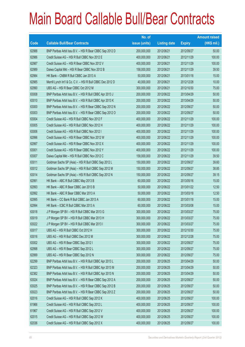|       |                                                             | No. of        |                     |               | <b>Amount raised</b> |
|-------|-------------------------------------------------------------|---------------|---------------------|---------------|----------------------|
| Code  | <b>Callable Bull/Bear Contracts</b>                         | issue (units) | <b>Listing date</b> | <b>Expiry</b> | (HK\$ mil.)          |
| 62988 | BNP Paribas Arbit Issu B.V. - HSI R Bear CBBC Sep 2012 D    | 200,000,000   | 2012/06/21          | 2012/09/27    | 50.00                |
| 62986 | Credit Suisse AG - HSI R Bull CBBC Nov 2012 E               | 400,000,000   | 2012/06/21          | 2012/11/29    | 100.00               |
| 62987 | Credit Suisse AG - HSI R Bear CBBC Nov 2012 V               | 400,000,000   | 2012/06/21          | 2012/11/29    | 100.00               |
| 62989 | Daiwa Capital Mkt - HSI R Bear CBBC Nov 2012 B              | 158,000,000   | 2012/06/21          | 2012/11/29    | 39.50                |
| 62984 | HK Bank - CNBM R Bull CBBC Jan 2013 A                       | 50,000,000    | 2012/06/21          | 2013/01/18    | 15.00                |
| 62985 | Merrill Lynch Int'l & Co. C.V. - HSI R Bull CBBC Dec 2012 D | 40,000,000    | 2012/06/21          | 2012/12/28    | 10.00                |
| 62990 | UBS AG - HSI R Bear CBBC Oct 2012 M                         | 300,000,000   | 2012/06/21          | 2012/10/30    | 75.00                |
| 63008 | BNP Paribas Arbit Issu B.V. - HSI R Bull CBBC Apr 2013 J    | 200,000,000   | 2012/06/22          | 2013/04/29    | 50.00                |
| 63010 | BNP Paribas Arbit Issu B.V. - HSI R Bull CBBC Apr 2013 K    | 200,000,000   | 2012/06/22          | 2013/04/29    | 50.00                |
| 63000 | BNP Paribas Arbit Issu B.V. - HSI R Bear CBBC Sep 2012 N    | 200,000,000   | 2012/06/22          | 2012/09/27    | 50.00                |
| 63003 | BNP Paribas Arbit Issu B.V. - HSI R Bear CBBC Sep 2012 O    | 200,000,000   | 2012/06/22          | 2012/09/27    | 50.00                |
| 63004 | Credit Suisse AG - HSI R Bull CBBC Nov 2012 F               | 400,000,000   | 2012/06/22          | 2012/11/29    | 100.00               |
| 63005 | Credit Suisse AG - HSI R Bull CBBC Nov 2012 H               | 400,000,000   | 2012/06/22          | 2012/11/29    | 100.00               |
| 63006 | Credit Suisse AG - HSI R Bull CBBC Nov 2012 I               | 400,000,000   | 2012/06/22          | 2012/11/29    | 100.00               |
| 62996 | Credit Suisse AG - HSI R Bear CBBC Nov 2012 W               | 400,000,000   | 2012/06/22          | 2012/11/29    | 100.00               |
| 62997 | Credit Suisse AG - HSI R Bear CBBC Nov 2012 X               | 400,000,000   | 2012/06/22          | 2012/11/29    | 100.00               |
| 63001 | Credit Suisse AG - HSI R Bear CBBC Nov 2012 Y               | 400,000,000   | 2012/06/22          | 2012/11/29    | 100.00               |
| 63007 | Daiwa Capital Mkt - HSI R Bull CBBC Nov 2012 C              | 158,000,000   | 2012/06/22          | 2012/11/29    | 39.50                |
| 63011 | Goldman Sachs SP (Asia) - HSI R Bull CBBC Sep 2012 L        | 150,000,000   | 2012/06/22          | 2012/09/27    | 39.60                |
| 63012 | Goldman Sachs SP (Asia) - HSI R Bull CBBC Sep 2012 M        | 150,000,000   | 2012/06/22          | 2012/09/27    | 38.85                |
| 63014 | Goldman Sachs SP (Asia) - HSI R Bull CBBC Sep 2012 N        | 150,000,000   | 2012/06/22          | 2012/09/27    | 39.15                |
| 62991 | HK Bank - ABC R Bull CBBC May 2013 B                        | 60,000,000    | 2012/06/22          | 2013/05/16    | 15.00                |
| 62993 | HK Bank - ABC R Bear CBBC Jan 2013 B                        | 50,000,000    | 2012/06/22          | 2013/01/22    | 12.50                |
| 62992 | HK Bank - ABC R Bear CBBC Mar 2013 A                        | 50,000,000    | 2012/06/22          | 2013/03/18    | 12.50                |
| 62995 | HK Bank - CC Bank R Bull CBBC Jan 2013 A                    | 60,000,000    | 2012/06/22          | 2013/01/18    | 15.00                |
| 62994 | HK Bank - ICBC R Bull CBBC Mar 2013 A                       | 60,000,000    | 2012/06/22          | 2013/03/08    | 15.00                |
| 63018 | J P Morgan SP BV - HSI R Bull CBBC Mar 2013 G               | 300,000,000   | 2012/06/22          | 2013/03/27    | 75.00                |
| 63019 | J P Morgan SP BV - HSI R Bull CBBC Mar 2013 H               | 300,000,000   | 2012/06/22          | 2013/03/27    | 75.00                |
| 63022 | J P Morgan SP BV - HSI R Bull CBBC Mar 2013 I               | 300,000,000   | 2012/06/22          | 2013/03/27    | 75.00                |
| 63017 | UBS AG - HSI R Bull CBBC Oct 2012 H                         | 300,000,000   | 2012/06/22          | 2012/10/30    | 75.00                |
| 63016 | UBS AG - HSI R Bull CBBC Dec 2012 M                         | 300,000,000   | 2012/06/22          | 2012/12/28    | 75.00                |
| 63002 | UBS AG - HSI R Bear CBBC Sep 2012 I                         | 300,000,000   | 2012/06/22          | 2012/09/27    | 75.00                |
| 62998 | UBS AG - HSI R Bear CBBC Sep 2012 L                         | 300,000,000   | 2012/06/22          | 2012/09/27    | 75.00                |
| 62999 | UBS AG - HSI R Bear CBBC Sep 2012 N                         | 300,000,000   | 2012/06/22          | 2012/09/27    | 75.00                |
| 62299 | BNP Paribas Arbit Issu B.V. - HSI R Bull CBBC Apr 2013 L    | 200,000,000   | 2012/06/25          | 2013/04/29    | 50.00                |
| 62323 | BNP Paribas Arbit Issu B.V. - HSI R Bull CBBC Apr 2013 M    | 200,000,000   | 2012/06/25          | 2013/04/29    | 50.00                |
| 62382 | BNP Paribas Arbit Issu B.V. - HSI R Bull CBBC Apr 2013 N    | 200,000,000   | 2012/06/25          | 2013/04/29    | 50.00                |
| 63024 | BNP Paribas Arbit Issu B.V. - HSI R Bear CBBC Sep 2012 A    | 200,000,000   | 2012/06/25          | 2012/09/27    | 50.00                |
| 63025 | BNP Paribas Arbit Issu B.V. - HSI R Bear CBBC Sep 2012 B    | 200,000,000   | 2012/06/25          | 2012/09/27    | 50.00                |
| 63023 | BNP Paribas Arbit Issu B.V. - HSI R Bear CBBC Sep 2012 Z    | 200,000,000   | 2012/06/25          | 2012/09/27    | 50.00                |
| 62016 | Credit Suisse AG - HSI R Bull CBBC Sep 2012 K               | 400,000,000   | 2012/06/25          | 2012/09/27    | 100.00               |
| 61966 | Credit Suisse AG - HSI R Bull CBBC Sep 2012 L               | 400,000,000   | 2012/06/25          | 2012/09/27    | 100.00               |
| 61967 | Credit Suisse AG - HSI R Bull CBBC Sep 2012 V               | 400,000,000   | 2012/06/25          | 2012/09/27    | 100.00               |
| 62015 | Credit Suisse AG - HSI R Bull CBBC Sep 2012 W               | 400,000,000   | 2012/06/25          | 2012/09/27    | 100.00               |
| 62036 | Credit Suisse AG - HSI R Bull CBBC Sep 2012 X               | 400,000,000   | 2012/06/25          | 2012/09/27    | 100.00               |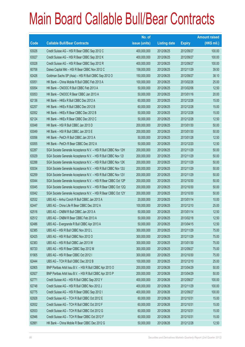|       |                                                                | No. of        |                     |               | <b>Amount raised</b> |
|-------|----------------------------------------------------------------|---------------|---------------------|---------------|----------------------|
| Code  | <b>Callable Bull/Bear Contracts</b>                            | issue (units) | <b>Listing date</b> | <b>Expiry</b> | $(HK$$ mil.)         |
| 63026 | Credit Suisse AG - HSI R Bear CBBC Sep 2012 C                  | 400,000,000   | 2012/06/25          | 2012/09/27    | 100.00               |
| 63027 | Credit Suisse AG - HSI R Bear CBBC Sep 2012 K                  | 400,000,000   | 2012/06/25          | 2012/09/27    | 100.00               |
| 63028 | Credit Suisse AG - HSI R Bear CBBC Sep 2012 R                  | 400,000,000   | 2012/06/25          | 2012/09/27    | 100.00               |
| 60706 | Daiwa Capital Mkt - HSI R Bear CBBC Nov 2012 C                 | 158,000,000   | 2012/06/25          | 2012/11/29    | 39.50                |
| 62426 | Goldman Sachs SP (Asia) - HSI R Bull CBBC Sep 2012 O           | 150,000,000   | 2012/06/25          | 2012/09/27    | 38.10                |
| 63051 | HK Bank - China Mobile R Bull CBBC Feb 2013 A                  | 100,000,000   | 2012/06/25          | 2013/02/26    | 25.00                |
| 63054 | HK Bank - CNOOC R Bull CBBC Feb 2013 A                         | 50,000,000    | 2012/06/25          | 2013/02/06    | 12.50                |
| 63053 | HK Bank - CNOOC R Bear CBBC Jan 2013 A                         | 50,000,000    | 2012/06/25          | 2013/01/16    | 20.00                |
| 62136 | HK Bank - HKEx R Bull CBBC Dec 2012 A                          | 60,000,000    | 2012/06/25          | 2012/12/28    | 15.00                |
| 62257 | HK Bank - HKEx R Bull CBBC Dec 2012 B                          | 60,000,000    | 2012/06/25          | 2012/12/28    | 15.00                |
| 62052 | HK Bank - HKEx R Bear CBBC Dec 2012 B                          | 50,000,000    | 2012/06/25          | 2012/12/28    | 15.00                |
| 62124 | HK Bank - HKEx R Bear CBBC Dec 2012 C                          | 50,000,000    | 2012/06/25          | 2012/12/28    | 12.50                |
| 63048 | HK Bank - HSI R Bull CBBC Jan 2013 D                           | 200,000,000   | 2012/06/25          | 2013/01/30    | 50.00                |
| 63049 | HK Bank - HSI R Bull CBBC Jan 2013 E                           | 200,000,000   | 2012/06/25          | 2013/01/30    | 50.00                |
| 63056 | HK Bank - PetCh R Bull CBBC Jan 2013 A                         | 50,000,000    | 2012/06/25          | 2013/01/28    | 12.50                |
| 63055 | HK Bank - PetCh R Bear CBBC Dec 2012 A                         | 50,000,000    | 2012/06/25          | 2012/12/20    | 12.50                |
| 62287 | SGA Societe Generale Acceptance N.V. - HSI R Bull CBBC Nov 12H | 200,000,000   | 2012/06/25          | 2012/11/29    | 50.00                |
| 63029 | SGA Societe Generale Acceptance N.V. - HSI R Bull CBBC Nov 121 | 200,000,000   | 2012/06/25          | 2012/11/29    | 50.00                |
| 62288 | SGA Societe Generale Acceptance N.V. - HSI R Bull CBBC Nov 12K | 200,000,000   | 2012/06/25          | 2012/11/29    | 50.00                |
| 63034 | SGA Societe Generale Acceptance N.V. - HSI R Bull CBBC Nov 12U | 200,000,000   | 2012/06/25          | 2012/11/29    | 50.00                |
| 62259 | SGA Societe Generale Acceptance N.V. - HSI R Bull CBBC Nov 12V | 200,000,000   | 2012/06/25          | 2012/11/29    | 50.00                |
| 63044 | SGA Societe Generale Acceptance N.V. - HSI R Bear CBBC Oct 12P | 200,000,000   | 2012/06/25          | 2012/10/30    | 50.00                |
| 63045 | SGA Societe Generale Acceptance N.V. - HSI R Bear CBBC Oct 12Q | 200,000,000   | 2012/06/25          | 2012/10/30    | 50.00                |
| 63042 | SGA Societe Generale Acceptance N.V. - HSI R Bear CBBC Oct 12Y | 200,000,000   | 2012/06/25          | 2012/10/30    | 50.00                |
| 62532 | UBS AG - Anhui Conch R Bull CBBC Jan 2013 A                    | 20,000,000    | 2012/06/25          | 2013/01/14    | 10.00                |
| 62447 | UBS AG - China Life R Bear CBBC Dec 2012 A                     | 100,000,000   | 2012/06/25          | 2012/12/10    | 25.00                |
| 62516 | UBS AG - CNBM R Bull CBBC Jan 2013 A                           | 50,000,000    | 2012/06/25          | 2013/01/14    | 12.50                |
| 62512 | UBS AG - CNBM R Bear CBBC Feb 2013 A                           | 50,000,000    | 2012/06/25          | 2013/02/18    | 12.50                |
| 62486 | UBS AG - Evergrande R Bull CBBC Apr 2013 A                     | 50,000,000    | 2012/06/25          | 2013/04/15    | 12.50                |
| 62385 | UBS AG - HSI R Bull CBBC Nov 2012 L                            | 300,000,000   | 2012/06/25          | 2012/11/29    | 75.00                |
| 62425 | UBS AG - HSI R Bull CBBC Nov 2012 O                            | 300,000,000   | 2012/06/25          | 2012/11/29    | 75.00                |
| 62383 | UBS AG - HSI R Bull CBBC Jan 2013 W                            | 300,000,000   | 2012/06/25          | 2013/01/30    | 75.00                |
| 60720 | UBS AG - HSI R Bear CBBC Sep 2012 M                            | 300,000,000   | 2012/06/25          | 2012/09/27    | 75.00                |
| 61905 | UBS AG - HSI R Bear CBBC Oct 2012 I                            | 300,000,000   | 2012/06/25          | 2012/10/30    | 75.00                |
| 62444 | UBS AG - TCH R Bull CBBC Dec 2012 B                            | 100,000,000   | 2012/06/25          | 2012/12/10    | 25.00                |
| 62905 | BNP Paribas Arbit Issu B.V. - HSI R Bull CBBC Apr 2013 O       | 200,000,000   | 2012/06/26          | 2013/04/29    | 50.00                |
| 62927 | BNP Paribas Arbit Issu B.V. - HSI R Bull CBBC Apr 2013 P       | 200,000,000   | 2012/06/26          | 2013/04/29    | 50.00                |
| 62771 | Credit Suisse AG - HSI R Bull CBBC Sep 2012 Y                  | 400,000,000   | 2012/06/26          | 2012/09/27    | 100.00               |
| 62748 | Credit Suisse AG - HSI R Bull CBBC Nov 2012 J                  | 400,000,000   | 2012/06/26          | 2012/11/29    | 100.00               |
| 62775 | Credit Suisse AG - HSI R Bear CBBC Sep 2012 I                  | 400,000,000   | 2012/06/26          | 2012/09/27    | 100.00               |
| 62928 | Credit Suisse AG - TCH R Bull CBBC Oct 2012 E                  | 60,000,000    | 2012/06/26          | 2012/10/31    | 15.00                |
| 62932 | Credit Suisse AG - TCH R Bull CBBC Oct 2012 F                  | 60,000,000    | 2012/06/26          | 2012/10/31    | 15.00                |
| 62933 | Credit Suisse AG - TCH R Bull CBBC Oct 2012 G                  | 60,000,000    | 2012/06/26          | 2012/10/31    | 15.00                |
| 62946 | Credit Suisse AG - TCH R Bear CBBC Oct 2012 F                  | 60,000,000    | 2012/06/26          | 2012/10/31    | 15.00                |
| 62881 | HK Bank - China Mobile R Bear CBBC Dec 2012 G                  | 50,000,000    | 2012/06/26          | 2012/12/28    | 12.50                |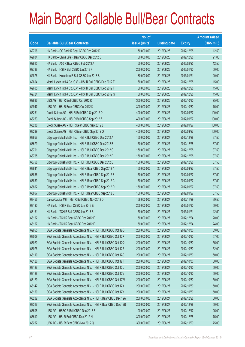|             |                                                                | No. of        |                     |               | <b>Amount raised</b> |
|-------------|----------------------------------------------------------------|---------------|---------------------|---------------|----------------------|
| <b>Code</b> | <b>Callable Bull/Bear Contracts</b>                            | issue (units) | <b>Listing date</b> | <b>Expiry</b> | (HK\$ mil.)          |
| 62796       | HK Bank – CC Bank R Bear CBBC Dec 2012 D                       | 50,000,000    | 2012/06/26          | 2012/12/28    | 12.50                |
| 62834       | HK Bank - China Life R Bear CBBC Dec 2012 E                    | 50,000,000    | 2012/06/26          | 2012/12/28    | 21.00                |
| 62815       | HK Bank - A50 R Bear CBBC Feb 2013 A                           | 50,000,000    | 2012/06/26          | 2013/02/25    | 12.50                |
| 62788       | HK Bank - HSI R Bull CBBC Jan 2013 F                           | 200,000,000   | 2012/06/26          | 2013/01/30    | 50.00                |
| 62876       | HK Bank - Hutchison R Bull CBBC Jan 2013 B                     | 80,000,000    | 2012/06/26          | 2013/01/21    | 20.00                |
| 62604       | Merrill Lynch Int'l & Co. C.V. - HSI R Bull CBBC Dec 2012 E    | 60,000,000    | 2012/06/26          | 2012/12/28    | 15.00                |
| 62605       | Merrill Lynch Int'l & Co. C.V. - HSI R Bull CBBC Dec 2012 F    | 60,000,000    | 2012/06/26          | 2012/12/28    | 15.00                |
| 62724       | Merrill Lynch Int'l & Co. C.V. - HSI R Bull CBBC Dec 2012 G    | 60,000,000    | 2012/06/26          | 2012/12/28    | 15.00                |
| 62886       | UBS AG - HSI R Bull CBBC Oct 2012 K                            | 300,000,000   | 2012/06/26          | 2012/10/30    | 75.00                |
| 62947       | UBS AG - HSI R Bear CBBC Oct 2012 K                            | 300,000,000   | 2012/06/26          | 2012/10/30    | 75.00                |
| 63281       | Credit Suisse AG - HSI R Bull CBBC Sep 2012 D                  | 400,000,000   | 2012/06/27          | 2012/09/27    | 100.00               |
| 63253       | Credit Suisse AG - HSI R Bull CBBC Sep 2012 Z                  | 400,000,000   | 2012/06/27          | 2012/09/27    | 100.00               |
| 63238       | Credit Suisse AG - HSI R Bear CBBC Sep 2012 J                  | 400,000,000   | 2012/06/27          | 2012/09/27    | 100.00               |
| 63239       | Credit Suisse AG - HSI R Bear CBBC Sep 2012 O                  | 400,000,000   | 2012/06/27          | 2012/09/27    | 100.00               |
| 63657       | Citigroup Global Mkt H Inc. - HSI R Bull CBBC Dec 2012 A       | 150,000,000   | 2012/06/27          | 2012/12/28    | 37.50                |
| 63679       | Citigroup Global Mkt H Inc. - HSI R Bull CBBC Dec 2012 B       | 150,000,000   | 2012/06/27          | 2012/12/28    | 37.50                |
| 63701       | Citigroup Global Mkt H Inc. - HSI R Bull CBBC Dec 2012 C       | 150,000,000   | 2012/06/27          | 2012/12/28    | 37.50                |
| 63765       | Citigroup Global Mkt H Inc. - HSI R Bull CBBC Dec 2012 D       | 150,000,000   | 2012/06/27          | 2012/12/28    | 37.50                |
| 63768       | Citigroup Global Mkt H Inc. - HSI R Bull CBBC Dec 2012 E       | 150,000,000   | 2012/06/27          | 2012/12/28    | 37.50                |
| 63841       | Citigroup Global Mkt H Inc. - HSI R Bear CBBC Sep 2012 A       | 150,000,000   | 2012/06/27          | 2012/09/27    | 37.50                |
| 63856       | Citigroup Global Mkt H Inc. - HSI R Bear CBBC Sep 2012 B       | 150,000,000   | 2012/06/27          | 2012/09/27    | 37.50                |
| 63859       | Citigroup Global Mkt H Inc. - HSI R Bear CBBC Sep 2012 C       | 150,000,000   | 2012/06/27          | 2012/09/27    | 37.50                |
| 63862       | Citigroup Global Mkt H Inc. - HSI R Bear CBBC Sep 2012 D       | 150,000,000   | 2012/06/27          | 2012/09/27    | 37.50                |
| 63867       | Citigroup Global Mkt H Inc. - HSI R Bear CBBC Sep 2012 E       | 150,000,000   | 2012/06/27          | 2012/09/27    | 37.50                |
| 63456       | Daiwa Capital Mkt - HSI R Bull CBBC Nov 2012 D                 | 158,000,000   | 2012/06/27          | 2012/11/29    | 39.50                |
| 63190       | HK Bank - HSI R Bear CBBC Jan 2013 E                           | 200,000,000   | 2012/06/27          | 2013/01/30    | 50.00                |
| 63161       | HK Bank - TCH R Bull CBBC Jan 2013 B                           | 50,000,000    | 2012/06/27          | 2013/01/21    | 12.50                |
| 63162       | HK Bank - TCH R Bear CBBC Dec 2012 E                           | 50,000,000    | 2012/06/27          | 2012/12/24    | 20.00                |
| 63167       | HK Bank - TCH R Bear CBBC Dec 2012 F                           | 50,000,000    | 2012/06/27          | 2012/12/24    | 24.00                |
| 62955       | SGA Societe Generale Acceptance N.V. - HSI R Bull CBBC Oct 120 | 200,000,000   | 2012/06/27          | 2012/10/30    | 59.00                |
| 63009       | SGA Societe Generale Acceptance N.V. - HSI R Bull CBBC Oct 12P | 200,000,000   | 2012/06/27          | 2012/10/30    | 57.00                |
| 63020       | SGA Societe Generale Acceptance N.V. - HSI R Bull CBBC Oct 12Q | 200,000,000   | 2012/06/27          | 2012/10/30    | 55.00                |
| 63076       | SGA Societe Generale Acceptance N.V. - HSI R Bull CBBC Oct 12R | 200,000,000   | 2012/06/27          | 2012/10/30    | 52.00                |
| 63110       | SGA Societe Generale Acceptance N.V. - HSI R Bull CBBC Oct 12S | 200,000,000   | 2012/06/27          | 2012/10/30    | 50.00                |
| 63126       | SGA Societe Generale Acceptance N.V. - HSI R Bull CBBC Oct 12T | 200,000,000   | 2012/06/27          | 2012/10/30    | 50.00                |
| 63127       | SGA Societe Generale Acceptance N.V. - HSI R Bull CBBC Oct 12U | 200,000,000   | 2012/06/27          | 2012/10/30    | 50.00                |
| 63128       | SGA Societe Generale Acceptance N.V. - HSI R Bull CBBC Oct 12V | 200,000,000   | 2012/06/27          | 2012/10/30    | 50.00                |
| 63129       | SGA Societe Generale Acceptance N.V. - HSI R Bull CBBC Oct 12W | 200,000,000   | 2012/06/27          | 2012/10/30    | 50.00                |
| 63142       | SGA Societe Generale Acceptance N.V. - HSI R Bull CBBC Oct 12X | 200,000,000   | 2012/06/27          | 2012/10/30    | 50.00                |
| 63150       | SGA Societe Generale Acceptance N.V. - HSI R Bull CBBC Oct 12Y | 200,000,000   | 2012/06/27          | 2012/10/30    | 50.00                |
| 63282       | SGA Societe Generale Acceptance N.V. - HSI R Bear CBBC Dec 12A | 200,000,000   | 2012/06/27          | 2012/12/28    | 50.00                |
| 63317       | SGA Societe Generale Acceptance N.V. - HSI R Bear CBBC Dec 12B | 200,000,000   | 2012/06/27          | 2012/12/28    | 50.00                |
| 63508       | UBS AG - HSBC R Bull CBBC Dec 2012 B                           | 100,000,000   | 2012/06/27          | 2012/12/17    | 25.00                |
| 63610       | UBS AG - HSI R Bull CBBC Dec 2012 N                            | 300,000,000   | 2012/06/27          | 2012/12/28    | 75.00                |
| 63252       | UBS AG - HSI R Bear CBBC Nov 2012 Q                            | 300,000,000   | 2012/06/27          | 2012/11/29    | 75.00                |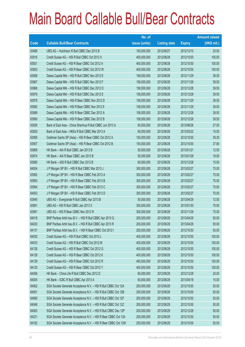|             |                                                                | No. of        |                     |               | <b>Amount raised</b> |
|-------------|----------------------------------------------------------------|---------------|---------------------|---------------|----------------------|
| <b>Code</b> | <b>Callable Bull/Bear Contracts</b>                            | issue (units) | <b>Listing date</b> | <b>Expiry</b> | $(HK$$ mil.)         |
| 63488       | UBS AG - Hutchison R Bull CBBC Dec 2012 B                      | 100,000,000   | 2012/06/27          | 2012/12/10    | 25.00                |
| 63916       | Credit Suisse AG - HSI R Bull CBBC Oct 2012 X                  | 400,000,000   | 2012/06/28          | 2012/10/30    | 100.00               |
| 63921       | Credit Suisse AG - HSI R Bear CBBC Oct 2012 A                  | 400,000,000   | 2012/06/28          | 2012/10/30    | 100.00               |
| 63953       | Credit Suisse AG - HSI R Bear CBBC Oct 2012 W                  | 400,000,000   | 2012/06/28          | 2012/10/30    | 100.00               |
| 63958       | Daiwa Capital Mkt - HSI R Bull CBBC Nov 2012 E                 | 158,000,000   | 2012/06/28          | 2012/11/29    | 39.50                |
| 63967       | Daiwa Capital Mkt - HSI R Bull CBBC Nov 2012 F                 | 158,000,000   | 2012/06/28          | 2012/11/29    | 39.50                |
| 63968       | Daiwa Capital Mkt - HSI R Bull CBBC Dec 2012 D                 | 158,000,000   | 2012/06/28          | 2012/12/28    | 39.50                |
| 63976       | Daiwa Capital Mkt - HSI R Bull CBBC Dec 2012 E                 | 158,000,000   | 2012/06/28          | 2012/12/28    | 39.50                |
| 63978       | Daiwa Capital Mkt - HSI R Bear CBBC Nov 2012 D                 | 158,000,000   | 2012/06/28          | 2012/11/29    | 39.50                |
| 63982       | Daiwa Capital Mkt - HSI R Bear CBBC Nov 2012 E                 | 158,000,000   | 2012/06/28          | 2012/11/29    | 39.50                |
| 63989       | Daiwa Capital Mkt - HSI R Bear CBBC Dec 2012 A                 | 158,000,000   | 2012/06/28          | 2012/12/28    | 39.50                |
| 63990       | Daiwa Capital Mkt - HSI R Bear CBBC Dec 2012 B                 | 158,000,000   | 2012/06/28          | 2012/12/28    | 39.50                |
| 63926       | Bank of East Asia - China Shenhua R Bull CBBC Jun 2013 A       | 60,000,000    | 2012/06/28          | 2013/06/26    | 27.00                |
| 63925       | Bank of East Asia - HKEx R Bull CBBC Mar 2013 A                | 60,000,000    | 2012/06/28          | 2013/03/22    | 15.00                |
| 63956       | Goldman Sachs SP (Asia) - HSI R Bear CBBC Oct 2012 A           | 150,000,000   | 2012/06/28          | 2012/10/30    | 39.30                |
| 63957       | Goldman Sachs SP (Asia) - HSI R Bear CBBC Oct 2012 B           | 150,000,000   | 2012/06/28          | 2012/10/30    | 37.80                |
| 63868       | HK Bank - AIA R Bull CBBC Jan 2013 B                           | 50,000,000    | 2012/06/28          | 2013/01/21    | 12.50                |
| 63874       | HK Bank - AIA R Bear CBBC Jan 2013 B                           | 50,000,000    | 2012/06/28          | 2013/01/28    | 19.00                |
| 63890       | HK Bank - A50 R Bull CBBC Dec 2012 B                           | 60,000,000    | 2012/06/28          | 2012/12/28    | 15.00                |
| 64004       | J P Morgan SP BV - HSI R Bull CBBC Mar 2013 J                  | 300,000,000   | 2012/06/28          | 2013/03/27    | 75.00                |
| 63992       | J P Morgan SP BV - HSI R Bear CBBC Feb 2013 A                  | 300,000,000   | 2012/06/28          | 2013/02/27    | 75.00                |
| 63993       | J P Morgan SP BV - HSI R Bear CBBC Feb 2013 B                  | 300,000,000   | 2012/06/28          | 2013/02/27    | 75.00                |
| 63994       | J P Morgan SP BV - HSI R Bear CBBC Feb 2013 C                  | 300,000,000   | 2012/06/28          | 2013/02/27    | 75.00                |
| 64003       | J P Morgan SP BV - HSI R Bear CBBC Feb 2013 D                  | 300,000,000   | 2012/06/28          | 2013/02/27    | 75.00                |
| 63945       | UBS AG - Evergrande R Bull CBBC Apr 2013 B                     | 50,000,000    | 2012/06/28          | 2013/04/29    | 12.50                |
| 63891       | UBS AG - HSI R Bull CBBC Jan 2013 X                            | 300,000,000   | 2012/06/28          | 2013/01/30    | 75.00                |
| 63991       | UBS AG - HSI R Bear CBBC Nov 2012 R                            | 300,000,000   | 2012/06/28          | 2012/11/29    | 75.00                |
| 64018       | BNP Paribas Arbit Issu B.V. - HSI R Bull CBBC Apr 2013 Q       | 200,000,000   | 2012/06/29          | 2013/04/29    | 50.00                |
| 64020       | BNP Paribas Arbit Issu B.V. - HSI R Bull CBBC Apr 2013 R       | 200,000,000   | 2012/06/29          | 2013/04/29    | 50.00                |
| 64131       | BNP Paribas Arbit Issu B.V. - HSI R Bear CBBC Oct 2012 I       | 200,000,000   | 2012/06/29          | 2012/10/30    | 50.00                |
| 64030       | Credit Suisse AG - HSI R Bull CBBC Oct 2012 L                  | 400,000,000   | 2012/06/29          | 2012/10/30    | 100.00               |
| 64033       | Credit Suisse AG - HSI R Bull CBBC Oct 2012 M                  | 400,000,000   | 2012/06/29          | 2012/10/30    | 100.00               |
| 64126       | Credit Suisse AG - HSI R Bear CBBC Oct 2012 G                  | 400,000,000   | 2012/06/29          | 2012/10/30    | 100.00               |
| 64128       | Credit Suisse AG - HSI R Bear CBBC Oct 2012 K                  | 400,000,000   | 2012/06/29          | 2012/10/30    | 100.00               |
| 64129       | Credit Suisse AG - HSI R Bear CBBC Oct 2012 R                  | 400,000,000   | 2012/06/29          | 2012/10/30    | 100.00               |
| 64125       | Credit Suisse AG - HSI R Bear CBBC Oct 2012 Y                  | 400,000,000   | 2012/06/29          | 2012/10/30    | 100.00               |
| 64006       | HK Bank - China Life R Bull CBBC Dec 2012 D                    | 80,000,000    | 2012/06/29          | 2012/12/28    | 20.00                |
| 64005       | HK Bank - ICBC R Bull CBBC Apr 2013 A                          | 60,000,000    | 2012/06/29          | 2013/04/18    | 15.00                |
| 64062       | SGA Societe Generale Acceptance N.V. - HSI R Bull CBBC Oct 12A | 200,000,000   | 2012/06/29          | 2012/10/30    | 50.00                |
| 64061       | SGA Societe Generale Acceptance N.V. - HSI R Bull CBBC Oct 12B | 200,000,000   | 2012/06/29          | 2012/10/30    | 50.00                |
| 64060       | SGA Societe Generale Acceptance N.V. - HSI R Bull CBBC Oct 12F | 200,000,000   | 2012/06/29          | 2012/10/30    | 50.00                |
| 64048       | SGA Societe Generale Acceptance N.V. - HSI R Bull CBBC Oct 12Z | 200,000,000   | 2012/06/29          | 2012/10/30    | 50.00                |
| 64063       | SGA Societe Generale Acceptance N.V. - HSI R Bull CBBC Dec 12P | 200,000,000   | 2012/06/29          | 2012/12/28    | 50.00                |
| 64221       | SGA Societe Generale Acceptance N.V. - HSI R Bear CBBC Oct 12A | 200,000,000   | 2012/06/29          | 2012/10/30    | 50.00                |
| 64182       | SGA Societe Generale Acceptance N.V. - HSI R Bear CBBC Oct 12W | 200,000,000   | 2012/06/29          | 2012/10/30    | 50.00                |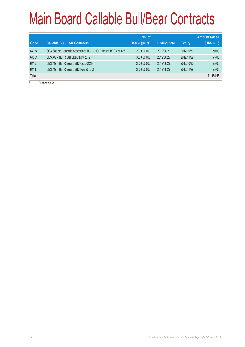|              |                                                                | No. of        |                     |               | <b>Amount raised</b> |
|--------------|----------------------------------------------------------------|---------------|---------------------|---------------|----------------------|
| <b>Code</b>  | <b>Callable Bull/Bear Contracts</b>                            | issue (units) | <b>Listing date</b> | <b>Expiry</b> | (HK\$ mil.)          |
| 64184        | SGA Societe Generale Acceptance N.V. - HSI R Bear CBBC Oct 12Z | 200,000,000   | 2012/06/29          | 2012/10/30    | 50.00                |
| 64064        | UBS AG - HSI R Bull CBBC Nov 2012 P                            | 300,000,000   | 2012/06/29          | 2012/11/29    | 75.00                |
| 64165        | UBS AG - HSI R Bear CBBC Oct 2012 H                            | 300,000,000   | 2012/06/29          | 2012/10/30    | 75.00                |
| 64145        | UBS AG - HSI R Bear CBBC Nov 2012 S                            | 300,000,000   | 2012/06/29          | 2012/11/29    | 75.00                |
| <b>Total</b> |                                                                |               |                     |               | 91,955.65            |
| #            | <b>Eurther issue</b>                                           |               |                     |               |                      |

Further issue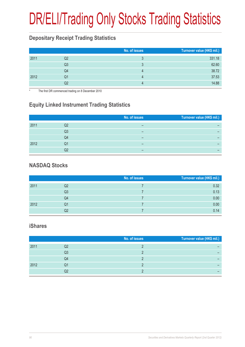# DR/ELI/Trading Only Stocks Trading Statistics

### **Depositary Receipt Trading Statistics**

|      |    | No. of issues | Turnover value (HK\$ mil.) |
|------|----|---------------|----------------------------|
| 2011 | Q2 |               | 331.18                     |
|      | Q3 |               | 62.60                      |
|      | Q4 |               | 38.72                      |
| 2012 | Q1 | 4             | 37.53                      |
|      | Q2 |               | 14.88                      |

The first DR commenced trading on 8 December 2010

### **Equity Linked Instrument Trading Statistics**

|      |    | No. of issues | Turnover value (HK\$ mil.) |
|------|----|---------------|----------------------------|
|      |    |               |                            |
| 2011 | Q2 |               |                            |
|      | Q3 |               |                            |
|      |    |               |                            |
|      | Q4 | –             |                            |
| 2012 | Q1 | –             |                            |
|      |    |               |                            |

#### **NASDAQ Stocks**

|      |                | No. of issues | Turnover value (HK\$ mil.) |
|------|----------------|---------------|----------------------------|
| 2011 | Q2             |               | 0.32                       |
|      | Q <sub>3</sub> |               | 0.13                       |
|      | Q4             |               | 0.00                       |
| 2012 | Q1             |               | 0.00                       |
|      | Q2             |               | 0.14                       |

#### **iShares**

| No. of issues | Turnover value (HK\$ mil.) |
|---------------|----------------------------|
|               |                            |
|               |                            |
|               |                            |
|               |                            |
|               |                            |
|               | Q3<br>Q4<br>Q1             |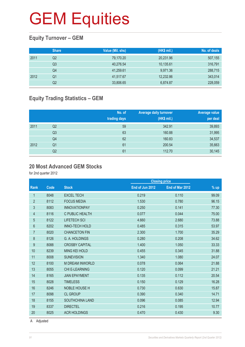### **Equity Turnover – GEM**

|      | <b>Share</b> | Value (Mil. shs) | (HK\$ mil.) | No. of deals |
|------|--------------|------------------|-------------|--------------|
| 2011 | Q2           | 79,170.20        | 20,231.96   | 507,155      |
|      | Q3           | 40,276.54        | 10,135.61   | 316,791      |
|      | Q4           | 41,259.61        | 9,971.36    | 288,715      |
| 2012 | Q1           | 41,517.67        | 12,232.86   | 343,014      |
|      | Q2           | 33,806.65        | 6,874.87    | 228,059      |

### **Equity Trading Statistics – GEM**

|      |                | No. of<br>trading days | <b>Average daily turnover</b><br>(HK\$ mil.) | Average value<br>per deal |
|------|----------------|------------------------|----------------------------------------------|---------------------------|
| 2011 | Q2             | 59                     | 342.91                                       | 39,893                    |
|      | Q <sub>3</sub> | 63                     | 160.88                                       | 31,995                    |
|      | Q4             | 62                     | 160.83                                       | 34,537                    |
| 2012 | Q <sub>1</sub> | 61                     | 200.54                                       | 35,663                    |
|      | Q2             | 61                     | 112.70                                       | 30,145                    |

#### **20 Most Advanced GEM Stocks**

for 2nd quarter 2012

|                |      |                        |                 | <b>Closing price</b> |        |
|----------------|------|------------------------|-----------------|----------------------|--------|
| Rank           | Code | <b>Stock</b>           | End of Jun 2012 | End of Mar 2012      | $%$ up |
| 1              | 8048 | <b>EXCEL TECH</b>      | 0.219           | 0.110                | 99.09  |
| $\overline{2}$ | 8112 | <b>FOCUS MEDIA</b>     | 1.530           | 0.780                | 96.15  |
| 3              | 8083 | <b>INNOVATIONPAY</b>   | 0.250           | 0.141                | 77.30  |
| 4              | 8116 | C PUBLIC HEALTH        | 0.077           | 0.044                | 75.00  |
| 5              | 8122 | <b>LIFETECH SCI</b>    | 4.660           | 2.680                | 73.88  |
| 6              | 8202 | <b>INNO-TECH HOLD</b>  | 0.485           | 0.315                | 53.97  |
| $\overline{7}$ | 8020 | <b>CHANCETON FIN</b>   | 2.300           | 1.700                | 35.29  |
| 8              | 8126 | G. A. HOLDINGS         | 0.280           | 0.208                | 34.62  |
| 9              | 8088 | <b>CROSBY CAPITAL</b>  | 1.400           | 1.050                | 33.33  |
| 10             | 8239 | <b>MING KEI HOLD</b>   | 0.455           | 0.345                | 31.88  |
| 11             | 8008 | <b>SUNEVISION</b>      | 1.340           | 1.080                | 24.07  |
| 12             | 8100 | <b>M DREAM INWORLD</b> | 0.078           | 0.064                | 21.88  |
| 13             | 8055 | <b>CHI E-LEARNING</b>  | 0.120           | 0.099                | 21.21  |
| 14             | 8165 | <b>JIAN EPAYMENT</b>   | 0.135           | 0.112                | 20.54  |
| 15             | 8028 | <b>TIMELESS</b>        | 0.150           | 0.129                | 16.28  |
| 16             | 8246 | <b>NOBLE HOUSE H</b>   | 0.730           | 0.630                | 15.87  |
| 17             | 8098 | <b>CL GROUP</b>        | 0.390           | 0.340                | 14.71  |
| 18             | 8155 | SOUTHCHINA LAND        | 0.096           | 0.085                | 12.94  |
| 19             | 8337 | <b>DIRECTEL</b>        | 0.216           | 0.195                | 10.77  |
| 20             | 8025 | <b>ACR HOLDINGS</b>    | 0.470           | 0.430                | 9.30   |
|                |      |                        |                 |                      |        |

A Adjusted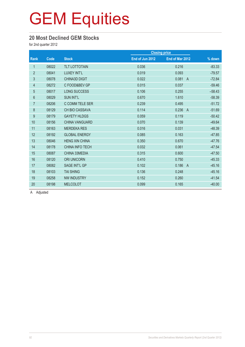#### **20 Most Declined GEM Stocks**

for 2nd quarter 2012

| Code  | <b>Stock</b>           | End of Jun 2012 | End of Mar 2012         | % down               |
|-------|------------------------|-----------------|-------------------------|----------------------|
| 08022 | <b>TLT LOTTOTAIN</b>   | 0.036           | 0.216                   | $-83.33$             |
| 08041 | LUXEY INT'L            | 0.019           | 0.093                   | $-79.57$             |
| 08078 | <b>CHINA3D DIGIT</b>   | 0.022           | 0.081<br>$\overline{A}$ | $-72.84$             |
| 08272 | C FOOD&BEV GP          | 0.015           | 0.037                   | $-59.46$             |
| 08017 | <b>LONG SUCCESS</b>    | 0.106           | 0.255                   | $-58.43$             |
| 08029 | <b>SUN INT'L</b>       | 0.670           | 1.610                   | $-58.39$             |
| 08206 | C COMM TELE SER        | 0.239           | 0.495                   | $-51.72$             |
| 08129 | <b>CH BIO CASSAVA</b>  | 0.114           | 0.236<br>$\overline{A}$ | $-51.69$             |
| 08179 | <b>GAYETY HLDGS</b>    | 0.059           | 0.119                   | $-50.42$             |
| 08156 | <b>CHINA VANGUARD</b>  | 0.070           | 0.139                   | $-49.64$             |
| 08163 | <b>MERDEKA RES</b>     | 0.016           | 0.031                   | $-48.39$             |
| 08192 | <b>GLOBAL ENERGY</b>   | 0.085           | 0.163                   | $-47.85$             |
| 08046 | <b>HENG XIN CHINA</b>  | 0.350           | 0.670                   | $-47.76$             |
| 08178 | <b>CHINA INFO TECH</b> | 0.032           | 0.061                   | $-47.54$             |
| 08087 | CHINA 33MEDIA          | 0.315           | 0.600                   | $-47.50$             |
| 08120 | <b>ORI UNICORN</b>     | 0.410           | 0.750                   | $-45.33$             |
| 08082 | <b>SAGE INT'L GP</b>   | 0.102           | 0.186<br>$\overline{A}$ | $-45.16$             |
| 08103 | <b>TAI SHING</b>       | 0.136           | 0.248                   | $-45.16$             |
| 08258 | <b>NW INDUSTRY</b>     | 0.152           | 0.260                   | $-41.54$             |
| 08198 | <b>MELCOLOT</b>        | 0.099           | 0.165                   | $-40.00$             |
|       |                        |                 |                         | <b>Closing price</b> |

A Adjusted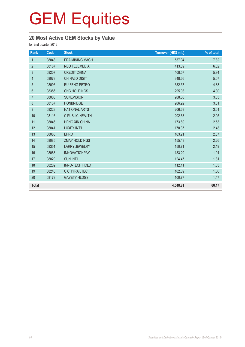### **20 Most Active GEM Stocks by Value**

for 2nd quarter 2012

| Rank             | Code  | <b>Stock</b>           | Turnover (HK\$ mil.) | % of total |
|------------------|-------|------------------------|----------------------|------------|
| $\mathbf{1}$     | 08043 | <b>ERA MINING MACH</b> | 537.94               | 7.82       |
| $\overline{2}$   | 08167 | <b>NEO TELEMEDIA</b>   | 413.89               | 6.02       |
| 3                | 08207 | <b>CREDIT CHINA</b>    | 408.57               | 5.94       |
| 4                | 08078 | <b>CHINA3D DIGIT</b>   | 348.66               | 5.07       |
| $\overline{5}$   | 08096 | RUIFENG PETRO          | 332.37               | 4.83       |
| $\boldsymbol{6}$ | 08356 | <b>CNC HOLDINGS</b>    | 295.93               | 4.30       |
| $\overline{7}$   | 08008 | <b>SUNEVISION</b>      | 208.36               | 3.03       |
| 8                | 08137 | <b>HONBRIDGE</b>       | 206.92               | 3.01       |
| $\boldsymbol{9}$ | 08228 | <b>NATIONAL ARTS</b>   | 206.68               | 3.01       |
| 10               | 08116 | C PUBLIC HEALTH        | 202.68               | 2.95       |
| 11               | 08046 | <b>HENG XIN CHINA</b>  | 173.60               | 2.53       |
| 12               | 08041 | LUXEY INT'L            | 170.37               | 2.48       |
| 13               | 08086 | <b>EPRO</b>            | 163.21               | 2.37       |
| 14               | 08085 | <b>ZMAY HOLDINGS</b>   | 155.48               | 2.26       |
| 15               | 08351 | <b>LARRY JEWELRY</b>   | 150.71               | 2.19       |
| 16               | 08083 | <b>INNOVATIONPAY</b>   | 133.20               | 1.94       |
| 17               | 08029 | <b>SUN INT'L</b>       | 124.47               | 1.81       |
| 18               | 08202 | <b>INNO-TECH HOLD</b>  | 112.11               | 1.63       |
| 19               | 08240 | <b>C CITYRAILTEC</b>   | 102.89               | 1.50       |
| 20               | 08179 | <b>GAYETY HLDGS</b>    | 100.77               | 1.47       |
| <b>Total</b>     |       |                        | 4,548.81             | 66.17      |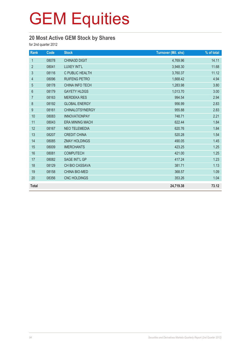### **20 Most Active GEM Stock by Shares**

for 2nd quarter 2012

| Rank             | Code  | <b>Stock</b>           | <b>Turnover (Mil. shs)</b> | % of total |
|------------------|-------|------------------------|----------------------------|------------|
| $\mathbf{1}$     | 08078 | <b>CHINA3D DIGIT</b>   | 4,769.96                   | 14.11      |
| $\overline{2}$   | 08041 | LUXEY INT'L            | 3,948.30                   | 11.68      |
| $\mathfrak{S}$   | 08116 | C PUBLIC HEALTH        | 3,760.37                   | 11.12      |
| 4                | 08096 | RUIFENG PETRO          | 1,668.42                   | 4.94       |
| 5                | 08178 | <b>CHINA INFO TECH</b> | 1,283.98                   | 3.80       |
| $6\phantom{1}$   | 08179 | <b>GAYETY HLDGS</b>    | 1,013.70                   | 3.00       |
| $\overline{7}$   | 08163 | <b>MERDEKA RES</b>     | 994.54                     | 2.94       |
| $\,8\,$          | 08192 | <b>GLOBAL ENERGY</b>   | 956.99                     | 2.83       |
| $\boldsymbol{9}$ | 08161 | <b>CHINALOTSYNERGY</b> | 955.88                     | 2.83       |
| 10               | 08083 | <b>INNOVATIONPAY</b>   | 748.71                     | 2.21       |
| 11               | 08043 | <b>ERA MINING MACH</b> | 622.44                     | 1.84       |
| 12               | 08167 | <b>NEO TELEMEDIA</b>   | 620.76                     | 1.84       |
| 13               | 08207 | <b>CREDIT CHINA</b>    | 520.28                     | 1.54       |
| 14               | 08085 | <b>ZMAY HOLDINGS</b>   | 490.05                     | 1.45       |
| 15               | 08009 | <b>IMERCHANTS</b>      | 423.25                     | 1.25       |
| 16               | 08081 | <b>COMPUTECH</b>       | 421.00                     | 1.25       |
| 17               | 08082 | SAGE INT'L GP          | 417.24                     | 1.23       |
| 18               | 08129 | CH BIO CASSAVA         | 381.71                     | 1.13       |
| 19               | 08158 | <b>CHINA BIO-MED</b>   | 368.57                     | 1.09       |
| 20               | 08356 | CNC HOLDINGS           | 353.26                     | 1.04       |
| <b>Total</b>     |       |                        | 24,719.38                  | 73.12      |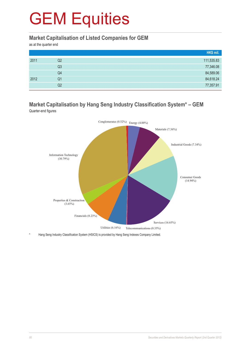#### **Market Capitalisation of Listed Companies for GEM**

as at the quarter end

|      |    | HK\$ mil.  |
|------|----|------------|
| 2011 | Q2 | 111,535.83 |
|      | Q3 | 77,346.08  |
|      | Q4 | 84,589.06  |
| 2012 | Q1 | 84,618.24  |
|      | Q2 | 77,357.91  |

#### **Market Capitalisation by Hang Seng Industry Classification System\* – GEM** Quarter-end figures



Hang Seng Industry Classification System (HSICS) is provided by Hang Seng Indexes Company Limited.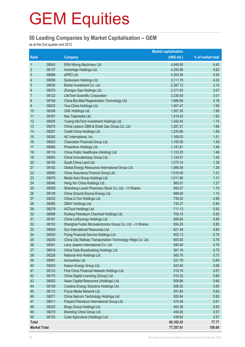#### **50 Leading Companies by Market Capitalisation – GEM**

as at the 2nd quarter end 2012

|                     | <b>Market capitalisation</b> |                                                             |             |                   |
|---------------------|------------------------------|-------------------------------------------------------------|-------------|-------------------|
| Rank                |                              | <b>Company</b>                                              | (HK\$ mil.) | % of market total |
| $\mathbf{1}$        | 08043                        | ERA Mining Machinery Ltd.                                   | 4,948.80    | 6.40              |
| $\overline{2}$      | 08137                        | Honbridge Holdings Ltd.                                     | 4,350.98    | 5.62              |
| $\mathfrak{S}$      | 08086                        | ePRO Ltd.                                                   | 4,303.59    | 5.56              |
| $\overline{4}$      | 08008                        | Sunevision Holdings Ltd.                                    | 3,111.79    | 4.02              |
| 5                   | 08035                        | Binhai Investment Co. Ltd.                                  | 2,397.12    | 3.10              |
| $6\phantom{1}6$     | 08070                        | Zhongyu Gas Holdings Ltd.                                   | 2,371.63    | 3.07              |
| 7                   | 08122                        | LifeTech Scientific Corporation                             | 2,330.00    | 3.01              |
| $\bf 8$             | 08158                        | China Bio-Med Regeneration Technology Ltd.                  | 1,686.59    | 2.18              |
| $\boldsymbol{9}$    | 08032                        | Viva China Holdings Ltd.                                    | 1,507.47    | 1.95              |
| 10                  | 08356                        | CNC Holdings Ltd.                                           | 1,507.26    | 1.95              |
| 11                  | 08167                        | Neo Telemedia Ltd.                                          | 1,419.42    | 1.83              |
| 12                  | 08005                        | Yuxing InfoTech Investment Holdings Ltd.                    | 1,342.44    | 1.74              |
| 13                  | 08270                        | China Leason CBM & Shale Gas Group Co. Ltd.                 | 1,281.31    | 1.66              |
| 14                  | 08207                        | Credit China Holdings Ltd.                                  | 1,233.66    | 1.59              |
| 15                  | 08292                        | HC International, Inc.                                      | 1,169.03    | 1.51              |
| 16                  | 08020                        | Chanceton Financial Group Ltd.                              | 1,150.00    | 1.49              |
| 17                  | 08066                        | Phoenitron Holdings Ltd.                                    | 1,147.81    | 1.48              |
| 18                  | 08116                        | China Public Healthcare (Holding) Ltd.                      | 1,133.25    | 1.46              |
| 19                  | 08083                        | China Innovationpay Group Ltd.                              | 1,124.91    | 1.45              |
| 20                  | 08155                        | South China Land Ltd.                                       | 1,073.14    | 1.39              |
| 21                  | 08192                        | Global Energy Resources International Group Ltd.            | 1,066.58    | 1.38              |
| 22                  | 08090                        | China Assurance Finance Group Ltd.                          | 1,016.40    | 1.31              |
| 23                  | 08075                        | Media Asia Group Holdings Ltd.                              | 1,011.80    | 1.31              |
| 24                  | 08046                        | Heng Xin China Holdings Ltd.                                | 983.01      | 1.27              |
| 25                  | 08058                        | Shandong Luoxin Pharmacy Stock Co. Ltd. - H Shares          | 890.27      | 1.15              |
| 26                  | 08128                        | China Ground Source Energy Ltd.                             | 888.08      | 1.15              |
| 27                  | 08232                        | China U-Ton Holdings Ltd.                                   | 739.20      | 0.96              |
| 28                  | 08085                        | ZMAY Holdings Ltd.                                          | 735.37      | 0.95              |
| 29                  | 08279                        | AGTech Holdings Ltd.                                        | 711.13      | 0.92              |
| 30                  | 08096                        | Ruifeng Petroleum Chemical Holdings Ltd.                    | 709.15      | 0.92              |
| 31                  | 08161                        | China LotSynergy Holdings Ltd.                              | 685.64      | 0.89              |
| 32                  | 08102                        | Shanghai Fudan Microelectronics Group Co. Ltd. - H Shares   | 654.29      | 0.85              |
| 33                  | 08029                        | Sun International Resources Ltd.                            | 621.49      | 0.80              |
| 34                  | 08030                        | Flying Financial Service Holdings Ltd.                      | 602.13      | 0.78              |
| 35                  | 08240                        | China City Railway Transportation Technology HIdgs Co. Ltd. | 600.00      | 0.78              |
| 36                  | 08351                        | Larry Jewelry International Co. Ltd.                        | 590.48      | 0.76              |
| 37                  | 08016                        | China Data Broadcasting Holdings Ltd.                       | 581.16      | 0.75              |
| 38                  | 08228                        | National Arts Holdings Ltd.                                 | 565.78      | 0.73              |
| 39                  | 08061                        | AcrossAsia Ltd.                                             | 531.78      | 0.69              |
| 40                  | 08203                        | Kaisun Energy Group Ltd.                                    | 523.40      | 0.68              |
| 41                  | 08123                        | First China Financial Network Holdings Ltd.                 | 519.74      | 0.67              |
| 42                  | 08175                        | China Digital Licensing (Group) Ltd.                        | 510.32      | 0.66              |
| 43                  | 08025                        | Asian Capital Resources (Holdings) Ltd.                     | 508.86      | 0.66              |
| 44                  | 08109                        | Creative Energy Solutions Holdings Ltd.                     | 506.20      | 0.65              |
| 45                  | 08112                        | Focus Media Network Ltd.                                    | 501.84      | 0.65              |
| 46                  | 08071                        | China Netcom Technology Holdings Ltd.                       | 500.64      | 0.65              |
| 47                  | 08011                        | Polyard Petroleum International Group Ltd.                  | 474.49      | 0.61              |
| 48                  | 08220                        | Bingo Group Holdings Ltd.                                   | 463.36      | 0.60              |
| 49                  | 08219                        | Branding China Group Ltd.                                   | 440.00      | 0.57              |
| 50                  | 08153                        | Code Agriculture (Holdings) Ltd.                            | 439.64      | 0.57              |
| <b>Total</b>        |                              |                                                             | 60,162.43   | 77.77             |
| <b>Market Total</b> |                              |                                                             | 77,357.91   | 100.00            |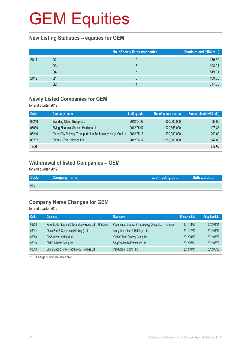#### **New Listing Statistics – equities for GEM**

|      |    | No. of newly listed companies | Funds raised (HK\$ mil.) |
|------|----|-------------------------------|--------------------------|
| 2011 | Q2 |                               | 139.50                   |
|      | Q3 |                               | 193.04                   |
|      | Q4 | 5                             | 549.31                   |
| 2012 | Q1 |                               | 189.80                   |
|      | Q2 |                               | 617.66                   |

#### **Newly Listed Companies for GEM**

for 2nd quarter 2012

| Code         | Company name                                                | <b>Listing date</b> | No. of issued shares | Funds raised (HK\$ mil.) |
|--------------|-------------------------------------------------------------|---------------------|----------------------|--------------------------|
| 08219        | Branding China Group Ltd.                                   | 2012/04/27          | 200,000,000          | 99.00                    |
| 08030        | Flying Financial Service Holdings Ltd.                      | 2012/05/07          | 1,020,555,000        | 175.86                   |
| 08240        | China City Railway Transportation Technology Hldgs Co. Ltd. | 2012/05/16          | 800,000,000          | 200.00                   |
| 08232        | China U-Ton Holdings Ltd.                                   | 2012/06/12          | 1,680,000,000        | 142.80                   |
| <b>Total</b> |                                                             |                     |                      | 617.66                   |

#### **Withdrawal of listed Companies – GEM**

for 2nd quarter 2012

| <b>Code</b> | <b>Company name</b> | <b>Last trading date</b> | Delisted date |
|-------------|---------------------|--------------------------|---------------|
| <b>NIL</b>  |                     |                          |               |

#### **Company Name Changes for GEM**

for 2nd quarter 2012

| Code  | Old name                                                 | New name                                               | <b>Effective date</b> | <b>Adoption date</b> |
|-------|----------------------------------------------------------|--------------------------------------------------------|-----------------------|----------------------|
| 08236 | Powerleader Science & Technology Group Ltd. - H Shares # | Powerleader Science & Technology Group Ltd. - H Shares | 2011/11/25            | 2012/04/11           |
| 08041 | China Post E-Commerce (Holdings) Ltd.                    | Luxey International (Holdings) Ltd.                    | 2011/12/22            | 2012/05/11           |
| 08050 | FlexSystem Holdings Ltd.                                 | Yunbo Digital Synergy Group Ltd.                       | 2012/04/13            | 2012/05/22           |
| 08010 | SMI Publishing Group Ltd.                                | Sing Pao Media Enterprises Ltd.                        | 2012/05/11            | 2012/05/28           |
| 08053 | China Electric Power Technology Holdings Ltd.            | Pizu Group Holdings Ltd.                               | 2012/04/11            | 2012/05/30           |

# Change of Chinese name only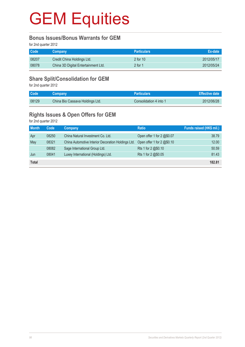#### **Bonus Issues/Bonus Warrants for GEM**

for 2nd quarter 2012

| <b>Code</b> | <b>Company</b>                      | <b>Particulars</b> | Ex-date    |
|-------------|-------------------------------------|--------------------|------------|
| 08207       | Credit China Holdings Ltd.          | 2 for $101$        | 2012/05/17 |
| 08078       | China 3D Digital Entertainment Ltd. | $2$ for 1          | 2012/05/24 |

#### **Share Split/Consolidation for GEM**

for 2nd quarter 2012

| Code  | <b>Company</b>                  | <b>Particulars</b>     | <b>Effective date</b> |
|-------|---------------------------------|------------------------|-----------------------|
| 08129 | China Bio Cassava Holdings Ltd. | Consolidation 4 into 1 | 2012/06/28            |

#### **Rights Issues & Open Offers for GEM**

for 2nd quarter 2012

| <b>Month</b> | Code  | <b>Company</b>                                     | <b>Ratio</b>               | Funds raised (HK\$ mil.) |
|--------------|-------|----------------------------------------------------|----------------------------|--------------------------|
| Apr          | 08250 | China Natural Investment Co. Ltd.                  | Open offer 1 for 2 @\$0.07 | 38.79                    |
| May          | 08321 | China Automotive Interior Decoration Holdings Ltd. | Open offer 1 for 2 @\$0.10 | 12.00                    |
|              | 08082 | Sage International Group Ltd.                      | Rts 1 for 2 @\$0.10        | 50.59                    |
| Jun          | 08041 | Luxey International (Holdings) Ltd.                | Rts 1 for 2 @\$0.05        | 81.43                    |
| <b>Total</b> |       |                                                    |                            | 182.81                   |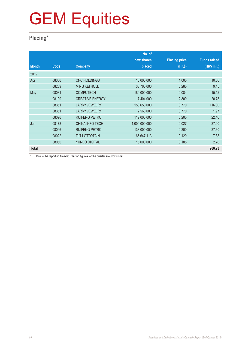### **Placing\***

|              |       |                        | No. of        |                      |                     |
|--------------|-------|------------------------|---------------|----------------------|---------------------|
|              |       |                        | new shares    | <b>Placing price</b> | <b>Funds raised</b> |
| <b>Month</b> | Code  | Company                | placed        | (HK\$)               | (HK\$ mil.)         |
| 2012         |       |                        |               |                      |                     |
| Apr          | 08356 | <b>CNC HOLDINGS</b>    | 10,000,000    | 1.000                | 10.00               |
|              | 08239 | <b>MING KEI HOLD</b>   | 33,760,000    | 0.280                | 9.45                |
| May          | 08081 | <b>COMPUTECH</b>       | 180,000,000   | 0.084                | 15.12               |
|              | 08109 | <b>CREATIVE ENERGY</b> | 7,404,000     | 2.800                | 20.73               |
|              | 08351 | <b>LARRY JEWELRY</b>   | 150,650,000   | 0.770                | 116.00              |
|              | 08351 | <b>LARRY JEWELRY</b>   | 2,560,000     | 0.770                | 1.97                |
|              | 08096 | <b>RUIFENG PETRO</b>   | 112,000,000   | 0.200                | 22.40               |
| Jun          | 08178 | <b>CHINA INFO TECH</b> | 1,000,000,000 | 0.027                | 27.00               |
|              | 08096 | <b>RUIFENG PETRO</b>   | 138,000,000   | 0.200                | 27.60               |
|              | 08022 | <b>TLT LOTTOTAIN</b>   | 65,647,113    | 0.120                | 7.88                |
|              | 08050 | <b>YUNBO DIGITAL</b>   | 15,000,000    | 0.185                | 2.78                |
| <b>Total</b> |       |                        |               |                      | 260.93              |

\* Due to the reporting time-lag, placing figures for the quarter are provisional.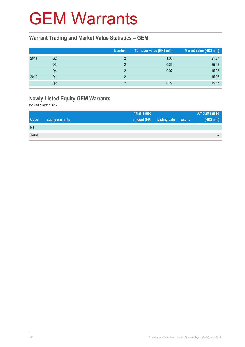### GEM Warrants

#### **Warrant Trading and Market Value Statistics – GEM**

|      |    | <b>Number</b> | Turnover value (HK\$ mil.) | Market value (HK\$ mil.) |
|------|----|---------------|----------------------------|--------------------------|
| 2011 | Q2 |               | 1.03                       | 21.87                    |
|      | Q3 |               | 0.23                       | 25.46                    |
|      | Q4 |               | 0.07                       | 15.97                    |
| 2012 | Q1 |               | $\overline{\phantom{0}}$   | 15.97                    |
|      | Q2 |               | 0.27                       | 15.17                    |

### **Newly Listed Equity GEM Warrants**

for 2nd quarter 2012

|              |                        | <b>Initial issued</b> |                     |               | <b>Amount raised</b> |
|--------------|------------------------|-----------------------|---------------------|---------------|----------------------|
| <b>Code</b>  | <b>Equity warrants</b> | amount (HK)           | <b>Listing date</b> | <b>Expiry</b> | (HK\$ mil.)          |
| Nil          |                        |                       |                     |               |                      |
| <b>Total</b> |                        |                       |                     |               | $\equiv$             |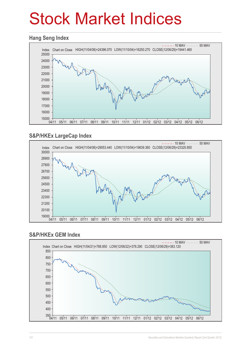# Stock Market Indices

#### **Hang Seng Index**



#### **S&P/HKEx LargeCap Index**



#### **S&P/HKEx GEM Index**

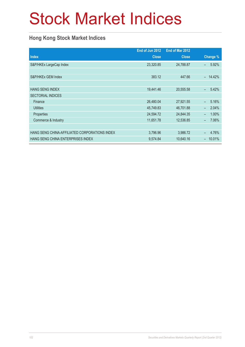# Stock Market Indices

### **Hong Kong Stock Market Indices**

|                                               | End of Jun 2012 | End of Mar 2012 |                                   |
|-----------------------------------------------|-----------------|-----------------|-----------------------------------|
| <b>Index</b>                                  | <b>Close</b>    | <b>Close</b>    | Change %                          |
| S&P/HKEx LargeCap Index                       | 23,320.85       | 24,788.87       | 5.92%<br>-                        |
|                                               |                 |                 |                                   |
| S&P/HKEx GEM Index                            | 383.12          | 447.66          | 14.42%<br>$\equiv$                |
|                                               |                 |                 |                                   |
| <b>HANG SENG INDEX</b>                        | 19,441.46       | 20,555.58       | 5.42%<br>$\overline{\phantom{0}}$ |
| <b>SECTORIAL INDICES</b>                      |                 |                 |                                   |
| Finance                                       | 26,480.04       | 27,921.55       | 5.16%<br>$\equiv$                 |
| <b>Utilities</b>                              | 45,749.83       | 46,701.88       | 2.04%<br>$\equiv$                 |
| Properties                                    | 24,594.72       | 24,844.35       | 1.00%<br>$\overline{\phantom{0}}$ |
| Commerce & Industry                           | 11,651.78       | 12,536.85       | 7.06%<br>$\overline{\phantom{0}}$ |
|                                               |                 |                 |                                   |
| HANG SENG CHINA-AFFILIATED CORPORATIONS INDEX | 3,796.96        | 3,986.72        | 4.76%<br>-                        |
| HANG SENG CHINA ENTERPRISES INDEX             | 9,574.84        | 10,640.16       | 10.01%<br>-                       |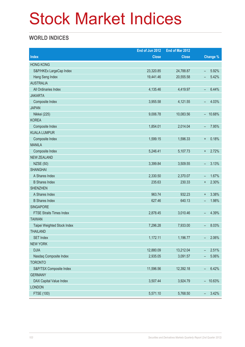# Stock Market Indices

#### **WORLD INDICES**

|                                 | End of Jun 2012 | End of Mar 2012 |                          |           |
|---------------------------------|-----------------|-----------------|--------------------------|-----------|
| <b>Index</b>                    | <b>Close</b>    | <b>Close</b>    |                          | Change %  |
| <b>HONG KONG</b>                |                 |                 |                          |           |
| S&P/HKEx LargeCap Index         | 23,320.85       | 24,788.87       | ÷,                       | 5.92%     |
| Hang Seng Index                 | 19,441.46       | 20,555.58       | -                        | 5.42%     |
| <b>AUSTRALIA</b>                |                 |                 |                          |           |
| All Ordinaries Index            | 4,135.46        | 4,419.97        | -                        | 6.44%     |
| <b>JAKARTA</b>                  |                 |                 |                          |           |
| Composite Index                 | 3,955.58        | 4,121.55        | $\qquad \qquad -$        | 4.03%     |
| <b>JAPAN</b>                    |                 |                 |                          |           |
| Nikkei (225)                    | 9,006.78        | 10,083.56       |                          | $-10.68%$ |
| <b>KOREA</b>                    |                 |                 |                          |           |
| Composite Index                 | 1,854.01        | 2,014.04        | -                        | 7.95%     |
| <b>KUALA LUMPUR</b>             |                 |                 |                          |           |
| Composite Index                 | 1,599.15        | 1,596.33        | $\ddot{}$                | 0.18%     |
| <b>MANILA</b>                   |                 |                 |                          |           |
| Composite Index                 | 5,246.41        | 5,107.73        | $\ddot{}$                | 2.72%     |
| <b>NEW ZEALAND</b>              |                 |                 |                          |           |
| <b>NZSE (50)</b>                | 3,399.84        | 3,509.55        | -                        | 3.13%     |
| <b>SHANGHAI</b>                 |                 |                 |                          |           |
| A Shares Index                  | 2,330.50        | 2,370.07        | $\qquad \qquad -$        | 1.67%     |
| <b>B</b> Shares Index           | 235.63          | 230.33          | $\ddot{}$                | 2.30%     |
| <b>SHENZHEN</b>                 |                 |                 |                          |           |
| A Shares Index                  | 963.74          | 932.23          | $\ddot{}$                | 3.38%     |
| <b>B</b> Shares Index           | 627.46          | 640.13          | -                        | 1.98%     |
| <b>SINGAPORE</b>                |                 |                 |                          |           |
| <b>FTSE Straits Times Index</b> | 2,878.45        | 3,010.46        | -                        | 4.39%     |
| <b>TAIWAN</b>                   |                 |                 |                          |           |
| Taipei Weighted Stock Index     | 7,296.28        | 7,933.00        | -                        | 8.03%     |
| <b>THAILAND</b>                 |                 |                 |                          |           |
| <b>SET Index</b>                | 1,172.11        | 1,196.77        |                          | 2.06%     |
| <b>NEW YORK</b>                 |                 |                 |                          |           |
| <b>DJIA</b>                     | 12,880.09       | 13,212.04       | -                        | 2.51%     |
| Nasdaq Composite Index          | 2,935.05        | 3,091.57        | -                        | 5.06%     |
| <b>TORONTO</b>                  |                 |                 |                          |           |
| S&P/TSX Composite Index         | 11,596.56       | 12,392.18       | $\overline{\phantom{a}}$ | 6.42%     |
| <b>GERMANY</b>                  |                 |                 |                          |           |
| DAX Capital Value Index         | 3,507.44        | 3,924.79        | $\overline{\phantom{0}}$ | 10.63%    |
| <b>LONDON</b>                   |                 |                 |                          |           |
| <b>FTSE (100)</b>               | 5,571.10        | 5,768.50        | $\qquad \qquad -$        | 3.42%     |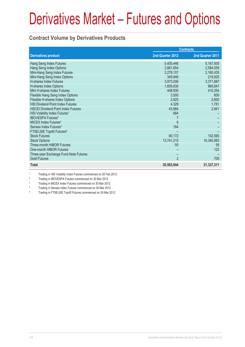#### **Contract Volume by Derivatives Products**

|                                           | <b>Contracts</b> |                  |  |
|-------------------------------------------|------------------|------------------|--|
| <b>Derivatives product</b>                | 2nd Quarter 2012 | 2nd Quarter 2011 |  |
| Hang Seng Index Futures                   | 5,405,446        | 5,167,935        |  |
| Hang Seng Index Options                   | 2,661,654        | 2,584,559        |  |
| Mini-Hang Seng Index Futures              | 2,278,107        | 2,160,435        |  |
| Mini-Hang Seng Index Options              | 349,946          | 219,925          |  |
| <b>H-shares Index Futures</b>             | 3,973,006        | 3,371,887        |  |
| H-shares Index Options                    | 1,609,830        | 969,847          |  |
| Mini H-shares Index Futures               | 448,935          | 410,354          |  |
| Flexible Hang Seng Index Options          | 3,500            | 600              |  |
| Flexible H-shares Index Options           | 2,925            | 2,600            |  |
| <b>HSI Dividend Point Index Futures</b>   | 4,329            | 1,781            |  |
| <b>HSCEI Dividend Point Index Futures</b> | 43,884           | 2,941            |  |
| HSI Volatility Index Futures <sup>1</sup> | 664              |                  |  |
| <b>IBOVESPA Futures<sup>2</sup></b>       |                  |                  |  |
| MICEX Index Futures <sup>3</sup>          | 8                |                  |  |
| Sensex Index Futures <sup>4</sup>         | 164              |                  |  |
| FTSE/JSE Top40 Futures <sup>5</sup>       |                  |                  |  |
| <b>Stock Futures</b>                      | 60,172           | 102,565          |  |
| <b>Stock Options</b>                      | 13,741,210       | 16,340,993       |  |
| Three-month HIBOR Futures                 | 55               | 58               |  |
| One-month HIBOR Futures                   |                  | 122              |  |
| Three-year Exchange Fund Note Futures     |                  |                  |  |
| <b>Gold Futures</b>                       | $\overline{2}$   | 709              |  |
| <b>Total</b>                              | 30,583,844       | 31,337,311       |  |

1 Trading in HSI Volatility Index Futures commenced on 20 Feb 2012

2 Trading in IBOVESPA Futures commenced on 30 Mar 2012

3 Trading in MICEX Index Futures commenced on 30 Mar 2012

4 Trading in Sensex Index Futures commenced on 30 Mar 2012

5 Trading in FTSE/JSE Top40 Futures commenced on 30 Mar 2012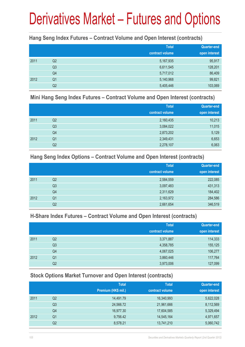#### **Hang Seng Index Futures – Contract Volume and Open Interest (contracts)**

|      |                | <b>Total</b>    | <b>Quarter-end</b> |
|------|----------------|-----------------|--------------------|
|      |                | contract volume | open interest      |
| 2011 | Q2             | 5,167,935       | 95,917             |
|      | Q <sub>3</sub> | 6,611,545       | 128,201            |
|      | Q4             | 5,717,012       | 86,409             |
| 2012 | Q <sub>1</sub> | 5,140,968       | 99,821             |
|      | Q <sub>2</sub> | 5,405,446       | 103,069            |

#### **Mini Hang Seng Index Futures – Contract Volume and Open Interest (contracts)**

|      |                | <b>Total</b><br>contract volume | Quarter-end<br>open interest |
|------|----------------|---------------------------------|------------------------------|
| 2011 | Q2             | 2,160,435                       | 10,213                       |
|      | Q <sub>3</sub> | 3,084,022                       | 11,015                       |
|      | Q4             | 2,873,202                       | 5,129                        |
| 2012 | Q <sub>1</sub> | 2,349,431                       | 6,653                        |
|      | Q <sub>2</sub> | 2,278,107                       | 6,063                        |

#### **Hang Seng Index Options – Contract Volume and Open Interest (contracts)**

|      |                | <b>Total</b>    | Quarter-end   |
|------|----------------|-----------------|---------------|
|      |                | contract volume | open interest |
| 2011 | Q2             | 2,584,559       | 222,085       |
|      | Q <sub>3</sub> | 3,097,483       | 431,313       |
|      | Q4             | 2,311,629       | 184,402       |
| 2012 | Q <sub>1</sub> | 2,163,972       | 284,586       |
|      | Q2             | 2,661,654       | 346,519       |

#### **H-Share Index Futures – Contract Volume and Open Interest (contracts)**

|      |                | <b>Total</b>    | <b>Quarter-end</b> |
|------|----------------|-----------------|--------------------|
|      |                | contract volume | open interest      |
| 2011 | Q <sub>2</sub> | 3,371,887       | 114,333            |
|      | Q3             | 4,358,785       | 155,125            |
|      | Q4             | 4,067,025       | 106,277            |
| 2012 | Q <sub>1</sub> | 3,860,446       | 117,764            |
|      | Q2             | 3,973,006       | 127,099            |

#### **Stock Options Market Turnover and Open Interest (contracts)**

|    | <b>Total</b>        | <b>Total</b>    | <b>Quarter-end</b> |
|----|---------------------|-----------------|--------------------|
|    | Premium (HK\$ mil.) | contract volume | open interest      |
| Q2 | 14,491.79           | 16,340,993      | 5,622,028          |
| Q3 | 24,566.72           | 21,961,666      | 8,112,569          |
| Q4 | 16,977.30           | 17,604,585      | 5,329,494          |
| Q1 | 9,756.42            | 14,545,164      | 4,971,657          |
| Q2 | 8,578.21            | 13,741,210      | 5,060,742          |
|    |                     |                 |                    |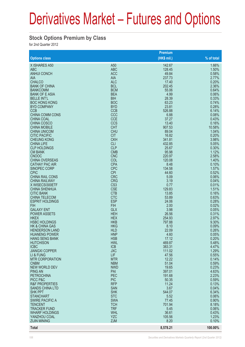#### **Stock Options Premium by Class**

for 2nd Quarter 2012

|                                                   |                               | Premium        |                |
|---------------------------------------------------|-------------------------------|----------------|----------------|
| <b>Options class</b>                              |                               | $(HK$$ mil.)   | % of total     |
| X ISHARES A50                                     | A <sub>50</sub>               | 142.67         | 1.66%          |
| <b>ABC</b>                                        | <b>ABC</b>                    | 128.45         | 1.50%          |
| <b>ANHUI CONCH</b>                                | <b>ACC</b>                    | 49.84          | 0.58%          |
| <b>AIA</b>                                        | <b>AIA</b>                    | 237.73         | 2.77%          |
| <b>CHALCO</b>                                     | <b>ALC</b>                    | 17.40          | 0.20%          |
| <b>BANK OF CHINA</b>                              | <b>BCL</b>                    | 202.45         | 2.36%          |
| <b>BANKCOMM</b><br><b>BANK OF E ASIA</b>          | <b>BCM</b><br><b>BEA</b>      | 55.06<br>4.99  | 0.64%<br>0.06% |
| <b>BELLE INT'L</b>                                | <b>BIH</b>                    | 28.39          | 0.33%          |
| <b>BOC HONG KONG</b>                              | <b>BOC</b>                    | 63.23          | 0.74%          |
| <b>BYD COMPANY</b>                                | <b>BYD</b>                    | 23.81          | 0.28%          |
| <b>CCB</b>                                        | <b>CCB</b>                    | 526.88         | 6.14%          |
| <b>CHINA COMM CONS</b>                            | CCC                           | 6.88           | 0.08%          |
| <b>CHINA COAL</b>                                 | <b>CCE</b>                    | 37.27          | 0.43%          |
| CHINA COSCO                                       | <b>CCS</b>                    | 13.40          | 0.16%          |
| <b>CHINA MOBILE</b>                               | <b>CHT</b>                    | 907.53         | 10.58%         |
| <b>CHINA UNICOM</b><br><b>CITIC PACIFIC</b>       | <b>CHU</b>                    | 89.04<br>16.82 | 1.04%          |
| <b>CHEUNG KONG</b>                                | <b>CIT</b><br><b>CKH</b>      | 341.81         | 0.20%<br>3.98% |
| <b>CHINA LIFE</b>                                 | <b>CLI</b>                    | 432.85         | 5.05%          |
| <b>CLP HOLDINGS</b>                               | <b>CLP</b>                    | 25.67          | 0.30%          |
| <b>CM BANK</b>                                    | <b>CMB</b>                    | 95.98          | 1.12%          |
| <b>CNOOC</b>                                      | <b>CNC</b>                    | 220.97         | 2.58%          |
| <b>CHINA OVERSEAS</b>                             | COL                           | 120.08         | 1.40%          |
| <b>CATHAY PAC AIR</b>                             | <b>CPA</b>                    | 8.48           | 0.10%          |
| <b>SINOPEC CORP</b>                               | <b>CPC</b>                    | 134.58         | 1.57%          |
| <b>CPIC</b>                                       | <b>CPI</b>                    | 44.60          | 0.52%          |
| <b>CHINA RAIL CONS</b>                            | <b>CRC</b>                    | 5.09           | 0.06%          |
| <b>CHINA RAILWAY</b><br>X WISECSI300ETF           | <b>CRG</b><br>CS <sub>3</sub> | 3.19<br>0.77   | 0.04%<br>0.01% |
| <b>CHINA SHENHUA</b>                              | <b>CSE</b>                    | 129.83         | 1.51%          |
| <b>CITIC BANK</b>                                 | <b>CTB</b>                    | 13.85          | 0.16%          |
| <b>CHINA TELECOM</b>                              | <b>CTC</b>                    | 53.89          | 0.63%          |
| <b>ESPRIT HOLDINGS</b>                            | <b>ESP</b>                    | 24.06          | 0.28%          |
| <b>FIH</b>                                        | <b>FIH</b>                    | 2.00           | 0.02%          |
| <b>GALAXY ENT</b>                                 | <b>GLX</b>                    | 3.98           | 0.05%          |
| <b>POWER ASSETS</b>                               | <b>HEH</b>                    | 26.56          | 0.31%          |
| <b>HKEX</b>                                       | <b>HEX</b>                    | 254.93         | 2.97%          |
| <b>HSBC HOLDINGS</b><br><b>HK &amp; CHINA GAS</b> | <b>HKB</b><br><b>HKG</b>      | 797.88<br>8.10 | 9.30%<br>0.09% |
| <b>HENDERSON LAND</b>                             | <b>HLD</b>                    | 22.09          | 0.26%          |
| <b>HUANENG POWER</b>                              | <b>HNP</b>                    | 4.60           | 0.05%          |
| <b>HANG SENG BANK</b>                             | <b>HSB</b>                    | 17.12          | 0.20%          |
| <b>HUTCHISON</b>                                  | <b>HWL</b>                    | 469.87         | 5.48%          |
| <b>ICBC</b>                                       | <b>ICB</b>                    | 383.31         | 4.47%          |
| <b>JIANGXI COPPER</b>                             | <b>JXC</b>                    | 111.02         | 1.29%          |
| LI & FUNG                                         | LIF                           | 47.56          | 0.55%          |
| <b>MTR CORPORATION</b>                            | <b>MTR</b>                    | 12.22          | 0.14%          |
| <b>CNBM</b><br><b>NEW WORLD DEV</b>               | <b>NBM</b><br><b>NWD</b>      | 51.04<br>19.65 | 0.59%<br>0.23% |
| <b>PING AN</b>                                    | PAI                           | 397.01         | 4.63%          |
| <b>PETROCHINA</b>                                 | PEC                           | 191.68         | 2.23%          |
| PICC P&C                                          | <b>PIC</b>                    | 50.35          | 0.59%          |
| <b>R&amp;F PROPERTIES</b>                         | <b>RFP</b>                    | 11.24          | 0.13%          |
| <b>SANDS CHINA LTD</b>                            | <b>SAN</b>                    | 3.67           | 0.04%          |
| <b>SHK PPT</b>                                    | <b>SHK</b>                    | 544.07         | 6.34%          |
| <b>STANCHART</b>                                  | <b>STC</b>                    | 5.52           | 0.06%          |
| <b>SWIRE PACIFIC A</b>                            | <b>SWA</b>                    | 77.45          | 0.90%          |
| <b>TENCENT</b>                                    | <b>TCH</b>                    | 701.94         | 8.18%          |
| <b>TRACKER FUND</b><br><b>WHARF HOLDINGS</b>      | <b>TRF</b><br><b>WHL</b>      | 5.45<br>36.61  | 0.06%<br>0.43% |
| YANZHOU COAL                                      | <b>YZC</b>                    | 105.56         | 1.23%          |
| <b>ZIJIN MINING</b>                               | <b>ZJM</b>                    | 8.20           | 0.10%          |
|                                                   |                               |                |                |
| <b>Total</b>                                      |                               | 8,578.21       | 100.00%        |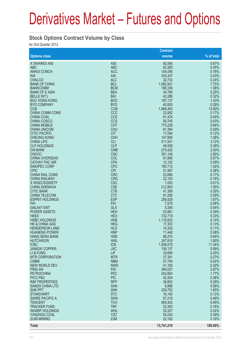#### **Stock Options Contract Volume by Class**

for 2nd Quarter 2012

|                                               |                          | <b>Contract</b>   |                |
|-----------------------------------------------|--------------------------|-------------------|----------------|
| <b>Options class</b>                          |                          | volume            | % of total     |
| X ISHARES A50                                 | A50                      | 92,065            | 0.67%          |
| <b>ABC</b>                                    | <b>ABC</b>               | 62,300            | 0.45%          |
| <b>ANHUI CONCH</b>                            | <b>ACC</b>               | 104,095           | 0.76%          |
| <b>AIA</b>                                    | <b>AIA</b>               | 334,347           | 2.43%          |
| <b>CHALCO</b>                                 | <b>ALC</b>               | 32,733            | 0.24%          |
| <b>BANK OF CHINA</b>                          | <b>BCL</b>               | 1,065,541         | 7.75%          |
| <b>BANKCOMM</b>                               | <b>BCM</b>               | 186,339           | 1.36%          |
| <b>BANK OF E ASIA</b><br><b>BELLE INT'L</b>   | <b>BEA</b>               | 34,790            | 0.25%<br>0.32% |
| <b>BOC HONG KONG</b>                          | <b>BIH</b><br><b>BOC</b> | 43,286<br>197,137 | 1.43%          |
| <b>BYD COMPANY</b>                            | <b>BYD</b>               | 40,005            | 0.29%          |
| <b>CCB</b>                                    | <b>CCB</b>               | 1,868,493         | 13.60%         |
| CHINA COMM CONS                               | CCC                      | 23,062            | 0.17%          |
| <b>CHINA COAL</b>                             | <b>CCE</b>               | 61,434            | 0.45%          |
| <b>CHINA COSCO</b>                            | CCS                      | 59,745            | 0.43%          |
| <b>CHINA MOBILE</b>                           | <b>CHT</b>               | 775,228           | 5.64%          |
| <b>CHINA UNICOM</b>                           | <b>CHU</b>               | 81,394            | 0.59%          |
| <b>CITIC PACIFIC</b>                          | <b>CIT</b>               | 17,094            | 0.12%          |
| <b>CHEUNG KONG</b>                            | <b>CKH</b>               | 147,856           | 1.08%          |
| <b>CHINA LIFE</b>                             | <b>CLI</b>               | 511,541           | 3.72%          |
| <b>CLP HOLDINGS</b>                           | <b>CLP</b>               | 49,508            | 0.36%          |
| <b>CM BANK</b>                                | <b>CMB</b>               | 275,422           | 2.00%          |
| <b>CNOOC</b>                                  | <b>CNC</b>               | 391,146           | 2.85%          |
| <b>CHINA OVERSEAS</b>                         | COL                      | 91,885            | 0.67%          |
| <b>CATHAY PAC AIR</b>                         | <b>CPA</b><br><b>CPC</b> | 12,152            | 0.09%<br>1.42% |
| SINOPEC CORP<br><b>CPIC</b>                   | <b>CPI</b>               | 195,712<br>51,567 | 0.38%          |
| <b>CHINA RAIL CONS</b>                        | <b>CRC</b>               | 23,666            | 0.17%          |
| <b>CHINA RAILWAY</b>                          | <b>CRG</b>               | 22,153            | 0.16%          |
| X WISECSI300ETF                               | CS <sub>3</sub>          | 1,093             | 0.01%          |
| <b>CHINA SHENHUA</b>                          | <b>CSE</b>               | 212,953           | 1.55%          |
| <b>CITIC BANK</b>                             | <b>CTB</b>               | 41,389            | 0.30%          |
| <b>CHINA TELECOM</b>                          | <b>CTC</b>               | 81,285            | 0.59%          |
| <b>ESPRIT HOLDINGS</b>                        | <b>ESP</b>               | 256,829           | 1.87%          |
| <b>FIH</b>                                    | <b>FIH</b>               | 7,579             | 0.06%          |
| <b>GALAXY ENT</b>                             | <b>GLX</b>               | 5,306             | 0.04%          |
| <b>POWER ASSETS</b>                           | <b>HEH</b>               | 53,861            | 0.39%          |
| <b>HKEX</b>                                   | <b>HEX</b>               | 732,719           | 5.33%          |
| <b>HSBC HOLDINGS</b>                          | <b>HKB</b>               | 1,118,823         | 8.14%          |
| <b>HK &amp; CHINA GAS</b>                     | <b>HKG</b>               | 17,303            | 0.13%          |
| <b>HENDERSON LAND</b>                         | <b>HLD</b>               | 15,320            | 0.11%          |
| <b>HUANENG POWER</b><br><b>HANG SENG BANK</b> | <b>HNP</b><br><b>HSB</b> | 11,448<br>88,274  | 0.08%<br>0.64% |
| <b>HUTCHISON</b>                              | <b>HWL</b>               | 247,815           | 1.80%          |
| <b>ICBC</b>                                   | <b>ICB</b>               | 1,558,075         | 11.34%         |
| <b>JIANGXI COPPER</b>                         | <b>JXC</b>               | 136,137           | 0.99%          |
| LI & FUNG                                     | LIF                      | 33,695            | 0.25%          |
| <b>MTR CORPORATION</b>                        | <b>MTR</b>               | 37,391            | 0.27%          |
| <b>CNBM</b>                                   | <b>NBM</b>               | 57,704            | 0.42%          |
| <b>NEW WORLD DEV</b>                          | <b>NWD</b>               | 41,165            | 0.30%          |
| <b>PING AN</b>                                | PAI                      | 394,027           | 2.87%          |
| <b>PETROCHINA</b>                             | PEC                      | 242,664           | 1.77%          |
| PICC P&C                                      | <b>PIC</b>               | 52,424            | 0.38%          |
| <b>R&amp;F PROPERTIES</b>                     | <b>RFP</b>               | 38,802            | 0.28%          |
| <b>SANDS CHINA LTD</b>                        | <b>SAN</b>               | 8,886             | 0.06%          |
| <b>SHK PPT</b>                                | <b>SHK</b>               | 226,752           | 1.65%          |
| <b>STANCHART</b>                              | <b>STC</b><br><b>SWA</b> | 16,140            | 0.12%<br>0.49% |
| <b>SWIRE PACIFIC A</b><br><b>TENCENT</b>      | <b>TCH</b>               | 67,216<br>955,403 | 6.95%          |
| <b>TRACKER FUND</b>                           | <b>TRF</b>               | 22,393            | 0.16%          |
| <b>WHARF HOLDINGS</b>                         | <b>WHL</b>               | 32,427            | 0.24%          |
| YANZHOU COAL                                  | <b>YZC</b>               | 54,034            | 0.39%          |
| <b>ZIJIN MINING</b>                           | <b>ZJM</b>               | 22,182            | 0.16%          |
| <b>Total</b>                                  |                          | 13,741,210        | 100.00%        |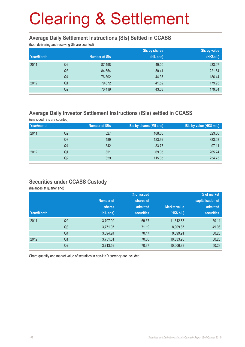#### **Average Daily Settlement Instructions (SIs) Settled in CCASS**

(both delivering and receiving SIs are counted)

|            |                |                      | Sis by shares | Sis by value |
|------------|----------------|----------------------|---------------|--------------|
| Year/Month |                | <b>Number of SIs</b> | (bil. shs)    | (HK\$bil.)   |
| 2011       | Q <sub>2</sub> | 87,498               | 49.00         | 233.07       |
|            | Q <sub>3</sub> | 84,654               | 50.41         | 221.54       |
|            | Q4             | 76,802               | 44.37         | 186.44       |
| 2012       | Q <sub>1</sub> | 79,872               | 41.52         | 179.93       |
|            | Q2             | 70,419               | 43.03         | 179.84       |

### **Average Daily Investor Settlement Instructions (ISIs) settled in CCASS**

(one sided ISIs are counted)

| Year/month |    | <b>Number of ISIs</b> | ISIs by shares (Mil shs) | ISIs by value (HK\$ mil.) |
|------------|----|-----------------------|--------------------------|---------------------------|
| 2011       | Q2 | 527                   | 108.05                   | 323.66                    |
|            | Q3 | 489                   | 123.92                   | 383.03                    |
|            | Q4 | 342                   | 83.77                    | 97.11                     |
| 2012       | Q1 | 351                   | 69.05                    | 265.24                    |
|            | Q2 | 329                   | 115.35                   | 254.73                    |

#### **Securities under CCASS Custody**

(balances at quarter end)

|            |                |                  | % of issued       |                     | % of market       |  |
|------------|----------------|------------------|-------------------|---------------------|-------------------|--|
|            |                | <b>Number of</b> | shares of         |                     | capitalisation of |  |
|            |                | <b>shares</b>    | admitted          | <b>Market value</b> | admitted          |  |
| Year/Month |                | (bil. shs)       | <b>securities</b> | (HK\$ bil.)         | <b>securities</b> |  |
| 2011       | Q <sub>2</sub> | 3,707.09         | 69.37             | 11,612.87           | 50.11             |  |
|            | Q <sub>3</sub> | 3,771.07         | 71.19             | 8,909.87            | 49.96             |  |
|            | Q4             | 3,694.24         | 70.17             | 9,599.91            | 50.23             |  |
| 2012       | Q <sub>1</sub> | 3,751.61         | 70.60             | 10,833.95           | 50.26             |  |
|            | Q <sub>2</sub> | 3,713.59         | 70.37             | 10,006.88           | 50.29             |  |

Share quantity and market value of securities in non-HKD currency are included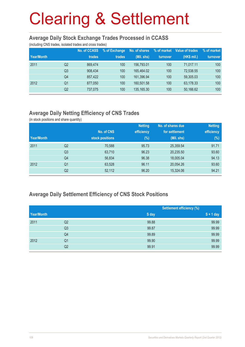#### **Average Daily Stock Exchange Trades Processed in CCASS**

(including CNS trades, isolated trades and cross trades)

| Year/Month |                | <b>No. of CCASS</b><br>trades | % of Exchange<br>trades | No. of shares<br>(Mil. shs) | % of market<br>turnover | Value of trades<br>(HK\$ mil.) | % of market<br>turnover |
|------------|----------------|-------------------------------|-------------------------|-----------------------------|-------------------------|--------------------------------|-------------------------|
|            |                |                               |                         |                             |                         |                                |                         |
| 2011       | Q2             | 869.474                       | 100                     | 156.793.01                  | 100                     | 71.017.11                      | 100                     |
|            | Q <sub>3</sub> | 908.434                       | 100                     | 165.464.02                  | 100                     | 72,538.55                      | 100                     |
|            | Q4             | 857.422                       | 100                     | 161.396.94                  | 100                     | 59,305.03                      | 100                     |
| 2012       | Q <sub>1</sub> | 877,050                       | 100                     | 160.501.58                  | 100                     | 63,178.33                      | 100                     |
|            | Q2             | 737,075                       | 100                     | 135,165.30                  | 100                     | 50,166.62                      | 100                     |

### **Average Daily Netting Efficiency of CNS Trades**

(in stock positions and share quantity)

|            |                |                 | <b>Netting</b> | No. of shares due | <b>Netting</b> |
|------------|----------------|-----------------|----------------|-------------------|----------------|
|            |                | No. of CNS      | efficiency     | for settlement    | efficiency     |
| Year/Month |                | stock positions | $(\%)$         | (Mil. shs)        | $(\%)$         |
| 2011       | Q <sub>2</sub> | 70,588          | 95.73          | 25,359.54         | 91.71          |
|            | Q <sub>3</sub> | 63,710          | 96.23          | 20,235.50         | 93.60          |
|            | Q <sub>4</sub> | 56,834          | 96.38          | 18,005.04         | 94.13          |
| 2012       | Q <sub>1</sub> | 63,528          | 96.11          | 20,054.26         | 93.60          |
|            | Q <sub>2</sub> | 52,112          | 96.20          | 15,324.06         | 94.21          |

### **Average Daily Settlement Efficiency of CNS Stock Positions**

|            |                |       | <b>Settlement efficiency (%)</b> |
|------------|----------------|-------|----------------------------------|
| Year/Month |                | S day | $S + 1$ day                      |
| 2011       | Q2             | 99.88 | 99.99                            |
|            | Q <sub>3</sub> | 99.87 | 99.99                            |
|            | Q4             | 99.89 | 99.99                            |
| 2012       | Q <sub>1</sub> | 99.90 | 99.99                            |
|            | Q2             | 99.91 | 99.99                            |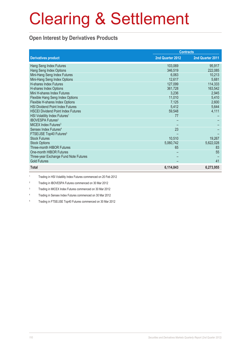#### **Open Interest by Derivatives Products**

|                                           | <b>Contracts</b> |                  |  |
|-------------------------------------------|------------------|------------------|--|
| <b>Derivatives product</b>                | 2nd Quarter 2012 | 2nd Quarter 2011 |  |
| Hang Seng Index Futures                   | 103,069          | 95,917           |  |
| Hang Seng Index Options                   | 346,519          | 222,085          |  |
| Mini-Hang Seng Index Futures              | 6,063            | 10,213           |  |
| Mini-Hang Seng Index Options              | 12,617           | 5,681            |  |
| <b>H-shares Index Futures</b>             | 127,099          | 114,333          |  |
| H-shares Index Options                    | 361,728          | 163,542          |  |
| Mini H-shares Index Futures               | 3,236            | 2,945            |  |
| Flexible Hang Seng Index Options          | 11,010           | 5,410            |  |
| Flexible H-shares Index Options           | 7,125            | 2,600            |  |
| <b>HSI Dividend Point Index Futures</b>   | 5,412            | 5,644            |  |
| <b>HSCEI Dividend Point Index Futures</b> | 59,548           | 4,111            |  |
| HSI Volatility Index Futures <sup>1</sup> | 77               |                  |  |
| <b>IBOVESPA Futures<sup>2</sup></b>       |                  |                  |  |
| MICEX Index Futures <sup>3</sup>          |                  |                  |  |
| Sensex Index Futures <sup>4</sup>         | 23               |                  |  |
| FTSE/JSE Top40 Futures <sup>5</sup>       |                  |                  |  |
| <b>Stock Futures</b>                      | 10,510           | 19,267           |  |
| <b>Stock Options</b>                      | 5,060,742        | 5,622,028        |  |
| Three-month HIBOR Futures                 | 65               | 83               |  |
| One-month HIBOR Futures                   |                  | 55               |  |
| Three-year Exchange Fund Note Futures     |                  |                  |  |
| <b>Gold Futures</b>                       |                  | 41               |  |
| <b>Total</b>                              | 6,114,843        | 6,273,955        |  |

1 Trading in HSI Volatility Index Futures commenced on 20 Feb 2012

 $\overline{2}$ Trading in IBOVESPA Futures commenced on 30 Mar 2012

3 Trading in MICEX Index Futures commenced on 30 Mar 2012

4 Trading in Sensex Index Futures commenced on 30 Mar 2012

5 Trading in FTSE/JSE Top40 Futures commenced on 30 Mar 2012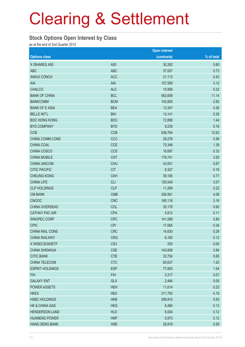#### **Stock Options Open Interest by Class**

as at the end of 2nd Quarter 2012

|                           |                 | <b>Open interest</b> |            |
|---------------------------|-----------------|----------------------|------------|
| <b>Options class</b>      |                 | (contracts)          | % of total |
| X ISHARES A50             | A50             | 30,292               | 0.60       |
| <b>ABC</b>                | <b>ABC</b>      | 37,007               | 0.73       |
| <b>ANHUI CONCH</b>        | <b>ACC</b>      | 21,113               | 0.42       |
| AIA                       | <b>AIA</b>      | 157,959              | 3.12       |
| <b>CHALCO</b>             | <b>ALC</b>      | 15,959               | 0.32       |
| <b>BANK OF CHINA</b>      | <b>BCL</b>      | 563,608              | 11.14      |
| <b>BANKCOMM</b>           | <b>BCM</b>      | 142,800              | 2.82       |
| <b>BANK OF E ASIA</b>     | <b>BEA</b>      | 13,347               | 0.26       |
| <b>BELLE INT'L</b>        | <b>BIH</b>      | 13,141               | 0.26       |
| <b>BOC HONG KONG</b>      | <b>BOC</b>      | 72,898               | 1.44       |
| <b>BYD COMPANY</b>        | <b>BYD</b>      | 9,239                | 0.18       |
| <b>CCB</b>                | <b>CCB</b>      | 638,764              | 12.62      |
| CHINA COMM CONS           | CCC             | 29,278               | 0.58       |
| CHINA COAL                | <b>CCE</b>      | 70,348               | 1.39       |
| CHINA COSCO               | <b>CCS</b>      | 16,697               | 0.33       |
| <b>CHINA MOBILE</b>       | <b>CHT</b>      | 179,741              | 3.55       |
| <b>CHINA UNICOM</b>       | <b>CHU</b>      | 43,931               | 0.87       |
| <b>CITIC PACIFIC</b>      | <b>CIT</b>      | 8,327                | 0.16       |
| <b>CHEUNG KONG</b>        | <b>CKH</b>      | 39,185               | 0.77       |
| <b>CHINA LIFE</b>         | <b>CLI</b>      | 155,549              | 3.07       |
| <b>CLP HOLDINGS</b>       | <b>CLP</b>      | 11,269               | 0.22       |
| <b>CM BANK</b>            | <b>CMB</b>      | 206,561              | 4.08       |
| <b>CNOOC</b>              | <b>CNC</b>      | 160,118              | 3.16       |
| CHINA OVERSEAS            | COL             | 30,178               | 0.60       |
| <b>CATHAY PAC AIR</b>     | <b>CPA</b>      | 5,812                | 0.11       |
| SINOPEC CORP              | <b>CPC</b>      | 141,598              | 2.80       |
| <b>CPIC</b>               | <b>CPI</b>      | 17,065               | 0.34       |
| CHINA RAIL CONS           | <b>CRC</b>      | 14,630               | 0.29       |
| <b>CHINA RAILWAY</b>      | <b>CRG</b>      | 6,185                | 0.12       |
| X WISECSI300ETF           | CS <sub>3</sub> | 250                  | 0.00       |
| <b>CHINA SHENHUA</b>      | <b>CSE</b>      | 143,808              | 2.84       |
| <b>CITIC BANK</b>         | <b>CTB</b>      | 32,754               | 0.65       |
| CHINA TELECOM             | <b>CTC</b>      | 60,637               | 1.20       |
| <b>ESPRIT HOLDINGS</b>    | <b>ESP</b>      | 77,800               | 1.54       |
| <b>FIH</b>                | <b>FIH</b>      | 3,317                | 0.07       |
| <b>GALAXY ENT</b>         | <b>GLX</b>      | 2,484                | 0.05       |
| POWER ASSETS              | <b>HEH</b>      | 11,614               | 0.23       |
| <b>HKEX</b>               | <b>HEX</b>      | 211,793              | 4.19       |
| <b>HSBC HOLDINGS</b>      | <b>HKB</b>      | 299,915              | 5.93       |
| <b>HK &amp; CHINA GAS</b> | <b>HKG</b>      | 6,480                | 0.13       |
| <b>HENDERSON LAND</b>     | <b>HLD</b>      | 6,004                | 0.12       |
| <b>HUANENG POWER</b>      | <b>HNP</b>      | 5,973                | 0.12       |
| <b>HANG SENG BANK</b>     | <b>HSB</b>      | 29,919               | 0.59       |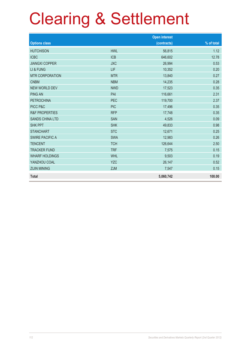|                           |            | <b>Open interest</b> |            |
|---------------------------|------------|----------------------|------------|
| <b>Options class</b>      |            | (contracts)          | % of total |
| <b>HUTCHISON</b>          | <b>HWL</b> | 56,815               | 1.12       |
| <b>ICBC</b>               | <b>ICB</b> | 646,602              | 12.78      |
| <b>JIANGXI COPPER</b>     | <b>JXC</b> | 26,994               | 0.53       |
| LI & FUNG                 | LIF        | 10,352               | 0.20       |
| <b>MTR CORPORATION</b>    | <b>MTR</b> | 13,840               | 0.27       |
| <b>CNBM</b>               | <b>NBM</b> | 14,235               | 0.28       |
| <b>NEW WORLD DEV</b>      | <b>NWD</b> | 17,523               | 0.35       |
| <b>PING AN</b>            | PAI        | 116,661              | 2.31       |
| <b>PETROCHINA</b>         | <b>PEC</b> | 119,700              | 2.37       |
| PICC P&C                  | <b>PIC</b> | 17,496               | 0.35       |
| <b>R&amp;F PROPERTIES</b> | <b>RFP</b> | 17,748               | 0.35       |
| <b>SANDS CHINA LTD</b>    | <b>SAN</b> | 4,526                | 0.09       |
| <b>SHK PPT</b>            | <b>SHK</b> | 49,833               | 0.98       |
| <b>STANCHART</b>          | <b>STC</b> | 12,671               | 0.25       |
| <b>SWIRE PACIFIC A</b>    | <b>SWA</b> | 12,983               | 0.26       |
| <b>TENCENT</b>            | <b>TCH</b> | 126,644              | 2.50       |
| <b>TRACKER FUND</b>       | <b>TRF</b> | 7,575                | 0.15       |
| <b>WHARF HOLDINGS</b>     | <b>WHL</b> | 9,503                | 0.19       |
| YANZHOU COAL              | <b>YZC</b> | 26,147               | 0.52       |
| <b>ZIJIN MINING</b>       | <b>ZJM</b> | 7,547                | 0.15       |
| <b>Total</b>              |            | 5,060,742            | 100.00     |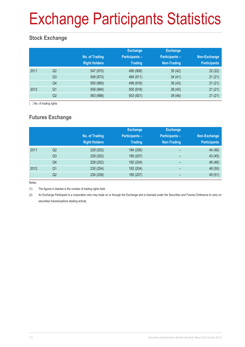## Exchange Participants Statistics

### **Stock Exchange**

|      |                | No. of Trading<br><b>Right Holders</b> | <b>Exchange</b><br><b>Participants -</b><br><b>Trading</b> | <b>Exchange</b><br><b>Participants -</b><br>Non-Trading | Non-Exchange<br><b>Participants</b> |
|------|----------------|----------------------------------------|------------------------------------------------------------|---------------------------------------------------------|-------------------------------------|
| 2011 | Q <sub>2</sub> | 547 (970)                              | 490 (906)                                                  | 35(42)                                                  | 22(22)                              |
|      | Q <sub>3</sub> | 549 (973)                              | 494 (911)                                                  | 34(41)                                                  | 21(21)                              |
|      | Q4             | 555 (980)                              | 498 (916)                                                  | 36(43)                                                  | 21(21)                              |
| 2012 | Q1             | 559 (984)                              | 500 (918)                                                  | 38(45)                                                  | 21(21)                              |
|      | Q2             | 563 (988)                              | 503 (921)                                                  | 39(46)                                                  | 21(21)                              |

( ) No. of trading rights

## **Futures Exchange**

|      |                | No. of Trading<br><b>Right Holders</b> | <b>Exchange</b><br><b>Participants -</b><br><b>Trading</b> | <b>Exchange</b><br><b>Participants -</b><br>Non-Trading | Non-Exchange<br><b>Participants</b> |
|------|----------------|----------------------------------------|------------------------------------------------------------|---------------------------------------------------------|-------------------------------------|
| 2011 | Q <sub>2</sub> | 228 (252)                              | 184 (206)                                                  | -                                                       | 44 (46)                             |
|      | Q3             | 228 (252)                              | 185 (207)                                                  | -                                                       | 43 (45)                             |
|      | Q4             | 228 (252)                              | 182 (204)                                                  | -                                                       | 46 (48)                             |
| 2012 | Q <sub>1</sub> | 230 (254)                              | 182 (204)                                                  | -                                                       | 48 (50)                             |
|      | Q2             | 234 (258)                              | 185 (207)                                                  | -                                                       | 49 (51)                             |

Notes:

(1) The figures in blanket is the number of trading rights held.

(2) An Exchange Participant is a corporation who may trade on or through the Exchange and is licensed under the Securities and Futures Ordinance to carry on securities/ futures/options dealing activity.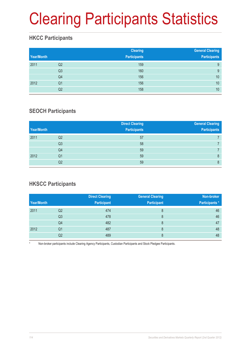## Clearing Participants Statistics

### **HKCC Participants**

| Year/Month |                | <b>Clearing</b><br><b>Participants</b> | <b>General Clearing</b><br><b>Participants</b> |
|------------|----------------|----------------------------------------|------------------------------------------------|
| 2011       | Q2             | 159                                    | 9                                              |
|            | Q <sub>3</sub> | 160                                    | 9                                              |
|            | Q4             | 156                                    | 10                                             |
| 2012       | Q <sub>1</sub> | 156                                    | 10                                             |
|            | Q2             | 158                                    | 10                                             |

### **SEOCH Participants**

| Year/Month |                | <b>Direct Clearing</b><br><b>Participants</b> | <b>General Clearing</b><br><b>Participants</b> |
|------------|----------------|-----------------------------------------------|------------------------------------------------|
| 2011       | Q <sub>2</sub> | 57                                            |                                                |
|            | Q3             | 58                                            |                                                |
|            | Q4             | 59                                            |                                                |
| 2012       | Q <sub>1</sub> | 59                                            | 8                                              |
|            | Q <sub>2</sub> | 59                                            | 8                                              |

### **HKSCC Participants**

|            |    | <b>Direct Clearing</b> | <b>General Clearing</b> | Non-broker           |
|------------|----|------------------------|-------------------------|----------------------|
| Year/Month |    | <b>Participant</b>     | <b>Participant</b>      | <b>Participants*</b> |
| 2011       | Q2 | 474                    | 8                       | 46                   |
|            | Q3 | 478                    | 8                       | 46                   |
|            | Q4 | 482                    | 8                       | 47                   |
| 2012       | Q1 | 487                    | 8                       | 48                   |
|            | Q2 | 489                    |                         | 48                   |

Non-broker participants include Clearing Agency Participants, Custodian Participants and Stock Pledgee Participants.